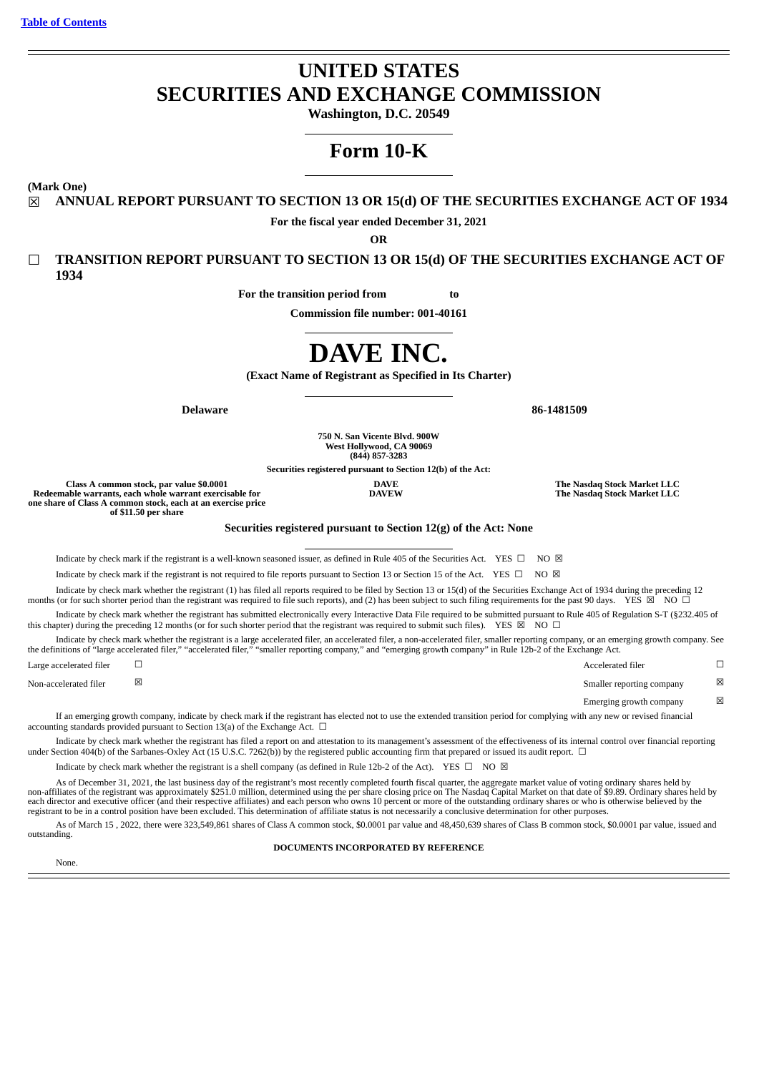# **UNITED STATES SECURITIES AND EXCHANGE COMMISSION**

**Washington, D.C. 20549**

# **Form 10-K**

**(Mark One)**

☒ **ANNUAL REPORT PURSUANT TO SECTION 13 OR 15(d) OF THE SECURITIES EXCHANGE ACT OF 1934**

**For the fiscal year ended December 31, 2021**

**OR**

☐ **TRANSITION REPORT PURSUANT TO SECTION 13 OR 15(d) OF THE SECURITIES EXCHANGE ACT OF 1934**

**For the transition period from to**

**Commission file number: 001-40161**

# **DAVE INC.**

**(Exact Name of Registrant as Specified in Its Charter)**

**Delaware 86-1481509**

**750 N. San Vicente Blvd. 900W West Hollywood, CA 90069 (844) 857-3283**

**Securities registered pursuant to Section 12(b) of the Act:**

**Class A common stock, par value \$0.0001 DAVE The Nasdaq Stock Market LLC Redeemable warrants, each whole warrant exercisable for one share of Class A common stock, each at an exercise price of \$11.50 per share**

**Securities registered pursuant to Section 12(g) of the Act: None**

Indicate by check mark if the registrant is a well-known seasoned issuer, as defined in Rule 405 of the Securities Act. YES  $\Box$  NO  $\boxtimes$ 

Indicate by check mark if the registrant is not required to file reports pursuant to Section 13 or Section 15 of the Act. YES  $\Box$  NO  $\boxtimes$ 

Indicate by check mark whether the registrant (1) has filed all reports required to be filed by Section 13 or 15(d) of the Securities Exchange Act of 1934 during the preceding 12 months (or for such shorter period than the registrant was required to file such reports), and (2) has been subject to such filing requirements for the past 90 days. YES ⊠

Indicate by check mark whether the registrant has submitted electronically every Interactive Data File required to be submitted pursuant to Rule 405 of Regulation S-T (§232.405 of this chapter) during the preceding 12 months (or for such shorter period that the registrant was required to submit such files). YES  $\boxtimes$  NO  $\Box$ 

Indicate by check mark whether the registrant is a large accelerated filer, an accelerated filer, a non-accelerated filer, smaller reporting company, or an emerging growth company. See<br>the definitions of "large accelerated

Large accelerated filer ☐ Accelerated filer ☐

Non-accelerated filer ⊠ ⊠ smaller reporting company ⊠

Emerging growth company  $\boxtimes$ 

If an emerging growth company, indicate by check mark if the registrant has elected not to use the extended transition period for complying with any new or revised financial accounting standards provided pursuant to Section 13(a) of the Exchange Act.  $\Box$ 

Indicate by check mark whether the registrant has filed a report on and attestation to its management's assessment of the effectiveness of its internal control over financial reporting under Section 404(b) of the Sarbanes-Oxley Act (15 U.S.C. 7262(b)) by the registered public accounting firm that prepared or issued its audit report.  $\Box$ 

Indicate by check mark whether the registrant is a shell company (as defined in Rule 12b-2 of the Act). YES  $\Box$  NO  $\boxtimes$ 

As of December 31, 2021, the last business day of the registrant's most recently completed fourth fiscal quarter, the aggregate market value of voting ordinary shares held by non-affiliates of the registrant was approximately \$251.0 million, determined using the per share closing price on The Nasdaq Capital Market on that date of \$9.89. Ordinary shares held by each director and executive officer (and their respective affiliates) and each person who owns 10 percent or more of the outstanding ordinary shares or who is otherwise believed by the each director and executive officer ( registrant to be in a control position have been excluded. This determination of affiliate status is not necessarily a conclusive determination for other purposes.

As of March 15 , 2022, there were 323,549,861 shares of Class A common stock, \$0.0001 par value and 48,450,639 shares of Class B common stock, \$0.0001 par value, issued and outstanding.

**DOCUMENTS INCORPORATED BY REFERENCE**

None.

**DAVEW The Nasdaq Stock Market LLC**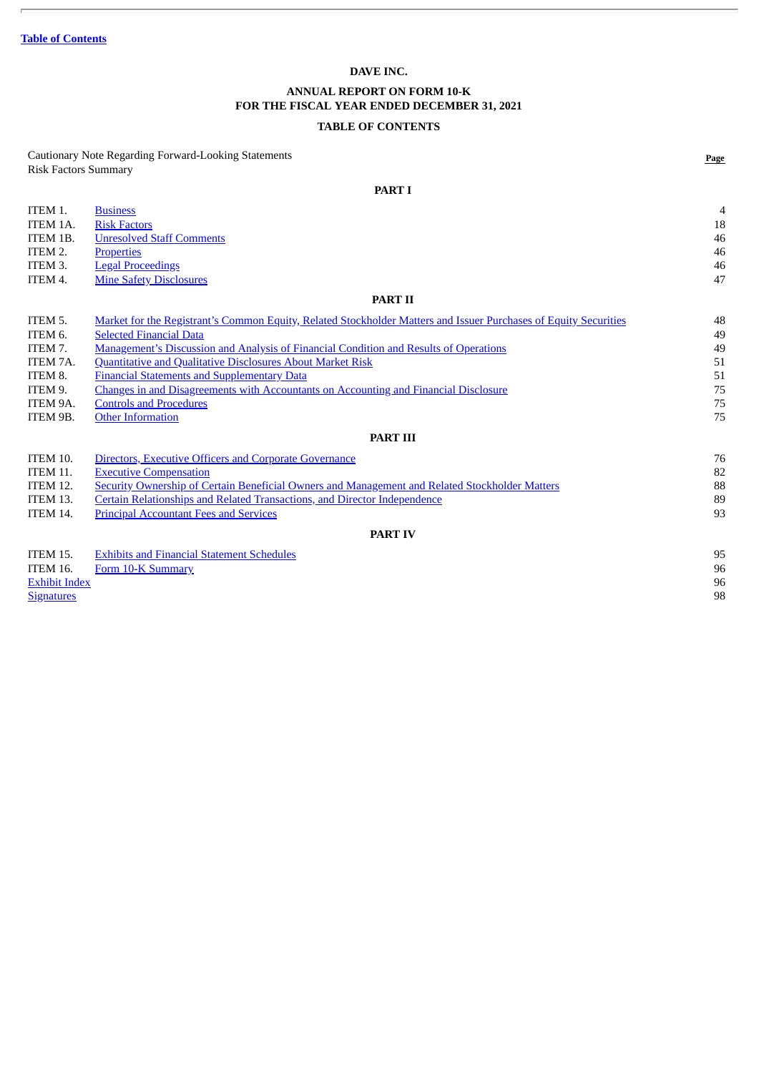# **DAVE INC.**

# **ANNUAL REPORT ON FORM 10-K FOR THE FISCAL YEAR ENDED DECEMBER 31, 2021**

# **TABLE OF CONTENTS**

<span id="page-1-0"></span>Cautionary Note Regarding Forward-Looking Statements **Page** Risk Factors Summary

# **PART I**

| ITEM 1.             | <b>Business</b>                                                                                                  | 4  |
|---------------------|------------------------------------------------------------------------------------------------------------------|----|
| ITEM 1A.            | <b>Risk Factors</b>                                                                                              | 18 |
| ITEM 1B.            | <b>Unresolved Staff Comments</b>                                                                                 | 46 |
| ITEM 2.             | <b>Properties</b>                                                                                                | 46 |
| ITEM 3.             | <b>Legal Proceedings</b>                                                                                         | 46 |
| ITEM 4.             | <b>Mine Safety Disclosures</b>                                                                                   | 47 |
|                     | <b>PART II</b>                                                                                                   |    |
| ITEM 5.             | Market for the Registrant's Common Equity, Related Stockholder Matters and Issuer Purchases of Equity Securities | 48 |
| ITEM <sub>6</sub> . | <b>Selected Financial Data</b>                                                                                   | 49 |
| ITEM 7.             | <b>Management's Discussion and Analysis of Financial Condition and Results of Operations</b>                     | 49 |
| ITEM 7A.            | <b>Quantitative and Qualitative Disclosures About Market Risk</b>                                                | 51 |
| ITEM 8.             | <b>Financial Statements and Supplementary Data</b>                                                               | 51 |
| ITEM 9.             | <b>Changes in and Disagreements with Accountants on Accounting and Financial Disclosure</b>                      | 75 |
| ITEM 9A.            | <b>Controls and Procedures</b>                                                                                   | 75 |
| ITEM 9B.            | <b>Other Information</b>                                                                                         | 75 |
|                     | <b>PART III</b>                                                                                                  |    |
| ITEM 10.            | <b>Directors, Executive Officers and Corporate Governance</b>                                                    | 76 |
| ITEM 11.            | <b>Executive Compensation</b>                                                                                    | 82 |
| <b>ITEM 12.</b>     | Security Ownership of Certain Beneficial Owners and Management and Related Stockholder Matters                   | 88 |
| ITEM 13.            | Certain Relationships and Related Transactions, and Director Independence                                        | 89 |
| <b>ITEM 14.</b>     | <b>Principal Accountant Fees and Services</b>                                                                    | 93 |
|                     | <b>PART IV</b>                                                                                                   |    |
| <b>ITEM 15.</b>     | <b>Exhibits and Financial Statement Schedules</b>                                                                | 95 |
| ITEM 16.            | Form 10-K Summary                                                                                                | 96 |
| Exhibit Index       |                                                                                                                  | 96 |

<u>[Signatures](#page-99-0)</u> 2008 and 2008 and 2008 and 2008 and 2008 and 2008 and 2008 and 2008 and 2008 and 2008 and 2008 and 2008 and 2008 and 2008 and 2008 and 2008 and 2008 and 2008 and 2008 and 2008 and 2008 and 2008 and 2008 and 20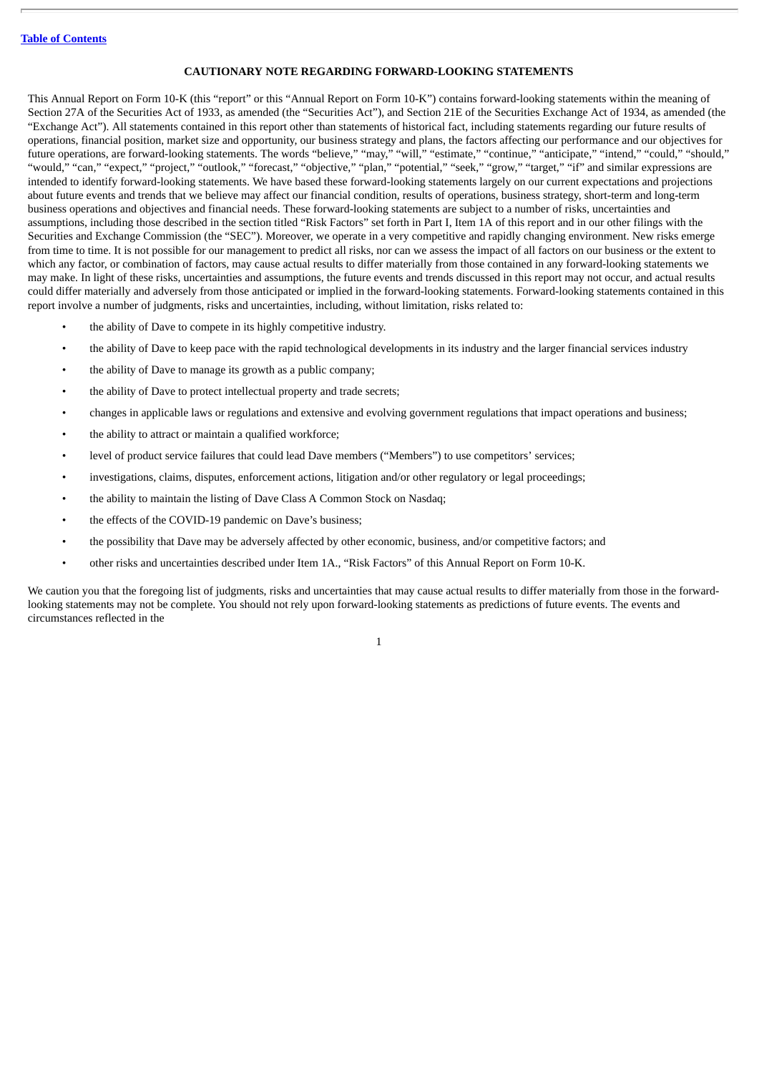#### **CAUTIONARY NOTE REGARDING FORWARD-LOOKING STATEMENTS**

This Annual Report on Form 10-K (this "report" or this "Annual Report on Form 10-K") contains forward-looking statements within the meaning of Section 27A of the Securities Act of 1933, as amended (the "Securities Act"), and Section 21E of the Securities Exchange Act of 1934, as amended (the "Exchange Act"). All statements contained in this report other than statements of historical fact, including statements regarding our future results of operations, financial position, market size and opportunity, our business strategy and plans, the factors affecting our performance and our objectives for future operations, are forward-looking statements. The words "believe," "may," "will," "estimate," "continue," "anticipate," "intend," "could," "should," "would," "can," "expect," "project," "outlook," "forecast," "objective," "plan," "potential," "seek," "grow," "target," "if" and similar expressions are intended to identify forward-looking statements. We have based these forward-looking statements largely on our current expectations and projections about future events and trends that we believe may affect our financial condition, results of operations, business strategy, short-term and long-term business operations and objectives and financial needs. These forward-looking statements are subject to a number of risks, uncertainties and assumptions, including those described in the section titled "Risk Factors" set forth in Part I, Item 1A of this report and in our other filings with the Securities and Exchange Commission (the "SEC"). Moreover, we operate in a very competitive and rapidly changing environment. New risks emerge from time to time. It is not possible for our management to predict all risks, nor can we assess the impact of all factors on our business or the extent to which any factor, or combination of factors, may cause actual results to differ materially from those contained in any forward-looking statements we may make. In light of these risks, uncertainties and assumptions, the future events and trends discussed in this report may not occur, and actual results could differ materially and adversely from those anticipated or implied in the forward-looking statements. Forward-looking statements contained in this report involve a number of judgments, risks and uncertainties, including, without limitation, risks related to:

- the ability of Dave to compete in its highly competitive industry.
- the ability of Dave to keep pace with the rapid technological developments in its industry and the larger financial services industry
- the ability of Dave to manage its growth as a public company;
- the ability of Dave to protect intellectual property and trade secrets;
- changes in applicable laws or regulations and extensive and evolving government regulations that impact operations and business;
- the ability to attract or maintain a qualified workforce;
- level of product service failures that could lead Dave members ("Members") to use competitors' services;
- investigations, claims, disputes, enforcement actions, litigation and/or other regulatory or legal proceedings;
- the ability to maintain the listing of Dave Class A Common Stock on Nasdaq;
- the effects of the COVID-19 pandemic on Dave's business;
- the possibility that Dave may be adversely affected by other economic, business, and/or competitive factors; and
- other risks and uncertainties described under Item 1A., "Risk Factors" of this Annual Report on Form 10-K.

We caution you that the foregoing list of judgments, risks and uncertainties that may cause actual results to differ materially from those in the forwardlooking statements may not be complete. You should not rely upon forward-looking statements as predictions of future events. The events and circumstances reflected in the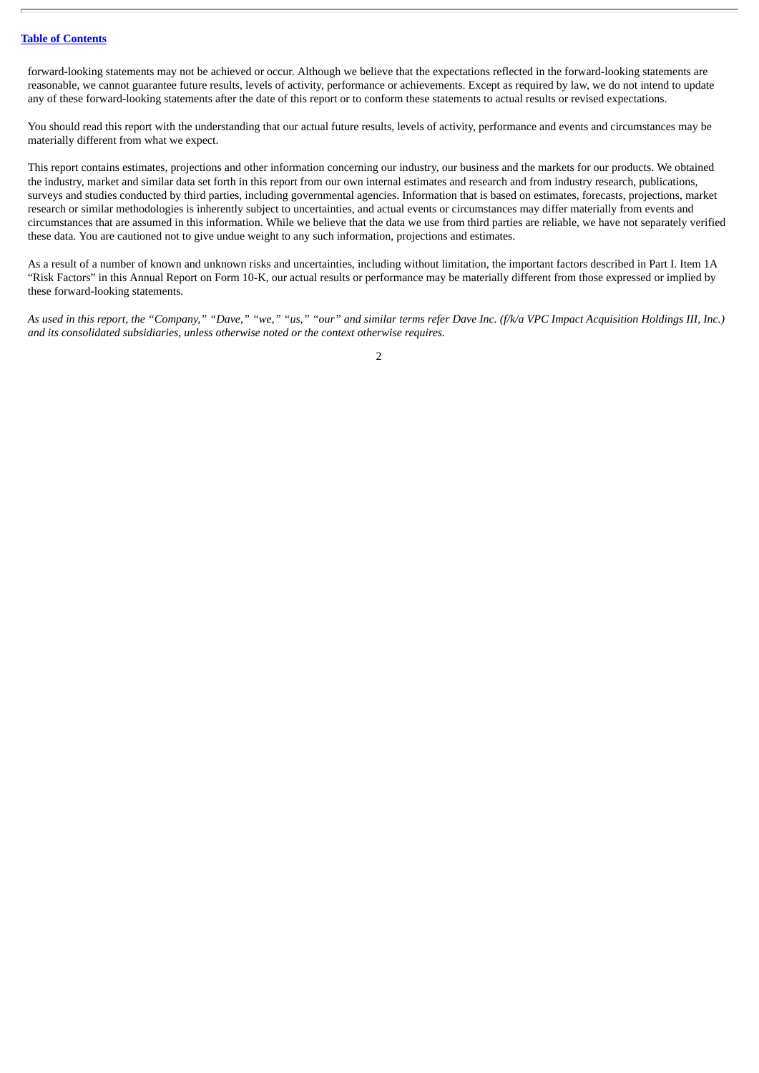forward-looking statements may not be achieved or occur. Although we believe that the expectations reflected in the forward-looking statements are reasonable, we cannot guarantee future results, levels of activity, performance or achievements. Except as required by law, we do not intend to update any of these forward-looking statements after the date of this report or to conform these statements to actual results or revised expectations.

You should read this report with the understanding that our actual future results, levels of activity, performance and events and circumstances may be materially different from what we expect.

This report contains estimates, projections and other information concerning our industry, our business and the markets for our products. We obtained the industry, market and similar data set forth in this report from our own internal estimates and research and from industry research, publications, surveys and studies conducted by third parties, including governmental agencies. Information that is based on estimates, forecasts, projections, market research or similar methodologies is inherently subject to uncertainties, and actual events or circumstances may differ materially from events and circumstances that are assumed in this information. While we believe that the data we use from third parties are reliable, we have not separately verified these data. You are cautioned not to give undue weight to any such information, projections and estimates.

As a result of a number of known and unknown risks and uncertainties, including without limitation, the important factors described in Part I. Item 1A "Risk Factors" in this Annual Report on Form 10-K, our actual results or performance may be materially different from those expressed or implied by these forward-looking statements.

As used in this report, the "Company," "Dave," "we," "us," "our" and similar terms refer Dave Inc. (f/k/a VPC Impact Acquisition Holdings III, Inc.) *and its consolidated subsidiaries, unless otherwise noted or the context otherwise requires.*

 $\overline{2}$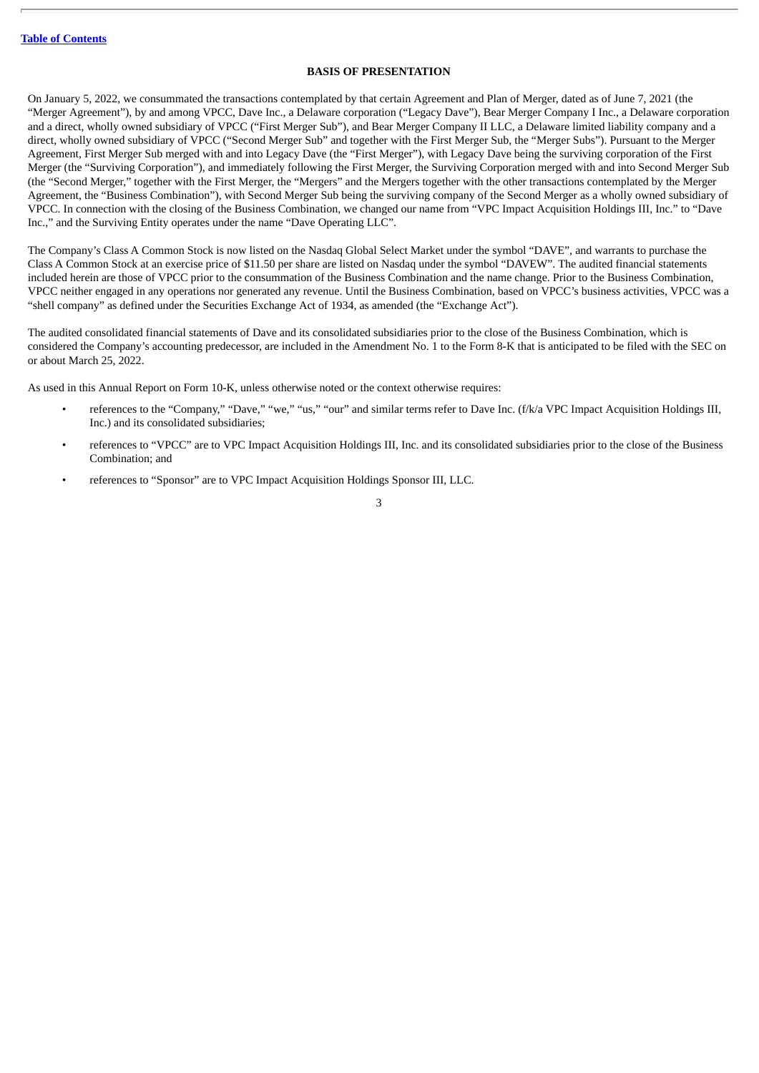# **BASIS OF PRESENTATION**

On January 5, 2022, we consummated the transactions contemplated by that certain Agreement and Plan of Merger, dated as of June 7, 2021 (the "Merger Agreement"), by and among VPCC, Dave Inc., a Delaware corporation ("Legacy Dave"), Bear Merger Company I Inc., a Delaware corporation and a direct, wholly owned subsidiary of VPCC ("First Merger Sub"), and Bear Merger Company II LLC, a Delaware limited liability company and a direct, wholly owned subsidiary of VPCC ("Second Merger Sub" and together with the First Merger Sub, the "Merger Subs"). Pursuant to the Merger Agreement, First Merger Sub merged with and into Legacy Dave (the "First Merger"), with Legacy Dave being the surviving corporation of the First Merger (the "Surviving Corporation"), and immediately following the First Merger, the Surviving Corporation merged with and into Second Merger Sub (the "Second Merger," together with the First Merger, the "Mergers" and the Mergers together with the other transactions contemplated by the Merger Agreement, the "Business Combination"), with Second Merger Sub being the surviving company of the Second Merger as a wholly owned subsidiary of VPCC. In connection with the closing of the Business Combination, we changed our name from "VPC Impact Acquisition Holdings III, Inc." to "Dave Inc.," and the Surviving Entity operates under the name "Dave Operating LLC".

The Company's Class A Common Stock is now listed on the Nasdaq Global Select Market under the symbol "DAVE", and warrants to purchase the Class A Common Stock at an exercise price of \$11.50 per share are listed on Nasdaq under the symbol "DAVEW". The audited financial statements included herein are those of VPCC prior to the consummation of the Business Combination and the name change. Prior to the Business Combination, VPCC neither engaged in any operations nor generated any revenue. Until the Business Combination, based on VPCC's business activities, VPCC was a "shell company" as defined under the Securities Exchange Act of 1934, as amended (the "Exchange Act").

The audited consolidated financial statements of Dave and its consolidated subsidiaries prior to the close of the Business Combination, which is considered the Company's accounting predecessor, are included in the Amendment No. 1 to the Form 8-K that is anticipated to be filed with the SEC on or about March 25, 2022.

As used in this Annual Report on Form 10-K, unless otherwise noted or the context otherwise requires:

- references to the "Company," "Dave," "we," "us," "our" and similar terms refer to Dave Inc. (f/k/a VPC Impact Acquisition Holdings III, Inc.) and its consolidated subsidiaries;
- references to "VPCC" are to VPC Impact Acquisition Holdings III, Inc. and its consolidated subsidiaries prior to the close of the Business Combination; and
- references to "Sponsor" are to VPC Impact Acquisition Holdings Sponsor III, LLC.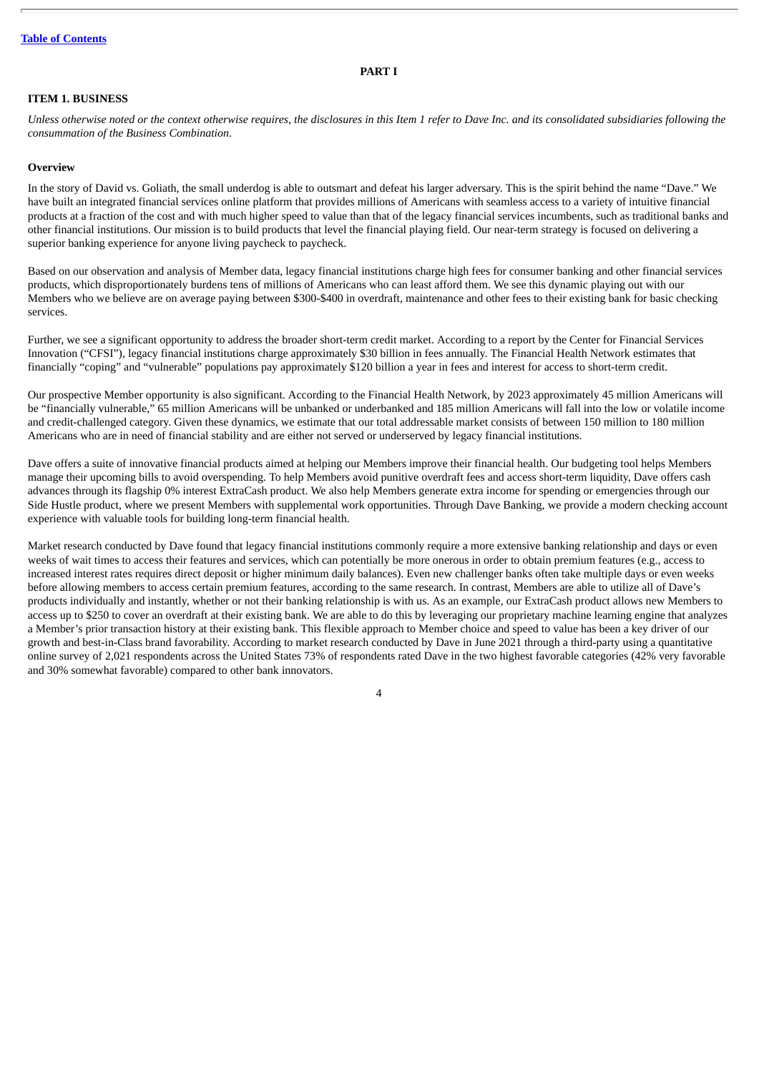#### **PART I**

#### <span id="page-5-0"></span>**ITEM 1. BUSINESS**

Unless otherwise noted or the context otherwise requires, the disclosures in this Item 1 refer to Dave Inc. and its consolidated subsidiaries following the *consummation of the Business Combination*.

#### **Overview**

In the story of David vs. Goliath, the small underdog is able to outsmart and defeat his larger adversary. This is the spirit behind the name "Dave." We have built an integrated financial services online platform that provides millions of Americans with seamless access to a variety of intuitive financial products at a fraction of the cost and with much higher speed to value than that of the legacy financial services incumbents, such as traditional banks and other financial institutions. Our mission is to build products that level the financial playing field. Our near-term strategy is focused on delivering a superior banking experience for anyone living paycheck to paycheck.

Based on our observation and analysis of Member data, legacy financial institutions charge high fees for consumer banking and other financial services products, which disproportionately burdens tens of millions of Americans who can least afford them. We see this dynamic playing out with our Members who we believe are on average paying between \$300-\$400 in overdraft, maintenance and other fees to their existing bank for basic checking services.

Further, we see a significant opportunity to address the broader short-term credit market. According to a report by the Center for Financial Services Innovation ("CFSI"), legacy financial institutions charge approximately \$30 billion in fees annually. The Financial Health Network estimates that financially "coping" and "vulnerable" populations pay approximately \$120 billion a year in fees and interest for access to short-term credit.

Our prospective Member opportunity is also significant. According to the Financial Health Network, by 2023 approximately 45 million Americans will be "financially vulnerable," 65 million Americans will be unbanked or underbanked and 185 million Americans will fall into the low or volatile income and credit-challenged category. Given these dynamics, we estimate that our total addressable market consists of between 150 million to 180 million Americans who are in need of financial stability and are either not served or underserved by legacy financial institutions.

Dave offers a suite of innovative financial products aimed at helping our Members improve their financial health. Our budgeting tool helps Members manage their upcoming bills to avoid overspending. To help Members avoid punitive overdraft fees and access short-term liquidity, Dave offers cash advances through its flagship 0% interest ExtraCash product. We also help Members generate extra income for spending or emergencies through our Side Hustle product, where we present Members with supplemental work opportunities. Through Dave Banking, we provide a modern checking account experience with valuable tools for building long-term financial health.

Market research conducted by Dave found that legacy financial institutions commonly require a more extensive banking relationship and days or even weeks of wait times to access their features and services, which can potentially be more onerous in order to obtain premium features (e.g., access to increased interest rates requires direct deposit or higher minimum daily balances). Even new challenger banks often take multiple days or even weeks before allowing members to access certain premium features, according to the same research. In contrast, Members are able to utilize all of Dave's products individually and instantly, whether or not their banking relationship is with us. As an example, our ExtraCash product allows new Members to access up to \$250 to cover an overdraft at their existing bank. We are able to do this by leveraging our proprietary machine learning engine that analyzes a Member's prior transaction history at their existing bank. This flexible approach to Member choice and speed to value has been a key driver of our growth and best-in-Class brand favorability. According to market research conducted by Dave in June 2021 through a third-party using a quantitative online survey of 2,021 respondents across the United States 73% of respondents rated Dave in the two highest favorable categories (42% very favorable and 30% somewhat favorable) compared to other bank innovators.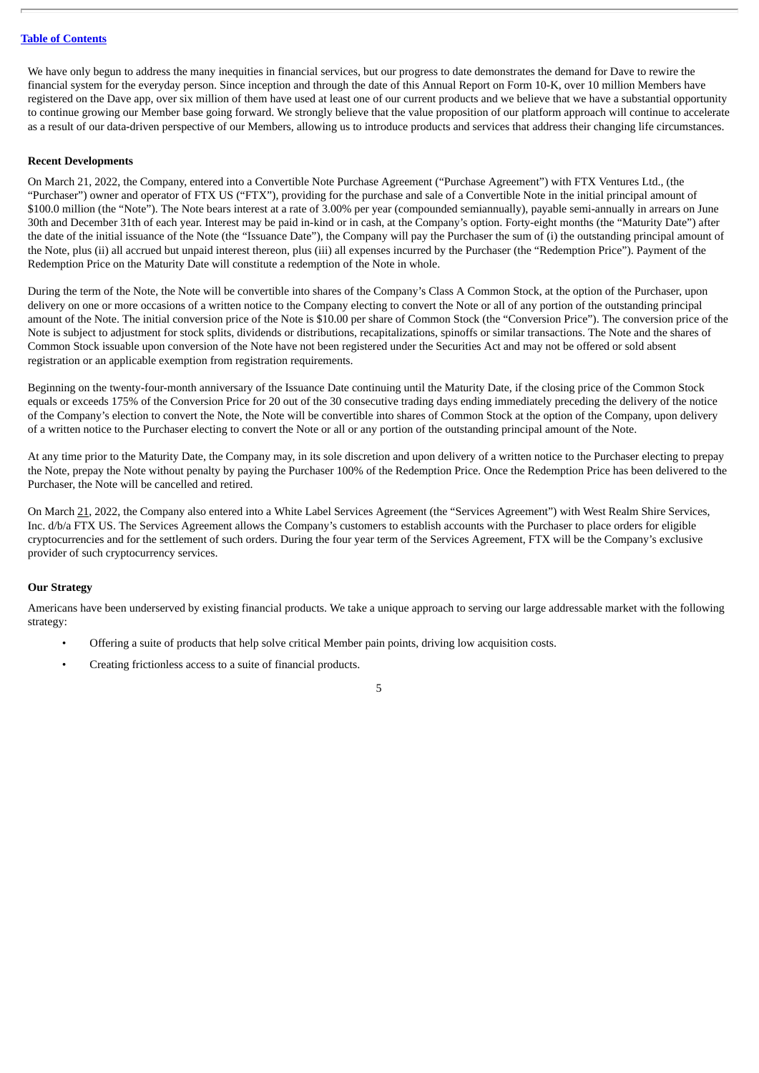We have only begun to address the many inequities in financial services, but our progress to date demonstrates the demand for Dave to rewire the financial system for the everyday person. Since inception and through the date of this Annual Report on Form 10-K, over 10 million Members have registered on the Dave app, over six million of them have used at least one of our current products and we believe that we have a substantial opportunity to continue growing our Member base going forward. We strongly believe that the value proposition of our platform approach will continue to accelerate as a result of our data-driven perspective of our Members, allowing us to introduce products and services that address their changing life circumstances.

#### **Recent Developments**

On March 21, 2022, the Company, entered into a Convertible Note Purchase Agreement ("Purchase Agreement") with FTX Ventures Ltd., (the "Purchaser") owner and operator of FTX US ("FTX"), providing for the purchase and sale of a Convertible Note in the initial principal amount of \$100.0 million (the "Note"). The Note bears interest at a rate of 3.00% per year (compounded semiannually), payable semi-annually in arrears on June 30th and December 31th of each year. Interest may be paid in-kind or in cash, at the Company's option. Forty-eight months (the "Maturity Date") after the date of the initial issuance of the Note (the "Issuance Date"), the Company will pay the Purchaser the sum of (i) the outstanding principal amount of the Note, plus (ii) all accrued but unpaid interest thereon, plus (iii) all expenses incurred by the Purchaser (the "Redemption Price"). Payment of the Redemption Price on the Maturity Date will constitute a redemption of the Note in whole.

During the term of the Note, the Note will be convertible into shares of the Company's Class A Common Stock, at the option of the Purchaser, upon delivery on one or more occasions of a written notice to the Company electing to convert the Note or all of any portion of the outstanding principal amount of the Note. The initial conversion price of the Note is \$10.00 per share of Common Stock (the "Conversion Price"). The conversion price of the Note is subject to adjustment for stock splits, dividends or distributions, recapitalizations, spinoffs or similar transactions. The Note and the shares of Common Stock issuable upon conversion of the Note have not been registered under the Securities Act and may not be offered or sold absent registration or an applicable exemption from registration requirements.

Beginning on the twenty-four-month anniversary of the Issuance Date continuing until the Maturity Date, if the closing price of the Common Stock equals or exceeds 175% of the Conversion Price for 20 out of the 30 consecutive trading days ending immediately preceding the delivery of the notice of the Company's election to convert the Note, the Note will be convertible into shares of Common Stock at the option of the Company, upon delivery of a written notice to the Purchaser electing to convert the Note or all or any portion of the outstanding principal amount of the Note.

At any time prior to the Maturity Date, the Company may, in its sole discretion and upon delivery of a written notice to the Purchaser electing to prepay the Note, prepay the Note without penalty by paying the Purchaser 100% of the Redemption Price. Once the Redemption Price has been delivered to the Purchaser, the Note will be cancelled and retired.

On March 21, 2022, the Company also entered into a White Label Services Agreement (the "Services Agreement") with West Realm Shire Services, Inc. d/b/a FTX US. The Services Agreement allows the Company's customers to establish accounts with the Purchaser to place orders for eligible cryptocurrencies and for the settlement of such orders. During the four year term of the Services Agreement, FTX will be the Company's exclusive provider of such cryptocurrency services.

# **Our Strategy**

Americans have been underserved by existing financial products. We take a unique approach to serving our large addressable market with the following strategy:

- Offering a suite of products that help solve critical Member pain points, driving low acquisition costs.
- Creating frictionless access to a suite of financial products.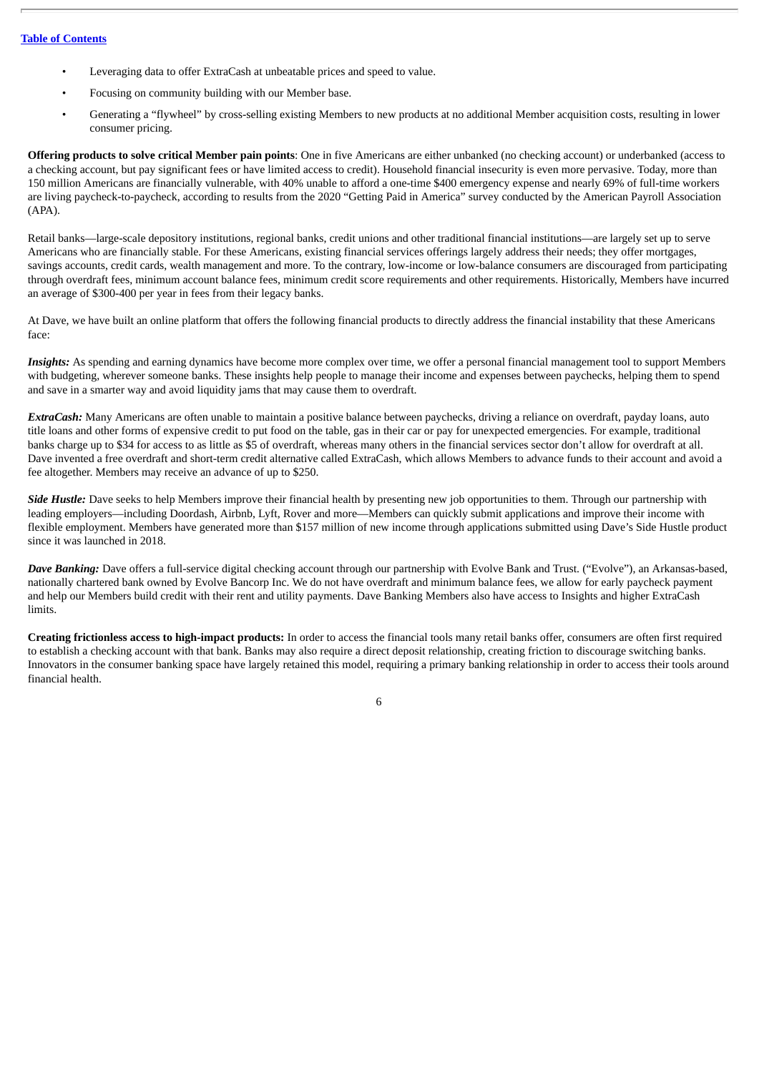- Leveraging data to offer ExtraCash at unbeatable prices and speed to value.
- Focusing on community building with our Member base.
- Generating a "flywheel" by cross-selling existing Members to new products at no additional Member acquisition costs, resulting in lower consumer pricing.

**Offering products to solve critical Member pain points**: One in five Americans are either unbanked (no checking account) or underbanked (access to a checking account, but pay significant fees or have limited access to credit). Household financial insecurity is even more pervasive. Today, more than 150 million Americans are financially vulnerable, with 40% unable to afford a one-time \$400 emergency expense and nearly 69% of full-time workers are living paycheck-to-paycheck, according to results from the 2020 "Getting Paid in America" survey conducted by the American Payroll Association (APA).

Retail banks—large-scale depository institutions, regional banks, credit unions and other traditional financial institutions—are largely set up to serve Americans who are financially stable. For these Americans, existing financial services offerings largely address their needs; they offer mortgages, savings accounts, credit cards, wealth management and more. To the contrary, low-income or low-balance consumers are discouraged from participating through overdraft fees, minimum account balance fees, minimum credit score requirements and other requirements. Historically, Members have incurred an average of \$300-400 per year in fees from their legacy banks.

At Dave, we have built an online platform that offers the following financial products to directly address the financial instability that these Americans face:

*Insights:* As spending and earning dynamics have become more complex over time, we offer a personal financial management tool to support Members with budgeting, wherever someone banks. These insights help people to manage their income and expenses between paychecks, helping them to spend and save in a smarter way and avoid liquidity jams that may cause them to overdraft.

*ExtraCash:* Many Americans are often unable to maintain a positive balance between paychecks, driving a reliance on overdraft, payday loans, auto title loans and other forms of expensive credit to put food on the table, gas in their car or pay for unexpected emergencies. For example, traditional banks charge up to \$34 for access to as little as \$5 of overdraft, whereas many others in the financial services sector don't allow for overdraft at all. Dave invented a free overdraft and short-term credit alternative called ExtraCash, which allows Members to advance funds to their account and avoid a fee altogether. Members may receive an advance of up to \$250.

*Side Hustle:* Dave seeks to help Members improve their financial health by presenting new job opportunities to them. Through our partnership with leading employers—including Doordash, Airbnb, Lyft, Rover and more—Members can quickly submit applications and improve their income with flexible employment. Members have generated more than \$157 million of new income through applications submitted using Dave's Side Hustle product since it was launched in 2018.

*Dave Banking:* Dave offers a full-service digital checking account through our partnership with Evolve Bank and Trust. ("Evolve"), an Arkansas-based, nationally chartered bank owned by Evolve Bancorp Inc. We do not have overdraft and minimum balance fees, we allow for early paycheck payment and help our Members build credit with their rent and utility payments. Dave Banking Members also have access to Insights and higher ExtraCash limits.

**Creating frictionless access to high-impact products:** In order to access the financial tools many retail banks offer, consumers are often first required to establish a checking account with that bank. Banks may also require a direct deposit relationship, creating friction to discourage switching banks. Innovators in the consumer banking space have largely retained this model, requiring a primary banking relationship in order to access their tools around financial health.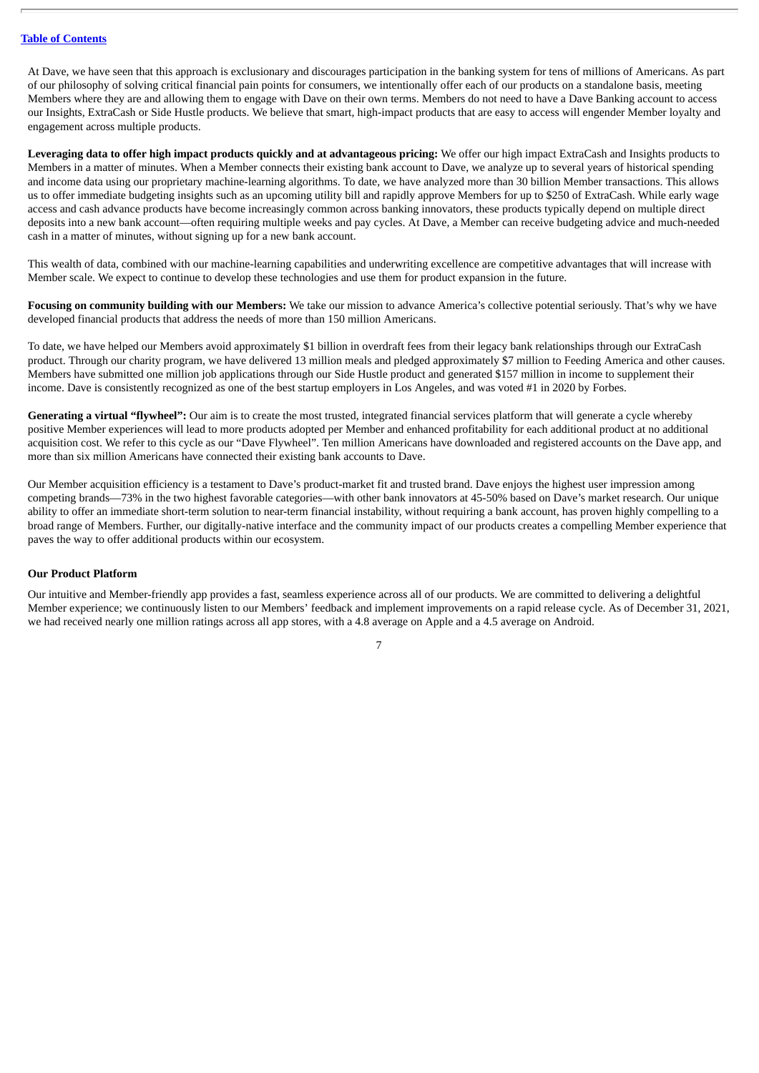At Dave, we have seen that this approach is exclusionary and discourages participation in the banking system for tens of millions of Americans. As part of our philosophy of solving critical financial pain points for consumers, we intentionally offer each of our products on a standalone basis, meeting Members where they are and allowing them to engage with Dave on their own terms. Members do not need to have a Dave Banking account to access our Insights, ExtraCash or Side Hustle products. We believe that smart, high-impact products that are easy to access will engender Member loyalty and engagement across multiple products.

Leveraging data to offer high impact products quickly and at advantageous pricing: We offer our high impact ExtraCash and Insights products to Members in a matter of minutes. When a Member connects their existing bank account to Dave, we analyze up to several years of historical spending and income data using our proprietary machine-learning algorithms. To date, we have analyzed more than 30 billion Member transactions. This allows us to offer immediate budgeting insights such as an upcoming utility bill and rapidly approve Members for up to \$250 of ExtraCash. While early wage access and cash advance products have become increasingly common across banking innovators, these products typically depend on multiple direct deposits into a new bank account—often requiring multiple weeks and pay cycles. At Dave, a Member can receive budgeting advice and much-needed cash in a matter of minutes, without signing up for a new bank account.

This wealth of data, combined with our machine-learning capabilities and underwriting excellence are competitive advantages that will increase with Member scale. We expect to continue to develop these technologies and use them for product expansion in the future.

**Focusing on community building with our Members:** We take our mission to advance America's collective potential seriously. That's why we have developed financial products that address the needs of more than 150 million Americans.

To date, we have helped our Members avoid approximately \$1 billion in overdraft fees from their legacy bank relationships through our ExtraCash product. Through our charity program, we have delivered 13 million meals and pledged approximately \$7 million to Feeding America and other causes. Members have submitted one million job applications through our Side Hustle product and generated \$157 million in income to supplement their income. Dave is consistently recognized as one of the best startup employers in Los Angeles, and was voted #1 in 2020 by Forbes.

**Generating a virtual "flywheel":** Our aim is to create the most trusted, integrated financial services platform that will generate a cycle whereby positive Member experiences will lead to more products adopted per Member and enhanced profitability for each additional product at no additional acquisition cost. We refer to this cycle as our "Dave Flywheel". Ten million Americans have downloaded and registered accounts on the Dave app, and more than six million Americans have connected their existing bank accounts to Dave.

Our Member acquisition efficiency is a testament to Dave's product-market fit and trusted brand. Dave enjoys the highest user impression among competing brands—73% in the two highest favorable categories—with other bank innovators at 45-50% based on Dave's market research. Our unique ability to offer an immediate short-term solution to near-term financial instability, without requiring a bank account, has proven highly compelling to a broad range of Members. Further, our digitally-native interface and the community impact of our products creates a compelling Member experience that paves the way to offer additional products within our ecosystem.

#### **Our Product Platform**

Our intuitive and Member-friendly app provides a fast, seamless experience across all of our products. We are committed to delivering a delightful Member experience; we continuously listen to our Members' feedback and implement improvements on a rapid release cycle. As of December 31, 2021, we had received nearly one million ratings across all app stores, with a 4.8 average on Apple and a 4.5 average on Android.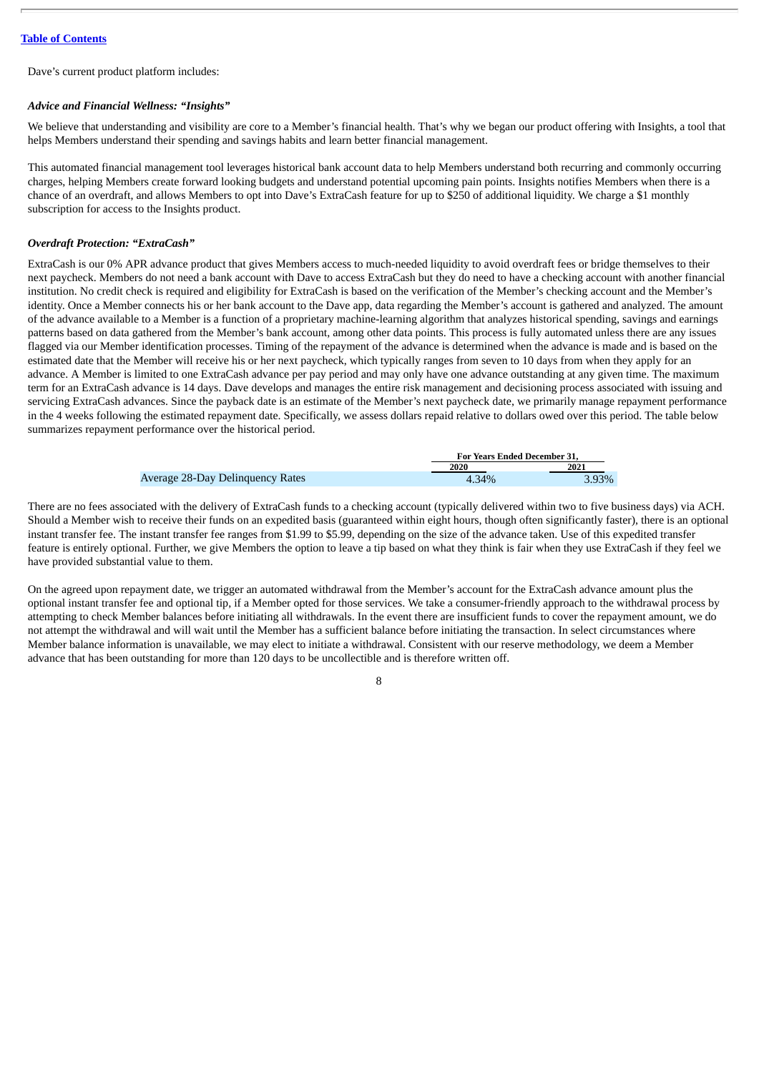Dave's current product platform includes:

#### *Advice and Financial Wellness: "Insights"*

We believe that understanding and visibility are core to a Member's financial health. That's why we began our product offering with Insights, a tool that helps Members understand their spending and savings habits and learn better financial management.

This automated financial management tool leverages historical bank account data to help Members understand both recurring and commonly occurring charges, helping Members create forward looking budgets and understand potential upcoming pain points. Insights notifies Members when there is a chance of an overdraft, and allows Members to opt into Dave's ExtraCash feature for up to \$250 of additional liquidity. We charge a \$1 monthly subscription for access to the Insights product.

# *Overdraft Protection: "ExtraCash"*

ExtraCash is our 0% APR advance product that gives Members access to much-needed liquidity to avoid overdraft fees or bridge themselves to their next paycheck. Members do not need a bank account with Dave to access ExtraCash but they do need to have a checking account with another financial institution. No credit check is required and eligibility for ExtraCash is based on the verification of the Member's checking account and the Member's identity. Once a Member connects his or her bank account to the Dave app, data regarding the Member's account is gathered and analyzed. The amount of the advance available to a Member is a function of a proprietary machine-learning algorithm that analyzes historical spending, savings and earnings patterns based on data gathered from the Member's bank account, among other data points. This process is fully automated unless there are any issues flagged via our Member identification processes. Timing of the repayment of the advance is determined when the advance is made and is based on the estimated date that the Member will receive his or her next paycheck, which typically ranges from seven to 10 days from when they apply for an advance. A Member is limited to one ExtraCash advance per pay period and may only have one advance outstanding at any given time. The maximum term for an ExtraCash advance is 14 days. Dave develops and manages the entire risk management and decisioning process associated with issuing and servicing ExtraCash advances. Since the payback date is an estimate of the Member's next paycheck date, we primarily manage repayment performance in the 4 weeks following the estimated repayment date. Specifically, we assess dollars repaid relative to dollars owed over this period. The table below summarizes repayment performance over the historical period.

|                                         |       | <b>For Years Ended December 31.</b> |  |
|-----------------------------------------|-------|-------------------------------------|--|
|                                         | 2020  | 2021                                |  |
| <b>Average 28-Day Delinguency Rates</b> | 4.34% | 3.93%                               |  |

There are no fees associated with the delivery of ExtraCash funds to a checking account (typically delivered within two to five business days) via ACH. Should a Member wish to receive their funds on an expedited basis (guaranteed within eight hours, though often significantly faster), there is an optional instant transfer fee. The instant transfer fee ranges from \$1.99 to \$5.99, depending on the size of the advance taken. Use of this expedited transfer feature is entirely optional. Further, we give Members the option to leave a tip based on what they think is fair when they use ExtraCash if they feel we have provided substantial value to them.

On the agreed upon repayment date, we trigger an automated withdrawal from the Member's account for the ExtraCash advance amount plus the optional instant transfer fee and optional tip, if a Member opted for those services. We take a consumer-friendly approach to the withdrawal process by attempting to check Member balances before initiating all withdrawals. In the event there are insufficient funds to cover the repayment amount, we do not attempt the withdrawal and will wait until the Member has a sufficient balance before initiating the transaction. In select circumstances where Member balance information is unavailable, we may elect to initiate a withdrawal. Consistent with our reserve methodology, we deem a Member advance that has been outstanding for more than 120 days to be uncollectible and is therefore written off.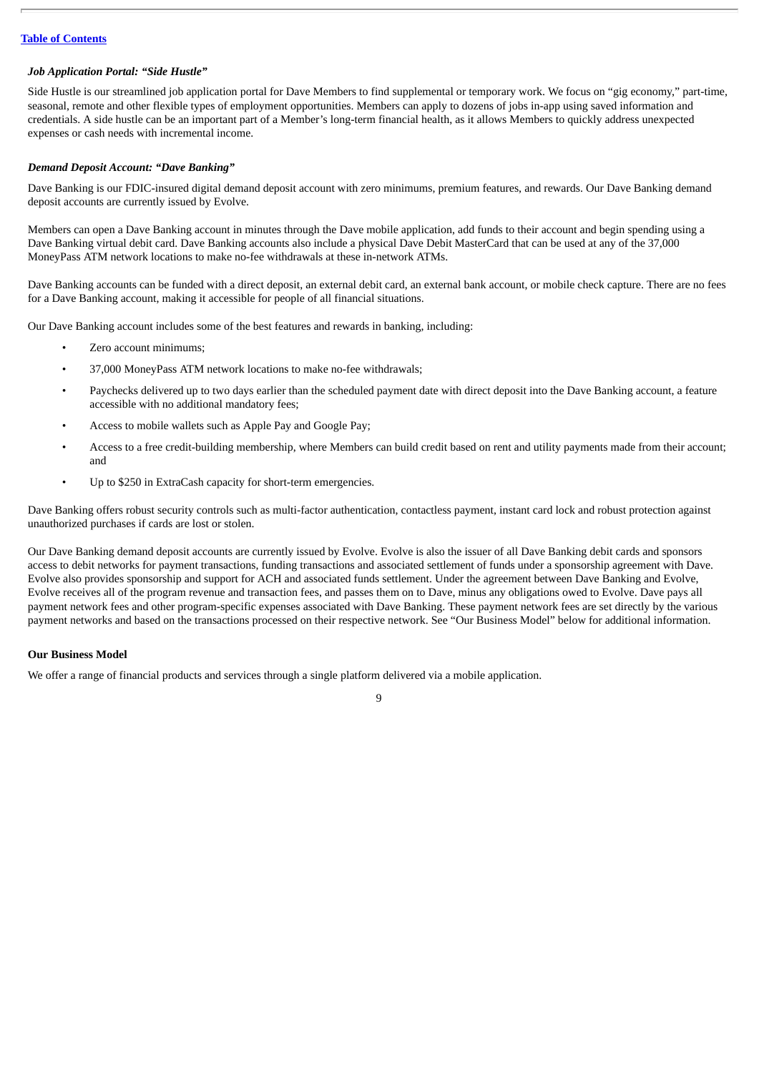#### *Job Application Portal: "Side Hustle"*

Side Hustle is our streamlined job application portal for Dave Members to find supplemental or temporary work. We focus on "gig economy," part-time, seasonal, remote and other flexible types of employment opportunities. Members can apply to dozens of jobs in-app using saved information and credentials. A side hustle can be an important part of a Member's long-term financial health, as it allows Members to quickly address unexpected expenses or cash needs with incremental income.

#### *Demand Deposit Account: "Dave Banking"*

Dave Banking is our FDIC-insured digital demand deposit account with zero minimums, premium features, and rewards. Our Dave Banking demand deposit accounts are currently issued by Evolve.

Members can open a Dave Banking account in minutes through the Dave mobile application, add funds to their account and begin spending using a Dave Banking virtual debit card. Dave Banking accounts also include a physical Dave Debit MasterCard that can be used at any of the 37,000 MoneyPass ATM network locations to make no-fee withdrawals at these in-network ATMs.

Dave Banking accounts can be funded with a direct deposit, an external debit card, an external bank account, or mobile check capture. There are no fees for a Dave Banking account, making it accessible for people of all financial situations.

Our Dave Banking account includes some of the best features and rewards in banking, including:

- Zero account minimums:
- 37,000 MoneyPass ATM network locations to make no-fee withdrawals;
- Paychecks delivered up to two days earlier than the scheduled payment date with direct deposit into the Dave Banking account, a feature accessible with no additional mandatory fees;
- Access to mobile wallets such as Apple Pay and Google Pay;
- Access to a free credit-building membership, where Members can build credit based on rent and utility payments made from their account; and
- Up to \$250 in ExtraCash capacity for short-term emergencies.

Dave Banking offers robust security controls such as multi-factor authentication, contactless payment, instant card lock and robust protection against unauthorized purchases if cards are lost or stolen.

Our Dave Banking demand deposit accounts are currently issued by Evolve. Evolve is also the issuer of all Dave Banking debit cards and sponsors access to debit networks for payment transactions, funding transactions and associated settlement of funds under a sponsorship agreement with Dave. Evolve also provides sponsorship and support for ACH and associated funds settlement. Under the agreement between Dave Banking and Evolve, Evolve receives all of the program revenue and transaction fees, and passes them on to Dave, minus any obligations owed to Evolve. Dave pays all payment network fees and other program-specific expenses associated with Dave Banking. These payment network fees are set directly by the various payment networks and based on the transactions processed on their respective network. See "Our Business Model" below for additional information.

#### **Our Business Model**

We offer a range of financial products and services through a single platform delivered via a mobile application.

 $\overline{Q}$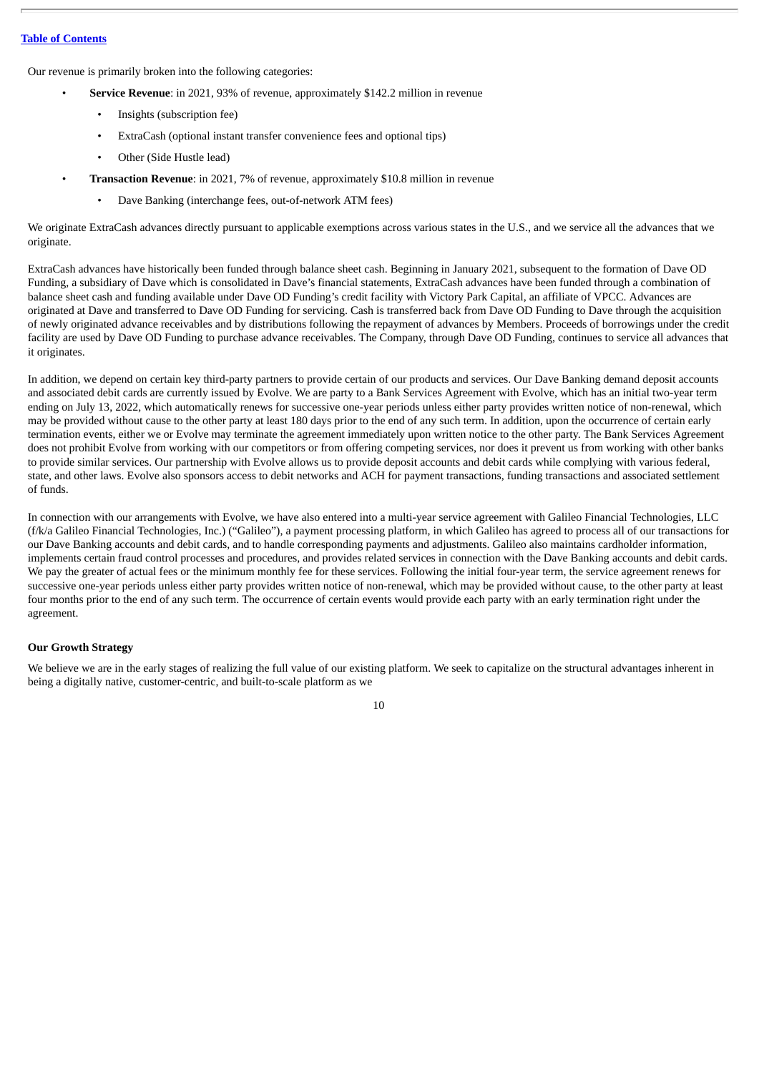Our revenue is primarily broken into the following categories:

- **Service Revenue**: in 2021, 93% of revenue, approximately \$142.2 million in revenue
	- Insights (subscription fee)
	- ExtraCash (optional instant transfer convenience fees and optional tips)
	- Other (Side Hustle lead)
- **Transaction Revenue**: in 2021, 7% of revenue, approximately \$10.8 million in revenue
	- Dave Banking (interchange fees, out-of-network ATM fees)

We originate ExtraCash advances directly pursuant to applicable exemptions across various states in the U.S., and we service all the advances that we originate.

ExtraCash advances have historically been funded through balance sheet cash. Beginning in January 2021, subsequent to the formation of Dave OD Funding, a subsidiary of Dave which is consolidated in Dave's financial statements, ExtraCash advances have been funded through a combination of balance sheet cash and funding available under Dave OD Funding's credit facility with Victory Park Capital, an affiliate of VPCC. Advances are originated at Dave and transferred to Dave OD Funding for servicing. Cash is transferred back from Dave OD Funding to Dave through the acquisition of newly originated advance receivables and by distributions following the repayment of advances by Members. Proceeds of borrowings under the credit facility are used by Dave OD Funding to purchase advance receivables. The Company, through Dave OD Funding, continues to service all advances that it originates.

In addition, we depend on certain key third-party partners to provide certain of our products and services. Our Dave Banking demand deposit accounts and associated debit cards are currently issued by Evolve. We are party to a Bank Services Agreement with Evolve, which has an initial two-year term ending on July 13, 2022, which automatically renews for successive one-year periods unless either party provides written notice of non-renewal, which may be provided without cause to the other party at least 180 days prior to the end of any such term. In addition, upon the occurrence of certain early termination events, either we or Evolve may terminate the agreement immediately upon written notice to the other party. The Bank Services Agreement does not prohibit Evolve from working with our competitors or from offering competing services, nor does it prevent us from working with other banks to provide similar services. Our partnership with Evolve allows us to provide deposit accounts and debit cards while complying with various federal, state, and other laws. Evolve also sponsors access to debit networks and ACH for payment transactions, funding transactions and associated settlement of funds.

In connection with our arrangements with Evolve, we have also entered into a multi-year service agreement with Galileo Financial Technologies, LLC (f/k/a Galileo Financial Technologies, Inc.) ("Galileo"), a payment processing platform, in which Galileo has agreed to process all of our transactions for our Dave Banking accounts and debit cards, and to handle corresponding payments and adjustments. Galileo also maintains cardholder information, implements certain fraud control processes and procedures, and provides related services in connection with the Dave Banking accounts and debit cards. We pay the greater of actual fees or the minimum monthly fee for these services. Following the initial four-year term, the service agreement renews for successive one-year periods unless either party provides written notice of non-renewal, which may be provided without cause, to the other party at least four months prior to the end of any such term. The occurrence of certain events would provide each party with an early termination right under the agreement.

# **Our Growth Strategy**

We believe we are in the early stages of realizing the full value of our existing platform. We seek to capitalize on the structural advantages inherent in being a digitally native, customer-centric, and built-to-scale platform as we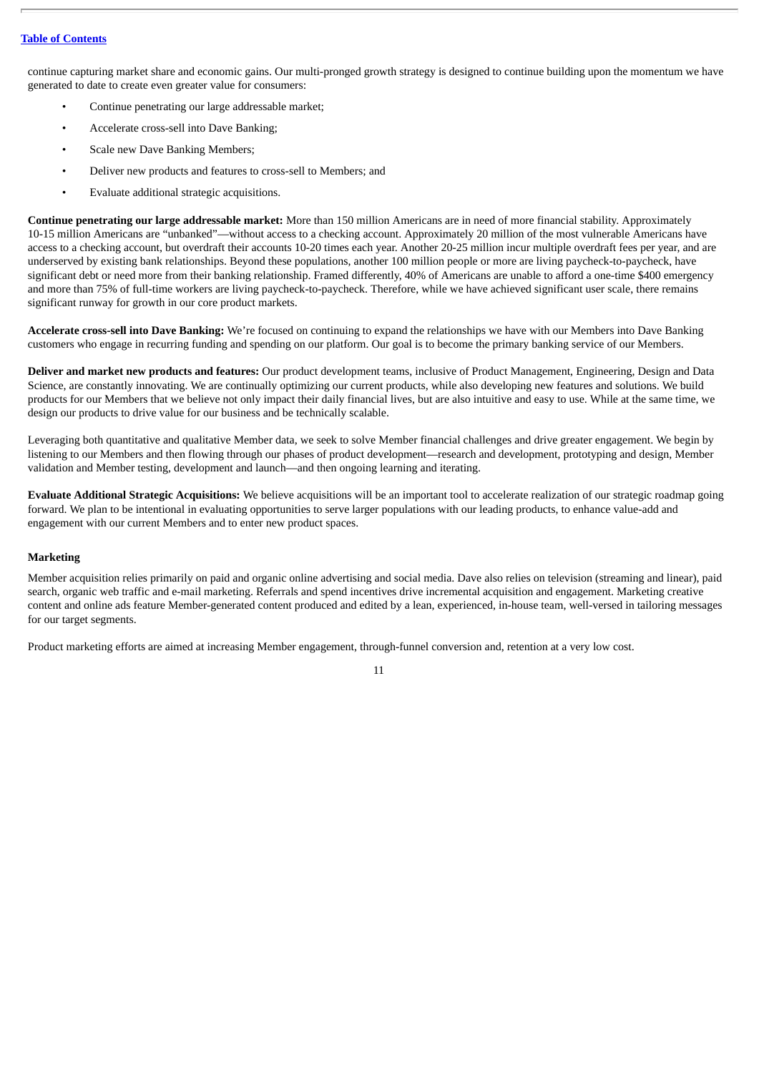continue capturing market share and economic gains. Our multi-pronged growth strategy is designed to continue building upon the momentum we have generated to date to create even greater value for consumers:

- Continue penetrating our large addressable market;
- Accelerate cross-sell into Dave Banking;
- Scale new Dave Banking Members;
- Deliver new products and features to cross-sell to Members; and
- Evaluate additional strategic acquisitions.

**Continue penetrating our large addressable market:** More than 150 million Americans are in need of more financial stability. Approximately 10-15 million Americans are "unbanked"—without access to a checking account. Approximately 20 million of the most vulnerable Americans have access to a checking account, but overdraft their accounts 10-20 times each year. Another 20-25 million incur multiple overdraft fees per year, and are underserved by existing bank relationships. Beyond these populations, another 100 million people or more are living paycheck-to-paycheck, have significant debt or need more from their banking relationship. Framed differently, 40% of Americans are unable to afford a one-time \$400 emergency and more than 75% of full-time workers are living paycheck-to-paycheck. Therefore, while we have achieved significant user scale, there remains significant runway for growth in our core product markets.

**Accelerate cross-sell into Dave Banking:** We're focused on continuing to expand the relationships we have with our Members into Dave Banking customers who engage in recurring funding and spending on our platform. Our goal is to become the primary banking service of our Members.

**Deliver and market new products and features:** Our product development teams, inclusive of Product Management, Engineering, Design and Data Science, are constantly innovating. We are continually optimizing our current products, while also developing new features and solutions. We build products for our Members that we believe not only impact their daily financial lives, but are also intuitive and easy to use. While at the same time, we design our products to drive value for our business and be technically scalable.

Leveraging both quantitative and qualitative Member data, we seek to solve Member financial challenges and drive greater engagement. We begin by listening to our Members and then flowing through our phases of product development—research and development, prototyping and design, Member validation and Member testing, development and launch—and then ongoing learning and iterating.

**Evaluate Additional Strategic Acquisitions:** We believe acquisitions will be an important tool to accelerate realization of our strategic roadmap going forward. We plan to be intentional in evaluating opportunities to serve larger populations with our leading products, to enhance value-add and engagement with our current Members and to enter new product spaces.

# **Marketing**

Member acquisition relies primarily on paid and organic online advertising and social media. Dave also relies on television (streaming and linear), paid search, organic web traffic and e-mail marketing. Referrals and spend incentives drive incremental acquisition and engagement. Marketing creative content and online ads feature Member-generated content produced and edited by a lean, experienced, in-house team, well-versed in tailoring messages for our target segments.

Product marketing efforts are aimed at increasing Member engagement, through-funnel conversion and, retention at a very low cost.

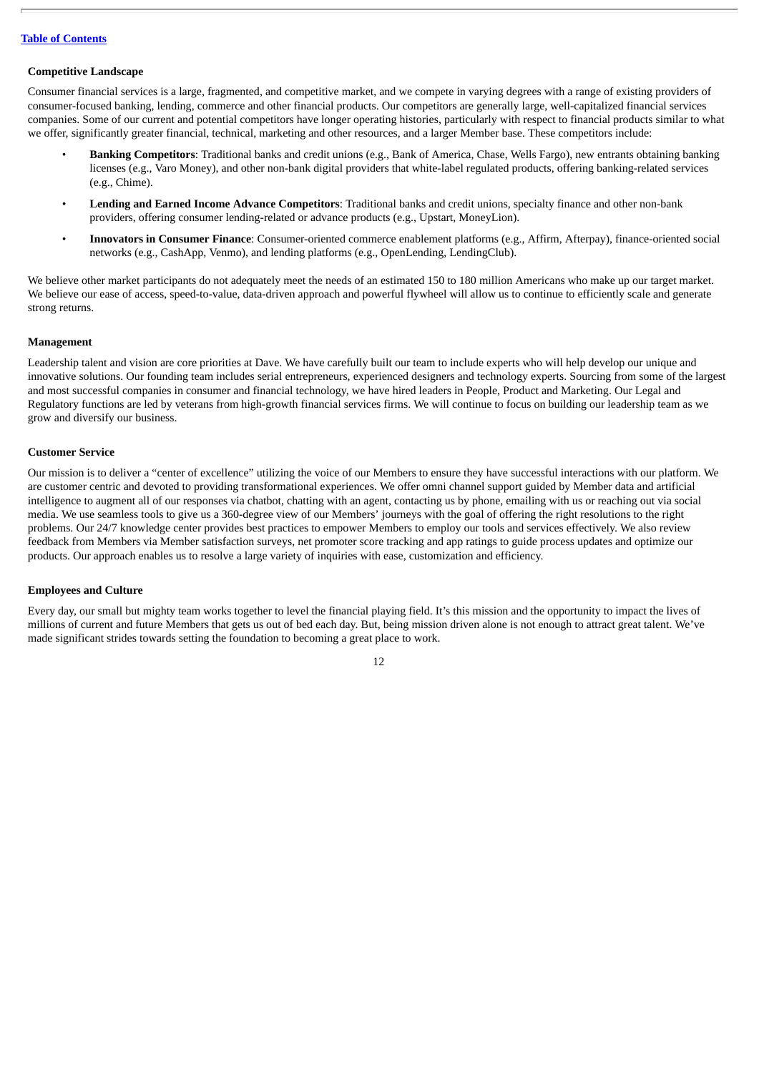#### **Competitive Landscape**

Consumer financial services is a large, fragmented, and competitive market, and we compete in varying degrees with a range of existing providers of consumer-focused banking, lending, commerce and other financial products. Our competitors are generally large, well-capitalized financial services companies. Some of our current and potential competitors have longer operating histories, particularly with respect to financial products similar to what we offer, significantly greater financial, technical, marketing and other resources, and a larger Member base. These competitors include:

- **Banking Competitors**: Traditional banks and credit unions (e.g., Bank of America, Chase, Wells Fargo), new entrants obtaining banking licenses (e.g., Varo Money), and other non-bank digital providers that white-label regulated products, offering banking-related services (e.g., Chime).
- **Lending and Earned Income Advance Competitors**: Traditional banks and credit unions, specialty finance and other non-bank providers, offering consumer lending-related or advance products (e.g., Upstart, MoneyLion).
- **Innovators in Consumer Finance**: Consumer-oriented commerce enablement platforms (e.g., Affirm, Afterpay), finance-oriented social networks (e.g., CashApp, Venmo), and lending platforms (e.g., OpenLending, LendingClub).

We believe other market participants do not adequately meet the needs of an estimated 150 to 180 million Americans who make up our target market. We believe our ease of access, speed-to-value, data-driven approach and powerful flywheel will allow us to continue to efficiently scale and generate strong returns.

#### **Management**

Leadership talent and vision are core priorities at Dave. We have carefully built our team to include experts who will help develop our unique and innovative solutions. Our founding team includes serial entrepreneurs, experienced designers and technology experts. Sourcing from some of the largest and most successful companies in consumer and financial technology, we have hired leaders in People, Product and Marketing. Our Legal and Regulatory functions are led by veterans from high-growth financial services firms. We will continue to focus on building our leadership team as we grow and diversify our business.

# **Customer Service**

Our mission is to deliver a "center of excellence" utilizing the voice of our Members to ensure they have successful interactions with our platform. We are customer centric and devoted to providing transformational experiences. We offer omni channel support guided by Member data and artificial intelligence to augment all of our responses via chatbot, chatting with an agent, contacting us by phone, emailing with us or reaching out via social media. We use seamless tools to give us a 360-degree view of our Members' journeys with the goal of offering the right resolutions to the right problems. Our 24/7 knowledge center provides best practices to empower Members to employ our tools and services effectively. We also review feedback from Members via Member satisfaction surveys, net promoter score tracking and app ratings to guide process updates and optimize our products. Our approach enables us to resolve a large variety of inquiries with ease, customization and efficiency.

#### **Employees and Culture**

Every day, our small but mighty team works together to level the financial playing field. It's this mission and the opportunity to impact the lives of millions of current and future Members that gets us out of bed each day. But, being mission driven alone is not enough to attract great talent. We've made significant strides towards setting the foundation to becoming a great place to work.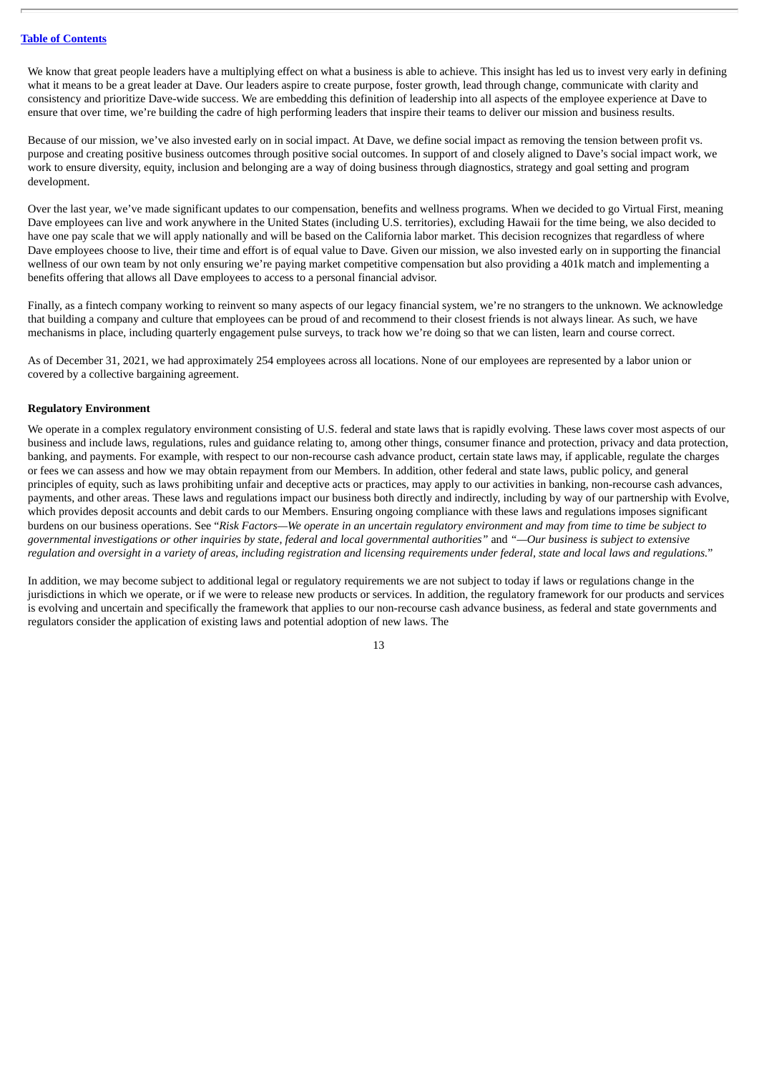We know that great people leaders have a multiplying effect on what a business is able to achieve. This insight has led us to invest very early in defining what it means to be a great leader at Dave. Our leaders aspire to create purpose, foster growth, lead through change, communicate with clarity and consistency and prioritize Dave-wide success. We are embedding this definition of leadership into all aspects of the employee experience at Dave to ensure that over time, we're building the cadre of high performing leaders that inspire their teams to deliver our mission and business results.

Because of our mission, we've also invested early on in social impact. At Dave, we define social impact as removing the tension between profit vs. purpose and creating positive business outcomes through positive social outcomes. In support of and closely aligned to Dave's social impact work, we work to ensure diversity, equity, inclusion and belonging are a way of doing business through diagnostics, strategy and goal setting and program development.

Over the last year, we've made significant updates to our compensation, benefits and wellness programs. When we decided to go Virtual First, meaning Dave employees can live and work anywhere in the United States (including U.S. territories), excluding Hawaii for the time being, we also decided to have one pay scale that we will apply nationally and will be based on the California labor market. This decision recognizes that regardless of where Dave employees choose to live, their time and effort is of equal value to Dave. Given our mission, we also invested early on in supporting the financial wellness of our own team by not only ensuring we're paying market competitive compensation but also providing a 401k match and implementing a benefits offering that allows all Dave employees to access to a personal financial advisor.

Finally, as a fintech company working to reinvent so many aspects of our legacy financial system, we're no strangers to the unknown. We acknowledge that building a company and culture that employees can be proud of and recommend to their closest friends is not always linear. As such, we have mechanisms in place, including quarterly engagement pulse surveys, to track how we're doing so that we can listen, learn and course correct.

As of December 31, 2021, we had approximately 254 employees across all locations. None of our employees are represented by a labor union or covered by a collective bargaining agreement.

#### **Regulatory Environment**

We operate in a complex regulatory environment consisting of U.S. federal and state laws that is rapidly evolving. These laws cover most aspects of our business and include laws, regulations, rules and guidance relating to, among other things, consumer finance and protection, privacy and data protection, banking, and payments. For example, with respect to our non-recourse cash advance product, certain state laws may, if applicable, regulate the charges or fees we can assess and how we may obtain repayment from our Members. In addition, other federal and state laws, public policy, and general principles of equity, such as laws prohibiting unfair and deceptive acts or practices, may apply to our activities in banking, non-recourse cash advances, payments, and other areas. These laws and regulations impact our business both directly and indirectly, including by way of our partnership with Evolve, which provides deposit accounts and debit cards to our Members. Ensuring ongoing compliance with these laws and regulations imposes significant burdens on our business operations. See "Risk Factors—We operate in an uncertain regulatory environment and may from time to time be subject to governmental investigations or other inquiries by state, federal and local governmental authorities" and "—Our business is subject to extensive regulation and oversight in a variety of areas, including registration and licensing reguirements under federal, state and local laws and regulations."

In addition, we may become subject to additional legal or regulatory requirements we are not subject to today if laws or regulations change in the jurisdictions in which we operate, or if we were to release new products or services. In addition, the regulatory framework for our products and services is evolving and uncertain and specifically the framework that applies to our non-recourse cash advance business, as federal and state governments and regulators consider the application of existing laws and potential adoption of new laws. The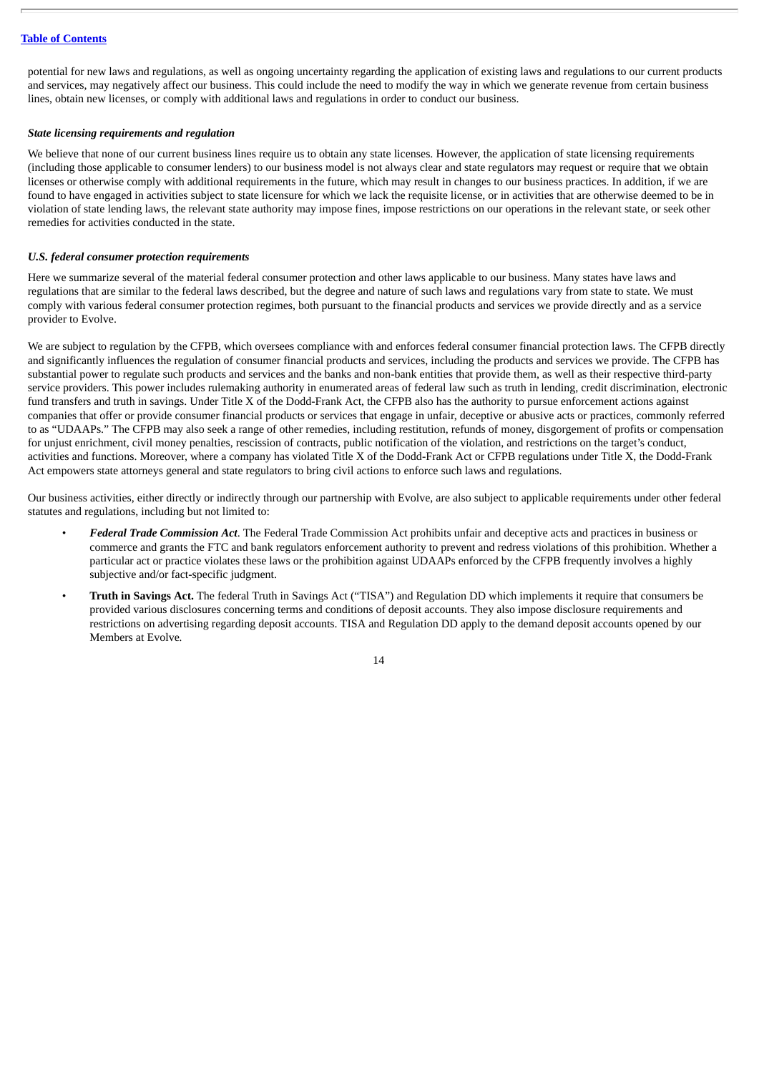potential for new laws and regulations, as well as ongoing uncertainty regarding the application of existing laws and regulations to our current products and services, may negatively affect our business. This could include the need to modify the way in which we generate revenue from certain business lines, obtain new licenses, or comply with additional laws and regulations in order to conduct our business.

#### *State licensing requirements and regulation*

We believe that none of our current business lines require us to obtain any state licenses. However, the application of state licensing requirements (including those applicable to consumer lenders) to our business model is not always clear and state regulators may request or require that we obtain licenses or otherwise comply with additional requirements in the future, which may result in changes to our business practices. In addition, if we are found to have engaged in activities subject to state licensure for which we lack the requisite license, or in activities that are otherwise deemed to be in violation of state lending laws, the relevant state authority may impose fines, impose restrictions on our operations in the relevant state, or seek other remedies for activities conducted in the state.

#### *U.S. federal consumer protection requirements*

Here we summarize several of the material federal consumer protection and other laws applicable to our business. Many states have laws and regulations that are similar to the federal laws described, but the degree and nature of such laws and regulations vary from state to state. We must comply with various federal consumer protection regimes, both pursuant to the financial products and services we provide directly and as a service provider to Evolve.

We are subject to regulation by the CFPB, which oversees compliance with and enforces federal consumer financial protection laws. The CFPB directly and significantly influences the regulation of consumer financial products and services, including the products and services we provide. The CFPB has substantial power to regulate such products and services and the banks and non-bank entities that provide them, as well as their respective third-party service providers. This power includes rulemaking authority in enumerated areas of federal law such as truth in lending, credit discrimination, electronic fund transfers and truth in savings. Under Title X of the Dodd-Frank Act, the CFPB also has the authority to pursue enforcement actions against companies that offer or provide consumer financial products or services that engage in unfair, deceptive or abusive acts or practices, commonly referred to as "UDAAPs." The CFPB may also seek a range of other remedies, including restitution, refunds of money, disgorgement of profits or compensation for unjust enrichment, civil money penalties, rescission of contracts, public notification of the violation, and restrictions on the target's conduct, activities and functions. Moreover, where a company has violated Title X of the Dodd-Frank Act or CFPB regulations under Title X, the Dodd-Frank Act empowers state attorneys general and state regulators to bring civil actions to enforce such laws and regulations.

Our business activities, either directly or indirectly through our partnership with Evolve, are also subject to applicable requirements under other federal statutes and regulations, including but not limited to:

- *Federal Trade Commission Act*. The Federal Trade Commission Act prohibits unfair and deceptive acts and practices in business or commerce and grants the FTC and bank regulators enforcement authority to prevent and redress violations of this prohibition. Whether a particular act or practice violates these laws or the prohibition against UDAAPs enforced by the CFPB frequently involves a highly subjective and/or fact-specific judgment.
- **Truth in Savings Act.** The federal Truth in Savings Act ("TISA") and Regulation DD which implements it require that consumers be provided various disclosures concerning terms and conditions of deposit accounts. They also impose disclosure requirements and restrictions on advertising regarding deposit accounts. TISA and Regulation DD apply to the demand deposit accounts opened by our Members at Evolve*.*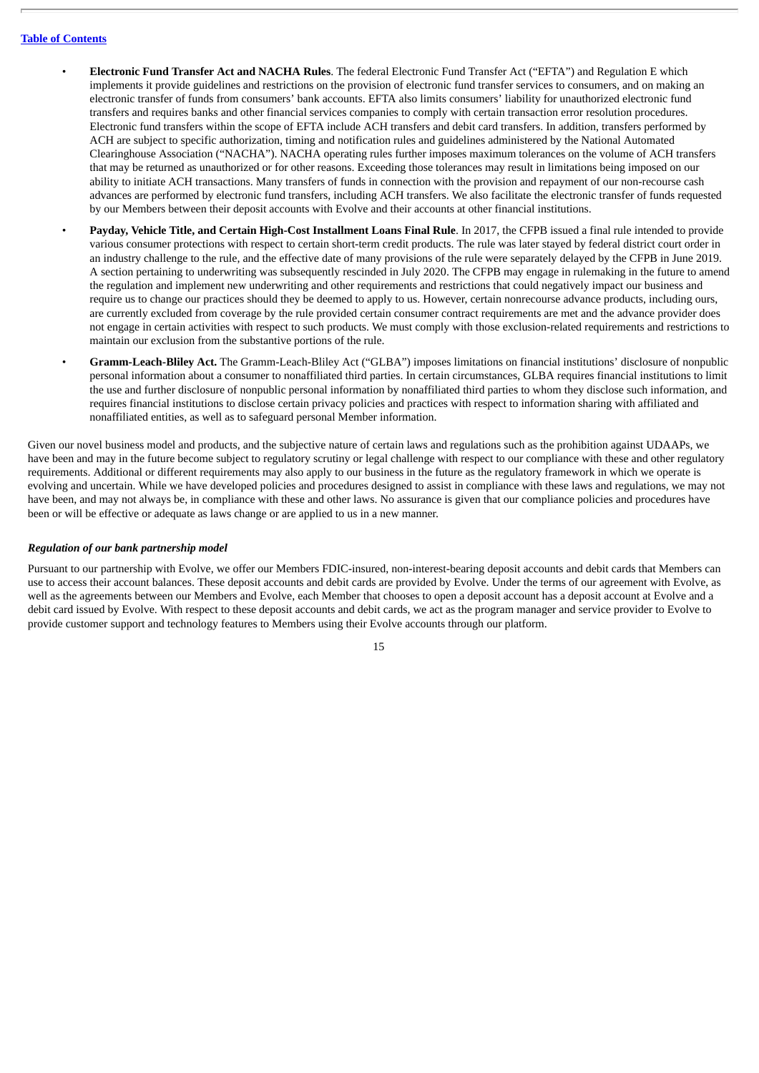- **Electronic Fund Transfer Act and NACHA Rules**. The federal Electronic Fund Transfer Act ("EFTA") and Regulation E which implements it provide guidelines and restrictions on the provision of electronic fund transfer services to consumers, and on making an electronic transfer of funds from consumers' bank accounts. EFTA also limits consumers' liability for unauthorized electronic fund transfers and requires banks and other financial services companies to comply with certain transaction error resolution procedures. Electronic fund transfers within the scope of EFTA include ACH transfers and debit card transfers. In addition, transfers performed by ACH are subject to specific authorization, timing and notification rules and guidelines administered by the National Automated Clearinghouse Association ("NACHA"). NACHA operating rules further imposes maximum tolerances on the volume of ACH transfers that may be returned as unauthorized or for other reasons. Exceeding those tolerances may result in limitations being imposed on our ability to initiate ACH transactions. Many transfers of funds in connection with the provision and repayment of our non-recourse cash advances are performed by electronic fund transfers, including ACH transfers. We also facilitate the electronic transfer of funds requested by our Members between their deposit accounts with Evolve and their accounts at other financial institutions.
- **Payday, Vehicle Title, and Certain High-Cost Installment Loans Final Rule**. In 2017, the CFPB issued a final rule intended to provide various consumer protections with respect to certain short-term credit products. The rule was later stayed by federal district court order in an industry challenge to the rule, and the effective date of many provisions of the rule were separately delayed by the CFPB in June 2019. A section pertaining to underwriting was subsequently rescinded in July 2020. The CFPB may engage in rulemaking in the future to amend the regulation and implement new underwriting and other requirements and restrictions that could negatively impact our business and require us to change our practices should they be deemed to apply to us. However, certain nonrecourse advance products, including ours, are currently excluded from coverage by the rule provided certain consumer contract requirements are met and the advance provider does not engage in certain activities with respect to such products. We must comply with those exclusion-related requirements and restrictions to maintain our exclusion from the substantive portions of the rule.
- **Gramm-Leach-Bliley Act.** The Gramm-Leach-Bliley Act ("GLBA") imposes limitations on financial institutions' disclosure of nonpublic personal information about a consumer to nonaffiliated third parties. In certain circumstances, GLBA requires financial institutions to limit the use and further disclosure of nonpublic personal information by nonaffiliated third parties to whom they disclose such information, and requires financial institutions to disclose certain privacy policies and practices with respect to information sharing with affiliated and nonaffiliated entities, as well as to safeguard personal Member information.

Given our novel business model and products, and the subjective nature of certain laws and regulations such as the prohibition against UDAAPs, we have been and may in the future become subject to regulatory scrutiny or legal challenge with respect to our compliance with these and other regulatory requirements. Additional or different requirements may also apply to our business in the future as the regulatory framework in which we operate is evolving and uncertain. While we have developed policies and procedures designed to assist in compliance with these laws and regulations, we may not have been, and may not always be, in compliance with these and other laws. No assurance is given that our compliance policies and procedures have been or will be effective or adequate as laws change or are applied to us in a new manner.

#### *Regulation of our bank partnership model*

Pursuant to our partnership with Evolve, we offer our Members FDIC-insured, non-interest-bearing deposit accounts and debit cards that Members can use to access their account balances. These deposit accounts and debit cards are provided by Evolve. Under the terms of our agreement with Evolve, as well as the agreements between our Members and Evolve, each Member that chooses to open a deposit account has a deposit account at Evolve and a debit card issued by Evolve. With respect to these deposit accounts and debit cards, we act as the program manager and service provider to Evolve to provide customer support and technology features to Members using their Evolve accounts through our platform.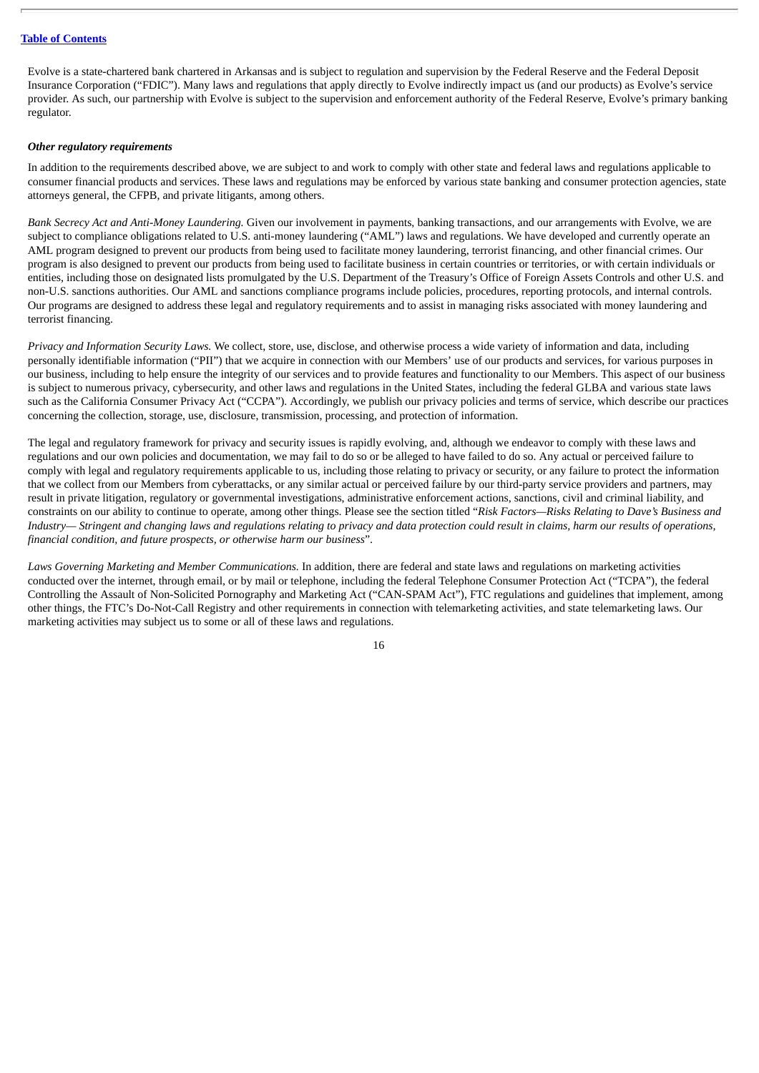Evolve is a state-chartered bank chartered in Arkansas and is subject to regulation and supervision by the Federal Reserve and the Federal Deposit Insurance Corporation ("FDIC"). Many laws and regulations that apply directly to Evolve indirectly impact us (and our products) as Evolve's service provider. As such, our partnership with Evolve is subject to the supervision and enforcement authority of the Federal Reserve, Evolve's primary banking regulator.

#### *Other regulatory requirements*

In addition to the requirements described above, we are subject to and work to comply with other state and federal laws and regulations applicable to consumer financial products and services. These laws and regulations may be enforced by various state banking and consumer protection agencies, state attorneys general, the CFPB, and private litigants, among others.

*Bank Secrecy Act and Anti-Money Laundering.* Given our involvement in payments, banking transactions, and our arrangements with Evolve, we are subject to compliance obligations related to U.S. anti-money laundering ("AML") laws and regulations. We have developed and currently operate an AML program designed to prevent our products from being used to facilitate money laundering, terrorist financing, and other financial crimes. Our program is also designed to prevent our products from being used to facilitate business in certain countries or territories, or with certain individuals or entities, including those on designated lists promulgated by the U.S. Department of the Treasury's Office of Foreign Assets Controls and other U.S. and non-U.S. sanctions authorities. Our AML and sanctions compliance programs include policies, procedures, reporting protocols, and internal controls. Our programs are designed to address these legal and regulatory requirements and to assist in managing risks associated with money laundering and terrorist financing.

*Privacy and Information Security Laws.* We collect, store, use, disclose, and otherwise process a wide variety of information and data, including personally identifiable information ("PII") that we acquire in connection with our Members' use of our products and services, for various purposes in our business, including to help ensure the integrity of our services and to provide features and functionality to our Members. This aspect of our business is subject to numerous privacy, cybersecurity, and other laws and regulations in the United States, including the federal GLBA and various state laws such as the California Consumer Privacy Act ("CCPA"). Accordingly, we publish our privacy policies and terms of service, which describe our practices concerning the collection, storage, use, disclosure, transmission, processing, and protection of information.

The legal and regulatory framework for privacy and security issues is rapidly evolving, and, although we endeavor to comply with these laws and regulations and our own policies and documentation, we may fail to do so or be alleged to have failed to do so. Any actual or perceived failure to comply with legal and regulatory requirements applicable to us, including those relating to privacy or security, or any failure to protect the information that we collect from our Members from cyberattacks, or any similar actual or perceived failure by our third-party service providers and partners, may result in private litigation, regulatory or governmental investigations, administrative enforcement actions, sanctions, civil and criminal liability, and constraints on our ability to continue to operate, among other things. Please see the section titled "*Risk Factors—Risks Relating to Dave's Business and* Industry—Stringent and changing laws and regulations relating to privacy and data protection could result in claims, harm our results of operations, *financial condition, and future prospects, or otherwise harm our business*".

*Laws Governing Marketing and Member Communications.* In addition, there are federal and state laws and regulations on marketing activities conducted over the internet, through email, or by mail or telephone, including the federal Telephone Consumer Protection Act ("TCPA"), the federal Controlling the Assault of Non-Solicited Pornography and Marketing Act ("CAN-SPAM Act"), FTC regulations and guidelines that implement, among other things, the FTC's Do-Not-Call Registry and other requirements in connection with telemarketing activities, and state telemarketing laws. Our marketing activities may subject us to some or all of these laws and regulations.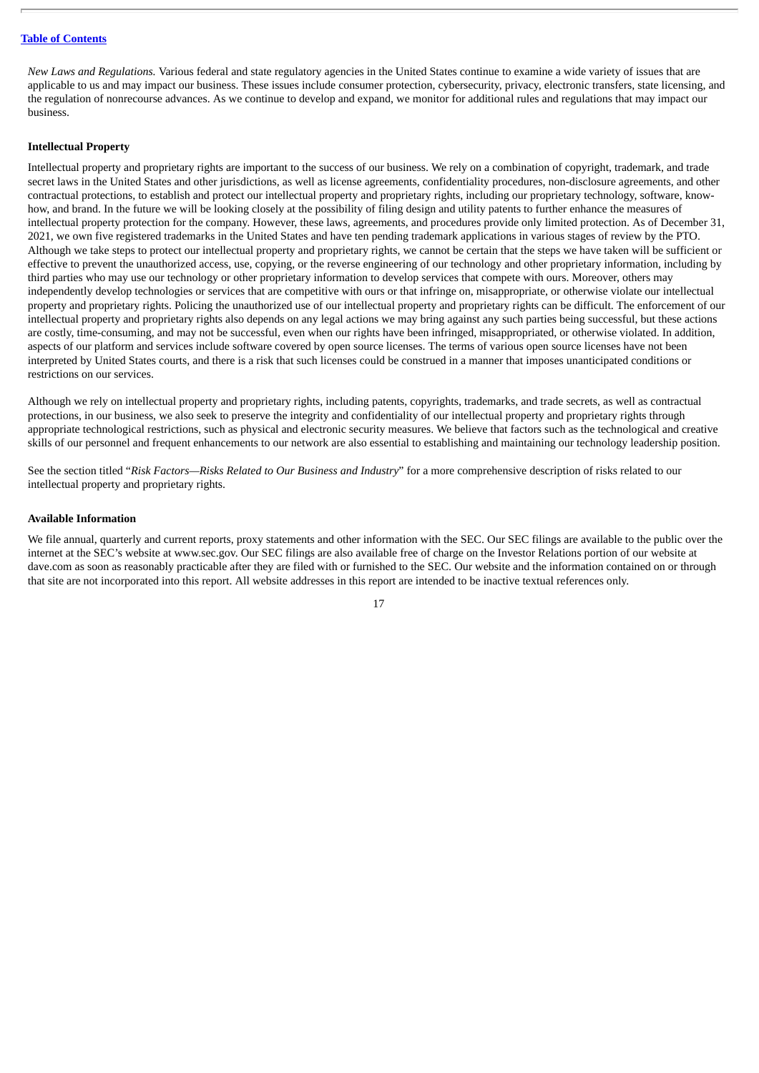*New Laws and Regulations.* Various federal and state regulatory agencies in the United States continue to examine a wide variety of issues that are applicable to us and may impact our business. These issues include consumer protection, cybersecurity, privacy, electronic transfers, state licensing, and the regulation of nonrecourse advances. As we continue to develop and expand, we monitor for additional rules and regulations that may impact our business.

#### **Intellectual Property**

Intellectual property and proprietary rights are important to the success of our business. We rely on a combination of copyright, trademark, and trade secret laws in the United States and other jurisdictions, as well as license agreements, confidentiality procedures, non-disclosure agreements, and other contractual protections, to establish and protect our intellectual property and proprietary rights, including our proprietary technology, software, knowhow, and brand. In the future we will be looking closely at the possibility of filing design and utility patents to further enhance the measures of intellectual property protection for the company. However, these laws, agreements, and procedures provide only limited protection. As of December 31, 2021, we own five registered trademarks in the United States and have ten pending trademark applications in various stages of review by the PTO. Although we take steps to protect our intellectual property and proprietary rights, we cannot be certain that the steps we have taken will be sufficient or effective to prevent the unauthorized access, use, copying, or the reverse engineering of our technology and other proprietary information, including by third parties who may use our technology or other proprietary information to develop services that compete with ours. Moreover, others may independently develop technologies or services that are competitive with ours or that infringe on, misappropriate, or otherwise violate our intellectual property and proprietary rights. Policing the unauthorized use of our intellectual property and proprietary rights can be difficult. The enforcement of our intellectual property and proprietary rights also depends on any legal actions we may bring against any such parties being successful, but these actions are costly, time-consuming, and may not be successful, even when our rights have been infringed, misappropriated, or otherwise violated. In addition, aspects of our platform and services include software covered by open source licenses. The terms of various open source licenses have not been interpreted by United States courts, and there is a risk that such licenses could be construed in a manner that imposes unanticipated conditions or restrictions on our services.

Although we rely on intellectual property and proprietary rights, including patents, copyrights, trademarks, and trade secrets, as well as contractual protections, in our business, we also seek to preserve the integrity and confidentiality of our intellectual property and proprietary rights through appropriate technological restrictions, such as physical and electronic security measures. We believe that factors such as the technological and creative skills of our personnel and frequent enhancements to our network are also essential to establishing and maintaining our technology leadership position.

See the section titled "*Risk Factors—Risks Related to Our Business and Industry*" for a more comprehensive description of risks related to our intellectual property and proprietary rights.

#### **Available Information**

We file annual, quarterly and current reports, proxy statements and other information with the SEC. Our SEC filings are available to the public over the internet at the SEC's website at www.sec.gov. Our SEC filings are also available free of charge on the Investor Relations portion of our website at dave.com as soon as reasonably practicable after they are filed with or furnished to the SEC. Our website and the information contained on or through that site are not incorporated into this report. All website addresses in this report are intended to be inactive textual references only.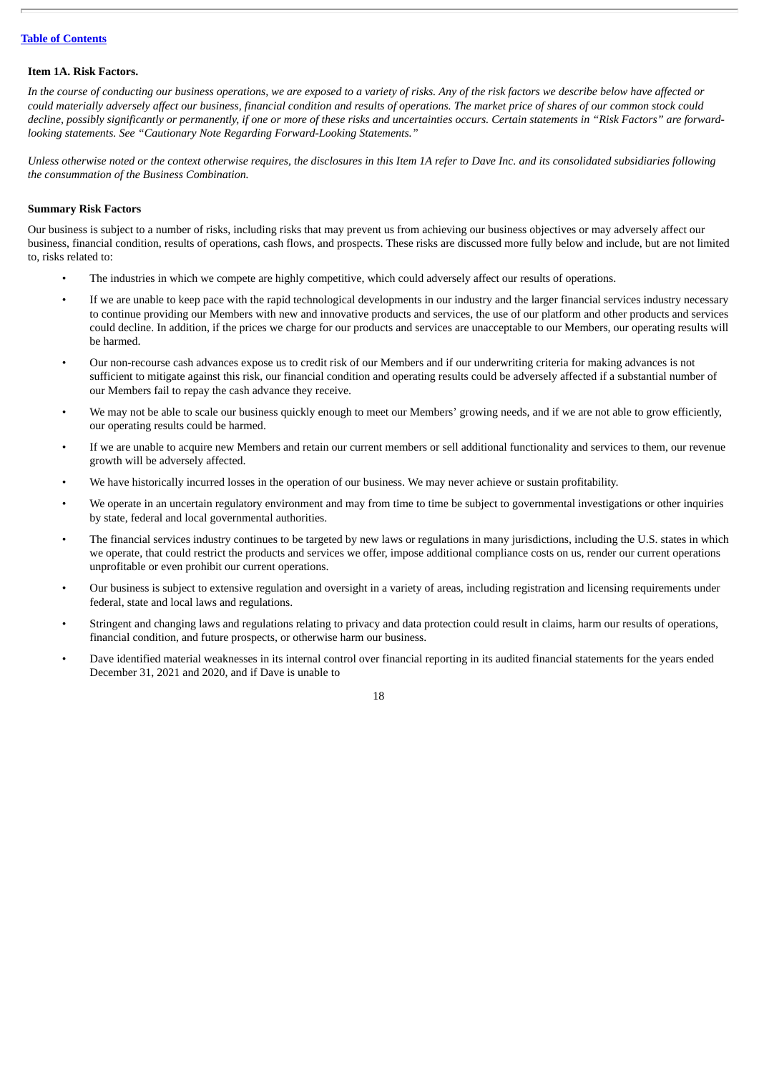# <span id="page-19-0"></span>**Item 1A. Risk Factors.**

In the course of conducting our business operations, we are exposed to a variety of risks. Any of the risk factors we describe below have affected or could materially adversely affect our business, financial condition and results of operations. The market price of shares of our common stock could decline, possibly significantly or permanently, if one or more of these risks and uncertainties occurs. Certain statements in "Risk Factors" are forward*looking statements. See "Cautionary Note Regarding Forward-Looking Statements."*

Unless otherwise noted or the context otherwise requires, the disclosures in this Item 1A refer to Dave Inc. and its consolidated subsidiaries following *the consummation of the Business Combination.*

# **Summary Risk Factors**

Our business is subject to a number of risks, including risks that may prevent us from achieving our business objectives or may adversely affect our business, financial condition, results of operations, cash flows, and prospects. These risks are discussed more fully below and include, but are not limited to, risks related to:

- The industries in which we compete are highly competitive, which could adversely affect our results of operations.
- If we are unable to keep pace with the rapid technological developments in our industry and the larger financial services industry necessary to continue providing our Members with new and innovative products and services, the use of our platform and other products and services could decline. In addition, if the prices we charge for our products and services are unacceptable to our Members, our operating results will be harmed.
- Our non-recourse cash advances expose us to credit risk of our Members and if our underwriting criteria for making advances is not sufficient to mitigate against this risk, our financial condition and operating results could be adversely affected if a substantial number of our Members fail to repay the cash advance they receive.
- We may not be able to scale our business quickly enough to meet our Members' growing needs, and if we are not able to grow efficiently, our operating results could be harmed.
- If we are unable to acquire new Members and retain our current members or sell additional functionality and services to them, our revenue growth will be adversely affected.
- We have historically incurred losses in the operation of our business. We may never achieve or sustain profitability.
- We operate in an uncertain regulatory environment and may from time to time be subject to governmental investigations or other inquiries by state, federal and local governmental authorities.
- The financial services industry continues to be targeted by new laws or regulations in many jurisdictions, including the U.S. states in which we operate, that could restrict the products and services we offer, impose additional compliance costs on us, render our current operations unprofitable or even prohibit our current operations.
- Our business is subject to extensive regulation and oversight in a variety of areas, including registration and licensing requirements under federal, state and local laws and regulations.
- Stringent and changing laws and regulations relating to privacy and data protection could result in claims, harm our results of operations, financial condition, and future prospects, or otherwise harm our business.
- Dave identified material weaknesses in its internal control over financial reporting in its audited financial statements for the years ended December 31, 2021 and 2020, and if Dave is unable to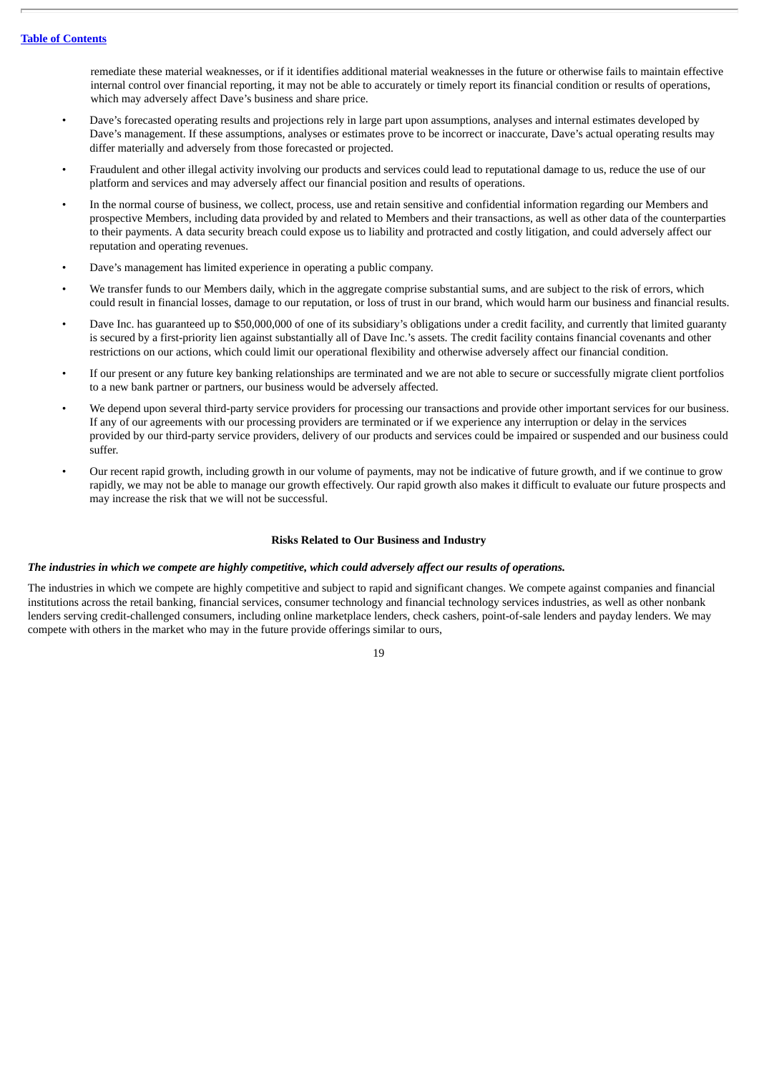remediate these material weaknesses, or if it identifies additional material weaknesses in the future or otherwise fails to maintain effective internal control over financial reporting, it may not be able to accurately or timely report its financial condition or results of operations, which may adversely affect Dave's business and share price.

- Dave's forecasted operating results and projections rely in large part upon assumptions, analyses and internal estimates developed by Dave's management. If these assumptions, analyses or estimates prove to be incorrect or inaccurate, Dave's actual operating results may differ materially and adversely from those forecasted or projected.
- Fraudulent and other illegal activity involving our products and services could lead to reputational damage to us, reduce the use of our platform and services and may adversely affect our financial position and results of operations.
- In the normal course of business, we collect, process, use and retain sensitive and confidential information regarding our Members and prospective Members, including data provided by and related to Members and their transactions, as well as other data of the counterparties to their payments. A data security breach could expose us to liability and protracted and costly litigation, and could adversely affect our reputation and operating revenues.
- Dave's management has limited experience in operating a public company.
- We transfer funds to our Members daily, which in the aggregate comprise substantial sums, and are subject to the risk of errors, which could result in financial losses, damage to our reputation, or loss of trust in our brand, which would harm our business and financial results.
- Dave Inc. has guaranteed up to \$50,000,000 of one of its subsidiary's obligations under a credit facility, and currently that limited guaranty is secured by a first-priority lien against substantially all of Dave Inc.'s assets. The credit facility contains financial covenants and other restrictions on our actions, which could limit our operational flexibility and otherwise adversely affect our financial condition.
- If our present or any future key banking relationships are terminated and we are not able to secure or successfully migrate client portfolios to a new bank partner or partners, our business would be adversely affected.
- We depend upon several third-party service providers for processing our transactions and provide other important services for our business. If any of our agreements with our processing providers are terminated or if we experience any interruption or delay in the services provided by our third-party service providers, delivery of our products and services could be impaired or suspended and our business could suffer.
- Our recent rapid growth, including growth in our volume of payments, may not be indicative of future growth, and if we continue to grow rapidly, we may not be able to manage our growth effectively. Our rapid growth also makes it difficult to evaluate our future prospects and may increase the risk that we will not be successful.

#### **Risks Related to Our Business and Industry**

#### The industries in which we compete are highly competitive, which could adversely affect our results of operations.

The industries in which we compete are highly competitive and subject to rapid and significant changes. We compete against companies and financial institutions across the retail banking, financial services, consumer technology and financial technology services industries, as well as other nonbank lenders serving credit-challenged consumers, including online marketplace lenders, check cashers, point-of-sale lenders and payday lenders. We may compete with others in the market who may in the future provide offerings similar to ours,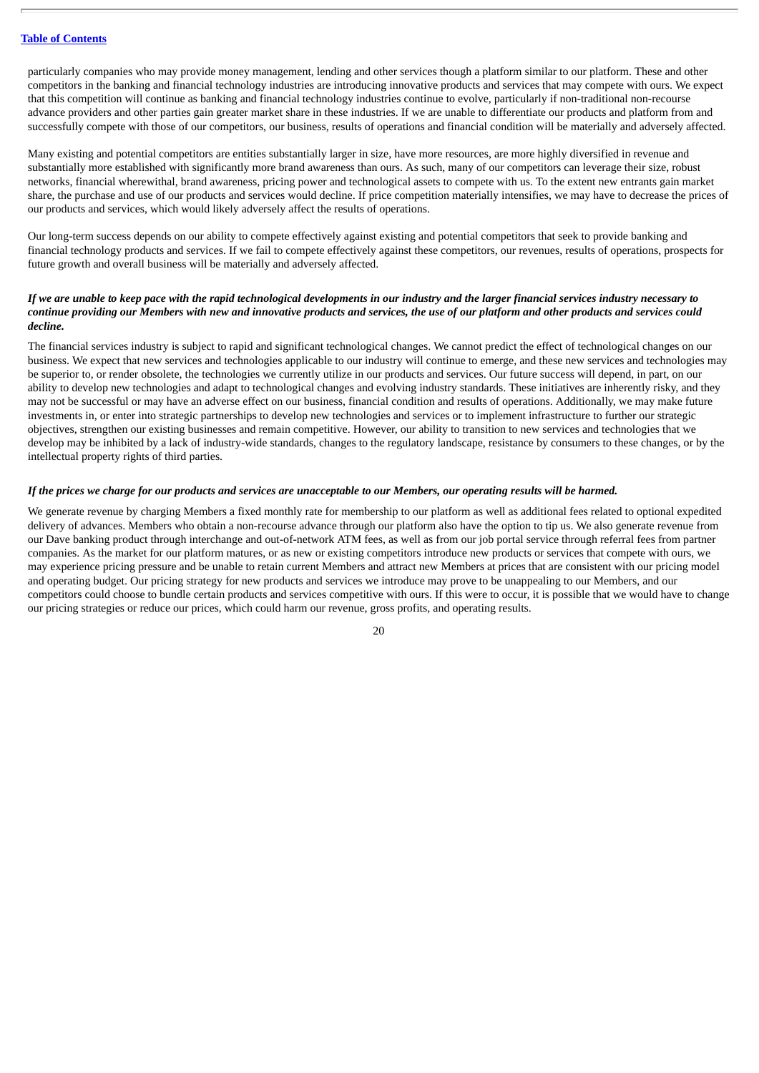particularly companies who may provide money management, lending and other services though a platform similar to our platform. These and other competitors in the banking and financial technology industries are introducing innovative products and services that may compete with ours. We expect that this competition will continue as banking and financial technology industries continue to evolve, particularly if non-traditional non-recourse advance providers and other parties gain greater market share in these industries. If we are unable to differentiate our products and platform from and successfully compete with those of our competitors, our business, results of operations and financial condition will be materially and adversely affected.

Many existing and potential competitors are entities substantially larger in size, have more resources, are more highly diversified in revenue and substantially more established with significantly more brand awareness than ours. As such, many of our competitors can leverage their size, robust networks, financial wherewithal, brand awareness, pricing power and technological assets to compete with us. To the extent new entrants gain market share, the purchase and use of our products and services would decline. If price competition materially intensifies, we may have to decrease the prices of our products and services, which would likely adversely affect the results of operations.

Our long-term success depends on our ability to compete effectively against existing and potential competitors that seek to provide banking and financial technology products and services. If we fail to compete effectively against these competitors, our revenues, results of operations, prospects for future growth and overall business will be materially and adversely affected.

# If we are unable to keep pace with the rapid technological developments in our industry and the larger financial services industry necessary to continue providing our Members with new and innovative products and services, the use of our platform and other products and services could *decline.*

The financial services industry is subject to rapid and significant technological changes. We cannot predict the effect of technological changes on our business. We expect that new services and technologies applicable to our industry will continue to emerge, and these new services and technologies may be superior to, or render obsolete, the technologies we currently utilize in our products and services. Our future success will depend, in part, on our ability to develop new technologies and adapt to technological changes and evolving industry standards. These initiatives are inherently risky, and they may not be successful or may have an adverse effect on our business, financial condition and results of operations. Additionally, we may make future investments in, or enter into strategic partnerships to develop new technologies and services or to implement infrastructure to further our strategic objectives, strengthen our existing businesses and remain competitive. However, our ability to transition to new services and technologies that we develop may be inhibited by a lack of industry-wide standards, changes to the regulatory landscape, resistance by consumers to these changes, or by the intellectual property rights of third parties.

#### If the prices we charge for our products and services are unacceptable to our Members, our operating results will be harmed.

We generate revenue by charging Members a fixed monthly rate for membership to our platform as well as additional fees related to optional expedited delivery of advances. Members who obtain a non-recourse advance through our platform also have the option to tip us. We also generate revenue from our Dave banking product through interchange and out-of-network ATM fees, as well as from our job portal service through referral fees from partner companies. As the market for our platform matures, or as new or existing competitors introduce new products or services that compete with ours, we may experience pricing pressure and be unable to retain current Members and attract new Members at prices that are consistent with our pricing model and operating budget. Our pricing strategy for new products and services we introduce may prove to be unappealing to our Members, and our competitors could choose to bundle certain products and services competitive with ours. If this were to occur, it is possible that we would have to change our pricing strategies or reduce our prices, which could harm our revenue, gross profits, and operating results.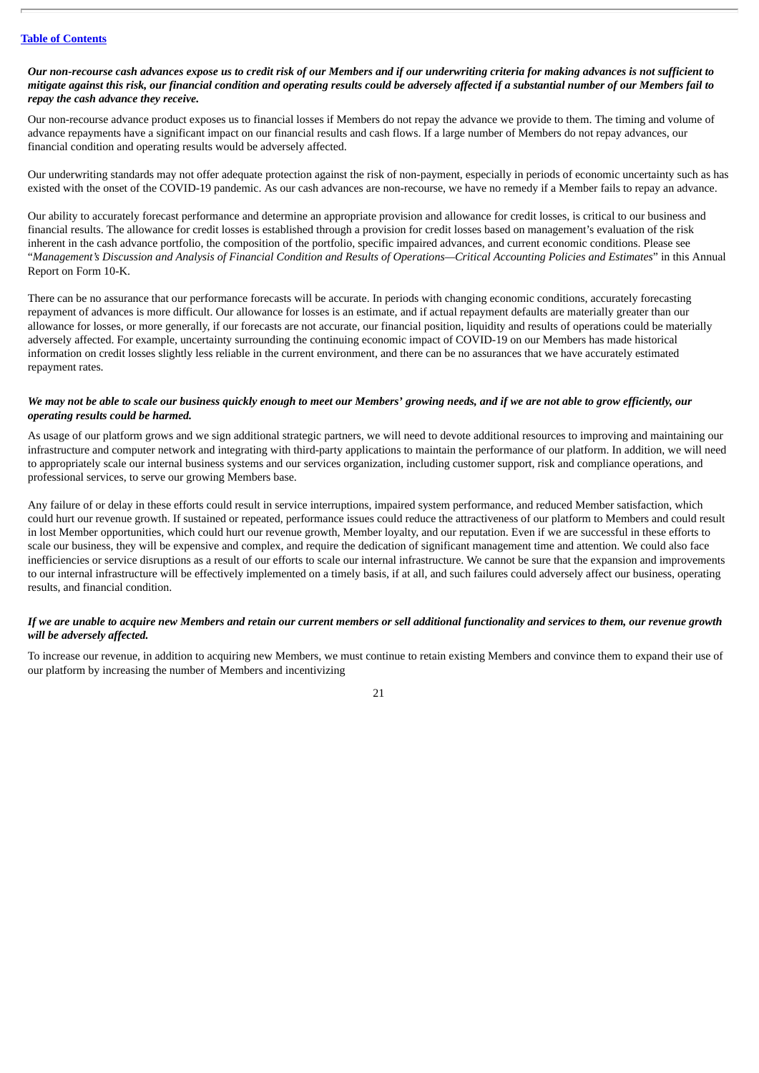#### Our non-recourse cash advances expose us to credit risk of our Members and if our underwriting criteria for making advances is not sufficient to mitigate against this risk, our financial condition and operating results could be adversely affected if a substantial number of our Members fail to *repay the cash advance they receive.*

Our non-recourse advance product exposes us to financial losses if Members do not repay the advance we provide to them. The timing and volume of advance repayments have a significant impact on our financial results and cash flows. If a large number of Members do not repay advances, our financial condition and operating results would be adversely affected.

Our underwriting standards may not offer adequate protection against the risk of non-payment, especially in periods of economic uncertainty such as has existed with the onset of the COVID-19 pandemic. As our cash advances are non-recourse, we have no remedy if a Member fails to repay an advance.

Our ability to accurately forecast performance and determine an appropriate provision and allowance for credit losses, is critical to our business and financial results. The allowance for credit losses is established through a provision for credit losses based on management's evaluation of the risk inherent in the cash advance portfolio, the composition of the portfolio, specific impaired advances, and current economic conditions. Please see "Management's Discussion and Analysis of Financial Condition and Results of Operations-Critical Accounting Policies and Estimates" in this Annual Report on Form 10-K.

There can be no assurance that our performance forecasts will be accurate. In periods with changing economic conditions, accurately forecasting repayment of advances is more difficult. Our allowance for losses is an estimate, and if actual repayment defaults are materially greater than our allowance for losses, or more generally, if our forecasts are not accurate, our financial position, liquidity and results of operations could be materially adversely affected. For example, uncertainty surrounding the continuing economic impact of COVID-19 on our Members has made historical information on credit losses slightly less reliable in the current environment, and there can be no assurances that we have accurately estimated repayment rates.

# We may not be able to scale our business auickly enough to meet our Members' growing needs, and if we are not able to grow efficiently, our *operating results could be harmed.*

As usage of our platform grows and we sign additional strategic partners, we will need to devote additional resources to improving and maintaining our infrastructure and computer network and integrating with third-party applications to maintain the performance of our platform. In addition, we will need to appropriately scale our internal business systems and our services organization, including customer support, risk and compliance operations, and professional services, to serve our growing Members base.

Any failure of or delay in these efforts could result in service interruptions, impaired system performance, and reduced Member satisfaction, which could hurt our revenue growth. If sustained or repeated, performance issues could reduce the attractiveness of our platform to Members and could result in lost Member opportunities, which could hurt our revenue growth, Member loyalty, and our reputation. Even if we are successful in these efforts to scale our business, they will be expensive and complex, and require the dedication of significant management time and attention. We could also face inefficiencies or service disruptions as a result of our efforts to scale our internal infrastructure. We cannot be sure that the expansion and improvements to our internal infrastructure will be effectively implemented on a timely basis, if at all, and such failures could adversely affect our business, operating results, and financial condition.

# If we are unable to acquire new Members and retain our current members or sell additional functionality and services to them, our revenue arowth *will be adversely affected.*

To increase our revenue, in addition to acquiring new Members, we must continue to retain existing Members and convince them to expand their use of our platform by increasing the number of Members and incentivizing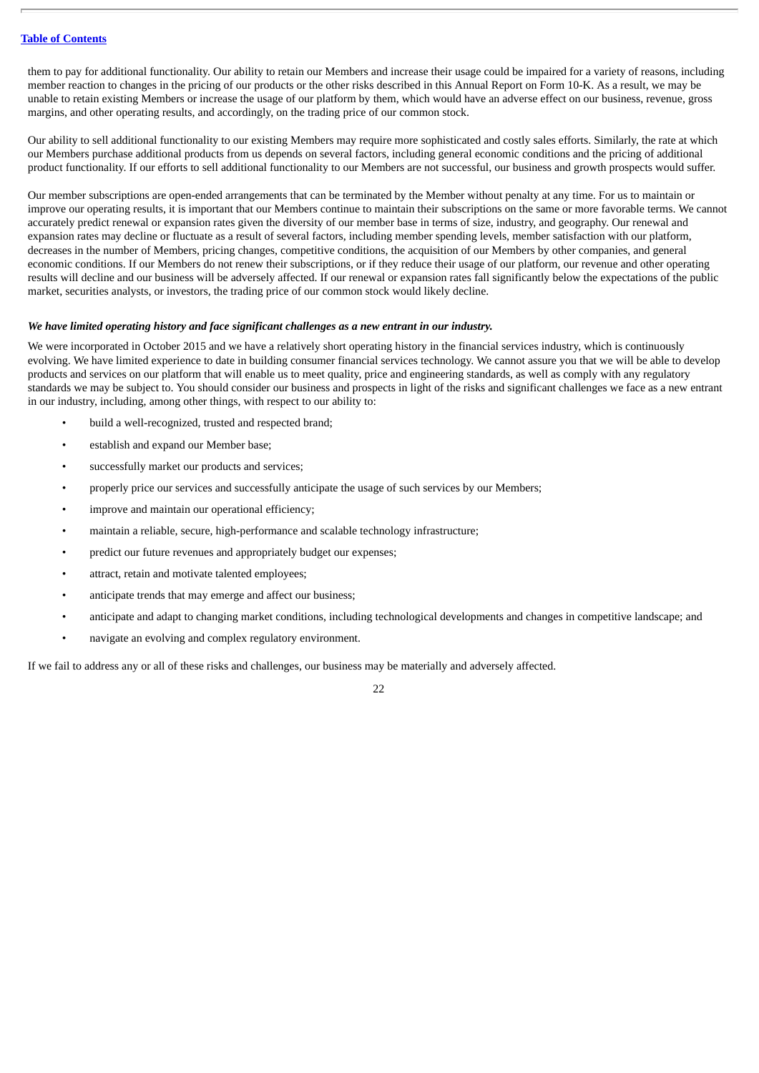them to pay for additional functionality. Our ability to retain our Members and increase their usage could be impaired for a variety of reasons, including member reaction to changes in the pricing of our products or the other risks described in this Annual Report on Form 10-K. As a result, we may be unable to retain existing Members or increase the usage of our platform by them, which would have an adverse effect on our business, revenue, gross margins, and other operating results, and accordingly, on the trading price of our common stock.

Our ability to sell additional functionality to our existing Members may require more sophisticated and costly sales efforts. Similarly, the rate at which our Members purchase additional products from us depends on several factors, including general economic conditions and the pricing of additional product functionality. If our efforts to sell additional functionality to our Members are not successful, our business and growth prospects would suffer.

Our member subscriptions are open-ended arrangements that can be terminated by the Member without penalty at any time. For us to maintain or improve our operating results, it is important that our Members continue to maintain their subscriptions on the same or more favorable terms. We cannot accurately predict renewal or expansion rates given the diversity of our member base in terms of size, industry, and geography. Our renewal and expansion rates may decline or fluctuate as a result of several factors, including member spending levels, member satisfaction with our platform, decreases in the number of Members, pricing changes, competitive conditions, the acquisition of our Members by other companies, and general economic conditions. If our Members do not renew their subscriptions, or if they reduce their usage of our platform, our revenue and other operating results will decline and our business will be adversely affected. If our renewal or expansion rates fall significantly below the expectations of the public market, securities analysts, or investors, the trading price of our common stock would likely decline.

#### *We have limited operating history and face significant challenges as a new entrant in our industry.*

We were incorporated in October 2015 and we have a relatively short operating history in the financial services industry, which is continuously evolving. We have limited experience to date in building consumer financial services technology. We cannot assure you that we will be able to develop products and services on our platform that will enable us to meet quality, price and engineering standards, as well as comply with any regulatory standards we may be subject to. You should consider our business and prospects in light of the risks and significant challenges we face as a new entrant in our industry, including, among other things, with respect to our ability to:

- build a well-recognized, trusted and respected brand;
- establish and expand our Member base;
- successfully market our products and services;
- properly price our services and successfully anticipate the usage of such services by our Members;
- improve and maintain our operational efficiency;
- maintain a reliable, secure, high-performance and scalable technology infrastructure;
- predict our future revenues and appropriately budget our expenses;
- attract, retain and motivate talented employees;
- anticipate trends that may emerge and affect our business;
- anticipate and adapt to changing market conditions, including technological developments and changes in competitive landscape; and
- navigate an evolving and complex regulatory environment.

If we fail to address any or all of these risks and challenges, our business may be materially and adversely affected.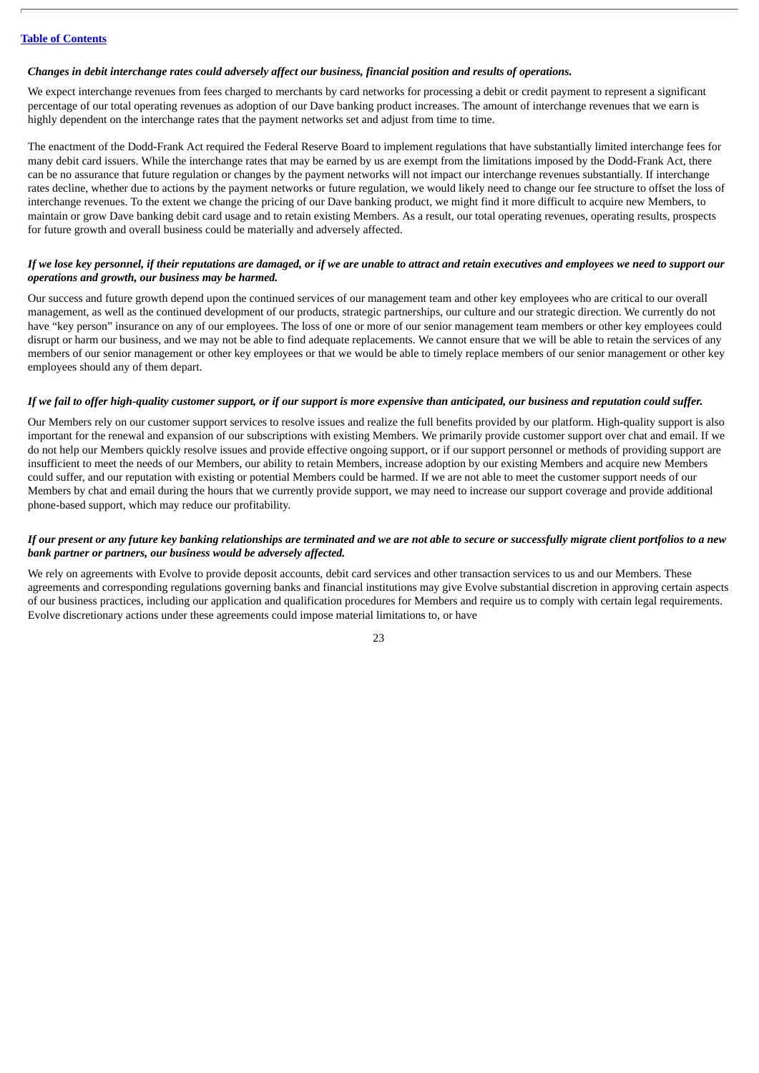#### Changes in debit interchange rates could adversely affect our business, financial position and results of operations.

We expect interchange revenues from fees charged to merchants by card networks for processing a debit or credit payment to represent a significant percentage of our total operating revenues as adoption of our Dave banking product increases. The amount of interchange revenues that we earn is highly dependent on the interchange rates that the payment networks set and adjust from time to time.

The enactment of the Dodd-Frank Act required the Federal Reserve Board to implement regulations that have substantially limited interchange fees for many debit card issuers. While the interchange rates that may be earned by us are exempt from the limitations imposed by the Dodd-Frank Act, there can be no assurance that future regulation or changes by the payment networks will not impact our interchange revenues substantially. If interchange rates decline, whether due to actions by the payment networks or future regulation, we would likely need to change our fee structure to offset the loss of interchange revenues. To the extent we change the pricing of our Dave banking product, we might find it more difficult to acquire new Members, to maintain or grow Dave banking debit card usage and to retain existing Members. As a result, our total operating revenues, operating results, prospects for future growth and overall business could be materially and adversely affected.

# If we lose key personnel, if their reputations are damaged, or if we are unable to attract and retain executives and employees we need to support our *operations and growth, our business may be harmed.*

Our success and future growth depend upon the continued services of our management team and other key employees who are critical to our overall management, as well as the continued development of our products, strategic partnerships, our culture and our strategic direction. We currently do not have "key person" insurance on any of our employees. The loss of one or more of our senior management team members or other key employees could disrupt or harm our business, and we may not be able to find adequate replacements. We cannot ensure that we will be able to retain the services of any members of our senior management or other key employees or that we would be able to timely replace members of our senior management or other key employees should any of them depart.

#### If we fail to offer high-quality customer support, or if our support is more expensive than anticipated, our business and reputation could suffer.

Our Members rely on our customer support services to resolve issues and realize the full benefits provided by our platform. High-quality support is also important for the renewal and expansion of our subscriptions with existing Members. We primarily provide customer support over chat and email. If we do not help our Members quickly resolve issues and provide effective ongoing support, or if our support personnel or methods of providing support are insufficient to meet the needs of our Members, our ability to retain Members, increase adoption by our existing Members and acquire new Members could suffer, and our reputation with existing or potential Members could be harmed. If we are not able to meet the customer support needs of our Members by chat and email during the hours that we currently provide support, we may need to increase our support coverage and provide additional phone-based support, which may reduce our profitability.

# If our present or any future key banking relationships are terminated and we are not able to secure or successfully migrate client portfolios to a new *bank partner or partners, our business would be adversely affected.*

We rely on agreements with Evolve to provide deposit accounts, debit card services and other transaction services to us and our Members. These agreements and corresponding regulations governing banks and financial institutions may give Evolve substantial discretion in approving certain aspects of our business practices, including our application and qualification procedures for Members and require us to comply with certain legal requirements. Evolve discretionary actions under these agreements could impose material limitations to, or have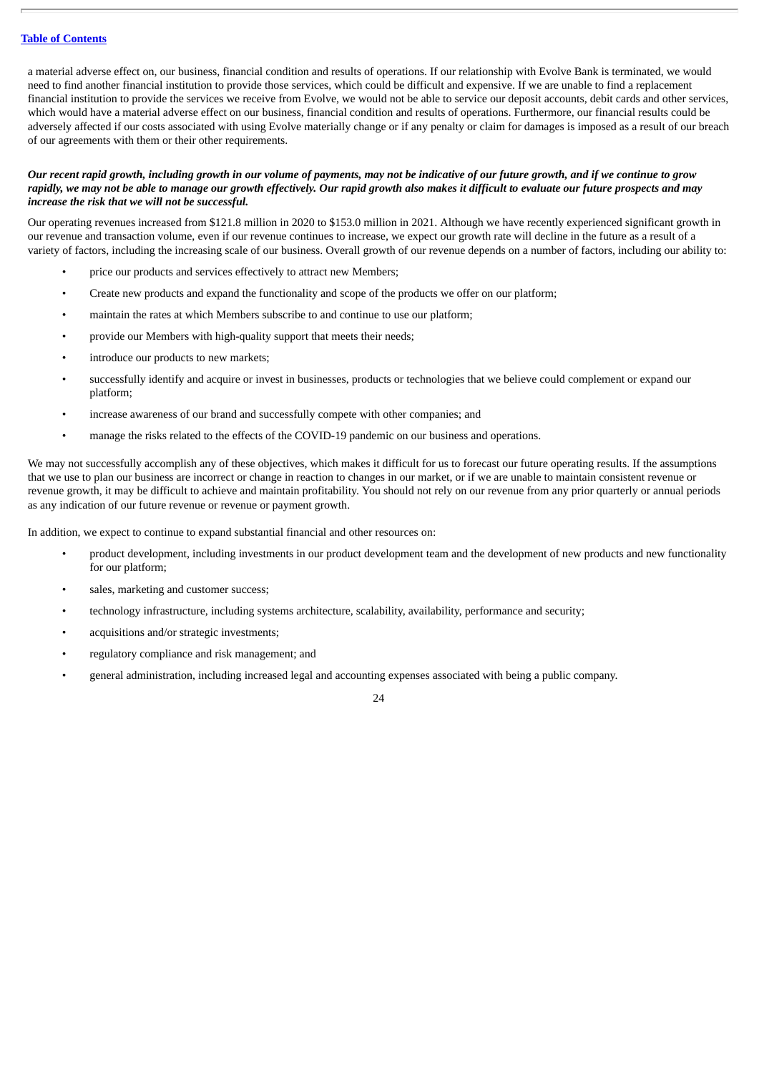a material adverse effect on, our business, financial condition and results of operations. If our relationship with Evolve Bank is terminated, we would need to find another financial institution to provide those services, which could be difficult and expensive. If we are unable to find a replacement financial institution to provide the services we receive from Evolve, we would not be able to service our deposit accounts, debit cards and other services, which would have a material adverse effect on our business, financial condition and results of operations. Furthermore, our financial results could be adversely affected if our costs associated with using Evolve materially change or if any penalty or claim for damages is imposed as a result of our breach of our agreements with them or their other requirements.

# Our recent rapid growth, including growth in our volume of payments, may not be indicative of our future growth, and if we continue to grow rapidly, we may not be able to manage our growth effectively. Our rapid growth also makes it difficult to evaluate our future prospects and may *increase the risk that we will not be successful.*

Our operating revenues increased from \$121.8 million in 2020 to \$153.0 million in 2021. Although we have recently experienced significant growth in our revenue and transaction volume, even if our revenue continues to increase, we expect our growth rate will decline in the future as a result of a variety of factors, including the increasing scale of our business. Overall growth of our revenue depends on a number of factors, including our ability to:

- price our products and services effectively to attract new Members;
- Create new products and expand the functionality and scope of the products we offer on our platform;
- maintain the rates at which Members subscribe to and continue to use our platform;
- provide our Members with high-quality support that meets their needs;
- introduce our products to new markets:
- successfully identify and acquire or invest in businesses, products or technologies that we believe could complement or expand our platform;
- increase awareness of our brand and successfully compete with other companies; and
- manage the risks related to the effects of the COVID-19 pandemic on our business and operations.

We may not successfully accomplish any of these objectives, which makes it difficult for us to forecast our future operating results. If the assumptions that we use to plan our business are incorrect or change in reaction to changes in our market, or if we are unable to maintain consistent revenue or revenue growth, it may be difficult to achieve and maintain profitability. You should not rely on our revenue from any prior quarterly or annual periods as any indication of our future revenue or revenue or payment growth.

In addition, we expect to continue to expand substantial financial and other resources on:

- product development, including investments in our product development team and the development of new products and new functionality for our platform;
- sales, marketing and customer success;
- technology infrastructure, including systems architecture, scalability, availability, performance and security;
- acquisitions and/or strategic investments;
- regulatory compliance and risk management; and
- general administration, including increased legal and accounting expenses associated with being a public company.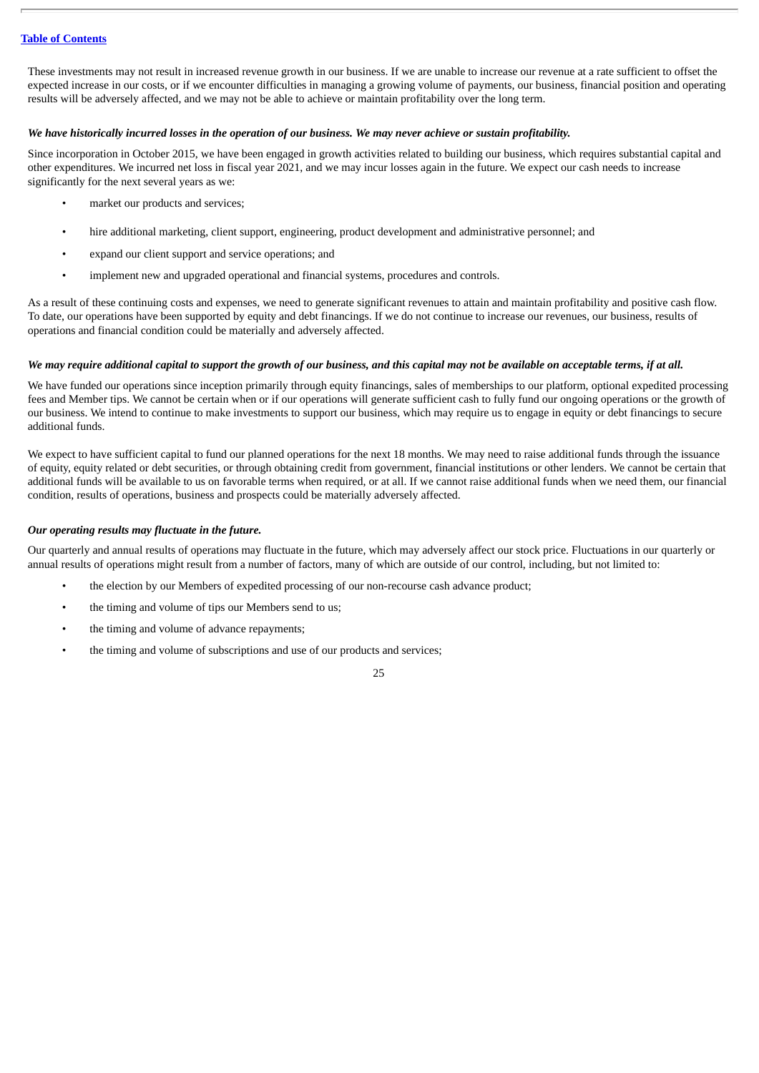These investments may not result in increased revenue growth in our business. If we are unable to increase our revenue at a rate sufficient to offset the expected increase in our costs, or if we encounter difficulties in managing a growing volume of payments, our business, financial position and operating results will be adversely affected, and we may not be able to achieve or maintain profitability over the long term.

# We have historically incurred losses in the operation of our business. We may never achieve or sustain profitability.

Since incorporation in October 2015, we have been engaged in growth activities related to building our business, which requires substantial capital and other expenditures. We incurred net loss in fiscal year 2021, and we may incur losses again in the future. We expect our cash needs to increase significantly for the next several years as we:

- market our products and services;
- hire additional marketing, client support, engineering, product development and administrative personnel; and
- expand our client support and service operations; and
- implement new and upgraded operational and financial systems, procedures and controls.

As a result of these continuing costs and expenses, we need to generate significant revenues to attain and maintain profitability and positive cash flow. To date, our operations have been supported by equity and debt financings. If we do not continue to increase our revenues, our business, results of operations and financial condition could be materially and adversely affected.

# We may require additional capital to support the growth of our business, and this capital may not be available on acceptable terms, if at all.

We have funded our operations since inception primarily through equity financings, sales of memberships to our platform, optional expedited processing fees and Member tips. We cannot be certain when or if our operations will generate sufficient cash to fully fund our ongoing operations or the growth of our business. We intend to continue to make investments to support our business, which may require us to engage in equity or debt financings to secure additional funds.

We expect to have sufficient capital to fund our planned operations for the next 18 months. We may need to raise additional funds through the issuance of equity, equity related or debt securities, or through obtaining credit from government, financial institutions or other lenders. We cannot be certain that additional funds will be available to us on favorable terms when required, or at all. If we cannot raise additional funds when we need them, our financial condition, results of operations, business and prospects could be materially adversely affected.

# *Our operating results may fluctuate in the future.*

Our quarterly and annual results of operations may fluctuate in the future, which may adversely affect our stock price. Fluctuations in our quarterly or annual results of operations might result from a number of factors, many of which are outside of our control, including, but not limited to:

- the election by our Members of expedited processing of our non-recourse cash advance product;
- the timing and volume of tips our Members send to us;
- the timing and volume of advance repayments;
- the timing and volume of subscriptions and use of our products and services;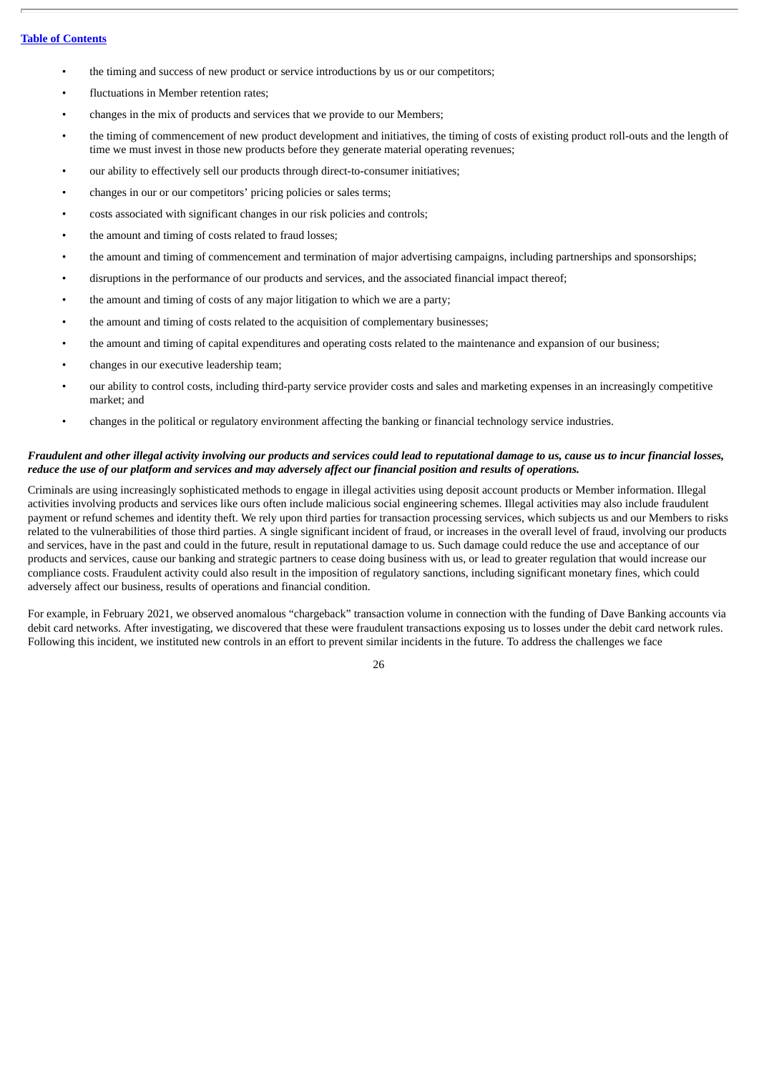- the timing and success of new product or service introductions by us or our competitors;
- fluctuations in Member retention rates;
- changes in the mix of products and services that we provide to our Members;
- the timing of commencement of new product development and initiatives, the timing of costs of existing product roll-outs and the length of time we must invest in those new products before they generate material operating revenues;
- our ability to effectively sell our products through direct-to-consumer initiatives;
- changes in our or our competitors' pricing policies or sales terms;
- costs associated with significant changes in our risk policies and controls;
- the amount and timing of costs related to fraud losses;
- the amount and timing of commencement and termination of major advertising campaigns, including partnerships and sponsorships;
- disruptions in the performance of our products and services, and the associated financial impact thereof;
- the amount and timing of costs of any major litigation to which we are a party;
- the amount and timing of costs related to the acquisition of complementary businesses;
- the amount and timing of capital expenditures and operating costs related to the maintenance and expansion of our business;
- changes in our executive leadership team;
- our ability to control costs, including third-party service provider costs and sales and marketing expenses in an increasingly competitive market; and
- changes in the political or regulatory environment affecting the banking or financial technology service industries.

# Fraudulent and other illegal activity involving our products and services could lead to reputational damage to us, cause us to incur financial losses, reduce the use of our platform and services and may adversely affect our financial position and results of operations.

Criminals are using increasingly sophisticated methods to engage in illegal activities using deposit account products or Member information. Illegal activities involving products and services like ours often include malicious social engineering schemes. Illegal activities may also include fraudulent payment or refund schemes and identity theft. We rely upon third parties for transaction processing services, which subjects us and our Members to risks related to the vulnerabilities of those third parties. A single significant incident of fraud, or increases in the overall level of fraud, involving our products and services, have in the past and could in the future, result in reputational damage to us. Such damage could reduce the use and acceptance of our products and services, cause our banking and strategic partners to cease doing business with us, or lead to greater regulation that would increase our compliance costs. Fraudulent activity could also result in the imposition of regulatory sanctions, including significant monetary fines, which could adversely affect our business, results of operations and financial condition.

For example, in February 2021, we observed anomalous "chargeback" transaction volume in connection with the funding of Dave Banking accounts via debit card networks. After investigating, we discovered that these were fraudulent transactions exposing us to losses under the debit card network rules. Following this incident, we instituted new controls in an effort to prevent similar incidents in the future. To address the challenges we face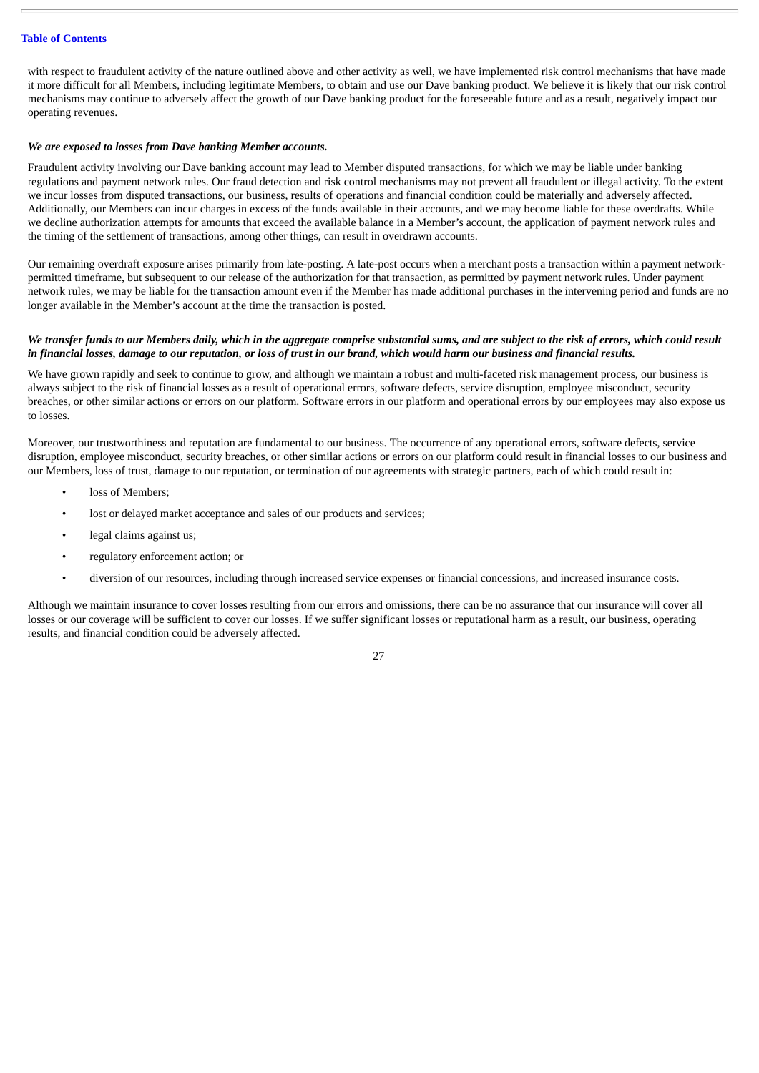with respect to fraudulent activity of the nature outlined above and other activity as well, we have implemented risk control mechanisms that have made it more difficult for all Members, including legitimate Members, to obtain and use our Dave banking product. We believe it is likely that our risk control mechanisms may continue to adversely affect the growth of our Dave banking product for the foreseeable future and as a result, negatively impact our operating revenues.

#### *We are exposed to losses from Dave banking Member accounts.*

Fraudulent activity involving our Dave banking account may lead to Member disputed transactions, for which we may be liable under banking regulations and payment network rules. Our fraud detection and risk control mechanisms may not prevent all fraudulent or illegal activity. To the extent we incur losses from disputed transactions, our business, results of operations and financial condition could be materially and adversely affected. Additionally, our Members can incur charges in excess of the funds available in their accounts, and we may become liable for these overdrafts. While we decline authorization attempts for amounts that exceed the available balance in a Member's account, the application of payment network rules and the timing of the settlement of transactions, among other things, can result in overdrawn accounts.

Our remaining overdraft exposure arises primarily from late-posting. A late-post occurs when a merchant posts a transaction within a payment networkpermitted timeframe, but subsequent to our release of the authorization for that transaction, as permitted by payment network rules. Under payment network rules, we may be liable for the transaction amount even if the Member has made additional purchases in the intervening period and funds are no longer available in the Member's account at the time the transaction is posted.

#### We transfer funds to our Members daily, which in the aggregate comprise substantial sums, and are subject to the risk of errors, which could result in financial losses, damage to our reputation, or loss of trust in our brand, which would harm our business and financial results.

We have grown rapidly and seek to continue to grow, and although we maintain a robust and multi-faceted risk management process, our business is always subject to the risk of financial losses as a result of operational errors, software defects, service disruption, employee misconduct, security breaches, or other similar actions or errors on our platform. Software errors in our platform and operational errors by our employees may also expose us to losses.

Moreover, our trustworthiness and reputation are fundamental to our business. The occurrence of any operational errors, software defects, service disruption, employee misconduct, security breaches, or other similar actions or errors on our platform could result in financial losses to our business and our Members, loss of trust, damage to our reputation, or termination of our agreements with strategic partners, each of which could result in:

- loss of Members;
- lost or delayed market acceptance and sales of our products and services;
- legal claims against us;
- regulatory enforcement action; or
- diversion of our resources, including through increased service expenses or financial concessions, and increased insurance costs.

Although we maintain insurance to cover losses resulting from our errors and omissions, there can be no assurance that our insurance will cover all losses or our coverage will be sufficient to cover our losses. If we suffer significant losses or reputational harm as a result, our business, operating results, and financial condition could be adversely affected.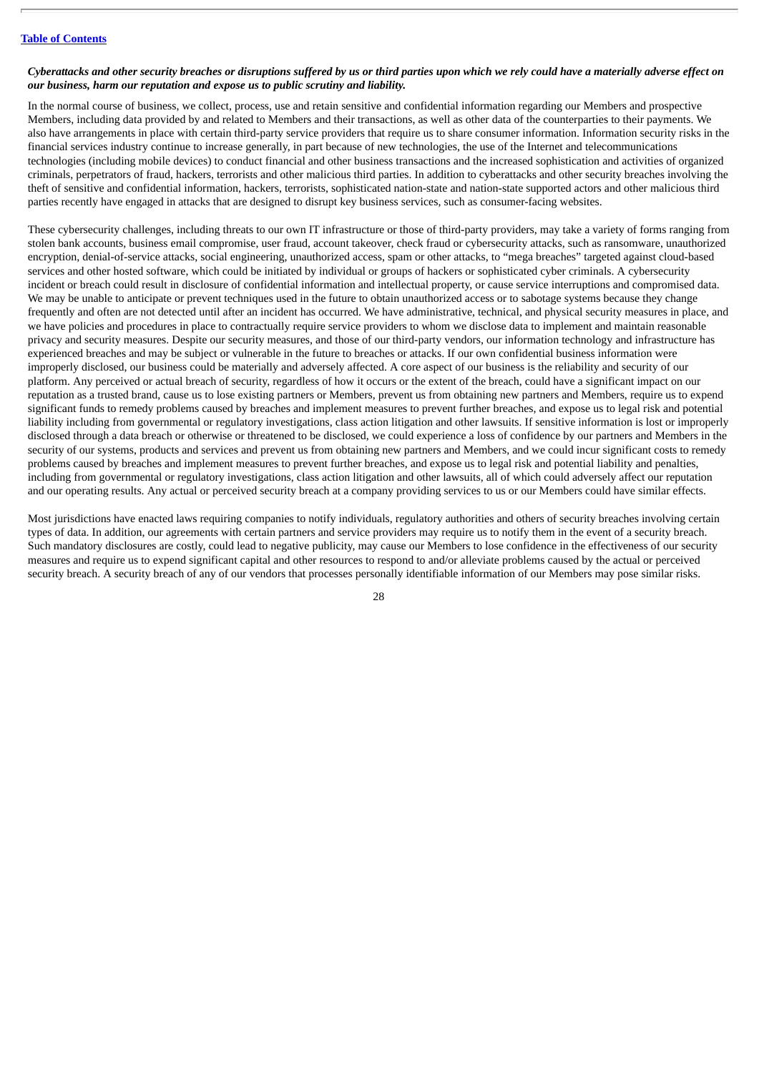#### Cyberattacks and other security breaches or disruptions suffered by us or third parties upon which we rely could have a materially adverse effect on *our business, harm our reputation and expose us to public scrutiny and liability.*

In the normal course of business, we collect, process, use and retain sensitive and confidential information regarding our Members and prospective Members, including data provided by and related to Members and their transactions, as well as other data of the counterparties to their payments. We also have arrangements in place with certain third-party service providers that require us to share consumer information. Information security risks in the financial services industry continue to increase generally, in part because of new technologies, the use of the Internet and telecommunications technologies (including mobile devices) to conduct financial and other business transactions and the increased sophistication and activities of organized criminals, perpetrators of fraud, hackers, terrorists and other malicious third parties. In addition to cyberattacks and other security breaches involving the theft of sensitive and confidential information, hackers, terrorists, sophisticated nation-state and nation-state supported actors and other malicious third parties recently have engaged in attacks that are designed to disrupt key business services, such as consumer-facing websites.

These cybersecurity challenges, including threats to our own IT infrastructure or those of third-party providers, may take a variety of forms ranging from stolen bank accounts, business email compromise, user fraud, account takeover, check fraud or cybersecurity attacks, such as ransomware, unauthorized encryption, denial-of-service attacks, social engineering, unauthorized access, spam or other attacks, to "mega breaches" targeted against cloud-based services and other hosted software, which could be initiated by individual or groups of hackers or sophisticated cyber criminals. A cybersecurity incident or breach could result in disclosure of confidential information and intellectual property, or cause service interruptions and compromised data. We may be unable to anticipate or prevent techniques used in the future to obtain unauthorized access or to sabotage systems because they change frequently and often are not detected until after an incident has occurred. We have administrative, technical, and physical security measures in place, and we have policies and procedures in place to contractually require service providers to whom we disclose data to implement and maintain reasonable privacy and security measures. Despite our security measures, and those of our third-party vendors, our information technology and infrastructure has experienced breaches and may be subject or vulnerable in the future to breaches or attacks. If our own confidential business information were improperly disclosed, our business could be materially and adversely affected. A core aspect of our business is the reliability and security of our platform. Any perceived or actual breach of security, regardless of how it occurs or the extent of the breach, could have a significant impact on our reputation as a trusted brand, cause us to lose existing partners or Members, prevent us from obtaining new partners and Members, require us to expend significant funds to remedy problems caused by breaches and implement measures to prevent further breaches, and expose us to legal risk and potential liability including from governmental or regulatory investigations, class action litigation and other lawsuits. If sensitive information is lost or improperly disclosed through a data breach or otherwise or threatened to be disclosed, we could experience a loss of confidence by our partners and Members in the security of our systems, products and services and prevent us from obtaining new partners and Members, and we could incur significant costs to remedy problems caused by breaches and implement measures to prevent further breaches, and expose us to legal risk and potential liability and penalties, including from governmental or regulatory investigations, class action litigation and other lawsuits, all of which could adversely affect our reputation and our operating results. Any actual or perceived security breach at a company providing services to us or our Members could have similar effects.

Most jurisdictions have enacted laws requiring companies to notify individuals, regulatory authorities and others of security breaches involving certain types of data. In addition, our agreements with certain partners and service providers may require us to notify them in the event of a security breach. Such mandatory disclosures are costly, could lead to negative publicity, may cause our Members to lose confidence in the effectiveness of our security measures and require us to expend significant capital and other resources to respond to and/or alleviate problems caused by the actual or perceived security breach. A security breach of any of our vendors that processes personally identifiable information of our Members may pose similar risks.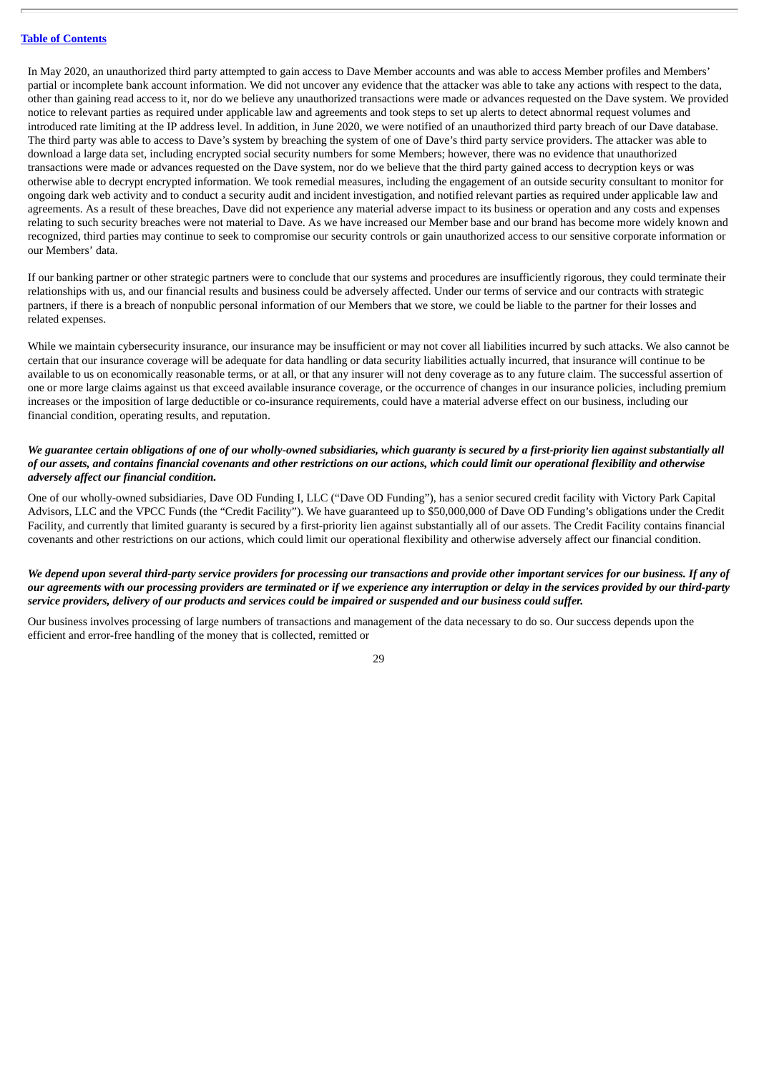In May 2020, an unauthorized third party attempted to gain access to Dave Member accounts and was able to access Member profiles and Members' partial or incomplete bank account information. We did not uncover any evidence that the attacker was able to take any actions with respect to the data, other than gaining read access to it, nor do we believe any unauthorized transactions were made or advances requested on the Dave system. We provided notice to relevant parties as required under applicable law and agreements and took steps to set up alerts to detect abnormal request volumes and introduced rate limiting at the IP address level. In addition, in June 2020, we were notified of an unauthorized third party breach of our Dave database. The third party was able to access to Dave's system by breaching the system of one of Dave's third party service providers. The attacker was able to download a large data set, including encrypted social security numbers for some Members; however, there was no evidence that unauthorized transactions were made or advances requested on the Dave system, nor do we believe that the third party gained access to decryption keys or was otherwise able to decrypt encrypted information. We took remedial measures, including the engagement of an outside security consultant to monitor for ongoing dark web activity and to conduct a security audit and incident investigation, and notified relevant parties as required under applicable law and agreements. As a result of these breaches, Dave did not experience any material adverse impact to its business or operation and any costs and expenses relating to such security breaches were not material to Dave. As we have increased our Member base and our brand has become more widely known and recognized, third parties may continue to seek to compromise our security controls or gain unauthorized access to our sensitive corporate information or our Members' data.

If our banking partner or other strategic partners were to conclude that our systems and procedures are insufficiently rigorous, they could terminate their relationships with us, and our financial results and business could be adversely affected. Under our terms of service and our contracts with strategic partners, if there is a breach of nonpublic personal information of our Members that we store, we could be liable to the partner for their losses and related expenses.

While we maintain cybersecurity insurance, our insurance may be insufficient or may not cover all liabilities incurred by such attacks. We also cannot be certain that our insurance coverage will be adequate for data handling or data security liabilities actually incurred, that insurance will continue to be available to us on economically reasonable terms, or at all, or that any insurer will not deny coverage as to any future claim. The successful assertion of one or more large claims against us that exceed available insurance coverage, or the occurrence of changes in our insurance policies, including premium increases or the imposition of large deductible or co-insurance requirements, could have a material adverse effect on our business, including our financial condition, operating results, and reputation.

#### We guarantee certain obligations of one of our wholly-owned subsidiaries, which guaranty is secured by a first-priority lien against substantially all of our assets, and contains financial covenants and other restrictions on our actions, which could limit our operational flexibility and otherwise *adversely affect our financial condition.*

One of our wholly-owned subsidiaries, Dave OD Funding I, LLC ("Dave OD Funding"), has a senior secured credit facility with Victory Park Capital Advisors, LLC and the VPCC Funds (the "Credit Facility"). We have guaranteed up to \$50,000,000 of Dave OD Funding's obligations under the Credit Facility, and currently that limited guaranty is secured by a first-priority lien against substantially all of our assets. The Credit Facility contains financial covenants and other restrictions on our actions, which could limit our operational flexibility and otherwise adversely affect our financial condition.

# We depend upon several third-party service providers for processing our transactions and provide other important services for our business. If any of our agreements with our processing providers are terminated or if we experience any interruption or delay in the services provided by our third-party service providers, delivery of our products and services could be impaired or suspended and our business could suffer.

Our business involves processing of large numbers of transactions and management of the data necessary to do so. Our success depends upon the efficient and error-free handling of the money that is collected, remitted or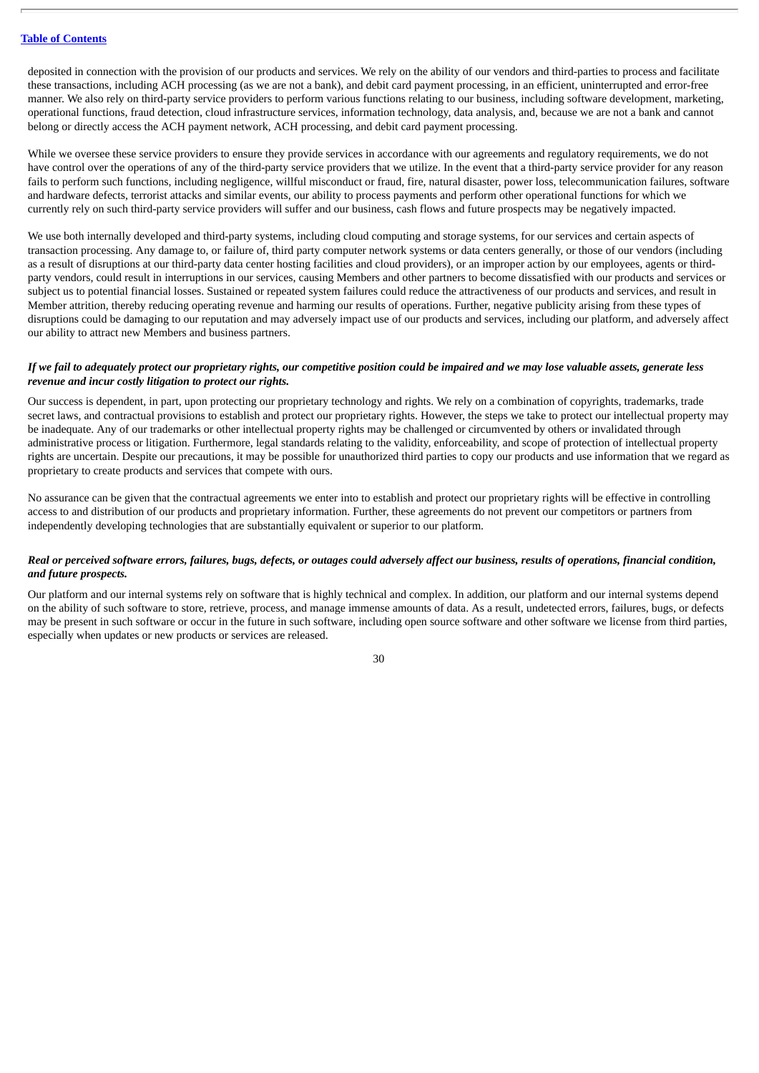deposited in connection with the provision of our products and services. We rely on the ability of our vendors and third-parties to process and facilitate these transactions, including ACH processing (as we are not a bank), and debit card payment processing, in an efficient, uninterrupted and error-free manner. We also rely on third-party service providers to perform various functions relating to our business, including software development, marketing, operational functions, fraud detection, cloud infrastructure services, information technology, data analysis, and, because we are not a bank and cannot belong or directly access the ACH payment network, ACH processing, and debit card payment processing.

While we oversee these service providers to ensure they provide services in accordance with our agreements and regulatory requirements, we do not have control over the operations of any of the third-party service providers that we utilize. In the event that a third-party service provider for any reason fails to perform such functions, including negligence, willful misconduct or fraud, fire, natural disaster, power loss, telecommunication failures, software and hardware defects, terrorist attacks and similar events, our ability to process payments and perform other operational functions for which we currently rely on such third-party service providers will suffer and our business, cash flows and future prospects may be negatively impacted.

We use both internally developed and third-party systems, including cloud computing and storage systems, for our services and certain aspects of transaction processing. Any damage to, or failure of, third party computer network systems or data centers generally, or those of our vendors (including as a result of disruptions at our third-party data center hosting facilities and cloud providers), or an improper action by our employees, agents or thirdparty vendors, could result in interruptions in our services, causing Members and other partners to become dissatisfied with our products and services or subject us to potential financial losses. Sustained or repeated system failures could reduce the attractiveness of our products and services, and result in Member attrition, thereby reducing operating revenue and harming our results of operations. Further, negative publicity arising from these types of disruptions could be damaging to our reputation and may adversely impact use of our products and services, including our platform, and adversely affect our ability to attract new Members and business partners.

# If we fail to adequately protect our proprietary rights, our competitive position could be impaired and we may lose valuable assets, generate less *revenue and incur costly litigation to protect our rights.*

Our success is dependent, in part, upon protecting our proprietary technology and rights. We rely on a combination of copyrights, trademarks, trade secret laws, and contractual provisions to establish and protect our proprietary rights. However, the steps we take to protect our intellectual property may be inadequate. Any of our trademarks or other intellectual property rights may be challenged or circumvented by others or invalidated through administrative process or litigation. Furthermore, legal standards relating to the validity, enforceability, and scope of protection of intellectual property rights are uncertain. Despite our precautions, it may be possible for unauthorized third parties to copy our products and use information that we regard as proprietary to create products and services that compete with ours.

No assurance can be given that the contractual agreements we enter into to establish and protect our proprietary rights will be effective in controlling access to and distribution of our products and proprietary information. Further, these agreements do not prevent our competitors or partners from independently developing technologies that are substantially equivalent or superior to our platform.

# Real or perceived software errors, failures, bugs, defects, or outages could adversely affect our business, results of operations, financial condition, *and future prospects.*

Our platform and our internal systems rely on software that is highly technical and complex. In addition, our platform and our internal systems depend on the ability of such software to store, retrieve, process, and manage immense amounts of data. As a result, undetected errors, failures, bugs, or defects may be present in such software or occur in the future in such software, including open source software and other software we license from third parties, especially when updates or new products or services are released.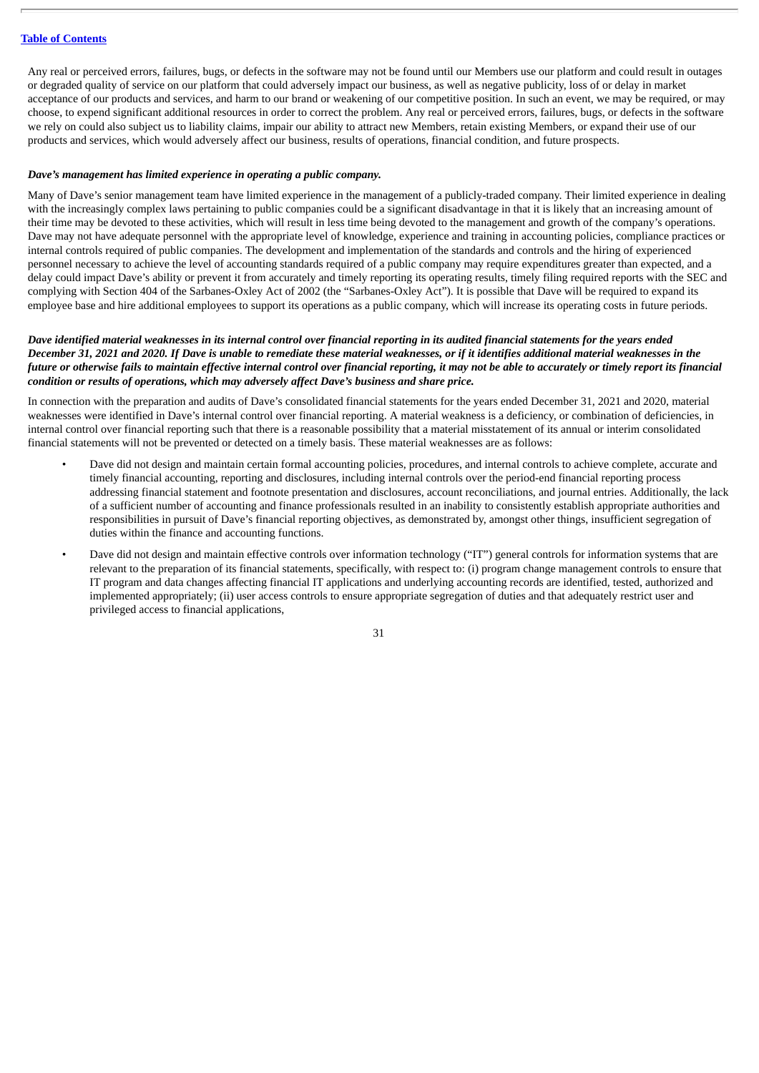Any real or perceived errors, failures, bugs, or defects in the software may not be found until our Members use our platform and could result in outages or degraded quality of service on our platform that could adversely impact our business, as well as negative publicity, loss of or delay in market acceptance of our products and services, and harm to our brand or weakening of our competitive position. In such an event, we may be required, or may choose, to expend significant additional resources in order to correct the problem. Any real or perceived errors, failures, bugs, or defects in the software we rely on could also subject us to liability claims, impair our ability to attract new Members, retain existing Members, or expand their use of our products and services, which would adversely affect our business, results of operations, financial condition, and future prospects.

#### *Dave's management has limited experience in operating a public company.*

Many of Dave's senior management team have limited experience in the management of a publicly-traded company. Their limited experience in dealing with the increasingly complex laws pertaining to public companies could be a significant disadvantage in that it is likely that an increasing amount of their time may be devoted to these activities, which will result in less time being devoted to the management and growth of the company's operations. Dave may not have adequate personnel with the appropriate level of knowledge, experience and training in accounting policies, compliance practices or internal controls required of public companies. The development and implementation of the standards and controls and the hiring of experienced personnel necessary to achieve the level of accounting standards required of a public company may require expenditures greater than expected, and a delay could impact Dave's ability or prevent it from accurately and timely reporting its operating results, timely filing required reports with the SEC and complying with Section 404 of the Sarbanes-Oxley Act of 2002 (the "Sarbanes-Oxley Act"). It is possible that Dave will be required to expand its employee base and hire additional employees to support its operations as a public company, which will increase its operating costs in future periods.

# Dave identified material weaknesses in its internal control over financial reporting in its audited financial statements for the years ended December 31, 2021 and 2020. If Dave is unable to remediate these material weaknesses, or if it identifies additional material weaknesses in the future or otherwise fails to maintain effective internal control over financial reporting, it may not be able to accurately or timely report its financial *condition or results of operations, which may adversely affect Dave's business and share price.*

In connection with the preparation and audits of Dave's consolidated financial statements for the years ended December 31, 2021 and 2020, material weaknesses were identified in Dave's internal control over financial reporting. A material weakness is a deficiency, or combination of deficiencies, in internal control over financial reporting such that there is a reasonable possibility that a material misstatement of its annual or interim consolidated financial statements will not be prevented or detected on a timely basis. These material weaknesses are as follows:

- Dave did not design and maintain certain formal accounting policies, procedures, and internal controls to achieve complete, accurate and timely financial accounting, reporting and disclosures, including internal controls over the period-end financial reporting process addressing financial statement and footnote presentation and disclosures, account reconciliations, and journal entries. Additionally, the lack of a sufficient number of accounting and finance professionals resulted in an inability to consistently establish appropriate authorities and responsibilities in pursuit of Dave's financial reporting objectives, as demonstrated by, amongst other things, insufficient segregation of duties within the finance and accounting functions.
- Dave did not design and maintain effective controls over information technology ("IT") general controls for information systems that are relevant to the preparation of its financial statements, specifically, with respect to: (i) program change management controls to ensure that IT program and data changes affecting financial IT applications and underlying accounting records are identified, tested, authorized and implemented appropriately; (ii) user access controls to ensure appropriate segregation of duties and that adequately restrict user and privileged access to financial applications,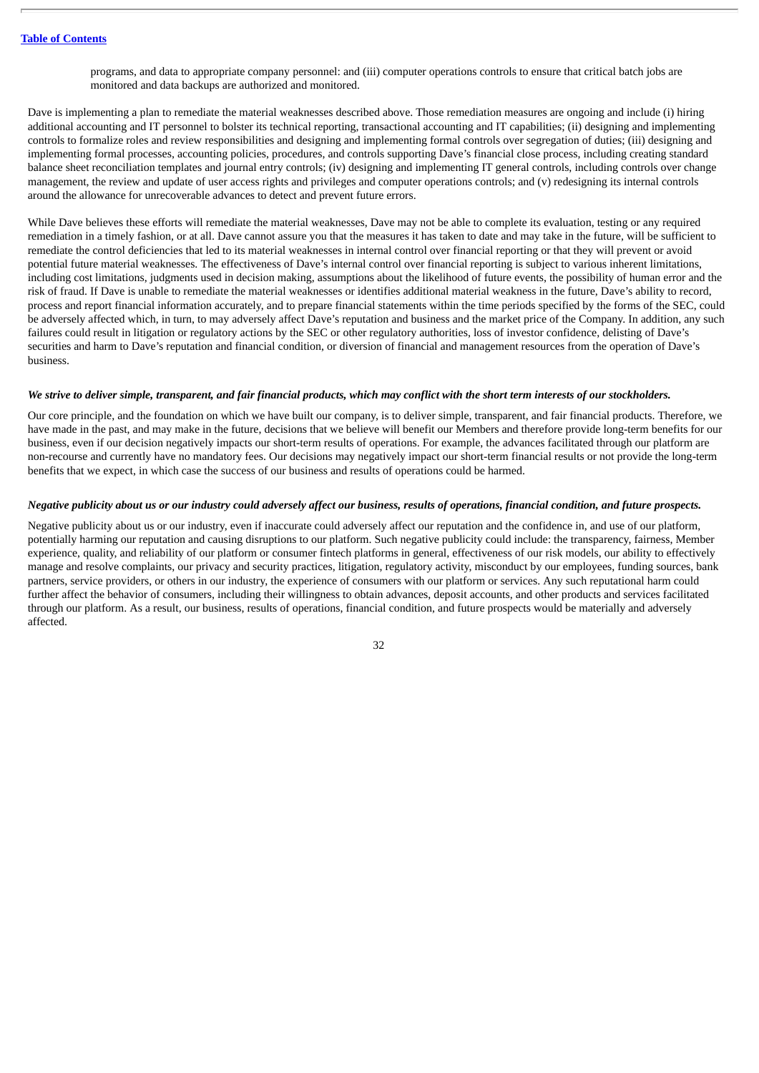programs, and data to appropriate company personnel: and (iii) computer operations controls to ensure that critical batch jobs are monitored and data backups are authorized and monitored.

Dave is implementing a plan to remediate the material weaknesses described above. Those remediation measures are ongoing and include (i) hiring additional accounting and IT personnel to bolster its technical reporting, transactional accounting and IT capabilities; (ii) designing and implementing controls to formalize roles and review responsibilities and designing and implementing formal controls over segregation of duties; (iii) designing and implementing formal processes, accounting policies, procedures, and controls supporting Dave's financial close process, including creating standard balance sheet reconciliation templates and journal entry controls; (iv) designing and implementing IT general controls, including controls over change management, the review and update of user access rights and privileges and computer operations controls; and (v) redesigning its internal controls around the allowance for unrecoverable advances to detect and prevent future errors.

While Dave believes these efforts will remediate the material weaknesses, Dave may not be able to complete its evaluation, testing or any required remediation in a timely fashion, or at all. Dave cannot assure you that the measures it has taken to date and may take in the future, will be sufficient to remediate the control deficiencies that led to its material weaknesses in internal control over financial reporting or that they will prevent or avoid potential future material weaknesses. The effectiveness of Dave's internal control over financial reporting is subject to various inherent limitations, including cost limitations, judgments used in decision making, assumptions about the likelihood of future events, the possibility of human error and the risk of fraud. If Dave is unable to remediate the material weaknesses or identifies additional material weakness in the future, Dave's ability to record, process and report financial information accurately, and to prepare financial statements within the time periods specified by the forms of the SEC, could be adversely affected which, in turn, to may adversely affect Dave's reputation and business and the market price of the Company. In addition, any such failures could result in litigation or regulatory actions by the SEC or other regulatory authorities, loss of investor confidence, delisting of Dave's securities and harm to Dave's reputation and financial condition, or diversion of financial and management resources from the operation of Dave's business.

#### We strive to deliver simple, transparent, and fair financial products, which may conflict with the short term interests of our stockholders.

Our core principle, and the foundation on which we have built our company, is to deliver simple, transparent, and fair financial products. Therefore, we have made in the past, and may make in the future, decisions that we believe will benefit our Members and therefore provide long-term benefits for our business, even if our decision negatively impacts our short-term results of operations. For example, the advances facilitated through our platform are non-recourse and currently have no mandatory fees. Our decisions may negatively impact our short-term financial results or not provide the long-term benefits that we expect, in which case the success of our business and results of operations could be harmed.

#### Negative publicity about us or our industry could adversely affect our business, results of operations, financial condition, and future prospects.

Negative publicity about us or our industry, even if inaccurate could adversely affect our reputation and the confidence in, and use of our platform, potentially harming our reputation and causing disruptions to our platform. Such negative publicity could include: the transparency, fairness, Member experience, quality, and reliability of our platform or consumer fintech platforms in general, effectiveness of our risk models, our ability to effectively manage and resolve complaints, our privacy and security practices, litigation, regulatory activity, misconduct by our employees, funding sources, bank partners, service providers, or others in our industry, the experience of consumers with our platform or services. Any such reputational harm could further affect the behavior of consumers, including their willingness to obtain advances, deposit accounts, and other products and services facilitated through our platform. As a result, our business, results of operations, financial condition, and future prospects would be materially and adversely affected.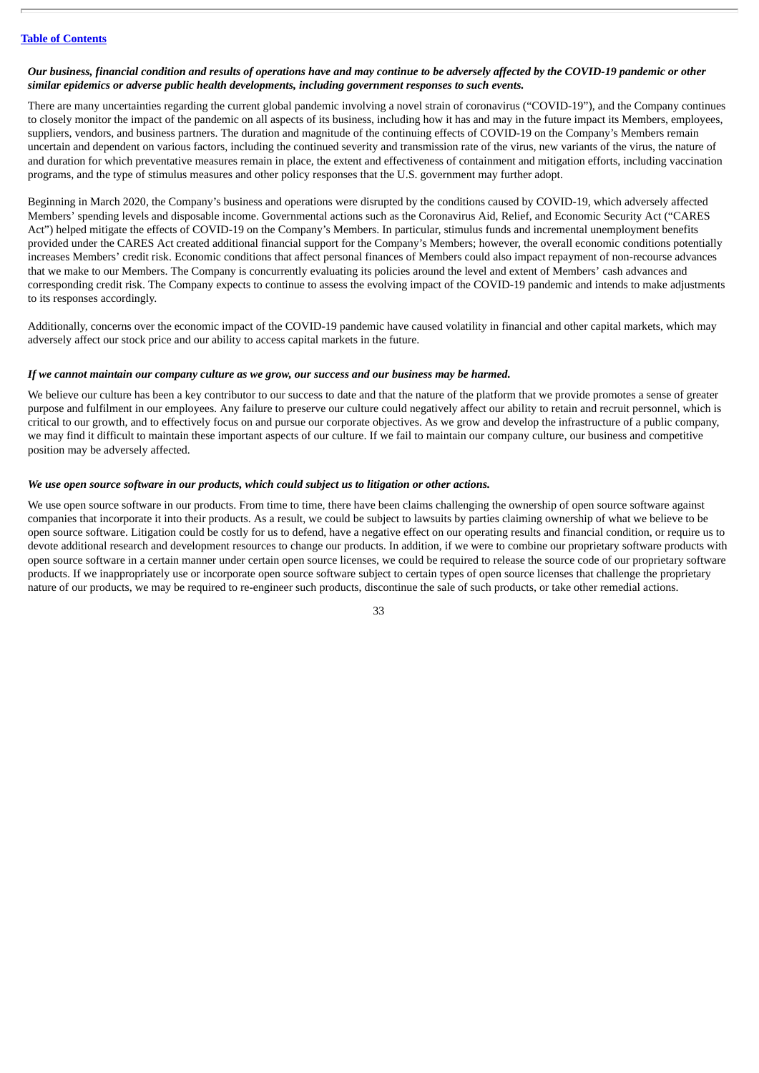#### Our business, financial condition and results of operations have and may continue to be adversely affected by the COVID-19 pandemic or other *similar epidemics or adverse public health developments, including government responses to such events.*

There are many uncertainties regarding the current global pandemic involving a novel strain of coronavirus ("COVID-19"), and the Company continues to closely monitor the impact of the pandemic on all aspects of its business, including how it has and may in the future impact its Members, employees, suppliers, vendors, and business partners. The duration and magnitude of the continuing effects of COVID-19 on the Company's Members remain uncertain and dependent on various factors, including the continued severity and transmission rate of the virus, new variants of the virus, the nature of and duration for which preventative measures remain in place, the extent and effectiveness of containment and mitigation efforts, including vaccination programs, and the type of stimulus measures and other policy responses that the U.S. government may further adopt.

Beginning in March 2020, the Company's business and operations were disrupted by the conditions caused by COVID-19, which adversely affected Members' spending levels and disposable income. Governmental actions such as the Coronavirus Aid, Relief, and Economic Security Act ("CARES Act") helped mitigate the effects of COVID-19 on the Company's Members. In particular, stimulus funds and incremental unemployment benefits provided under the CARES Act created additional financial support for the Company's Members; however, the overall economic conditions potentially increases Members' credit risk. Economic conditions that affect personal finances of Members could also impact repayment of non-recourse advances that we make to our Members. The Company is concurrently evaluating its policies around the level and extent of Members' cash advances and corresponding credit risk. The Company expects to continue to assess the evolving impact of the COVID-19 pandemic and intends to make adjustments to its responses accordingly.

Additionally, concerns over the economic impact of the COVID-19 pandemic have caused volatility in financial and other capital markets, which may adversely affect our stock price and our ability to access capital markets in the future.

#### *If we cannot maintain our company culture as we grow, our success and our business may be harmed.*

We believe our culture has been a key contributor to our success to date and that the nature of the platform that we provide promotes a sense of greater purpose and fulfilment in our employees. Any failure to preserve our culture could negatively affect our ability to retain and recruit personnel, which is critical to our growth, and to effectively focus on and pursue our corporate objectives. As we grow and develop the infrastructure of a public company, we may find it difficult to maintain these important aspects of our culture. If we fail to maintain our company culture, our business and competitive position may be adversely affected.

#### *We use open source software in our products, which could subject us to litigation or other actions.*

We use open source software in our products. From time to time, there have been claims challenging the ownership of open source software against companies that incorporate it into their products. As a result, we could be subject to lawsuits by parties claiming ownership of what we believe to be open source software. Litigation could be costly for us to defend, have a negative effect on our operating results and financial condition, or require us to devote additional research and development resources to change our products. In addition, if we were to combine our proprietary software products with open source software in a certain manner under certain open source licenses, we could be required to release the source code of our proprietary software products. If we inappropriately use or incorporate open source software subject to certain types of open source licenses that challenge the proprietary nature of our products, we may be required to re-engineer such products, discontinue the sale of such products, or take other remedial actions.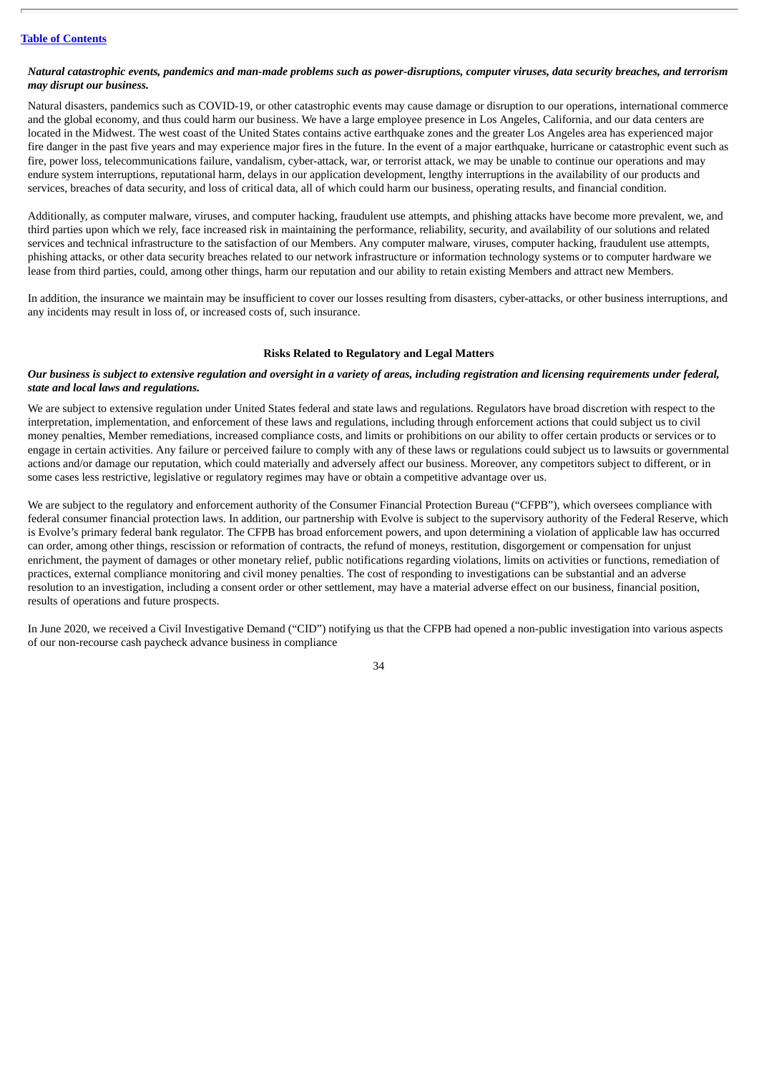#### Natural catastrophic events, pandemics and man-made problems such as power-disruptions, computer viruses, data security breaches, and terrorism *may disrupt our business.*

Natural disasters, pandemics such as COVID-19, or other catastrophic events may cause damage or disruption to our operations, international commerce and the global economy, and thus could harm our business. We have a large employee presence in Los Angeles, California, and our data centers are located in the Midwest. The west coast of the United States contains active earthquake zones and the greater Los Angeles area has experienced major fire danger in the past five years and may experience major fires in the future. In the event of a major earthquake, hurricane or catastrophic event such as fire, power loss, telecommunications failure, vandalism, cyber-attack, war, or terrorist attack, we may be unable to continue our operations and may endure system interruptions, reputational harm, delays in our application development, lengthy interruptions in the availability of our products and services, breaches of data security, and loss of critical data, all of which could harm our business, operating results, and financial condition.

Additionally, as computer malware, viruses, and computer hacking, fraudulent use attempts, and phishing attacks have become more prevalent, we, and third parties upon which we rely, face increased risk in maintaining the performance, reliability, security, and availability of our solutions and related services and technical infrastructure to the satisfaction of our Members. Any computer malware, viruses, computer hacking, fraudulent use attempts, phishing attacks, or other data security breaches related to our network infrastructure or information technology systems or to computer hardware we lease from third parties, could, among other things, harm our reputation and our ability to retain existing Members and attract new Members.

In addition, the insurance we maintain may be insufficient to cover our losses resulting from disasters, cyber-attacks, or other business interruptions, and any incidents may result in loss of, or increased costs of, such insurance.

# **Risks Related to Regulatory and Legal Matters**

#### Our business is subject to extensive regulation and oversight in a variety of areas, including registration and licensing requirements under federal, *state and local laws and regulations.*

We are subject to extensive regulation under United States federal and state laws and regulations. Regulators have broad discretion with respect to the interpretation, implementation, and enforcement of these laws and regulations, including through enforcement actions that could subject us to civil money penalties, Member remediations, increased compliance costs, and limits or prohibitions on our ability to offer certain products or services or to engage in certain activities. Any failure or perceived failure to comply with any of these laws or regulations could subject us to lawsuits or governmental actions and/or damage our reputation, which could materially and adversely affect our business. Moreover, any competitors subject to different, or in some cases less restrictive, legislative or regulatory regimes may have or obtain a competitive advantage over us.

We are subject to the regulatory and enforcement authority of the Consumer Financial Protection Bureau ("CFPB"), which oversees compliance with federal consumer financial protection laws. In addition, our partnership with Evolve is subject to the supervisory authority of the Federal Reserve, which is Evolve's primary federal bank regulator. The CFPB has broad enforcement powers, and upon determining a violation of applicable law has occurred can order, among other things, rescission or reformation of contracts, the refund of moneys, restitution, disgorgement or compensation for unjust enrichment, the payment of damages or other monetary relief, public notifications regarding violations, limits on activities or functions, remediation of practices, external compliance monitoring and civil money penalties. The cost of responding to investigations can be substantial and an adverse resolution to an investigation, including a consent order or other settlement, may have a material adverse effect on our business, financial position, results of operations and future prospects.

In June 2020, we received a Civil Investigative Demand ("CID") notifying us that the CFPB had opened a non-public investigation into various aspects of our non-recourse cash paycheck advance business in compliance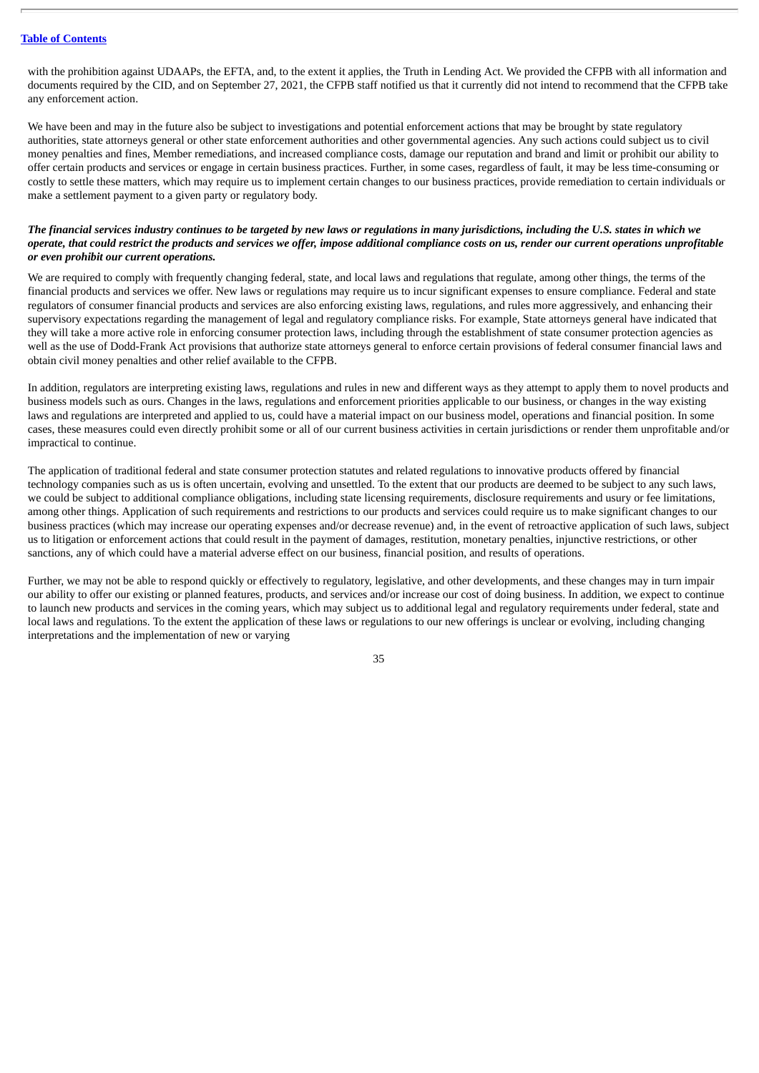with the prohibition against UDAAPs, the EFTA, and, to the extent it applies, the Truth in Lending Act. We provided the CFPB with all information and documents required by the CID, and on September 27, 2021, the CFPB staff notified us that it currently did not intend to recommend that the CFPB take any enforcement action.

We have been and may in the future also be subject to investigations and potential enforcement actions that may be brought by state regulatory authorities, state attorneys general or other state enforcement authorities and other governmental agencies. Any such actions could subject us to civil money penalties and fines, Member remediations, and increased compliance costs, damage our reputation and brand and limit or prohibit our ability to offer certain products and services or engage in certain business practices. Further, in some cases, regardless of fault, it may be less time-consuming or costly to settle these matters, which may require us to implement certain changes to our business practices, provide remediation to certain individuals or make a settlement payment to a given party or regulatory body.

# The financial services industry continues to be targeted by new laws or regulations in many iurisdictions, including the U.S. states in which we operate, that could restrict the products and services we offer, impose additional compliance costs on us, render our current operations unprofitable *or even prohibit our current operations.*

We are required to comply with frequently changing federal, state, and local laws and regulations that regulate, among other things, the terms of the financial products and services we offer. New laws or regulations may require us to incur significant expenses to ensure compliance. Federal and state regulators of consumer financial products and services are also enforcing existing laws, regulations, and rules more aggressively, and enhancing their supervisory expectations regarding the management of legal and regulatory compliance risks. For example, State attorneys general have indicated that they will take a more active role in enforcing consumer protection laws, including through the establishment of state consumer protection agencies as well as the use of Dodd-Frank Act provisions that authorize state attorneys general to enforce certain provisions of federal consumer financial laws and obtain civil money penalties and other relief available to the CFPB.

In addition, regulators are interpreting existing laws, regulations and rules in new and different ways as they attempt to apply them to novel products and business models such as ours. Changes in the laws, regulations and enforcement priorities applicable to our business, or changes in the way existing laws and regulations are interpreted and applied to us, could have a material impact on our business model, operations and financial position. In some cases, these measures could even directly prohibit some or all of our current business activities in certain jurisdictions or render them unprofitable and/or impractical to continue.

The application of traditional federal and state consumer protection statutes and related regulations to innovative products offered by financial technology companies such as us is often uncertain, evolving and unsettled. To the extent that our products are deemed to be subject to any such laws, we could be subject to additional compliance obligations, including state licensing requirements, disclosure requirements and usury or fee limitations, among other things. Application of such requirements and restrictions to our products and services could require us to make significant changes to our business practices (which may increase our operating expenses and/or decrease revenue) and, in the event of retroactive application of such laws, subject us to litigation or enforcement actions that could result in the payment of damages, restitution, monetary penalties, injunctive restrictions, or other sanctions, any of which could have a material adverse effect on our business, financial position, and results of operations.

Further, we may not be able to respond quickly or effectively to regulatory, legislative, and other developments, and these changes may in turn impair our ability to offer our existing or planned features, products, and services and/or increase our cost of doing business. In addition, we expect to continue to launch new products and services in the coming years, which may subject us to additional legal and regulatory requirements under federal, state and local laws and regulations. To the extent the application of these laws or regulations to our new offerings is unclear or evolving, including changing interpretations and the implementation of new or varying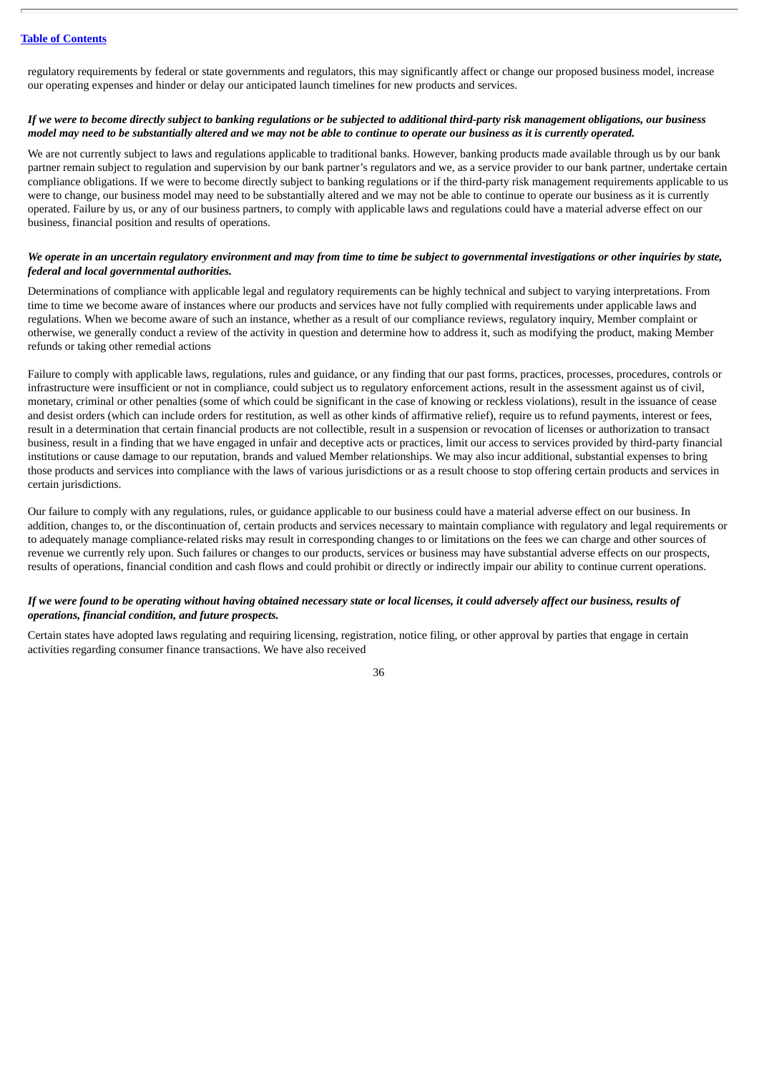regulatory requirements by federal or state governments and regulators, this may significantly affect or change our proposed business model, increase our operating expenses and hinder or delay our anticipated launch timelines for new products and services.

# If we were to become directly subject to banking regulations or be subjected to additional third-party risk management obligations, our business model may need to be substantially altered and we may not be able to continue to operate our business as it is currently operated.

We are not currently subject to laws and regulations applicable to traditional banks. However, banking products made available through us by our bank partner remain subject to regulation and supervision by our bank partner's regulators and we, as a service provider to our bank partner, undertake certain compliance obligations. If we were to become directly subject to banking regulations or if the third-party risk management requirements applicable to us were to change, our business model may need to be substantially altered and we may not be able to continue to operate our business as it is currently operated. Failure by us, or any of our business partners, to comply with applicable laws and regulations could have a material adverse effect on our business, financial position and results of operations.

# We operate in an uncertain regulatory environment and may from time to time be subject to governmental investigations or other inquiries by state, *federal and local governmental authorities.*

Determinations of compliance with applicable legal and regulatory requirements can be highly technical and subject to varying interpretations. From time to time we become aware of instances where our products and services have not fully complied with requirements under applicable laws and regulations. When we become aware of such an instance, whether as a result of our compliance reviews, regulatory inquiry, Member complaint or otherwise, we generally conduct a review of the activity in question and determine how to address it, such as modifying the product, making Member refunds or taking other remedial actions

Failure to comply with applicable laws, regulations, rules and guidance, or any finding that our past forms, practices, processes, procedures, controls or infrastructure were insufficient or not in compliance, could subject us to regulatory enforcement actions, result in the assessment against us of civil, monetary, criminal or other penalties (some of which could be significant in the case of knowing or reckless violations), result in the issuance of cease and desist orders (which can include orders for restitution, as well as other kinds of affirmative relief), require us to refund payments, interest or fees, result in a determination that certain financial products are not collectible, result in a suspension or revocation of licenses or authorization to transact business, result in a finding that we have engaged in unfair and deceptive acts or practices, limit our access to services provided by third-party financial institutions or cause damage to our reputation, brands and valued Member relationships. We may also incur additional, substantial expenses to bring those products and services into compliance with the laws of various jurisdictions or as a result choose to stop offering certain products and services in certain jurisdictions.

Our failure to comply with any regulations, rules, or guidance applicable to our business could have a material adverse effect on our business. In addition, changes to, or the discontinuation of, certain products and services necessary to maintain compliance with regulatory and legal requirements or to adequately manage compliance-related risks may result in corresponding changes to or limitations on the fees we can charge and other sources of revenue we currently rely upon. Such failures or changes to our products, services or business may have substantial adverse effects on our prospects, results of operations, financial condition and cash flows and could prohibit or directly or indirectly impair our ability to continue current operations.

# If we were found to be operating without having obtained necessary state or local licenses, it could adversely affect our business, results of *operations, financial condition, and future prospects.*

Certain states have adopted laws regulating and requiring licensing, registration, notice filing, or other approval by parties that engage in certain activities regarding consumer finance transactions. We have also received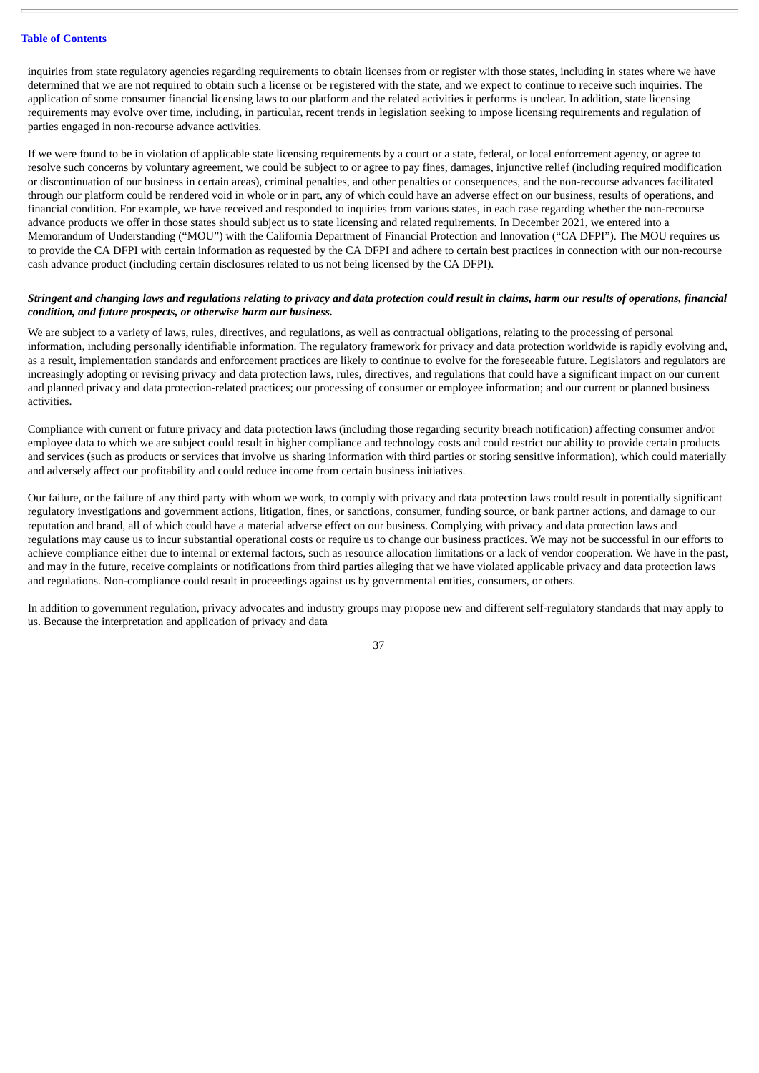inquiries from state regulatory agencies regarding requirements to obtain licenses from or register with those states, including in states where we have determined that we are not required to obtain such a license or be registered with the state, and we expect to continue to receive such inquiries. The application of some consumer financial licensing laws to our platform and the related activities it performs is unclear. In addition, state licensing requirements may evolve over time, including, in particular, recent trends in legislation seeking to impose licensing requirements and regulation of parties engaged in non-recourse advance activities.

If we were found to be in violation of applicable state licensing requirements by a court or a state, federal, or local enforcement agency, or agree to resolve such concerns by voluntary agreement, we could be subject to or agree to pay fines, damages, injunctive relief (including required modification or discontinuation of our business in certain areas), criminal penalties, and other penalties or consequences, and the non-recourse advances facilitated through our platform could be rendered void in whole or in part, any of which could have an adverse effect on our business, results of operations, and financial condition. For example, we have received and responded to inquiries from various states, in each case regarding whether the non-recourse advance products we offer in those states should subject us to state licensing and related requirements. In December 2021, we entered into a Memorandum of Understanding ("MOU") with the California Department of Financial Protection and Innovation ("CA DFPI"). The MOU requires us to provide the CA DFPI with certain information as requested by the CA DFPI and adhere to certain best practices in connection with our non-recourse cash advance product (including certain disclosures related to us not being licensed by the CA DFPI).

# Stringent and changing laws and regulations relating to privacy and data protection could result in claims, harm our results of operations, financial *condition, and future prospects, or otherwise harm our business.*

We are subject to a variety of laws, rules, directives, and regulations, as well as contractual obligations, relating to the processing of personal information, including personally identifiable information. The regulatory framework for privacy and data protection worldwide is rapidly evolving and, as a result, implementation standards and enforcement practices are likely to continue to evolve for the foreseeable future. Legislators and regulators are increasingly adopting or revising privacy and data protection laws, rules, directives, and regulations that could have a significant impact on our current and planned privacy and data protection-related practices; our processing of consumer or employee information; and our current or planned business activities.

Compliance with current or future privacy and data protection laws (including those regarding security breach notification) affecting consumer and/or employee data to which we are subject could result in higher compliance and technology costs and could restrict our ability to provide certain products and services (such as products or services that involve us sharing information with third parties or storing sensitive information), which could materially and adversely affect our profitability and could reduce income from certain business initiatives.

Our failure, or the failure of any third party with whom we work, to comply with privacy and data protection laws could result in potentially significant regulatory investigations and government actions, litigation, fines, or sanctions, consumer, funding source, or bank partner actions, and damage to our reputation and brand, all of which could have a material adverse effect on our business. Complying with privacy and data protection laws and regulations may cause us to incur substantial operational costs or require us to change our business practices. We may not be successful in our efforts to achieve compliance either due to internal or external factors, such as resource allocation limitations or a lack of vendor cooperation. We have in the past, and may in the future, receive complaints or notifications from third parties alleging that we have violated applicable privacy and data protection laws and regulations. Non-compliance could result in proceedings against us by governmental entities, consumers, or others.

In addition to government regulation, privacy advocates and industry groups may propose new and different self-regulatory standards that may apply to us. Because the interpretation and application of privacy and data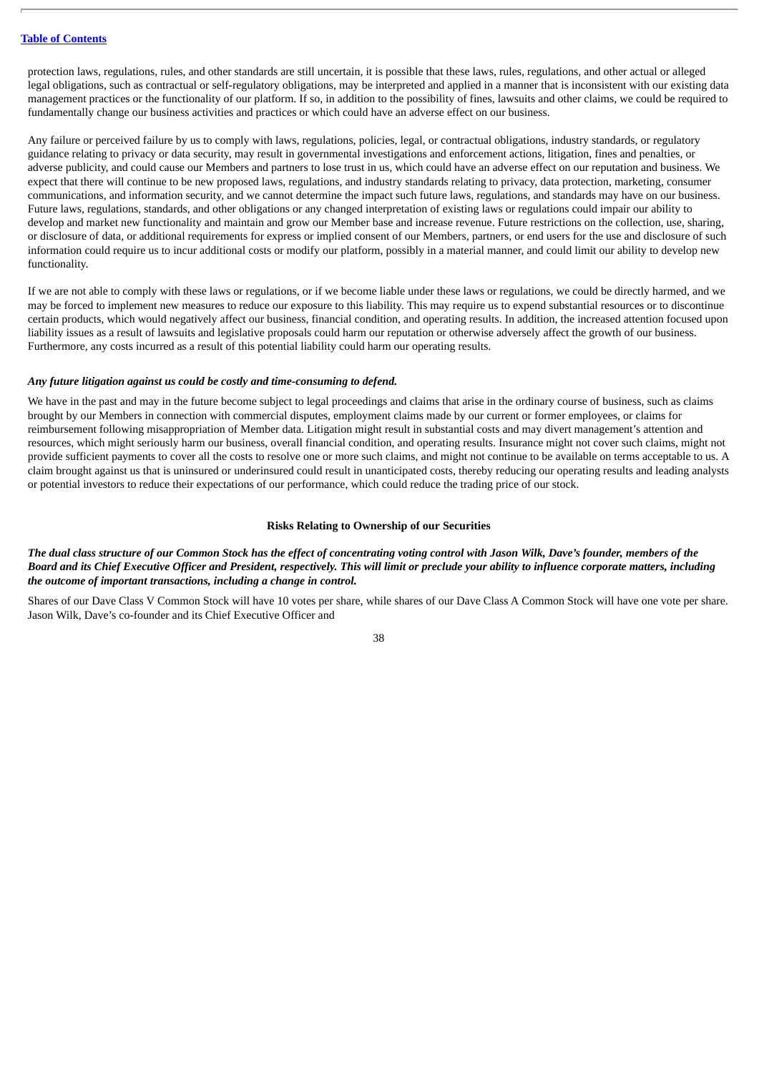protection laws, regulations, rules, and other standards are still uncertain, it is possible that these laws, rules, regulations, and other actual or alleged legal obligations, such as contractual or self-regulatory obligations, may be interpreted and applied in a manner that is inconsistent with our existing data management practices or the functionality of our platform. If so, in addition to the possibility of fines, lawsuits and other claims, we could be required to fundamentally change our business activities and practices or which could have an adverse effect on our business.

Any failure or perceived failure by us to comply with laws, regulations, policies, legal, or contractual obligations, industry standards, or regulatory guidance relating to privacy or data security, may result in governmental investigations and enforcement actions, litigation, fines and penalties, or adverse publicity, and could cause our Members and partners to lose trust in us, which could have an adverse effect on our reputation and business. We expect that there will continue to be new proposed laws, regulations, and industry standards relating to privacy, data protection, marketing, consumer communications, and information security, and we cannot determine the impact such future laws, regulations, and standards may have on our business. Future laws, regulations, standards, and other obligations or any changed interpretation of existing laws or regulations could impair our ability to develop and market new functionality and maintain and grow our Member base and increase revenue. Future restrictions on the collection, use, sharing, or disclosure of data, or additional requirements for express or implied consent of our Members, partners, or end users for the use and disclosure of such information could require us to incur additional costs or modify our platform, possibly in a material manner, and could limit our ability to develop new functionality.

If we are not able to comply with these laws or regulations, or if we become liable under these laws or regulations, we could be directly harmed, and we may be forced to implement new measures to reduce our exposure to this liability. This may require us to expend substantial resources or to discontinue certain products, which would negatively affect our business, financial condition, and operating results. In addition, the increased attention focused upon liability issues as a result of lawsuits and legislative proposals could harm our reputation or otherwise adversely affect the growth of our business. Furthermore, any costs incurred as a result of this potential liability could harm our operating results.

## *Any future litigation against us could be costly and time-consuming to defend.*

We have in the past and may in the future become subject to legal proceedings and claims that arise in the ordinary course of business, such as claims brought by our Members in connection with commercial disputes, employment claims made by our current or former employees, or claims for reimbursement following misappropriation of Member data. Litigation might result in substantial costs and may divert management's attention and resources, which might seriously harm our business, overall financial condition, and operating results. Insurance might not cover such claims, might not provide sufficient payments to cover all the costs to resolve one or more such claims, and might not continue to be available on terms acceptable to us. A claim brought against us that is uninsured or underinsured could result in unanticipated costs, thereby reducing our operating results and leading analysts or potential investors to reduce their expectations of our performance, which could reduce the trading price of our stock.

### **Risks Relating to Ownership of our Securities**

The dual class structure of our Common Stock has the effect of concentrating voting control with Jason Wilk, Dave's founder, members of the Board and its Chief Executive Officer and President, respectively. This will limit or preclude your ability to influence corporate matters, including *the outcome of important transactions, including a change in control.*

Shares of our Dave Class V Common Stock will have 10 votes per share, while shares of our Dave Class A Common Stock will have one vote per share. Jason Wilk, Dave's co-founder and its Chief Executive Officer and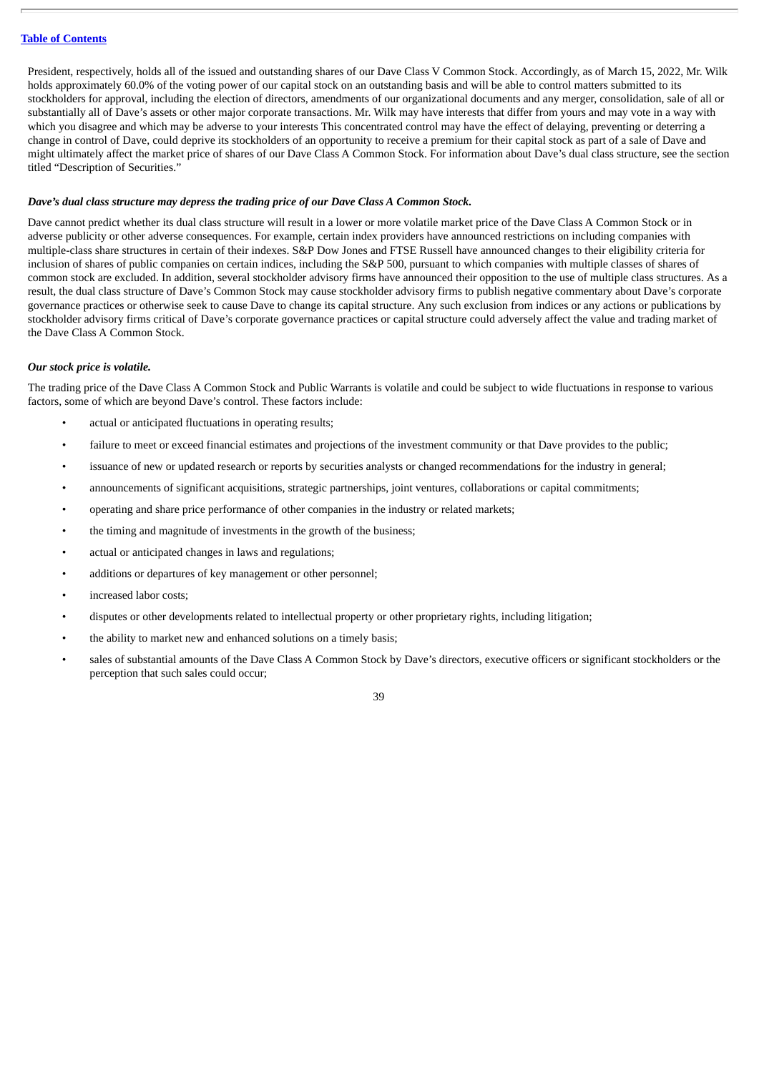President, respectively, holds all of the issued and outstanding shares of our Dave Class V Common Stock. Accordingly, as of March 15, 2022, Mr. Wilk holds approximately 60.0% of the voting power of our capital stock on an outstanding basis and will be able to control matters submitted to its stockholders for approval, including the election of directors, amendments of our organizational documents and any merger, consolidation, sale of all or substantially all of Dave's assets or other major corporate transactions. Mr. Wilk may have interests that differ from yours and may vote in a way with which you disagree and which may be adverse to your interests This concentrated control may have the effect of delaying, preventing or deterring a change in control of Dave, could deprive its stockholders of an opportunity to receive a premium for their capital stock as part of a sale of Dave and might ultimately affect the market price of shares of our Dave Class A Common Stock. For information about Dave's dual class structure, see the section titled "Description of Securities."

# *Dave's dual class structure may depress the trading price of our Dave Class A Common Stock.*

Dave cannot predict whether its dual class structure will result in a lower or more volatile market price of the Dave Class A Common Stock or in adverse publicity or other adverse consequences. For example, certain index providers have announced restrictions on including companies with multiple-class share structures in certain of their indexes. S&P Dow Jones and FTSE Russell have announced changes to their eligibility criteria for inclusion of shares of public companies on certain indices, including the S&P 500, pursuant to which companies with multiple classes of shares of common stock are excluded. In addition, several stockholder advisory firms have announced their opposition to the use of multiple class structures. As a result, the dual class structure of Dave's Common Stock may cause stockholder advisory firms to publish negative commentary about Dave's corporate governance practices or otherwise seek to cause Dave to change its capital structure. Any such exclusion from indices or any actions or publications by stockholder advisory firms critical of Dave's corporate governance practices or capital structure could adversely affect the value and trading market of the Dave Class A Common Stock.

# *Our stock price is volatile.*

The trading price of the Dave Class A Common Stock and Public Warrants is volatile and could be subject to wide fluctuations in response to various factors, some of which are beyond Dave's control. These factors include:

- actual or anticipated fluctuations in operating results;
- failure to meet or exceed financial estimates and projections of the investment community or that Dave provides to the public;
- issuance of new or updated research or reports by securities analysts or changed recommendations for the industry in general;
- announcements of significant acquisitions, strategic partnerships, joint ventures, collaborations or capital commitments;
- operating and share price performance of other companies in the industry or related markets;
- the timing and magnitude of investments in the growth of the business;
- actual or anticipated changes in laws and regulations;
- additions or departures of key management or other personnel;
- increased labor costs;
- disputes or other developments related to intellectual property or other proprietary rights, including litigation;
- the ability to market new and enhanced solutions on a timely basis;
- sales of substantial amounts of the Dave Class A Common Stock by Dave's directors, executive officers or significant stockholders or the perception that such sales could occur;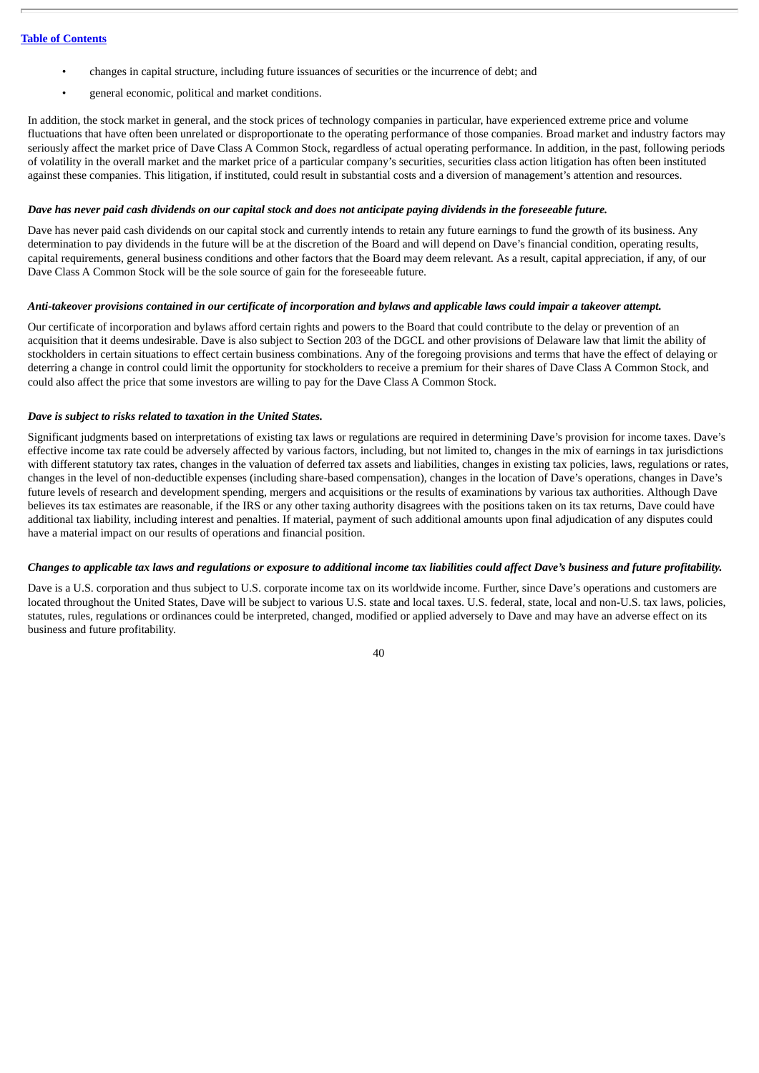- changes in capital structure, including future issuances of securities or the incurrence of debt; and
- general economic, political and market conditions.

In addition, the stock market in general, and the stock prices of technology companies in particular, have experienced extreme price and volume fluctuations that have often been unrelated or disproportionate to the operating performance of those companies. Broad market and industry factors may seriously affect the market price of Dave Class A Common Stock, regardless of actual operating performance. In addition, in the past, following periods of volatility in the overall market and the market price of a particular company's securities, securities class action litigation has often been instituted against these companies. This litigation, if instituted, could result in substantial costs and a diversion of management's attention and resources.

### Dave has never paid cash dividends on our capital stock and does not anticipate paying dividends in the foreseeable future.

Dave has never paid cash dividends on our capital stock and currently intends to retain any future earnings to fund the growth of its business. Any determination to pay dividends in the future will be at the discretion of the Board and will depend on Dave's financial condition, operating results, capital requirements, general business conditions and other factors that the Board may deem relevant. As a result, capital appreciation, if any, of our Dave Class A Common Stock will be the sole source of gain for the foreseeable future.

### Anti-takeover provisions contained in our certificate of incorporation and bylaws and applicable laws could impair a takeover attempt.

Our certificate of incorporation and bylaws afford certain rights and powers to the Board that could contribute to the delay or prevention of an acquisition that it deems undesirable. Dave is also subject to Section 203 of the DGCL and other provisions of Delaware law that limit the ability of stockholders in certain situations to effect certain business combinations. Any of the foregoing provisions and terms that have the effect of delaying or deterring a change in control could limit the opportunity for stockholders to receive a premium for their shares of Dave Class A Common Stock, and could also affect the price that some investors are willing to pay for the Dave Class A Common Stock.

## *Dave is subject to risks related to taxation in the United States.*

Significant judgments based on interpretations of existing tax laws or regulations are required in determining Dave's provision for income taxes. Dave's effective income tax rate could be adversely affected by various factors, including, but not limited to, changes in the mix of earnings in tax jurisdictions with different statutory tax rates, changes in the valuation of deferred tax assets and liabilities, changes in existing tax policies, laws, regulations or rates, changes in the level of non-deductible expenses (including share-based compensation), changes in the location of Dave's operations, changes in Dave's future levels of research and development spending, mergers and acquisitions or the results of examinations by various tax authorities. Although Dave believes its tax estimates are reasonable, if the IRS or any other taxing authority disagrees with the positions taken on its tax returns, Dave could have additional tax liability, including interest and penalties. If material, payment of such additional amounts upon final adjudication of any disputes could have a material impact on our results of operations and financial position.

### Changes to applicable tax laws and regulations or exposure to additional income tax liabilities could affect Dave's business and future profitability.

Dave is a U.S. corporation and thus subject to U.S. corporate income tax on its worldwide income. Further, since Dave's operations and customers are located throughout the United States, Dave will be subject to various U.S. state and local taxes. U.S. federal, state, local and non-U.S. tax laws, policies, statutes, rules, regulations or ordinances could be interpreted, changed, modified or applied adversely to Dave and may have an adverse effect on its business and future profitability.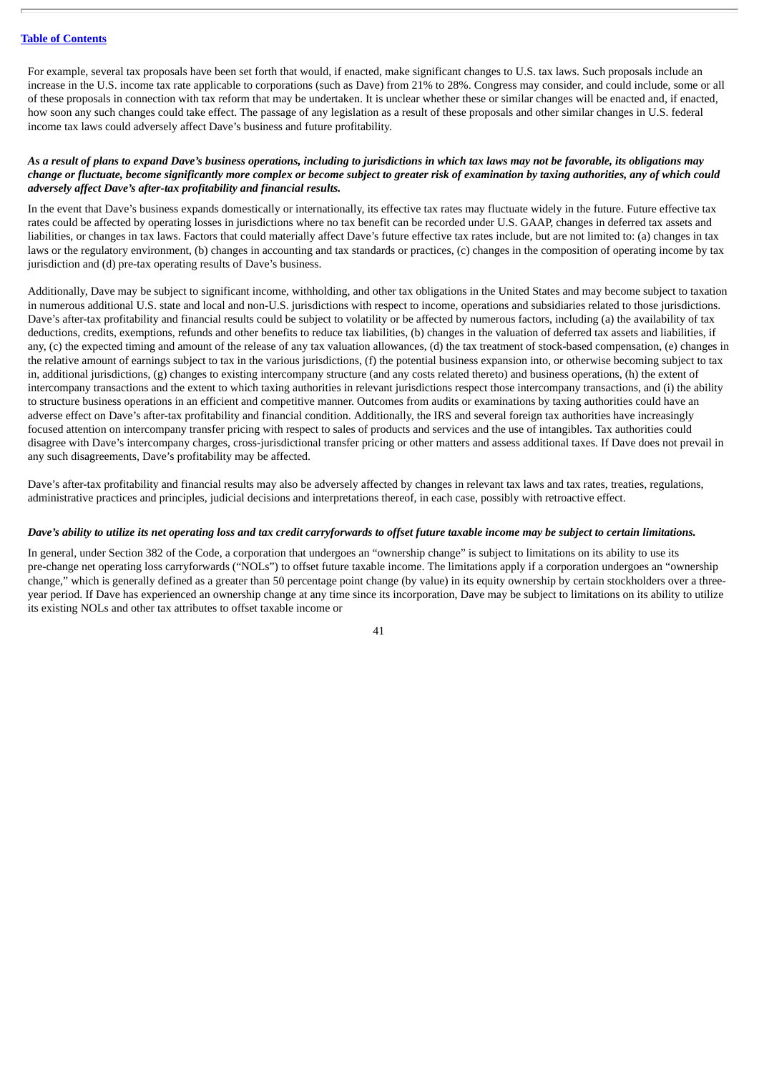For example, several tax proposals have been set forth that would, if enacted, make significant changes to U.S. tax laws. Such proposals include an increase in the U.S. income tax rate applicable to corporations (such as Dave) from 21% to 28%. Congress may consider, and could include, some or all of these proposals in connection with tax reform that may be undertaken. It is unclear whether these or similar changes will be enacted and, if enacted, how soon any such changes could take effect. The passage of any legislation as a result of these proposals and other similar changes in U.S. federal income tax laws could adversely affect Dave's business and future profitability.

# As a result of plans to expand Dave's business operations, including to jurisdictions in which tax laws may not be favorable, its obligations may change or fluctuate, become significantly more complex or become subject to greater risk of examination by taxing authorities, any of which could *adversely affect Dave's after-tax profitability and financial results.*

In the event that Dave's business expands domestically or internationally, its effective tax rates may fluctuate widely in the future. Future effective tax rates could be affected by operating losses in jurisdictions where no tax benefit can be recorded under U.S. GAAP, changes in deferred tax assets and liabilities, or changes in tax laws. Factors that could materially affect Dave's future effective tax rates include, but are not limited to: (a) changes in tax laws or the regulatory environment, (b) changes in accounting and tax standards or practices, (c) changes in the composition of operating income by tax jurisdiction and (d) pre-tax operating results of Dave's business.

Additionally, Dave may be subject to significant income, withholding, and other tax obligations in the United States and may become subject to taxation in numerous additional U.S. state and local and non-U.S. jurisdictions with respect to income, operations and subsidiaries related to those jurisdictions. Dave's after-tax profitability and financial results could be subject to volatility or be affected by numerous factors, including (a) the availability of tax deductions, credits, exemptions, refunds and other benefits to reduce tax liabilities, (b) changes in the valuation of deferred tax assets and liabilities, if any, (c) the expected timing and amount of the release of any tax valuation allowances, (d) the tax treatment of stock-based compensation, (e) changes in the relative amount of earnings subject to tax in the various jurisdictions, (f) the potential business expansion into, or otherwise becoming subject to tax in, additional jurisdictions, (g) changes to existing intercompany structure (and any costs related thereto) and business operations, (h) the extent of intercompany transactions and the extent to which taxing authorities in relevant jurisdictions respect those intercompany transactions, and (i) the ability to structure business operations in an efficient and competitive manner. Outcomes from audits or examinations by taxing authorities could have an adverse effect on Dave's after-tax profitability and financial condition. Additionally, the IRS and several foreign tax authorities have increasingly focused attention on intercompany transfer pricing with respect to sales of products and services and the use of intangibles. Tax authorities could disagree with Dave's intercompany charges, cross-jurisdictional transfer pricing or other matters and assess additional taxes. If Dave does not prevail in any such disagreements, Dave's profitability may be affected.

Dave's after-tax profitability and financial results may also be adversely affected by changes in relevant tax laws and tax rates, treaties, regulations, administrative practices and principles, judicial decisions and interpretations thereof, in each case, possibly with retroactive effect.

## Dave's ability to utilize its net operating loss and tax credit carryforwards to offset future taxable income may be subject to certain limitations.

In general, under Section 382 of the Code, a corporation that undergoes an "ownership change" is subject to limitations on its ability to use its pre-change net operating loss carryforwards ("NOLs") to offset future taxable income. The limitations apply if a corporation undergoes an "ownership change," which is generally defined as a greater than 50 percentage point change (by value) in its equity ownership by certain stockholders over a threeyear period. If Dave has experienced an ownership change at any time since its incorporation, Dave may be subject to limitations on its ability to utilize its existing NOLs and other tax attributes to offset taxable income or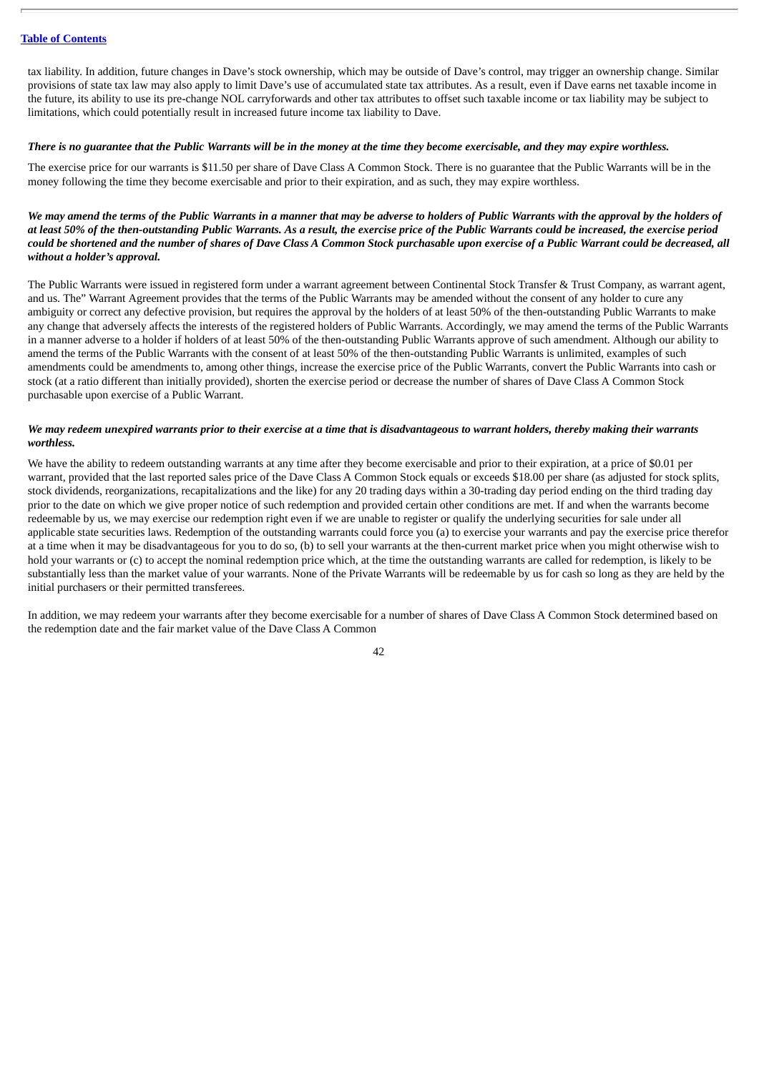tax liability. In addition, future changes in Dave's stock ownership, which may be outside of Dave's control, may trigger an ownership change. Similar provisions of state tax law may also apply to limit Dave's use of accumulated state tax attributes. As a result, even if Dave earns net taxable income in the future, its ability to use its pre-change NOL carryforwards and other tax attributes to offset such taxable income or tax liability may be subject to limitations, which could potentially result in increased future income tax liability to Dave.

### There is no guarantee that the Public Warrants will be in the money at the time they become exercisable, and they may expire worthless.

The exercise price for our warrants is \$11.50 per share of Dave Class A Common Stock. There is no guarantee that the Public Warrants will be in the money following the time they become exercisable and prior to their expiration, and as such, they may expire worthless.

# We may amend the terms of the Public Warrants in a manner that may be adverse to holders of Public Warrants with the approval by the holders of at least 50% of the then-outstanding Public Warrants. As a result, the exercise price of the Public Warrants could be increased, the exercise period could be shortened and the number of shares of Dave Class A Common Stock purchasable upon exercise of a Public Warrant could be decreased, all *without a holder's approval.*

The Public Warrants were issued in registered form under a warrant agreement between Continental Stock Transfer & Trust Company, as warrant agent, and us. The" Warrant Agreement provides that the terms of the Public Warrants may be amended without the consent of any holder to cure any ambiguity or correct any defective provision, but requires the approval by the holders of at least 50% of the then-outstanding Public Warrants to make any change that adversely affects the interests of the registered holders of Public Warrants. Accordingly, we may amend the terms of the Public Warrants in a manner adverse to a holder if holders of at least 50% of the then-outstanding Public Warrants approve of such amendment. Although our ability to amend the terms of the Public Warrants with the consent of at least 50% of the then-outstanding Public Warrants is unlimited, examples of such amendments could be amendments to, among other things, increase the exercise price of the Public Warrants, convert the Public Warrants into cash or stock (at a ratio different than initially provided), shorten the exercise period or decrease the number of shares of Dave Class A Common Stock purchasable upon exercise of a Public Warrant.

# We may redeem unexpired warrants prior to their exercise at a time that is disadvantageous to warrant holders, thereby making their warrants *worthless.*

We have the ability to redeem outstanding warrants at any time after they become exercisable and prior to their expiration, at a price of \$0.01 per warrant, provided that the last reported sales price of the Dave Class A Common Stock equals or exceeds \$18.00 per share (as adjusted for stock splits, stock dividends, reorganizations, recapitalizations and the like) for any 20 trading days within a 30-trading day period ending on the third trading day prior to the date on which we give proper notice of such redemption and provided certain other conditions are met. If and when the warrants become redeemable by us, we may exercise our redemption right even if we are unable to register or qualify the underlying securities for sale under all applicable state securities laws. Redemption of the outstanding warrants could force you (a) to exercise your warrants and pay the exercise price therefor at a time when it may be disadvantageous for you to do so, (b) to sell your warrants at the then-current market price when you might otherwise wish to hold your warrants or (c) to accept the nominal redemption price which, at the time the outstanding warrants are called for redemption, is likely to be substantially less than the market value of your warrants. None of the Private Warrants will be redeemable by us for cash so long as they are held by the initial purchasers or their permitted transferees.

In addition, we may redeem your warrants after they become exercisable for a number of shares of Dave Class A Common Stock determined based on the redemption date and the fair market value of the Dave Class A Common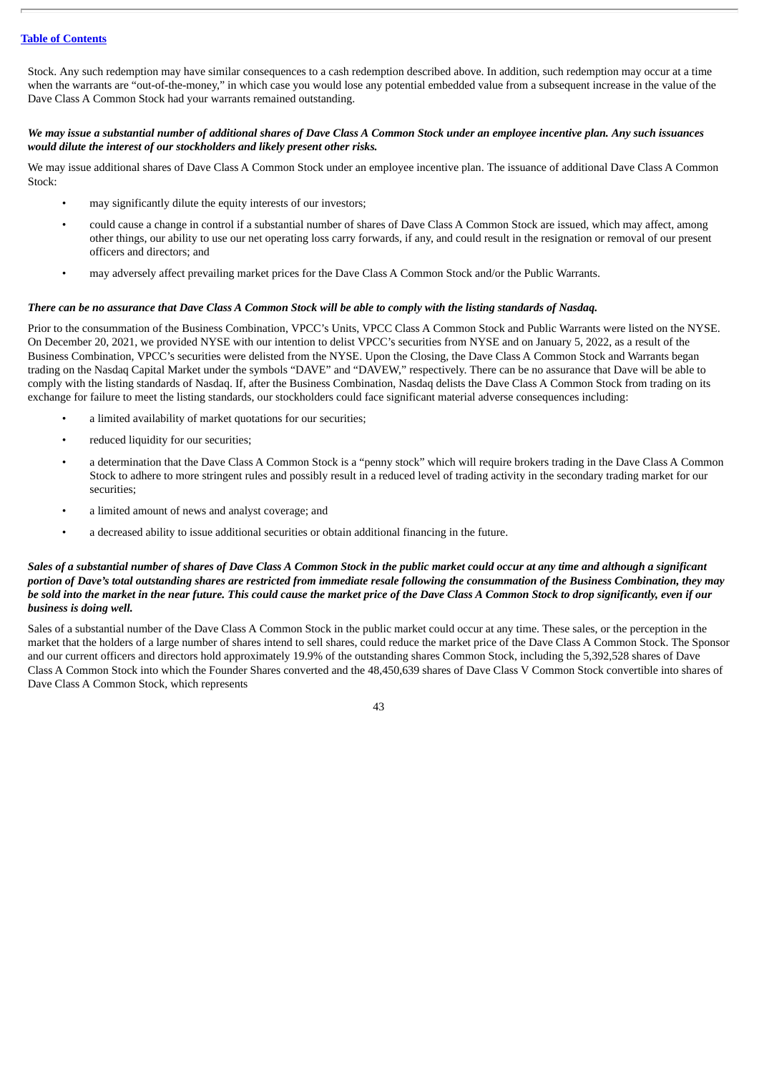Stock. Any such redemption may have similar consequences to a cash redemption described above. In addition, such redemption may occur at a time when the warrants are "out-of-the-money," in which case you would lose any potential embedded value from a subsequent increase in the value of the Dave Class A Common Stock had your warrants remained outstanding.

# We may issue a substantial number of additional shares of Dave Class A Common Stock under an employee incentive plan. Any such issuances *would dilute the interest of our stockholders and likely present other risks.*

We may issue additional shares of Dave Class A Common Stock under an employee incentive plan. The issuance of additional Dave Class A Common Stock:

- may significantly dilute the equity interests of our investors;
- could cause a change in control if a substantial number of shares of Dave Class A Common Stock are issued, which may affect, among other things, our ability to use our net operating loss carry forwards, if any, and could result in the resignation or removal of our present officers and directors; and
- may adversely affect prevailing market prices for the Dave Class A Common Stock and/or the Public Warrants.

## There can be no assurance that Dave Class A Common Stock will be able to comply with the listing standards of Nasdag.

Prior to the consummation of the Business Combination, VPCC's Units, VPCC Class A Common Stock and Public Warrants were listed on the NYSE. On December 20, 2021, we provided NYSE with our intention to delist VPCC's securities from NYSE and on January 5, 2022, as a result of the Business Combination, VPCC's securities were delisted from the NYSE. Upon the Closing, the Dave Class A Common Stock and Warrants began trading on the Nasdaq Capital Market under the symbols "DAVE" and "DAVEW," respectively. There can be no assurance that Dave will be able to comply with the listing standards of Nasdaq. If, after the Business Combination, Nasdaq delists the Dave Class A Common Stock from trading on its exchange for failure to meet the listing standards, our stockholders could face significant material adverse consequences including:

- a limited availability of market quotations for our securities:
- reduced liquidity for our securities;
- a determination that the Dave Class A Common Stock is a "penny stock" which will require brokers trading in the Dave Class A Common Stock to adhere to more stringent rules and possibly result in a reduced level of trading activity in the secondary trading market for our securities;
- a limited amount of news and analyst coverage; and
- a decreased ability to issue additional securities or obtain additional financing in the future.

# Sales of a substantial number of shares of Dave Class A Common Stock in the public market could occur at any time and althouah a sianificant portion of Dave's total outstanding shares are restricted from immediate resale following the consummation of the Business Combination, they may be sold into the market in the near future. This could cause the market price of the Dave Class A Common Stock to drop significantly, even if our *business is doing well.*

Sales of a substantial number of the Dave Class A Common Stock in the public market could occur at any time. These sales, or the perception in the market that the holders of a large number of shares intend to sell shares, could reduce the market price of the Dave Class A Common Stock. The Sponsor and our current officers and directors hold approximately 19.9% of the outstanding shares Common Stock, including the 5,392,528 shares of Dave Class A Common Stock into which the Founder Shares converted and the 48,450,639 shares of Dave Class V Common Stock convertible into shares of Dave Class A Common Stock, which represents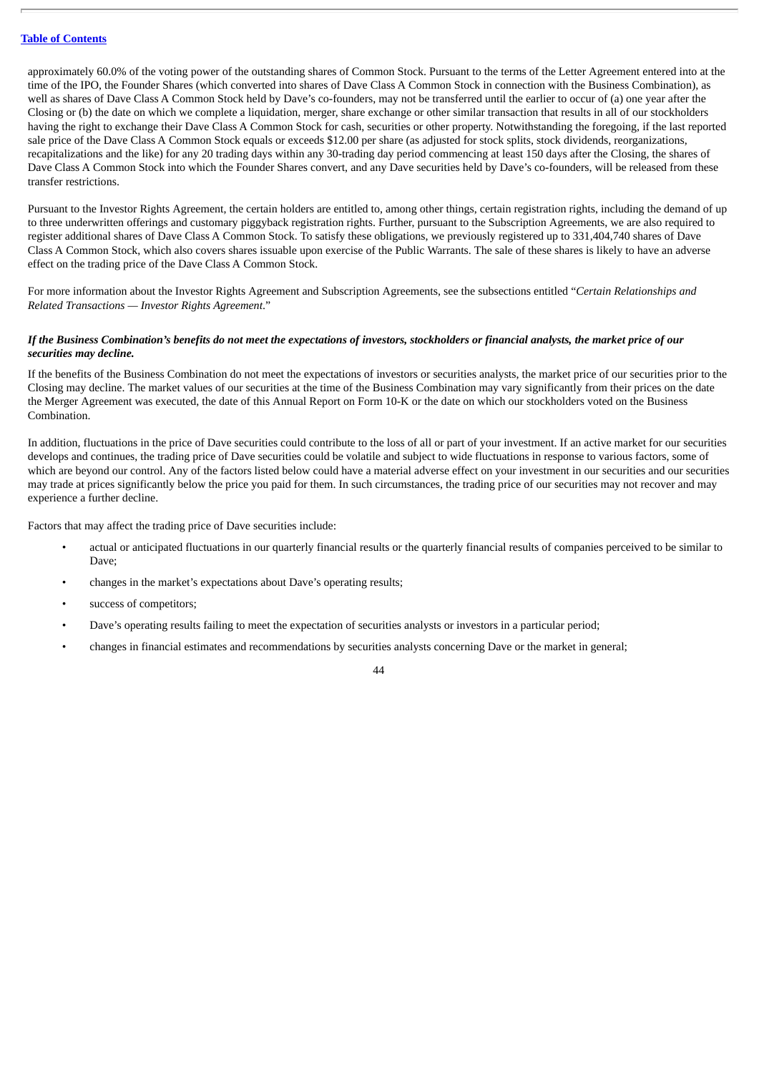approximately 60.0% of the voting power of the outstanding shares of Common Stock. Pursuant to the terms of the Letter Agreement entered into at the time of the IPO, the Founder Shares (which converted into shares of Dave Class A Common Stock in connection with the Business Combination), as well as shares of Dave Class A Common Stock held by Dave's co-founders, may not be transferred until the earlier to occur of (a) one year after the Closing or (b) the date on which we complete a liquidation, merger, share exchange or other similar transaction that results in all of our stockholders having the right to exchange their Dave Class A Common Stock for cash, securities or other property. Notwithstanding the foregoing, if the last reported sale price of the Dave Class A Common Stock equals or exceeds \$12.00 per share (as adjusted for stock splits, stock dividends, reorganizations, recapitalizations and the like) for any 20 trading days within any 30-trading day period commencing at least 150 days after the Closing, the shares of Dave Class A Common Stock into which the Founder Shares convert, and any Dave securities held by Dave's co-founders, will be released from these transfer restrictions.

Pursuant to the Investor Rights Agreement, the certain holders are entitled to, among other things, certain registration rights, including the demand of up to three underwritten offerings and customary piggyback registration rights. Further, pursuant to the Subscription Agreements, we are also required to register additional shares of Dave Class A Common Stock. To satisfy these obligations, we previously registered up to 331,404,740 shares of Dave Class A Common Stock, which also covers shares issuable upon exercise of the Public Warrants. The sale of these shares is likely to have an adverse effect on the trading price of the Dave Class A Common Stock.

For more information about the Investor Rights Agreement and Subscription Agreements, see the subsections entitled "*Certain Relationships and Related Transactions — Investor Rights Agreement*."

# If the Business Combination's benefits do not meet the expectations of investors, stockholders or financial analysts, the market price of our *securities may decline.*

If the benefits of the Business Combination do not meet the expectations of investors or securities analysts, the market price of our securities prior to the Closing may decline. The market values of our securities at the time of the Business Combination may vary significantly from their prices on the date the Merger Agreement was executed, the date of this Annual Report on Form 10-K or the date on which our stockholders voted on the Business Combination.

In addition, fluctuations in the price of Dave securities could contribute to the loss of all or part of your investment. If an active market for our securities develops and continues, the trading price of Dave securities could be volatile and subject to wide fluctuations in response to various factors, some of which are beyond our control. Any of the factors listed below could have a material adverse effect on your investment in our securities and our securities may trade at prices significantly below the price you paid for them. In such circumstances, the trading price of our securities may not recover and may experience a further decline.

Factors that may affect the trading price of Dave securities include:

- actual or anticipated fluctuations in our quarterly financial results or the quarterly financial results of companies perceived to be similar to Dave;
- changes in the market's expectations about Dave's operating results;
- success of competitors;
- Dave's operating results failing to meet the expectation of securities analysts or investors in a particular period;
- changes in financial estimates and recommendations by securities analysts concerning Dave or the market in general;

 $\overline{A}$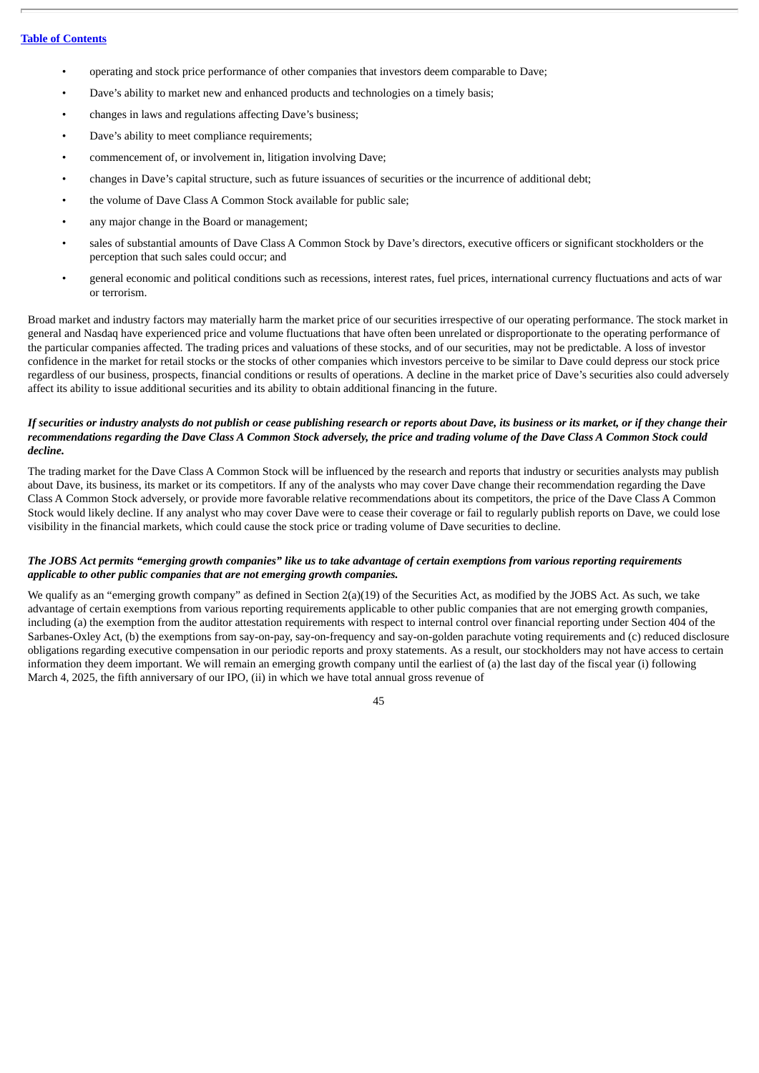- operating and stock price performance of other companies that investors deem comparable to Dave;
- Dave's ability to market new and enhanced products and technologies on a timely basis;
- changes in laws and regulations affecting Dave's business;
- Dave's ability to meet compliance requirements;
- commencement of, or involvement in, litigation involving Dave;
- changes in Dave's capital structure, such as future issuances of securities or the incurrence of additional debt;
- the volume of Dave Class A Common Stock available for public sale;
- any major change in the Board or management;
- sales of substantial amounts of Dave Class A Common Stock by Dave's directors, executive officers or significant stockholders or the perception that such sales could occur; and
- general economic and political conditions such as recessions, interest rates, fuel prices, international currency fluctuations and acts of war or terrorism.

Broad market and industry factors may materially harm the market price of our securities irrespective of our operating performance. The stock market in general and Nasdaq have experienced price and volume fluctuations that have often been unrelated or disproportionate to the operating performance of the particular companies affected. The trading prices and valuations of these stocks, and of our securities, may not be predictable. A loss of investor confidence in the market for retail stocks or the stocks of other companies which investors perceive to be similar to Dave could depress our stock price regardless of our business, prospects, financial conditions or results of operations. A decline in the market price of Dave's securities also could adversely affect its ability to issue additional securities and its ability to obtain additional financing in the future.

## If securities or industry analysts do not publish or cease publishing research or reports about Dave, its business or its market, or if they change their recommendations regarding the Dave Class A Common Stock adversely, the price and trading volume of the Dave Class A Common Stock could *decline.*

The trading market for the Dave Class A Common Stock will be influenced by the research and reports that industry or securities analysts may publish about Dave, its business, its market or its competitors. If any of the analysts who may cover Dave change their recommendation regarding the Dave Class A Common Stock adversely, or provide more favorable relative recommendations about its competitors, the price of the Dave Class A Common Stock would likely decline. If any analyst who may cover Dave were to cease their coverage or fail to regularly publish reports on Dave, we could lose visibility in the financial markets, which could cause the stock price or trading volume of Dave securities to decline.

## The JOBS Act permits "emerging growth companies" like us to take advantage of certain exemptions from various reporting requirements *applicable to other public companies that are not emerging growth companies.*

We qualify as an "emerging growth company" as defined in Section 2(a)(19) of the Securities Act, as modified by the JOBS Act. As such, we take advantage of certain exemptions from various reporting requirements applicable to other public companies that are not emerging growth companies, including (a) the exemption from the auditor attestation requirements with respect to internal control over financial reporting under Section 404 of the Sarbanes-Oxley Act, (b) the exemptions from say-on-pay, say-on-frequency and say-on-golden parachute voting requirements and (c) reduced disclosure obligations regarding executive compensation in our periodic reports and proxy statements. As a result, our stockholders may not have access to certain information they deem important. We will remain an emerging growth company until the earliest of (a) the last day of the fiscal year (i) following March 4, 2025, the fifth anniversary of our IPO, (ii) in which we have total annual gross revenue of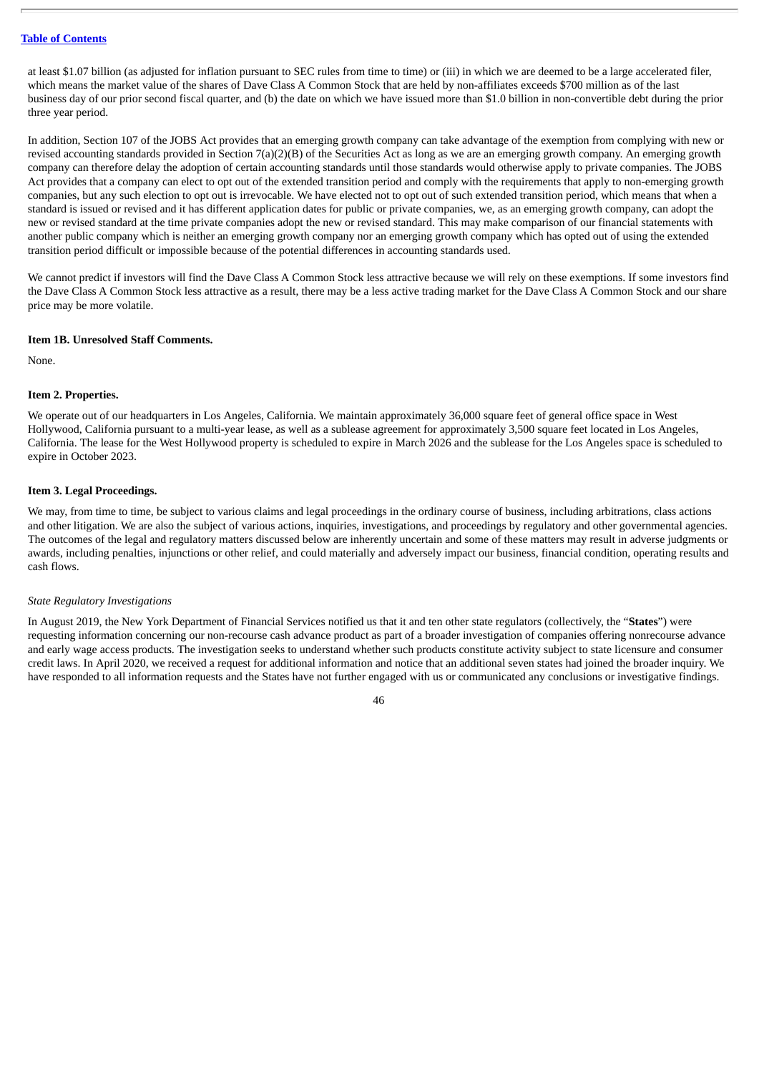at least \$1.07 billion (as adjusted for inflation pursuant to SEC rules from time to time) or (iii) in which we are deemed to be a large accelerated filer, which means the market value of the shares of Dave Class A Common Stock that are held by non-affiliates exceeds \$700 million as of the last business day of our prior second fiscal quarter, and (b) the date on which we have issued more than \$1.0 billion in non-convertible debt during the prior three year period.

In addition, Section 107 of the JOBS Act provides that an emerging growth company can take advantage of the exemption from complying with new or revised accounting standards provided in Section 7(a)(2)(B) of the Securities Act as long as we are an emerging growth company. An emerging growth company can therefore delay the adoption of certain accounting standards until those standards would otherwise apply to private companies. The JOBS Act provides that a company can elect to opt out of the extended transition period and comply with the requirements that apply to non-emerging growth companies, but any such election to opt out is irrevocable. We have elected not to opt out of such extended transition period, which means that when a standard is issued or revised and it has different application dates for public or private companies, we, as an emerging growth company, can adopt the new or revised standard at the time private companies adopt the new or revised standard. This may make comparison of our financial statements with another public company which is neither an emerging growth company nor an emerging growth company which has opted out of using the extended transition period difficult or impossible because of the potential differences in accounting standards used.

We cannot predict if investors will find the Dave Class A Common Stock less attractive because we will rely on these exemptions. If some investors find the Dave Class A Common Stock less attractive as a result, there may be a less active trading market for the Dave Class A Common Stock and our share price may be more volatile.

### **Item 1B. Unresolved Staff Comments.**

None.

### **Item 2. Properties.**

We operate out of our headquarters in Los Angeles, California. We maintain approximately 36,000 square feet of general office space in West Hollywood, California pursuant to a multi-year lease, as well as a sublease agreement for approximately 3,500 square feet located in Los Angeles, California. The lease for the West Hollywood property is scheduled to expire in March 2026 and the sublease for the Los Angeles space is scheduled to expire in October 2023.

### **Item 3. Legal Proceedings.**

We may, from time to time, be subject to various claims and legal proceedings in the ordinary course of business, including arbitrations, class actions and other litigation. We are also the subject of various actions, inquiries, investigations, and proceedings by regulatory and other governmental agencies. The outcomes of the legal and regulatory matters discussed below are inherently uncertain and some of these matters may result in adverse judgments or awards, including penalties, injunctions or other relief, and could materially and adversely impact our business, financial condition, operating results and cash flows.

### *State Regulatory Investigations*

In August 2019, the New York Department of Financial Services notified us that it and ten other state regulators (collectively, the "**States**") were requesting information concerning our non-recourse cash advance product as part of a broader investigation of companies offering nonrecourse advance and early wage access products. The investigation seeks to understand whether such products constitute activity subject to state licensure and consumer credit laws. In April 2020, we received a request for additional information and notice that an additional seven states had joined the broader inquiry. We have responded to all information requests and the States have not further engaged with us or communicated any conclusions or investigative findings.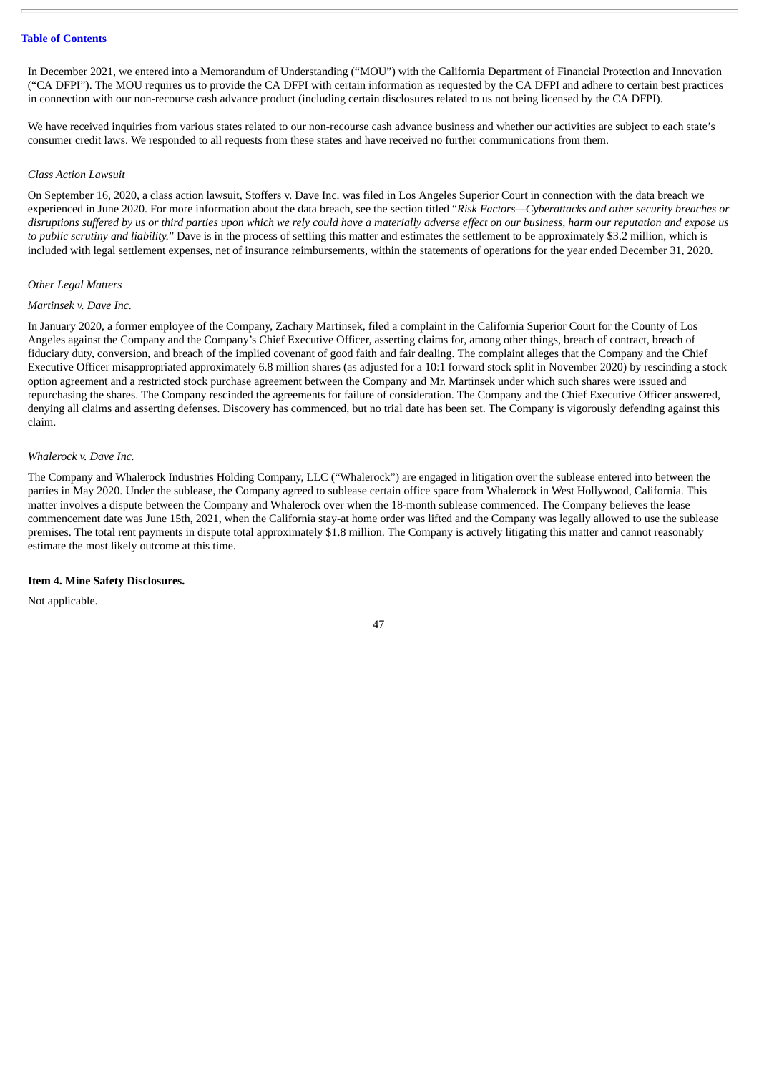In December 2021, we entered into a Memorandum of Understanding ("MOU") with the California Department of Financial Protection and Innovation ("CA DFPI"). The MOU requires us to provide the CA DFPI with certain information as requested by the CA DFPI and adhere to certain best practices in connection with our non-recourse cash advance product (including certain disclosures related to us not being licensed by the CA DFPI).

We have received inquiries from various states related to our non-recourse cash advance business and whether our activities are subject to each state's consumer credit laws. We responded to all requests from these states and have received no further communications from them.

### *Class Action Lawsuit*

On September 16, 2020, a class action lawsuit, Stoffers v. Dave Inc. was filed in Los Angeles Superior Court in connection with the data breach we experienced in June 2020. For more information about the data breach, see the section titled "*Risk Factors—Cyberattacks and other security breaches or* disruptions suffered by us or third parties upon which we rely could have a materially adverse effect on our business, harm our reputation and expose us *to public scrutiny and liability.*" Dave is in the process of settling this matter and estimates the settlement to be approximately \$3.2 million, which is included with legal settlement expenses, net of insurance reimbursements, within the statements of operations for the year ended December 31, 2020.

### *Other Legal Matters*

### *Martinsek v. Dave Inc.*

In January 2020, a former employee of the Company, Zachary Martinsek, filed a complaint in the California Superior Court for the County of Los Angeles against the Company and the Company's Chief Executive Officer, asserting claims for, among other things, breach of contract, breach of fiduciary duty, conversion, and breach of the implied covenant of good faith and fair dealing. The complaint alleges that the Company and the Chief Executive Officer misappropriated approximately 6.8 million shares (as adjusted for a 10:1 forward stock split in November 2020) by rescinding a stock option agreement and a restricted stock purchase agreement between the Company and Mr. Martinsek under which such shares were issued and repurchasing the shares. The Company rescinded the agreements for failure of consideration. The Company and the Chief Executive Officer answered, denying all claims and asserting defenses. Discovery has commenced, but no trial date has been set. The Company is vigorously defending against this claim.

### *Whalerock v. Dave Inc.*

The Company and Whalerock Industries Holding Company, LLC ("Whalerock") are engaged in litigation over the sublease entered into between the parties in May 2020. Under the sublease, the Company agreed to sublease certain office space from Whalerock in West Hollywood, California. This matter involves a dispute between the Company and Whalerock over when the 18-month sublease commenced. The Company believes the lease commencement date was June 15th, 2021, when the California stay-at home order was lifted and the Company was legally allowed to use the sublease premises. The total rent payments in dispute total approximately \$1.8 million. The Company is actively litigating this matter and cannot reasonably estimate the most likely outcome at this time.

### **Item 4. Mine Safety Disclosures.**

Not applicable.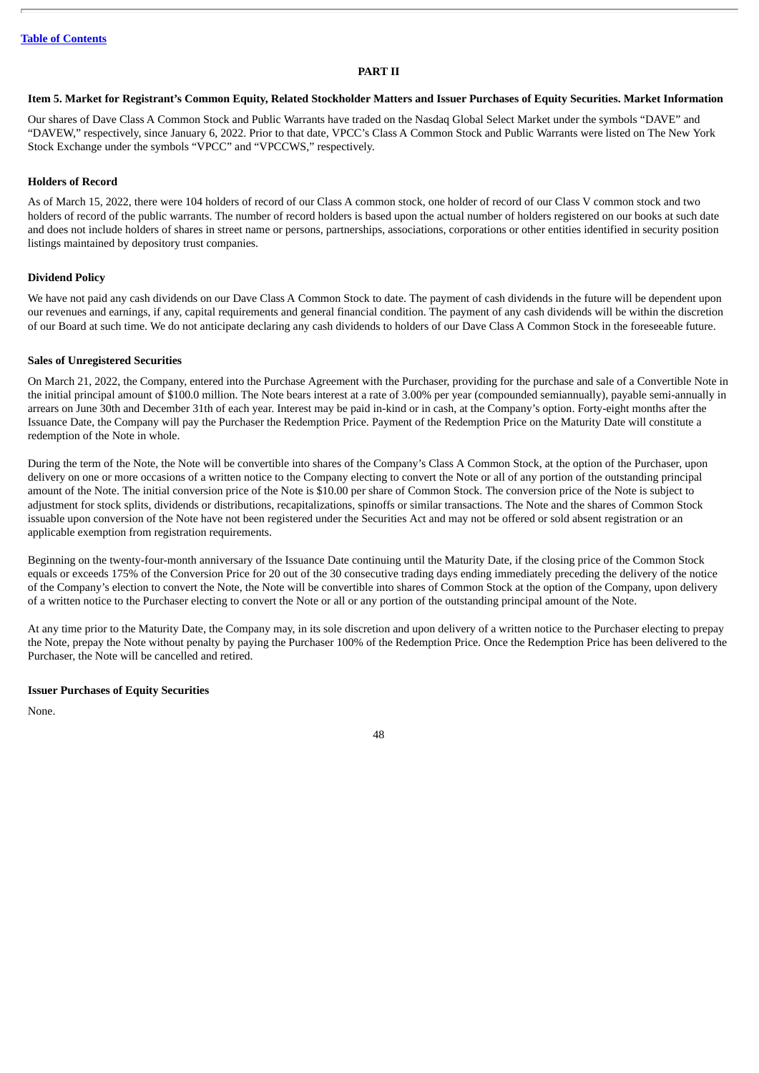## **PART II**

### Item 5. Market for Registrant's Common Equity, Related Stockholder Matters and Issuer Purchases of Equity Securities. Market Information

Our shares of Dave Class A Common Stock and Public Warrants have traded on the Nasdaq Global Select Market under the symbols "DAVE" and "DAVEW," respectively, since January 6, 2022. Prior to that date, VPCC's Class A Common Stock and Public Warrants were listed on The New York Stock Exchange under the symbols "VPCC" and "VPCCWS," respectively.

# **Holders of Record**

As of March 15, 2022, there were 104 holders of record of our Class A common stock, one holder of record of our Class V common stock and two holders of record of the public warrants. The number of record holders is based upon the actual number of holders registered on our books at such date and does not include holders of shares in street name or persons, partnerships, associations, corporations or other entities identified in security position listings maintained by depository trust companies.

## **Dividend Policy**

We have not paid any cash dividends on our Dave Class A Common Stock to date. The payment of cash dividends in the future will be dependent upon our revenues and earnings, if any, capital requirements and general financial condition. The payment of any cash dividends will be within the discretion of our Board at such time. We do not anticipate declaring any cash dividends to holders of our Dave Class A Common Stock in the foreseeable future.

### **Sales of Unregistered Securities**

On March 21, 2022, the Company, entered into the Purchase Agreement with the Purchaser, providing for the purchase and sale of a Convertible Note in the initial principal amount of \$100.0 million. The Note bears interest at a rate of 3.00% per year (compounded semiannually), payable semi-annually in arrears on June 30th and December 31th of each year. Interest may be paid in-kind or in cash, at the Company's option. Forty-eight months after the Issuance Date, the Company will pay the Purchaser the Redemption Price. Payment of the Redemption Price on the Maturity Date will constitute a redemption of the Note in whole.

During the term of the Note, the Note will be convertible into shares of the Company's Class A Common Stock, at the option of the Purchaser, upon delivery on one or more occasions of a written notice to the Company electing to convert the Note or all of any portion of the outstanding principal amount of the Note. The initial conversion price of the Note is \$10.00 per share of Common Stock. The conversion price of the Note is subject to adjustment for stock splits, dividends or distributions, recapitalizations, spinoffs or similar transactions. The Note and the shares of Common Stock issuable upon conversion of the Note have not been registered under the Securities Act and may not be offered or sold absent registration or an applicable exemption from registration requirements.

Beginning on the twenty-four-month anniversary of the Issuance Date continuing until the Maturity Date, if the closing price of the Common Stock equals or exceeds 175% of the Conversion Price for 20 out of the 30 consecutive trading days ending immediately preceding the delivery of the notice of the Company's election to convert the Note, the Note will be convertible into shares of Common Stock at the option of the Company, upon delivery of a written notice to the Purchaser electing to convert the Note or all or any portion of the outstanding principal amount of the Note.

At any time prior to the Maturity Date, the Company may, in its sole discretion and upon delivery of a written notice to the Purchaser electing to prepay the Note, prepay the Note without penalty by paying the Purchaser 100% of the Redemption Price. Once the Redemption Price has been delivered to the Purchaser, the Note will be cancelled and retired.

# **Issuer Purchases of Equity Securities**

None.

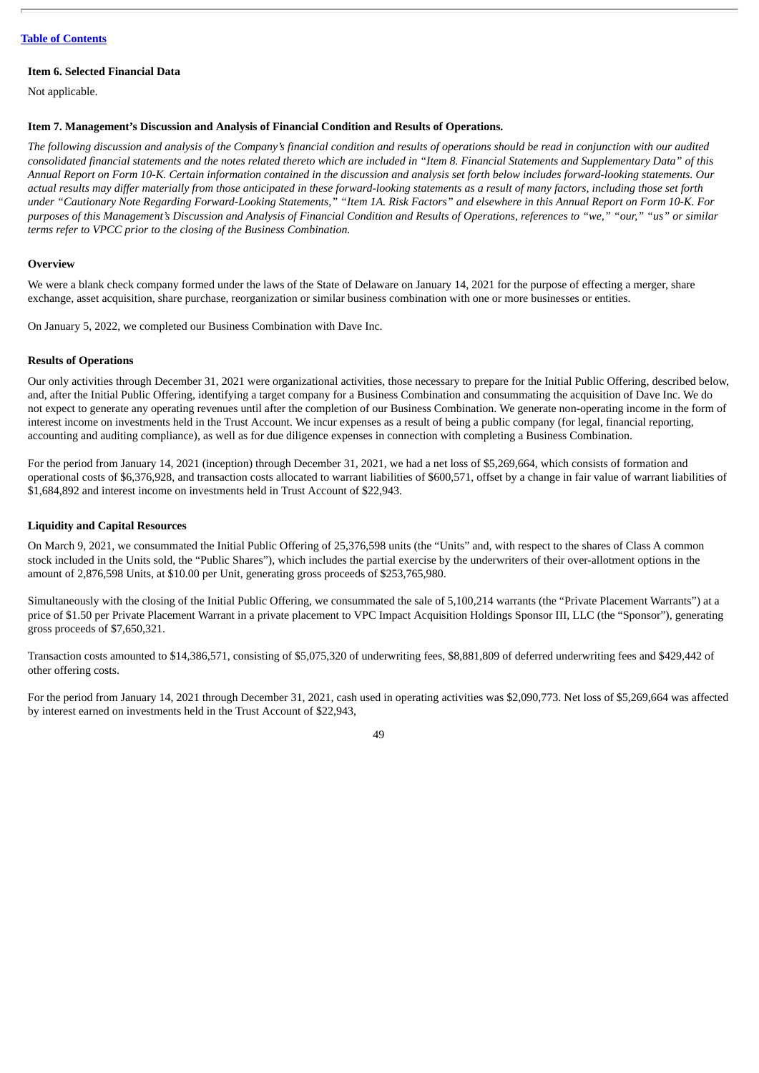## **Item 6. Selected Financial Data**

Not applicable.

# **Item 7. Management's Discussion and Analysis of Financial Condition and Results of Operations.**

The following discussion and analysis of the Company's financial condition and results of operations should be read in conjunction with our audited consolidated financial statements and the notes related thereto which are included in "Item 8. Financial Statements and Supplementary Data" of this Annual Report on Form 10-K. Certain information contained in the discussion and analysis set forth below includes forward-looking statements. Our actual results may differ materially from those anticipated in these forward-looking statements as a result of many factors, including those set forth under "Cautionary Note Regarding Forward-Looking Statements," "Item 1A. Risk Factors" and elsewhere in this Annual Report on Form 10-K. For purposes of this Management's Discussion and Analysis of Financial Condition and Results of Operations, references to "we," "our," "us" or similar *terms refer to VPCC prior to the closing of the Business Combination.*

# **Overview**

We were a blank check company formed under the laws of the State of Delaware on January 14, 2021 for the purpose of effecting a merger, share exchange, asset acquisition, share purchase, reorganization or similar business combination with one or more businesses or entities.

On January 5, 2022, we completed our Business Combination with Dave Inc.

## **Results of Operations**

Our only activities through December 31, 2021 were organizational activities, those necessary to prepare for the Initial Public Offering, described below, and, after the Initial Public Offering, identifying a target company for a Business Combination and consummating the acquisition of Dave Inc. We do not expect to generate any operating revenues until after the completion of our Business Combination. We generate non-operating income in the form of interest income on investments held in the Trust Account. We incur expenses as a result of being a public company (for legal, financial reporting, accounting and auditing compliance), as well as for due diligence expenses in connection with completing a Business Combination.

For the period from January 14, 2021 (inception) through December 31, 2021, we had a net loss of \$5,269,664, which consists of formation and operational costs of \$6,376,928, and transaction costs allocated to warrant liabilities of \$600,571, offset by a change in fair value of warrant liabilities of \$1,684,892 and interest income on investments held in Trust Account of \$22,943.

## **Liquidity and Capital Resources**

On March 9, 2021, we consummated the Initial Public Offering of 25,376,598 units (the "Units" and, with respect to the shares of Class A common stock included in the Units sold, the "Public Shares"), which includes the partial exercise by the underwriters of their over-allotment options in the amount of 2,876,598 Units, at \$10.00 per Unit, generating gross proceeds of \$253,765,980.

Simultaneously with the closing of the Initial Public Offering, we consummated the sale of 5,100,214 warrants (the "Private Placement Warrants") at a price of \$1.50 per Private Placement Warrant in a private placement to VPC Impact Acquisition Holdings Sponsor III, LLC (the "Sponsor"), generating gross proceeds of \$7,650,321.

Transaction costs amounted to \$14,386,571, consisting of \$5,075,320 of underwriting fees, \$8,881,809 of deferred underwriting fees and \$429,442 of other offering costs.

For the period from January 14, 2021 through December 31, 2021, cash used in operating activities was \$2,090,773. Net loss of \$5,269,664 was affected by interest earned on investments held in the Trust Account of \$22,943,

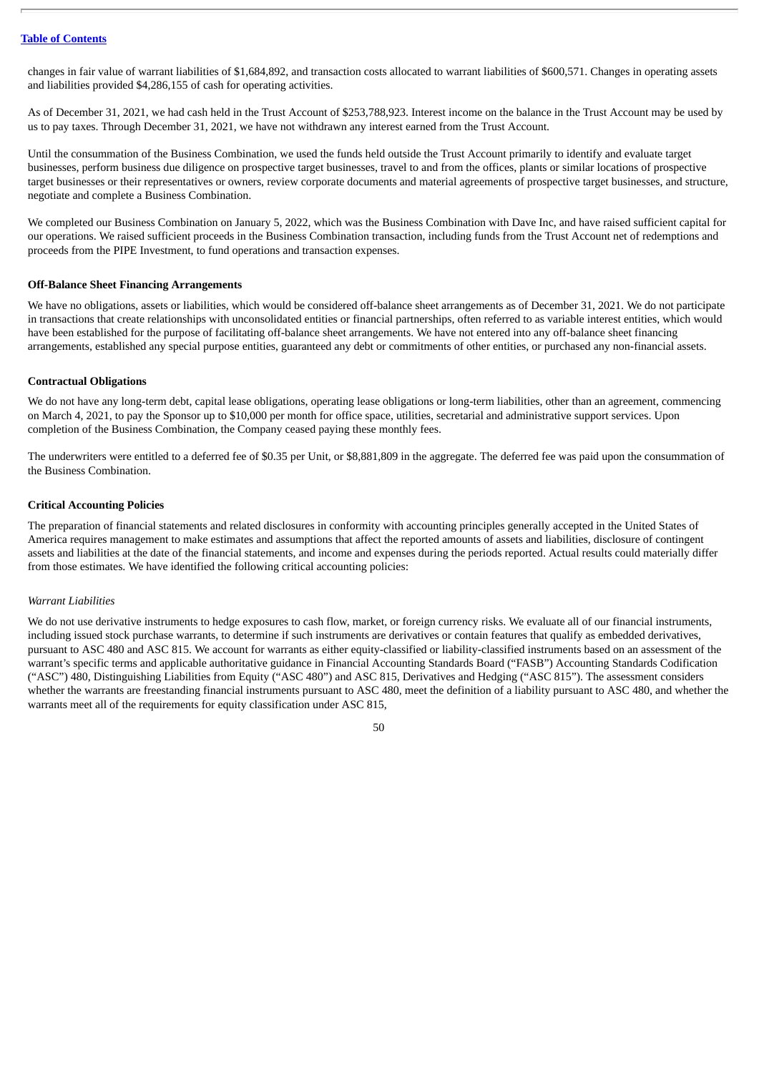changes in fair value of warrant liabilities of \$1,684,892, and transaction costs allocated to warrant liabilities of \$600,571. Changes in operating assets and liabilities provided \$4,286,155 of cash for operating activities.

As of December 31, 2021, we had cash held in the Trust Account of \$253,788,923. Interest income on the balance in the Trust Account may be used by us to pay taxes. Through December 31, 2021, we have not withdrawn any interest earned from the Trust Account.

Until the consummation of the Business Combination, we used the funds held outside the Trust Account primarily to identify and evaluate target businesses, perform business due diligence on prospective target businesses, travel to and from the offices, plants or similar locations of prospective target businesses or their representatives or owners, review corporate documents and material agreements of prospective target businesses, and structure, negotiate and complete a Business Combination.

We completed our Business Combination on January 5, 2022, which was the Business Combination with Dave Inc, and have raised sufficient capital for our operations. We raised sufficient proceeds in the Business Combination transaction, including funds from the Trust Account net of redemptions and proceeds from the PIPE Investment, to fund operations and transaction expenses.

## **Off-Balance Sheet Financing Arrangements**

We have no obligations, assets or liabilities, which would be considered off-balance sheet arrangements as of December 31, 2021. We do not participate in transactions that create relationships with unconsolidated entities or financial partnerships, often referred to as variable interest entities, which would have been established for the purpose of facilitating off-balance sheet arrangements. We have not entered into any off-balance sheet financing arrangements, established any special purpose entities, guaranteed any debt or commitments of other entities, or purchased any non-financial assets.

### **Contractual Obligations**

We do not have any long-term debt, capital lease obligations, operating lease obligations or long-term liabilities, other than an agreement, commencing on March 4, 2021, to pay the Sponsor up to \$10,000 per month for office space, utilities, secretarial and administrative support services. Upon completion of the Business Combination, the Company ceased paying these monthly fees.

The underwriters were entitled to a deferred fee of \$0.35 per Unit, or \$8,881,809 in the aggregate. The deferred fee was paid upon the consummation of the Business Combination.

## **Critical Accounting Policies**

The preparation of financial statements and related disclosures in conformity with accounting principles generally accepted in the United States of America requires management to make estimates and assumptions that affect the reported amounts of assets and liabilities, disclosure of contingent assets and liabilities at the date of the financial statements, and income and expenses during the periods reported. Actual results could materially differ from those estimates. We have identified the following critical accounting policies:

### *Warrant Liabilities*

We do not use derivative instruments to hedge exposures to cash flow, market, or foreign currency risks. We evaluate all of our financial instruments, including issued stock purchase warrants, to determine if such instruments are derivatives or contain features that qualify as embedded derivatives, pursuant to ASC 480 and ASC 815. We account for warrants as either equity-classified or liability-classified instruments based on an assessment of the warrant's specific terms and applicable authoritative guidance in Financial Accounting Standards Board ("FASB") Accounting Standards Codification ("ASC") 480, Distinguishing Liabilities from Equity ("ASC 480") and ASC 815, Derivatives and Hedging ("ASC 815"). The assessment considers whether the warrants are freestanding financial instruments pursuant to ASC 480, meet the definition of a liability pursuant to ASC 480, and whether the warrants meet all of the requirements for equity classification under ASC 815,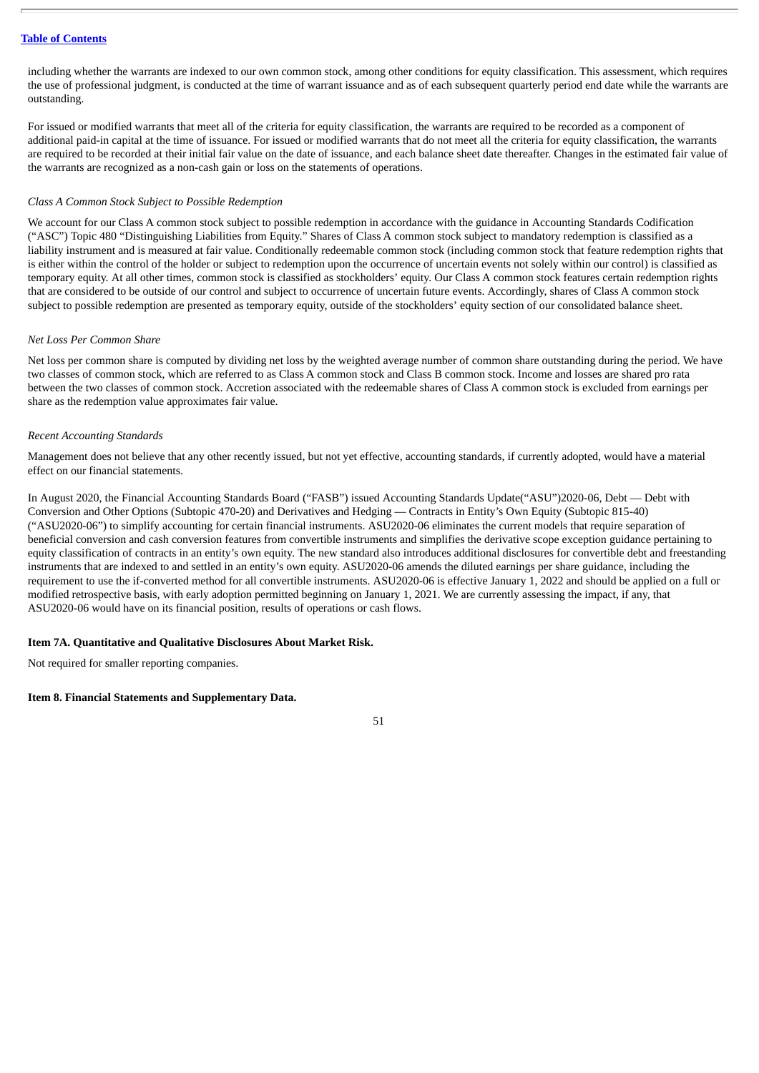including whether the warrants are indexed to our own common stock, among other conditions for equity classification. This assessment, which requires the use of professional judgment, is conducted at the time of warrant issuance and as of each subsequent quarterly period end date while the warrants are outstanding.

For issued or modified warrants that meet all of the criteria for equity classification, the warrants are required to be recorded as a component of additional paid-in capital at the time of issuance. For issued or modified warrants that do not meet all the criteria for equity classification, the warrants are required to be recorded at their initial fair value on the date of issuance, and each balance sheet date thereafter. Changes in the estimated fair value of the warrants are recognized as a non-cash gain or loss on the statements of operations.

## *Class A Common Stock Subject to Possible Redemption*

We account for our Class A common stock subject to possible redemption in accordance with the guidance in Accounting Standards Codification ("ASC") Topic 480 "Distinguishing Liabilities from Equity." Shares of Class A common stock subject to mandatory redemption is classified as a liability instrument and is measured at fair value. Conditionally redeemable common stock (including common stock that feature redemption rights that is either within the control of the holder or subject to redemption upon the occurrence of uncertain events not solely within our control) is classified as temporary equity. At all other times, common stock is classified as stockholders' equity. Our Class A common stock features certain redemption rights that are considered to be outside of our control and subject to occurrence of uncertain future events. Accordingly, shares of Class A common stock subject to possible redemption are presented as temporary equity, outside of the stockholders' equity section of our consolidated balance sheet.

### *Net Loss Per Common Share*

Net loss per common share is computed by dividing net loss by the weighted average number of common share outstanding during the period. We have two classes of common stock, which are referred to as Class A common stock and Class B common stock. Income and losses are shared pro rata between the two classes of common stock. Accretion associated with the redeemable shares of Class A common stock is excluded from earnings per share as the redemption value approximates fair value.

## *Recent Accounting Standards*

Management does not believe that any other recently issued, but not yet effective, accounting standards, if currently adopted, would have a material effect on our financial statements.

In August 2020, the Financial Accounting Standards Board ("FASB") issued Accounting Standards Update("ASU")2020-06, Debt — Debt with Conversion and Other Options (Subtopic 470-20) and Derivatives and Hedging — Contracts in Entity's Own Equity (Subtopic 815-40) ("ASU2020-06") to simplify accounting for certain financial instruments. ASU2020-06 eliminates the current models that require separation of beneficial conversion and cash conversion features from convertible instruments and simplifies the derivative scope exception guidance pertaining to equity classification of contracts in an entity's own equity. The new standard also introduces additional disclosures for convertible debt and freestanding instruments that are indexed to and settled in an entity's own equity. ASU2020-06 amends the diluted earnings per share guidance, including the requirement to use the if-converted method for all convertible instruments. ASU2020-06 is effective January 1, 2022 and should be applied on a full or modified retrospective basis, with early adoption permitted beginning on January 1, 2021. We are currently assessing the impact, if any, that ASU2020-06 would have on its financial position, results of operations or cash flows.

51

# **Item 7A. Quantitative and Qualitative Disclosures About Market Risk.**

Not required for smaller reporting companies.

# **Item 8. Financial Statements and Supplementary Data.**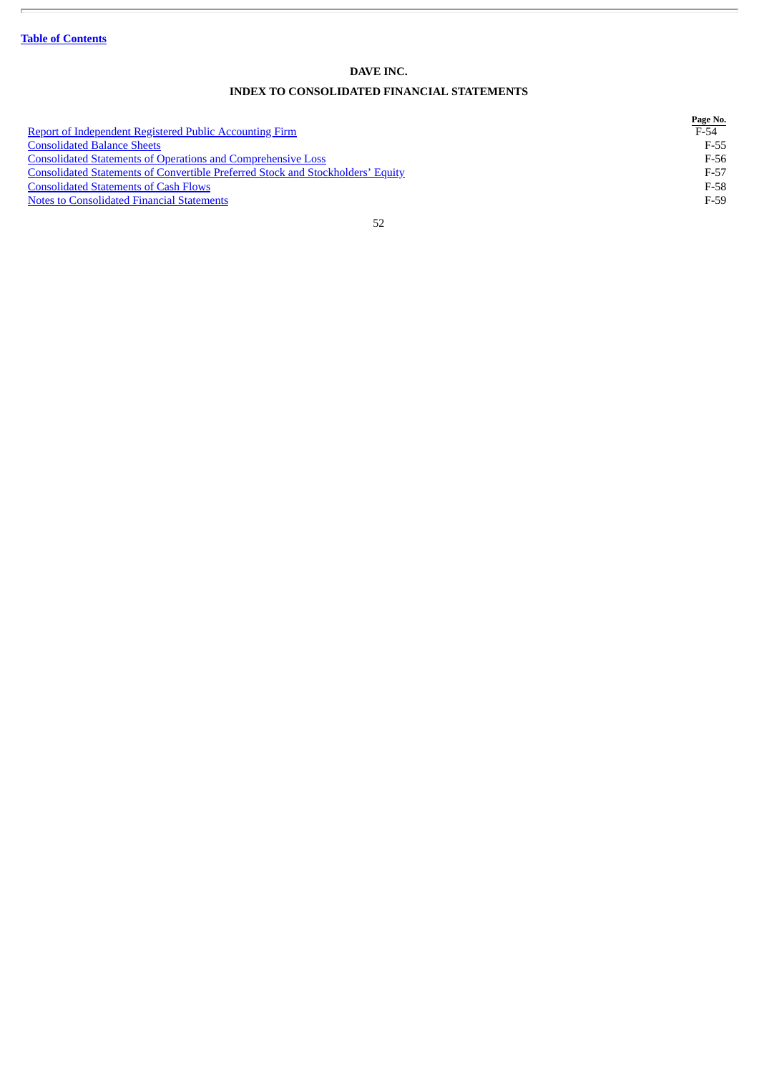$\Box$ 

# **DAVE INC.**

 $\overline{\phantom{a}}$ 

# **INDEX TO CONSOLIDATED FINANCIAL STATEMENTS**

| <b>Report of Independent Registered Public Accounting Firm</b>                         | Page No.<br>$F-54$ |
|----------------------------------------------------------------------------------------|--------------------|
| <b>Consolidated Balance Sheets</b>                                                     | $F-55$             |
| <b>Consolidated Statements of Operations and Comprehensive Loss</b>                    | F-56               |
| <b>Consolidated Statements of Convertible Preferred Stock and Stockholders' Equity</b> | F-57               |
| <b>Consolidated Statements of Cash Flows</b>                                           | F-58               |
| Notes to Consolidated Financial Statements                                             | F-59               |
|                                                                                        |                    |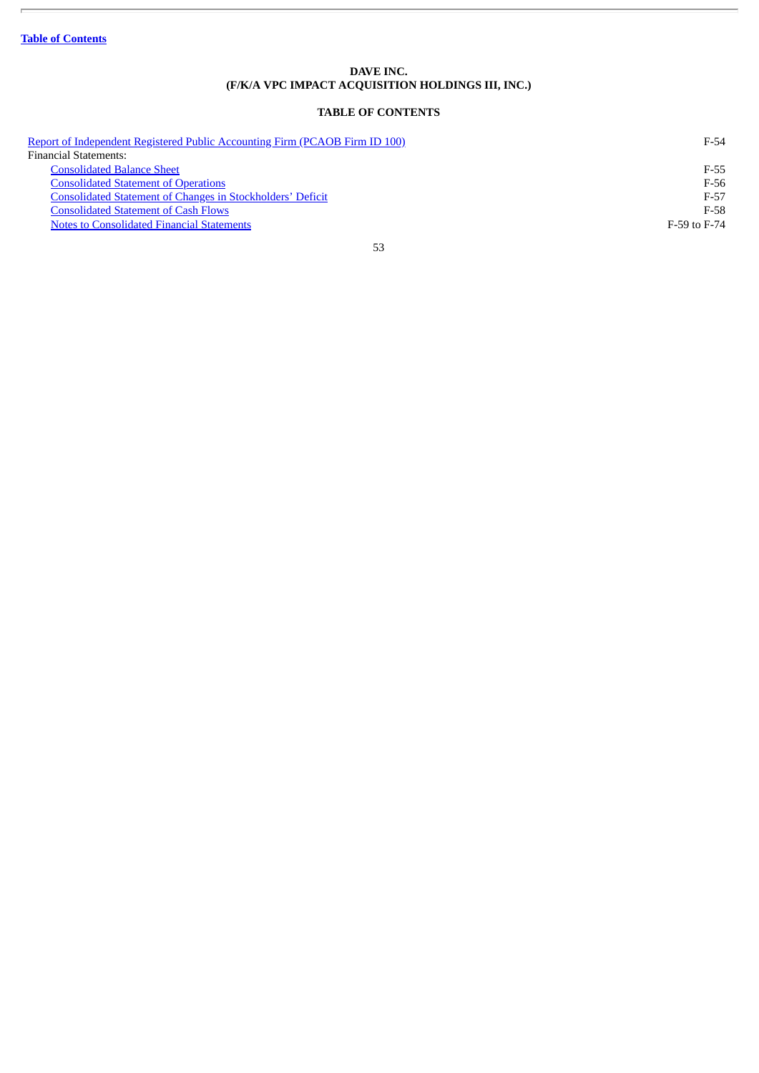$\overline{\phantom{a}}$ 

### **DAVE INC. (F/K/A VPC IMPACT ACQUISITION HOLDINGS III, INC.)**

# **TABLE OF CONTENTS**

| Report of Independent Registered Public Accounting Firm (PCAOB Firm ID 100) | F-54         |
|-----------------------------------------------------------------------------|--------------|
| <b>Financial Statements:</b>                                                |              |
| <b>Consolidated Balance Sheet</b>                                           | F-55         |
| <b>Consolidated Statement of Operations</b>                                 | F-56         |
| <b>Consolidated Statement of Changes in Stockholders' Deficit</b>           | F-57         |
| <b>Consolidated Statement of Cash Flows</b>                                 | F-58         |
| <b>Notes to Consolidated Financial Statements</b>                           | F-59 to F-74 |
| cэ                                                                          |              |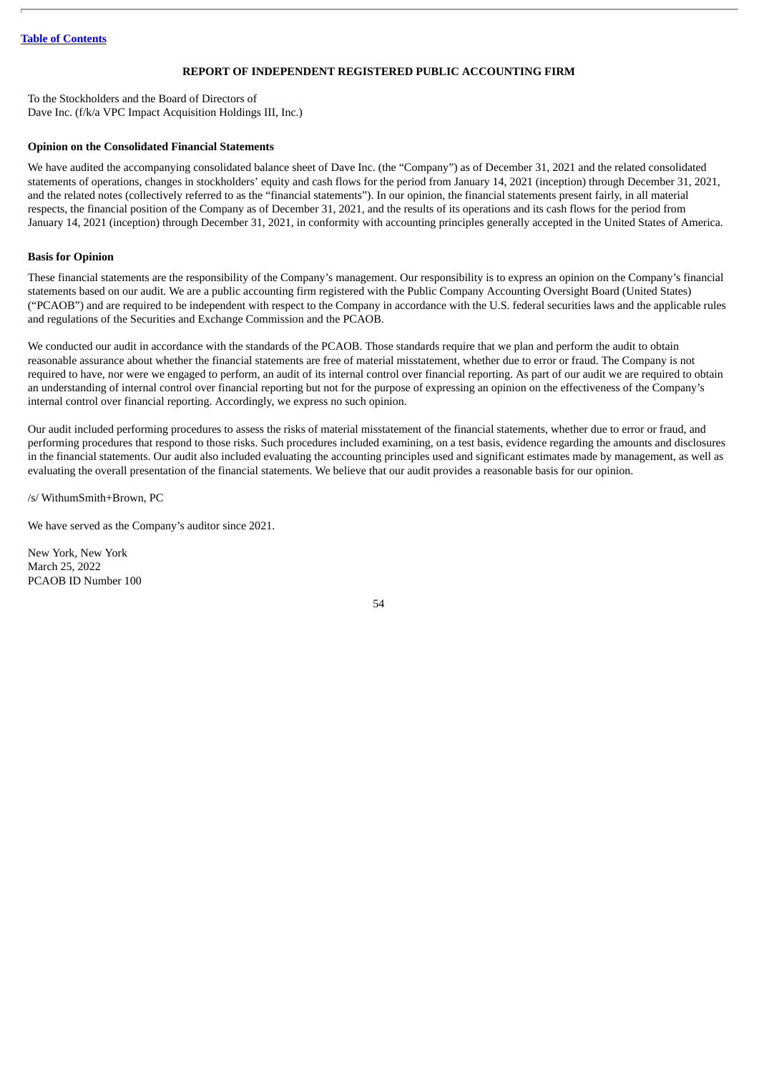# **REPORT OF INDEPENDENT REGISTERED PUBLIC ACCOUNTING FIRM**

<span id="page-55-0"></span>To the Stockholders and the Board of Directors of Dave Inc. (f/k/a VPC Impact Acquisition Holdings III, Inc.)

# **Opinion on the Consolidated Financial Statements**

We have audited the accompanying consolidated balance sheet of Dave Inc. (the "Company") as of December 31, 2021 and the related consolidated statements of operations, changes in stockholders' equity and cash flows for the period from January 14, 2021 (inception) through December 31, 2021, and the related notes (collectively referred to as the "financial statements"). In our opinion, the financial statements present fairly, in all material respects, the financial position of the Company as of December 31, 2021, and the results of its operations and its cash flows for the period from January 14, 2021 (inception) through December 31, 2021, in conformity with accounting principles generally accepted in the United States of America.

# **Basis for Opinion**

These financial statements are the responsibility of the Company's management. Our responsibility is to express an opinion on the Company's financial statements based on our audit. We are a public accounting firm registered with the Public Company Accounting Oversight Board (United States) ("PCAOB") and are required to be independent with respect to the Company in accordance with the U.S. federal securities laws and the applicable rules and regulations of the Securities and Exchange Commission and the PCAOB.

We conducted our audit in accordance with the standards of the PCAOB. Those standards require that we plan and perform the audit to obtain reasonable assurance about whether the financial statements are free of material misstatement, whether due to error or fraud. The Company is not required to have, nor were we engaged to perform, an audit of its internal control over financial reporting. As part of our audit we are required to obtain an understanding of internal control over financial reporting but not for the purpose of expressing an opinion on the effectiveness of the Company's internal control over financial reporting. Accordingly, we express no such opinion.

Our audit included performing procedures to assess the risks of material misstatement of the financial statements, whether due to error or fraud, and performing procedures that respond to those risks. Such procedures included examining, on a test basis, evidence regarding the amounts and disclosures in the financial statements. Our audit also included evaluating the accounting principles used and significant estimates made by management, as well as evaluating the overall presentation of the financial statements. We believe that our audit provides a reasonable basis for our opinion.

/s/ WithumSmith+Brown, PC

We have served as the Company's auditor since 2021.

New York, New York March 25, 2022 PCAOB ID Number 100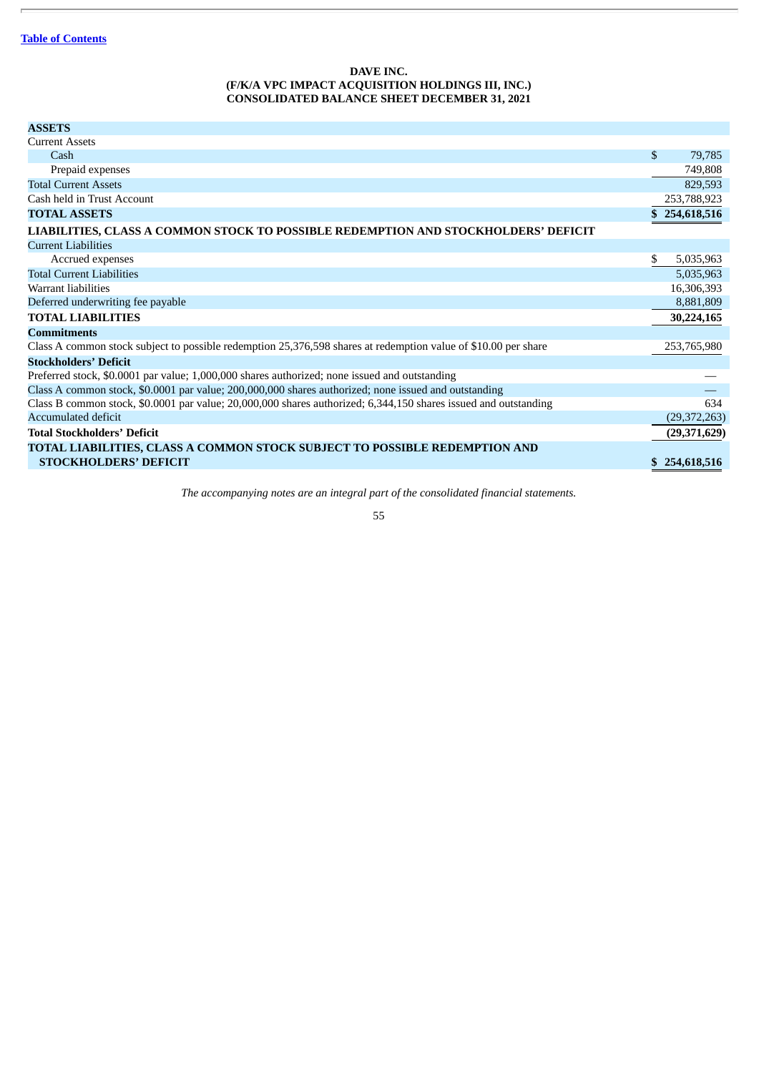## **DAVE INC. (F/K/A VPC IMPACT ACQUISITION HOLDINGS III, INC.) CONSOLIDATED BALANCE SHEET DECEMBER 31, 2021**

<span id="page-56-0"></span>

| <b>ASSETS</b>                                                                                                   |                    |
|-----------------------------------------------------------------------------------------------------------------|--------------------|
| <b>Current Assets</b>                                                                                           |                    |
| Cash                                                                                                            | \$<br>79,785       |
| Prepaid expenses                                                                                                | 749,808            |
| <b>Total Current Assets</b>                                                                                     | 829,593            |
| Cash held in Trust Account                                                                                      | 253,788,923        |
| <b>TOTAL ASSETS</b>                                                                                             | 254,618,516<br>\$  |
| LIABILITIES, CLASS A COMMON STOCK TO POSSIBLE REDEMPTION AND STOCKHOLDERS' DEFICIT                              |                    |
| <b>Current Liabilities</b>                                                                                      |                    |
| Accrued expenses                                                                                                | \$<br>5,035,963    |
| <b>Total Current Liabilities</b>                                                                                | 5,035,963          |
| Warrant liabilities                                                                                             | 16,306,393         |
| Deferred underwriting fee payable                                                                               | 8,881,809          |
| <b>TOTAL LIABILITIES</b>                                                                                        | 30,224,165         |
| <b>Commitments</b>                                                                                              |                    |
| Class A common stock subject to possible redemption 25,376,598 shares at redemption value of \$10.00 per share  | 253,765,980        |
| <b>Stockholders' Deficit</b>                                                                                    |                    |
| Preferred stock, \$0.0001 par value; 1,000,000 shares authorized; none issued and outstanding                   |                    |
| Class A common stock, \$0.0001 par value; 200,000,000 shares authorized; none issued and outstanding            |                    |
| Class B common stock, \$0.0001 par value; 20,000,000 shares authorized; 6,344,150 shares issued and outstanding | 634                |
| <b>Accumulated deficit</b>                                                                                      | (29, 372, 263)     |
| <b>Total Stockholders' Deficit</b>                                                                              | (29, 371, 629)     |
| TOTAL LIABILITIES, CLASS A COMMON STOCK SUBJECT TO POSSIBLE REDEMPTION AND                                      |                    |
| <b>STOCKHOLDERS' DEFICIT</b>                                                                                    | 254,618,516<br>\$. |

*The accompanying notes are an integral part of the consolidated financial statements.*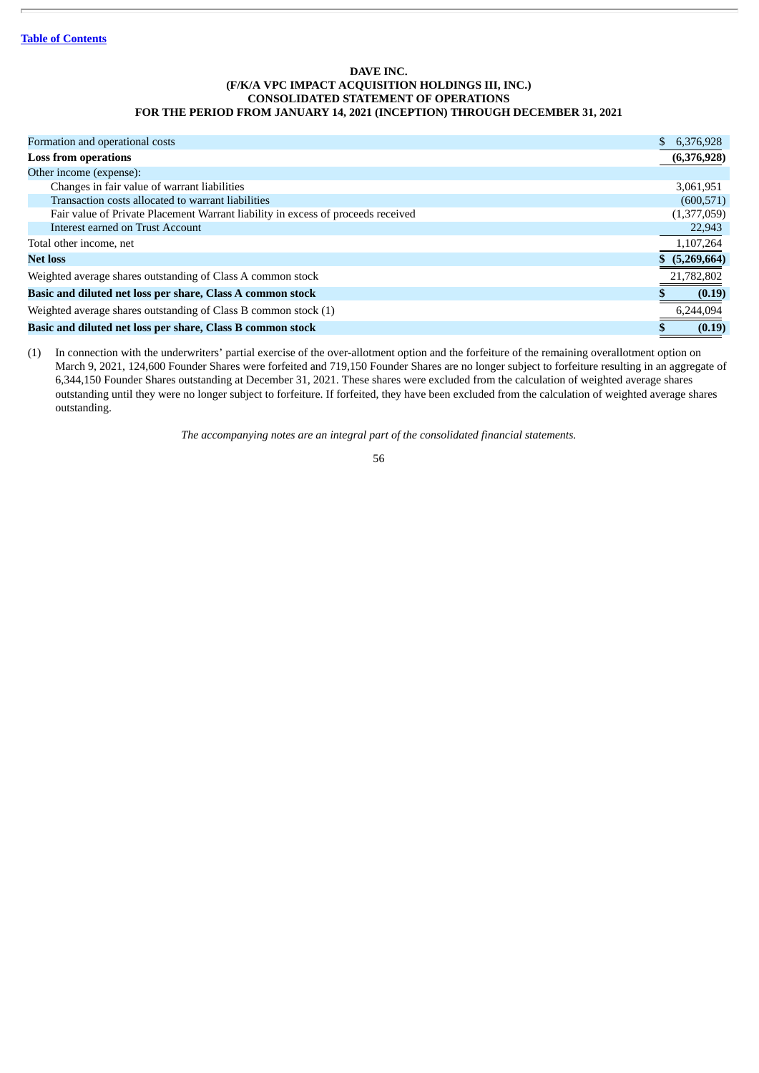# **DAVE INC. (F/K/A VPC IMPACT ACQUISITION HOLDINGS III, INC.) CONSOLIDATED STATEMENT OF OPERATIONS FOR THE PERIOD FROM JANUARY 14, 2021 (INCEPTION) THROUGH DECEMBER 31, 2021**

<span id="page-57-0"></span>

| Formation and operational costs                                                  | 6,376,928<br>\$ |
|----------------------------------------------------------------------------------|-----------------|
| <b>Loss from operations</b>                                                      | (6,376,928)     |
| Other income (expense):                                                          |                 |
| Changes in fair value of warrant liabilities                                     | 3,061,951       |
| Transaction costs allocated to warrant liabilities                               | (600, 571)      |
| Fair value of Private Placement Warrant liability in excess of proceeds received | (1,377,059)     |
| Interest earned on Trust Account                                                 | 22,943          |
| Total other income, net                                                          | 1,107,264       |
| <b>Net loss</b>                                                                  | $$$ (5,269,664) |
| Weighted average shares outstanding of Class A common stock                      | 21,782,802      |
| Basic and diluted net loss per share, Class A common stock                       | (0.19)          |
| Weighted average shares outstanding of Class B common stock (1)                  | 6,244,094       |
| Basic and diluted net loss per share, Class B common stock                       | (0.19)          |

(1) In connection with the underwriters' partial exercise of the over-allotment option and the forfeiture of the remaining overallotment option on March 9, 2021, 124,600 Founder Shares were forfeited and 719,150 Founder Shares are no longer subject to forfeiture resulting in an aggregate of 6,344,150 Founder Shares outstanding at December 31, 2021. These shares were excluded from the calculation of weighted average shares outstanding until they were no longer subject to forfeiture. If forfeited, they have been excluded from the calculation of weighted average shares outstanding.

*The accompanying notes are an integral part of the consolidated financial statements.*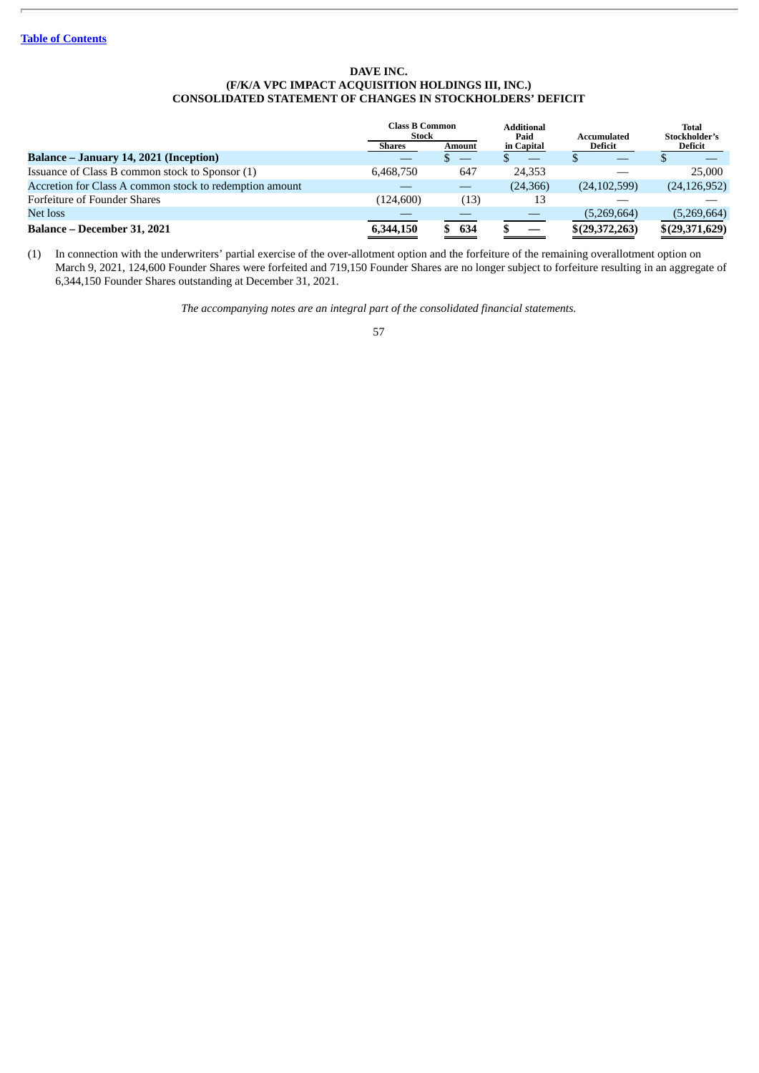# **DAVE INC. (F/K/A VPC IMPACT ACQUISITION HOLDINGS III, INC.) CONSOLIDATED STATEMENT OF CHANGES IN STOCKHOLDERS' DEFICIT**

<span id="page-58-0"></span>

|                                                         | <b>Class B Common</b><br>Stock |        | <b>Additional</b><br>Paid | Accumulated      | Total<br>Stockholder's |
|---------------------------------------------------------|--------------------------------|--------|---------------------------|------------------|------------------------|
|                                                         | Shares                         | Amount | in Capital                | Deficit          | <b>Deficit</b>         |
| Balance – January 14, 2021 (Inception)                  |                                |        |                           |                  |                        |
| Issuance of Class B common stock to Sponsor (1)         | 6.468.750                      | 647    | 24,353                    |                  | 25,000                 |
| Accretion for Class A common stock to redemption amount |                                |        | (24, 366)                 | (24, 102, 599)   | (24, 126, 952)         |
| Forfeiture of Founder Shares                            | (124, 600)                     | (13)   | 13                        |                  |                        |
| Net loss                                                |                                |        |                           | (5,269,664)      | (5,269,664)            |
| Balance – December 31, 2021                             | 6,344,150                      | \$634  |                           | \$(29, 372, 263) | \$(29,371,629)         |

(1) In connection with the underwriters' partial exercise of the over-allotment option and the forfeiture of the remaining overallotment option on March 9, 2021, 124,600 Founder Shares were forfeited and 719,150 Founder Shares are no longer subject to forfeiture resulting in an aggregate of 6,344,150 Founder Shares outstanding at December 31, 2021.

*The accompanying notes are an integral part of the consolidated financial statements.*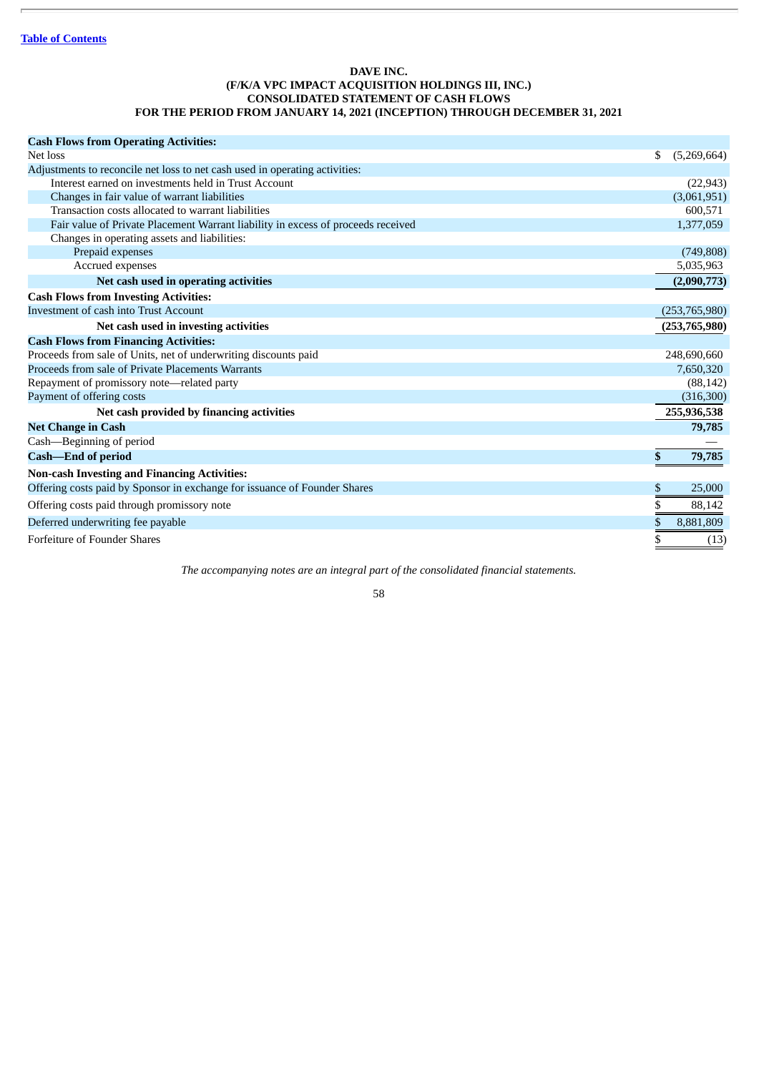# **DAVE INC. (F/K/A VPC IMPACT ACQUISITION HOLDINGS III, INC.) CONSOLIDATED STATEMENT OF CASH FLOWS FOR THE PERIOD FROM JANUARY 14, 2021 (INCEPTION) THROUGH DECEMBER 31, 2021**

<span id="page-59-0"></span>

| <b>Cash Flows from Operating Activities:</b>                                     |                   |
|----------------------------------------------------------------------------------|-------------------|
| Net loss                                                                         | \$<br>(5,269,664) |
| Adjustments to reconcile net loss to net cash used in operating activities:      |                   |
| Interest earned on investments held in Trust Account                             | (22, 943)         |
| Changes in fair value of warrant liabilities                                     | (3,061,951)       |
| Transaction costs allocated to warrant liabilities                               | 600,571           |
| Fair value of Private Placement Warrant liability in excess of proceeds received | 1,377,059         |
| Changes in operating assets and liabilities:                                     |                   |
| Prepaid expenses                                                                 | (749, 808)        |
| Accrued expenses                                                                 | 5,035,963         |
| Net cash used in operating activities                                            | (2,090,773)       |
| <b>Cash Flows from Investing Activities:</b>                                     |                   |
| Investment of cash into Trust Account                                            | (253,765,980)     |
| Net cash used in investing activities                                            | (253,765,980)     |
| <b>Cash Flows from Financing Activities:</b>                                     |                   |
| Proceeds from sale of Units, net of underwriting discounts paid                  | 248,690,660       |
| Proceeds from sale of Private Placements Warrants                                | 7,650,320         |
| Repayment of promissory note-related party                                       | (88, 142)         |
| Payment of offering costs                                                        | (316, 300)        |
| Net cash provided by financing activities                                        | 255,936,538       |
| <b>Net Change in Cash</b>                                                        | 79,785            |
| Cash-Beginning of period                                                         |                   |
| <b>Cash-End of period</b>                                                        | \$<br>79,785      |
| <b>Non-cash Investing and Financing Activities:</b>                              |                   |
| Offering costs paid by Sponsor in exchange for issuance of Founder Shares        | \$<br>25,000      |
| Offering costs paid through promissory note                                      | \$<br>88,142      |
| Deferred underwriting fee payable                                                | \$<br>8,881,809   |
| Forfeiture of Founder Shares                                                     | (13               |
|                                                                                  |                   |

*The accompanying notes are an integral part of the consolidated financial statements.*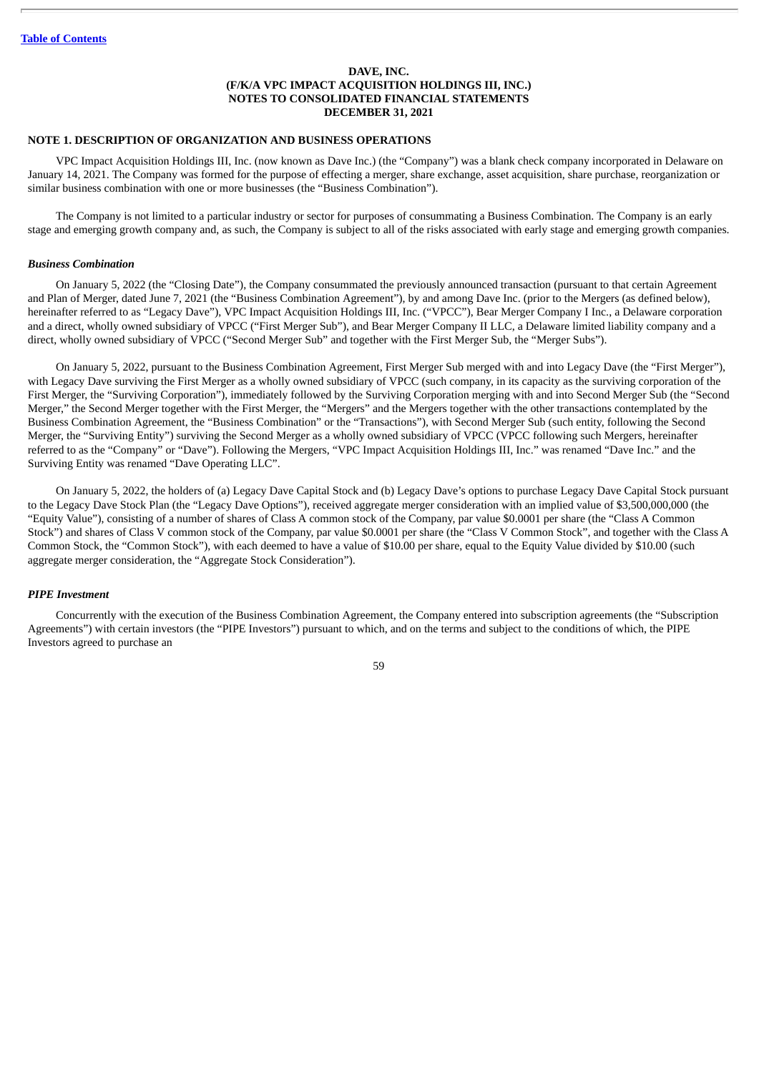# <span id="page-60-0"></span>**NOTE 1. DESCRIPTION OF ORGANIZATION AND BUSINESS OPERATIONS**

VPC Impact Acquisition Holdings III, Inc. (now known as Dave Inc.) (the "Company") was a blank check company incorporated in Delaware on January 14, 2021. The Company was formed for the purpose of effecting a merger, share exchange, asset acquisition, share purchase, reorganization or similar business combination with one or more businesses (the "Business Combination").

The Company is not limited to a particular industry or sector for purposes of consummating a Business Combination. The Company is an early stage and emerging growth company and, as such, the Company is subject to all of the risks associated with early stage and emerging growth companies.

#### *Business Combination*

On January 5, 2022 (the "Closing Date"), the Company consummated the previously announced transaction (pursuant to that certain Agreement and Plan of Merger, dated June 7, 2021 (the "Business Combination Agreement"), by and among Dave Inc. (prior to the Mergers (as defined below), hereinafter referred to as "Legacy Dave"), VPC Impact Acquisition Holdings III, Inc. ("VPCC"), Bear Merger Company I Inc., a Delaware corporation and a direct, wholly owned subsidiary of VPCC ("First Merger Sub"), and Bear Merger Company II LLC, a Delaware limited liability company and a direct, wholly owned subsidiary of VPCC ("Second Merger Sub" and together with the First Merger Sub, the "Merger Subs").

On January 5, 2022, pursuant to the Business Combination Agreement, First Merger Sub merged with and into Legacy Dave (the "First Merger"), with Legacy Dave surviving the First Merger as a wholly owned subsidiary of VPCC (such company, in its capacity as the surviving corporation of the First Merger, the "Surviving Corporation"), immediately followed by the Surviving Corporation merging with and into Second Merger Sub (the "Second Merger," the Second Merger together with the First Merger, the "Mergers" and the Mergers together with the other transactions contemplated by the Business Combination Agreement, the "Business Combination" or the "Transactions"), with Second Merger Sub (such entity, following the Second Merger, the "Surviving Entity") surviving the Second Merger as a wholly owned subsidiary of VPCC (VPCC following such Mergers, hereinafter referred to as the "Company" or "Dave"). Following the Mergers, "VPC Impact Acquisition Holdings III, Inc." was renamed "Dave Inc." and the Surviving Entity was renamed "Dave Operating LLC".

On January 5, 2022, the holders of (a) Legacy Dave Capital Stock and (b) Legacy Dave's options to purchase Legacy Dave Capital Stock pursuant to the Legacy Dave Stock Plan (the "Legacy Dave Options"), received aggregate merger consideration with an implied value of \$3,500,000,000 (the "Equity Value"), consisting of a number of shares of Class A common stock of the Company, par value \$0.0001 per share (the "Class A Common Stock") and shares of Class V common stock of the Company, par value \$0.0001 per share (the "Class V Common Stock", and together with the Class A Common Stock, the "Common Stock"), with each deemed to have a value of \$10.00 per share, equal to the Equity Value divided by \$10.00 (such aggregate merger consideration, the "Aggregate Stock Consideration").

### *PIPE Investment*

Concurrently with the execution of the Business Combination Agreement, the Company entered into subscription agreements (the "Subscription Agreements") with certain investors (the "PIPE Investors") pursuant to which, and on the terms and subject to the conditions of which, the PIPE Investors agreed to purchase an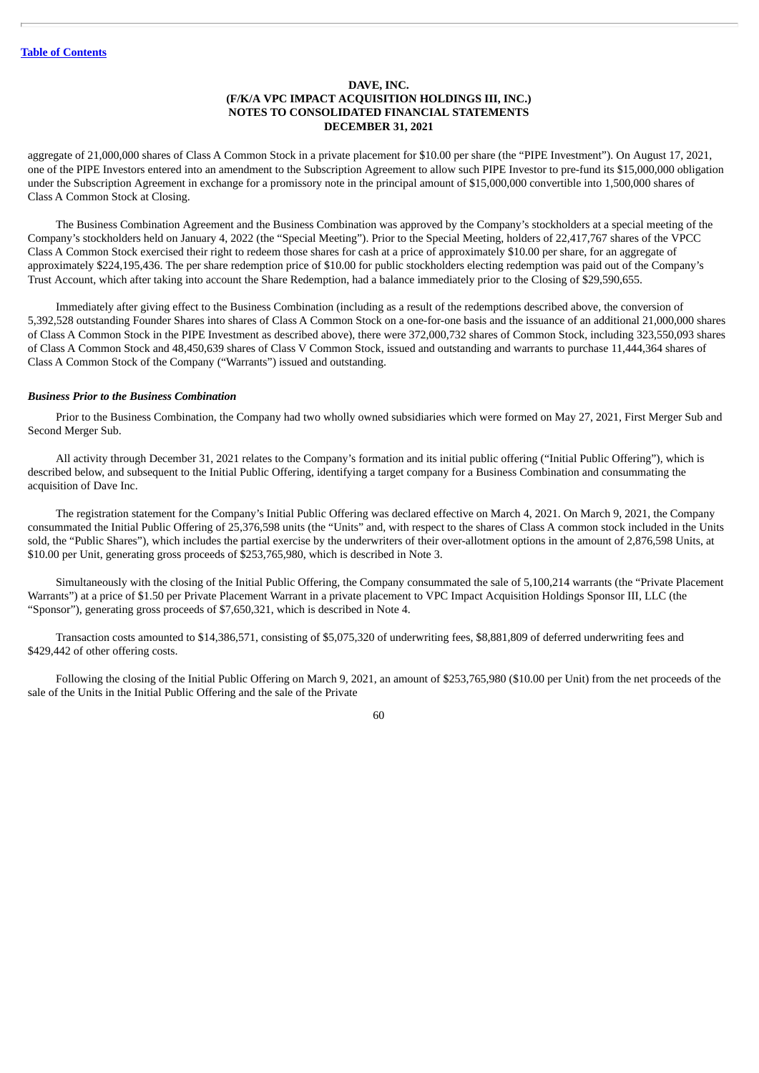aggregate of 21,000,000 shares of Class A Common Stock in a private placement for \$10.00 per share (the "PIPE Investment"). On August 17, 2021, one of the PIPE Investors entered into an amendment to the Subscription Agreement to allow such PIPE Investor to pre-fund its \$15,000,000 obligation under the Subscription Agreement in exchange for a promissory note in the principal amount of \$15,000,000 convertible into 1,500,000 shares of Class A Common Stock at Closing.

The Business Combination Agreement and the Business Combination was approved by the Company's stockholders at a special meeting of the Company's stockholders held on January 4, 2022 (the "Special Meeting"). Prior to the Special Meeting, holders of 22,417,767 shares of the VPCC Class A Common Stock exercised their right to redeem those shares for cash at a price of approximately \$10.00 per share, for an aggregate of approximately \$224,195,436. The per share redemption price of \$10.00 for public stockholders electing redemption was paid out of the Company's Trust Account, which after taking into account the Share Redemption, had a balance immediately prior to the Closing of \$29,590,655.

Immediately after giving effect to the Business Combination (including as a result of the redemptions described above, the conversion of 5,392,528 outstanding Founder Shares into shares of Class A Common Stock on a one-for-one basis and the issuance of an additional 21,000,000 shares of Class A Common Stock in the PIPE Investment as described above), there were 372,000,732 shares of Common Stock, including 323,550,093 shares of Class A Common Stock and 48,450,639 shares of Class V Common Stock, issued and outstanding and warrants to purchase 11,444,364 shares of Class A Common Stock of the Company ("Warrants") issued and outstanding.

### *Business Prior to the Business Combination*

Prior to the Business Combination, the Company had two wholly owned subsidiaries which were formed on May 27, 2021, First Merger Sub and Second Merger Sub.

All activity through December 31, 2021 relates to the Company's formation and its initial public offering ("Initial Public Offering"), which is described below, and subsequent to the Initial Public Offering, identifying a target company for a Business Combination and consummating the acquisition of Dave Inc.

The registration statement for the Company's Initial Public Offering was declared effective on March 4, 2021. On March 9, 2021, the Company consummated the Initial Public Offering of 25,376,598 units (the "Units" and, with respect to the shares of Class A common stock included in the Units sold, the "Public Shares"), which includes the partial exercise by the underwriters of their over-allotment options in the amount of 2,876,598 Units, at \$10.00 per Unit, generating gross proceeds of \$253,765,980, which is described in Note 3.

Simultaneously with the closing of the Initial Public Offering, the Company consummated the sale of 5,100,214 warrants (the "Private Placement Warrants") at a price of \$1.50 per Private Placement Warrant in a private placement to VPC Impact Acquisition Holdings Sponsor III, LLC (the "Sponsor"), generating gross proceeds of \$7,650,321, which is described in Note 4.

Transaction costs amounted to \$14,386,571, consisting of \$5,075,320 of underwriting fees, \$8,881,809 of deferred underwriting fees and \$429,442 of other offering costs.

Following the closing of the Initial Public Offering on March 9, 2021, an amount of \$253,765,980 (\$10.00 per Unit) from the net proceeds of the sale of the Units in the Initial Public Offering and the sale of the Private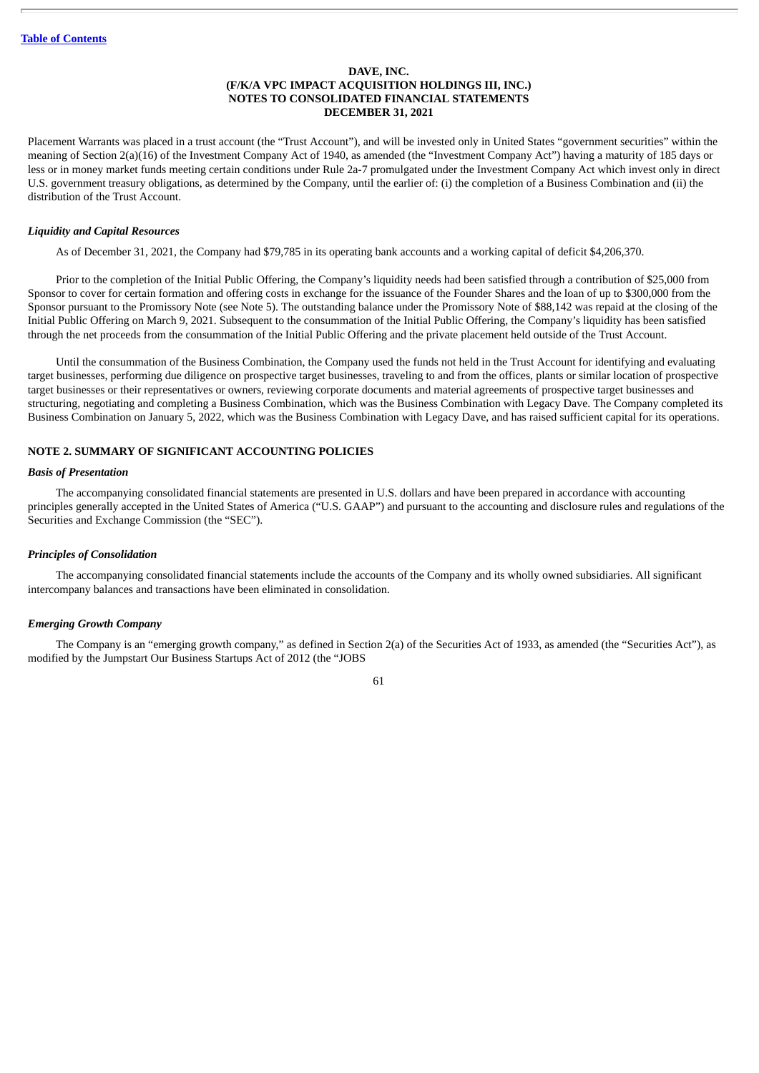Placement Warrants was placed in a trust account (the "Trust Account"), and will be invested only in United States "government securities" within the meaning of Section 2(a)(16) of the Investment Company Act of 1940, as amended (the "Investment Company Act") having a maturity of 185 days or less or in money market funds meeting certain conditions under Rule 2a-7 promulgated under the Investment Company Act which invest only in direct U.S. government treasury obligations, as determined by the Company, until the earlier of: (i) the completion of a Business Combination and (ii) the distribution of the Trust Account.

### *Liquidity and Capital Resources*

As of December 31, 2021, the Company had \$79,785 in its operating bank accounts and a working capital of deficit \$4,206,370.

Prior to the completion of the Initial Public Offering, the Company's liquidity needs had been satisfied through a contribution of \$25,000 from Sponsor to cover for certain formation and offering costs in exchange for the issuance of the Founder Shares and the loan of up to \$300,000 from the Sponsor pursuant to the Promissory Note (see Note 5). The outstanding balance under the Promissory Note of \$88,142 was repaid at the closing of the Initial Public Offering on March 9, 2021. Subsequent to the consummation of the Initial Public Offering, the Company's liquidity has been satisfied through the net proceeds from the consummation of the Initial Public Offering and the private placement held outside of the Trust Account.

Until the consummation of the Business Combination, the Company used the funds not held in the Trust Account for identifying and evaluating target businesses, performing due diligence on prospective target businesses, traveling to and from the offices, plants or similar location of prospective target businesses or their representatives or owners, reviewing corporate documents and material agreements of prospective target businesses and structuring, negotiating and completing a Business Combination, which was the Business Combination with Legacy Dave. The Company completed its Business Combination on January 5, 2022, which was the Business Combination with Legacy Dave, and has raised sufficient capital for its operations.

# **NOTE 2. SUMMARY OF SIGNIFICANT ACCOUNTING POLICIES**

## *Basis of Presentation*

The accompanying consolidated financial statements are presented in U.S. dollars and have been prepared in accordance with accounting principles generally accepted in the United States of America ("U.S. GAAP") and pursuant to the accounting and disclosure rules and regulations of the Securities and Exchange Commission (the "SEC").

### *Principles of Consolidation*

The accompanying consolidated financial statements include the accounts of the Company and its wholly owned subsidiaries. All significant intercompany balances and transactions have been eliminated in consolidation.

### *Emerging Growth Company*

The Company is an "emerging growth company," as defined in Section 2(a) of the Securities Act of 1933, as amended (the "Securities Act"), as modified by the Jumpstart Our Business Startups Act of 2012 (the "JOBS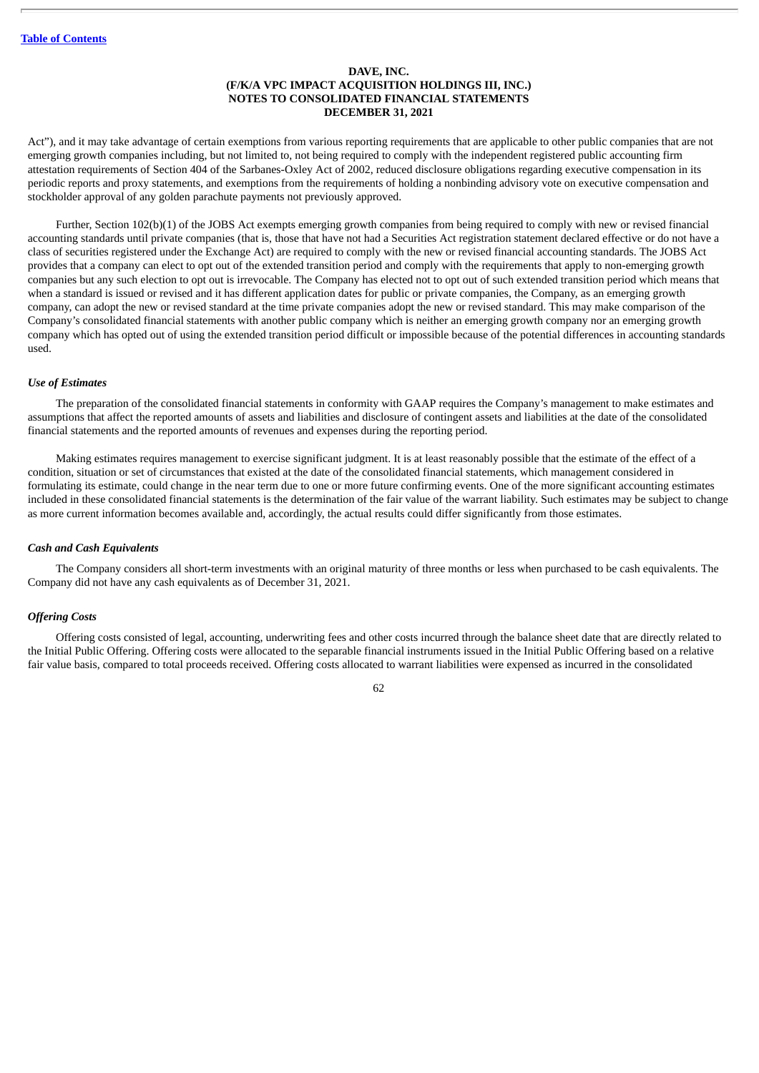Act"), and it may take advantage of certain exemptions from various reporting requirements that are applicable to other public companies that are not emerging growth companies including, but not limited to, not being required to comply with the independent registered public accounting firm attestation requirements of Section 404 of the Sarbanes-Oxley Act of 2002, reduced disclosure obligations regarding executive compensation in its periodic reports and proxy statements, and exemptions from the requirements of holding a nonbinding advisory vote on executive compensation and stockholder approval of any golden parachute payments not previously approved.

Further, Section 102(b)(1) of the JOBS Act exempts emerging growth companies from being required to comply with new or revised financial accounting standards until private companies (that is, those that have not had a Securities Act registration statement declared effective or do not have a class of securities registered under the Exchange Act) are required to comply with the new or revised financial accounting standards. The JOBS Act provides that a company can elect to opt out of the extended transition period and comply with the requirements that apply to non-emerging growth companies but any such election to opt out is irrevocable. The Company has elected not to opt out of such extended transition period which means that when a standard is issued or revised and it has different application dates for public or private companies, the Company, as an emerging growth company, can adopt the new or revised standard at the time private companies adopt the new or revised standard. This may make comparison of the Company's consolidated financial statements with another public company which is neither an emerging growth company nor an emerging growth company which has opted out of using the extended transition period difficult or impossible because of the potential differences in accounting standards used.

### *Use of Estimates*

The preparation of the consolidated financial statements in conformity with GAAP requires the Company's management to make estimates and assumptions that affect the reported amounts of assets and liabilities and disclosure of contingent assets and liabilities at the date of the consolidated financial statements and the reported amounts of revenues and expenses during the reporting period.

Making estimates requires management to exercise significant judgment. It is at least reasonably possible that the estimate of the effect of a condition, situation or set of circumstances that existed at the date of the consolidated financial statements, which management considered in formulating its estimate, could change in the near term due to one or more future confirming events. One of the more significant accounting estimates included in these consolidated financial statements is the determination of the fair value of the warrant liability. Such estimates may be subject to change as more current information becomes available and, accordingly, the actual results could differ significantly from those estimates.

#### *Cash and Cash Equivalents*

The Company considers all short-term investments with an original maturity of three months or less when purchased to be cash equivalents. The Company did not have any cash equivalents as of December 31, 2021.

# *Offering Costs*

Offering costs consisted of legal, accounting, underwriting fees and other costs incurred through the balance sheet date that are directly related to the Initial Public Offering. Offering costs were allocated to the separable financial instruments issued in the Initial Public Offering based on a relative fair value basis, compared to total proceeds received. Offering costs allocated to warrant liabilities were expensed as incurred in the consolidated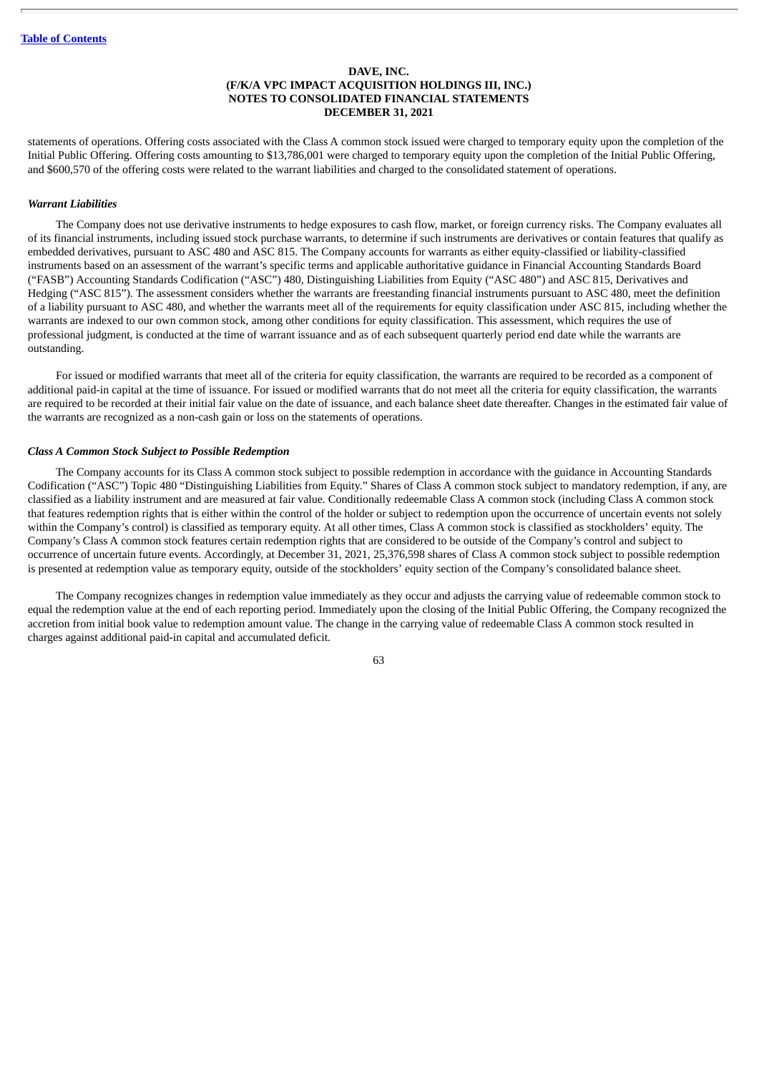statements of operations. Offering costs associated with the Class A common stock issued were charged to temporary equity upon the completion of the Initial Public Offering. Offering costs amounting to \$13,786,001 were charged to temporary equity upon the completion of the Initial Public Offering, and \$600,570 of the offering costs were related to the warrant liabilities and charged to the consolidated statement of operations.

### *Warrant Liabilities*

The Company does not use derivative instruments to hedge exposures to cash flow, market, or foreign currency risks. The Company evaluates all of its financial instruments, including issued stock purchase warrants, to determine if such instruments are derivatives or contain features that qualify as embedded derivatives, pursuant to ASC 480 and ASC 815. The Company accounts for warrants as either equity-classified or liability-classified instruments based on an assessment of the warrant's specific terms and applicable authoritative guidance in Financial Accounting Standards Board ("FASB") Accounting Standards Codification ("ASC") 480, Distinguishing Liabilities from Equity ("ASC 480") and ASC 815, Derivatives and Hedging ("ASC 815"). The assessment considers whether the warrants are freestanding financial instruments pursuant to ASC 480, meet the definition of a liability pursuant to ASC 480, and whether the warrants meet all of the requirements for equity classification under ASC 815, including whether the warrants are indexed to our own common stock, among other conditions for equity classification. This assessment, which requires the use of professional judgment, is conducted at the time of warrant issuance and as of each subsequent quarterly period end date while the warrants are outstanding.

For issued or modified warrants that meet all of the criteria for equity classification, the warrants are required to be recorded as a component of additional paid-in capital at the time of issuance. For issued or modified warrants that do not meet all the criteria for equity classification, the warrants are required to be recorded at their initial fair value on the date of issuance, and each balance sheet date thereafter. Changes in the estimated fair value of the warrants are recognized as a non-cash gain or loss on the statements of operations.

# *Class A Common Stock Subject to Possible Redemption*

The Company accounts for its Class A common stock subject to possible redemption in accordance with the guidance in Accounting Standards Codification ("ASC") Topic 480 "Distinguishing Liabilities from Equity." Shares of Class A common stock subject to mandatory redemption, if any, are classified as a liability instrument and are measured at fair value. Conditionally redeemable Class A common stock (including Class A common stock that features redemption rights that is either within the control of the holder or subject to redemption upon the occurrence of uncertain events not solely within the Company's control) is classified as temporary equity. At all other times, Class A common stock is classified as stockholders' equity. The Company's Class A common stock features certain redemption rights that are considered to be outside of the Company's control and subject to occurrence of uncertain future events. Accordingly, at December 31, 2021, 25,376,598 shares of Class A common stock subject to possible redemption is presented at redemption value as temporary equity, outside of the stockholders' equity section of the Company's consolidated balance sheet.

The Company recognizes changes in redemption value immediately as they occur and adjusts the carrying value of redeemable common stock to equal the redemption value at the end of each reporting period. Immediately upon the closing of the Initial Public Offering, the Company recognized the accretion from initial book value to redemption amount value. The change in the carrying value of redeemable Class A common stock resulted in charges against additional paid-in capital and accumulated deficit.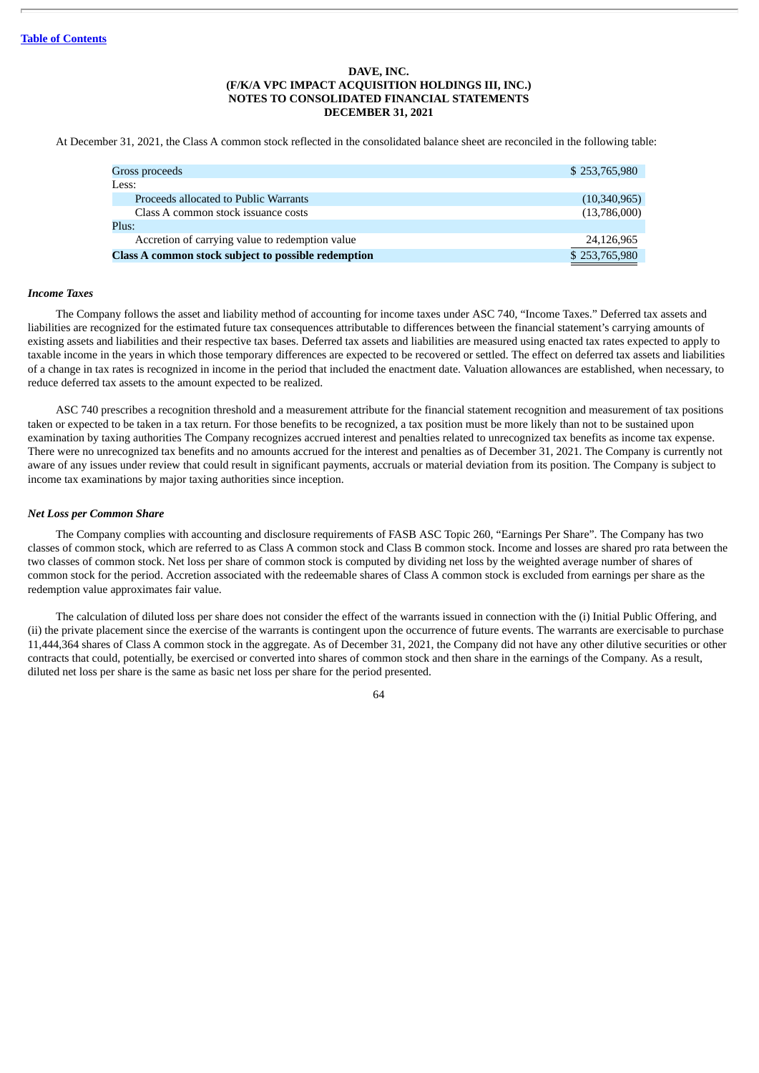At December 31, 2021, the Class A common stock reflected in the consolidated balance sheet are reconciled in the following table:

| Gross proceeds                                      | \$253,765,980 |
|-----------------------------------------------------|---------------|
| Less:                                               |               |
| Proceeds allocated to Public Warrants               | (10,340,965)  |
| Class A common stock issuance costs                 | (13,786,000)  |
| Plus:                                               |               |
| Accretion of carrying value to redemption value     | 24,126,965    |
| Class A common stock subject to possible redemption | \$253,765,980 |
|                                                     |               |

### *Income Taxes*

The Company follows the asset and liability method of accounting for income taxes under ASC 740, "Income Taxes." Deferred tax assets and liabilities are recognized for the estimated future tax consequences attributable to differences between the financial statement's carrying amounts of existing assets and liabilities and their respective tax bases. Deferred tax assets and liabilities are measured using enacted tax rates expected to apply to taxable income in the years in which those temporary differences are expected to be recovered or settled. The effect on deferred tax assets and liabilities of a change in tax rates is recognized in income in the period that included the enactment date. Valuation allowances are established, when necessary, to reduce deferred tax assets to the amount expected to be realized.

ASC 740 prescribes a recognition threshold and a measurement attribute for the financial statement recognition and measurement of tax positions taken or expected to be taken in a tax return. For those benefits to be recognized, a tax position must be more likely than not to be sustained upon examination by taxing authorities The Company recognizes accrued interest and penalties related to unrecognized tax benefits as income tax expense. There were no unrecognized tax benefits and no amounts accrued for the interest and penalties as of December 31, 2021. The Company is currently not aware of any issues under review that could result in significant payments, accruals or material deviation from its position. The Company is subject to income tax examinations by major taxing authorities since inception.

### *Net Loss per Common Share*

The Company complies with accounting and disclosure requirements of FASB ASC Topic 260, "Earnings Per Share". The Company has two classes of common stock, which are referred to as Class A common stock and Class B common stock. Income and losses are shared pro rata between the two classes of common stock. Net loss per share of common stock is computed by dividing net loss by the weighted average number of shares of common stock for the period. Accretion associated with the redeemable shares of Class A common stock is excluded from earnings per share as the redemption value approximates fair value.

The calculation of diluted loss per share does not consider the effect of the warrants issued in connection with the (i) Initial Public Offering, and (ii) the private placement since the exercise of the warrants is contingent upon the occurrence of future events. The warrants are exercisable to purchase 11,444,364 shares of Class A common stock in the aggregate. As of December 31, 2021, the Company did not have any other dilutive securities or other contracts that could, potentially, be exercised or converted into shares of common stock and then share in the earnings of the Company. As a result, diluted net loss per share is the same as basic net loss per share for the period presented.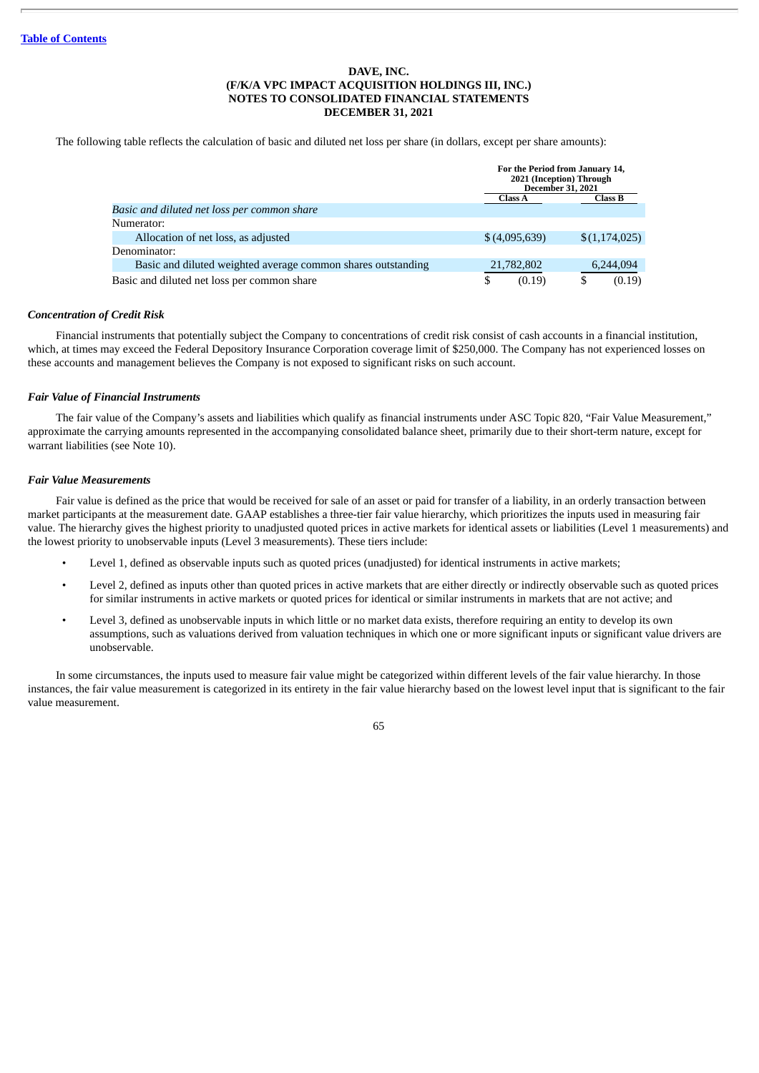The following table reflects the calculation of basic and diluted net loss per share (in dollars, except per share amounts):

|                                                              | For the Period from January 14,<br>2021 (Inception) Through<br><b>December 31, 2021</b> |               |
|--------------------------------------------------------------|-----------------------------------------------------------------------------------------|---------------|
|                                                              | <b>Class A</b>                                                                          | Class B       |
| Basic and diluted net loss per common share                  |                                                                                         |               |
| Numerator:                                                   |                                                                                         |               |
| Allocation of net loss, as adjusted                          | \$(4,095,639)                                                                           | \$(1,174,025) |
| Denominator:                                                 |                                                                                         |               |
| Basic and diluted weighted average common shares outstanding | 21,782,802                                                                              | 6,244,094     |
| Basic and diluted net loss per common share                  | (0.19)                                                                                  | (0.19)        |

## *Concentration of Credit Risk*

Financial instruments that potentially subject the Company to concentrations of credit risk consist of cash accounts in a financial institution, which, at times may exceed the Federal Depository Insurance Corporation coverage limit of \$250,000. The Company has not experienced losses on these accounts and management believes the Company is not exposed to significant risks on such account.

### *Fair Value of Financial Instruments*

The fair value of the Company's assets and liabilities which qualify as financial instruments under ASC Topic 820, "Fair Value Measurement," approximate the carrying amounts represented in the accompanying consolidated balance sheet, primarily due to their short-term nature, except for warrant liabilities (see Note 10).

## *Fair Value Measurements*

Fair value is defined as the price that would be received for sale of an asset or paid for transfer of a liability, in an orderly transaction between market participants at the measurement date. GAAP establishes a three-tier fair value hierarchy, which prioritizes the inputs used in measuring fair value. The hierarchy gives the highest priority to unadjusted quoted prices in active markets for identical assets or liabilities (Level 1 measurements) and the lowest priority to unobservable inputs (Level 3 measurements). These tiers include:

- Level 1, defined as observable inputs such as quoted prices (unadjusted) for identical instruments in active markets;
- Level 2, defined as inputs other than quoted prices in active markets that are either directly or indirectly observable such as quoted prices for similar instruments in active markets or quoted prices for identical or similar instruments in markets that are not active; and
- Level 3, defined as unobservable inputs in which little or no market data exists, therefore requiring an entity to develop its own assumptions, such as valuations derived from valuation techniques in which one or more significant inputs or significant value drivers are unobservable.

In some circumstances, the inputs used to measure fair value might be categorized within different levels of the fair value hierarchy. In those instances, the fair value measurement is categorized in its entirety in the fair value hierarchy based on the lowest level input that is significant to the fair value measurement.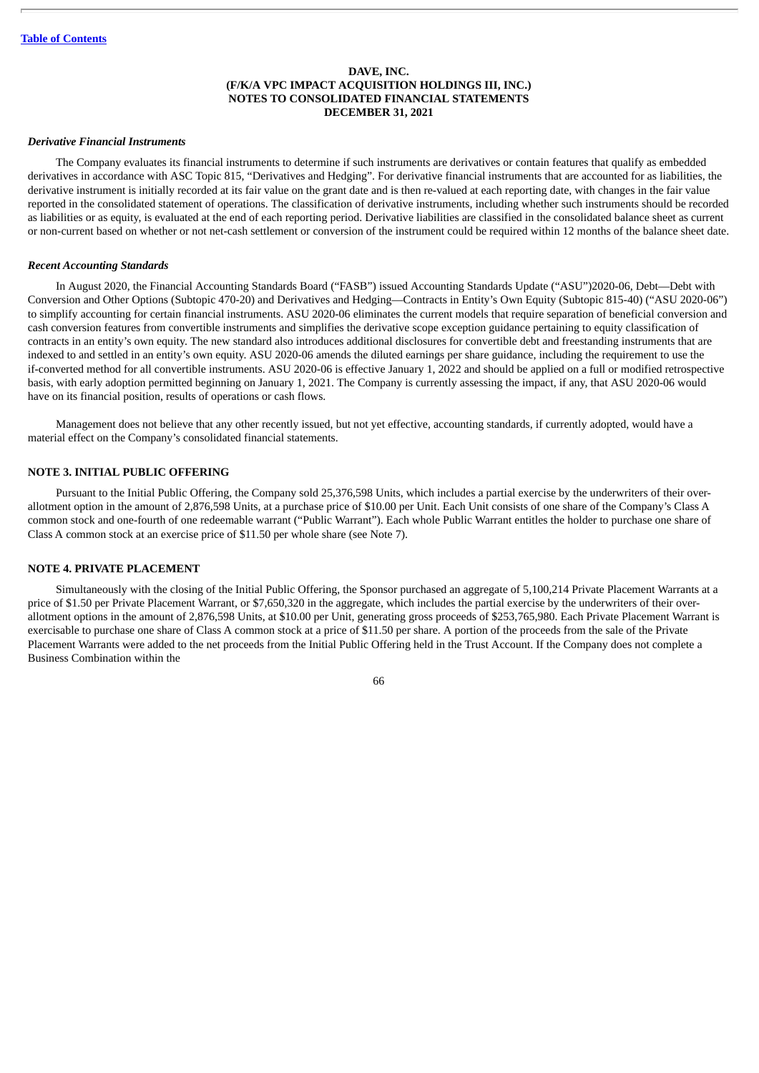### *Derivative Financial Instruments*

The Company evaluates its financial instruments to determine if such instruments are derivatives or contain features that qualify as embedded derivatives in accordance with ASC Topic 815, "Derivatives and Hedging". For derivative financial instruments that are accounted for as liabilities, the derivative instrument is initially recorded at its fair value on the grant date and is then re-valued at each reporting date, with changes in the fair value reported in the consolidated statement of operations. The classification of derivative instruments, including whether such instruments should be recorded as liabilities or as equity, is evaluated at the end of each reporting period. Derivative liabilities are classified in the consolidated balance sheet as current or non-current based on whether or not net-cash settlement or conversion of the instrument could be required within 12 months of the balance sheet date.

## *Recent Accounting Standards*

In August 2020, the Financial Accounting Standards Board ("FASB") issued Accounting Standards Update ("ASU")2020-06, Debt—Debt with Conversion and Other Options (Subtopic 470-20) and Derivatives and Hedging—Contracts in Entity's Own Equity (Subtopic 815-40) ("ASU 2020-06") to simplify accounting for certain financial instruments. ASU 2020-06 eliminates the current models that require separation of beneficial conversion and cash conversion features from convertible instruments and simplifies the derivative scope exception guidance pertaining to equity classification of contracts in an entity's own equity. The new standard also introduces additional disclosures for convertible debt and freestanding instruments that are indexed to and settled in an entity's own equity. ASU 2020-06 amends the diluted earnings per share guidance, including the requirement to use the if-converted method for all convertible instruments. ASU 2020-06 is effective January 1, 2022 and should be applied on a full or modified retrospective basis, with early adoption permitted beginning on January 1, 2021. The Company is currently assessing the impact, if any, that ASU 2020-06 would have on its financial position, results of operations or cash flows.

Management does not believe that any other recently issued, but not yet effective, accounting standards, if currently adopted, would have a material effect on the Company's consolidated financial statements.

## **NOTE 3. INITIAL PUBLIC OFFERING**

Pursuant to the Initial Public Offering, the Company sold 25,376,598 Units, which includes a partial exercise by the underwriters of their overallotment option in the amount of 2,876,598 Units, at a purchase price of \$10.00 per Unit. Each Unit consists of one share of the Company's Class A common stock and one-fourth of one redeemable warrant ("Public Warrant"). Each whole Public Warrant entitles the holder to purchase one share of Class A common stock at an exercise price of \$11.50 per whole share (see Note 7).

### **NOTE 4. PRIVATE PLACEMENT**

Simultaneously with the closing of the Initial Public Offering, the Sponsor purchased an aggregate of 5,100,214 Private Placement Warrants at a price of \$1.50 per Private Placement Warrant, or \$7,650,320 in the aggregate, which includes the partial exercise by the underwriters of their overallotment options in the amount of 2,876,598 Units, at \$10.00 per Unit, generating gross proceeds of \$253,765,980. Each Private Placement Warrant is exercisable to purchase one share of Class A common stock at a price of \$11.50 per share. A portion of the proceeds from the sale of the Private Placement Warrants were added to the net proceeds from the Initial Public Offering held in the Trust Account. If the Company does not complete a Business Combination within the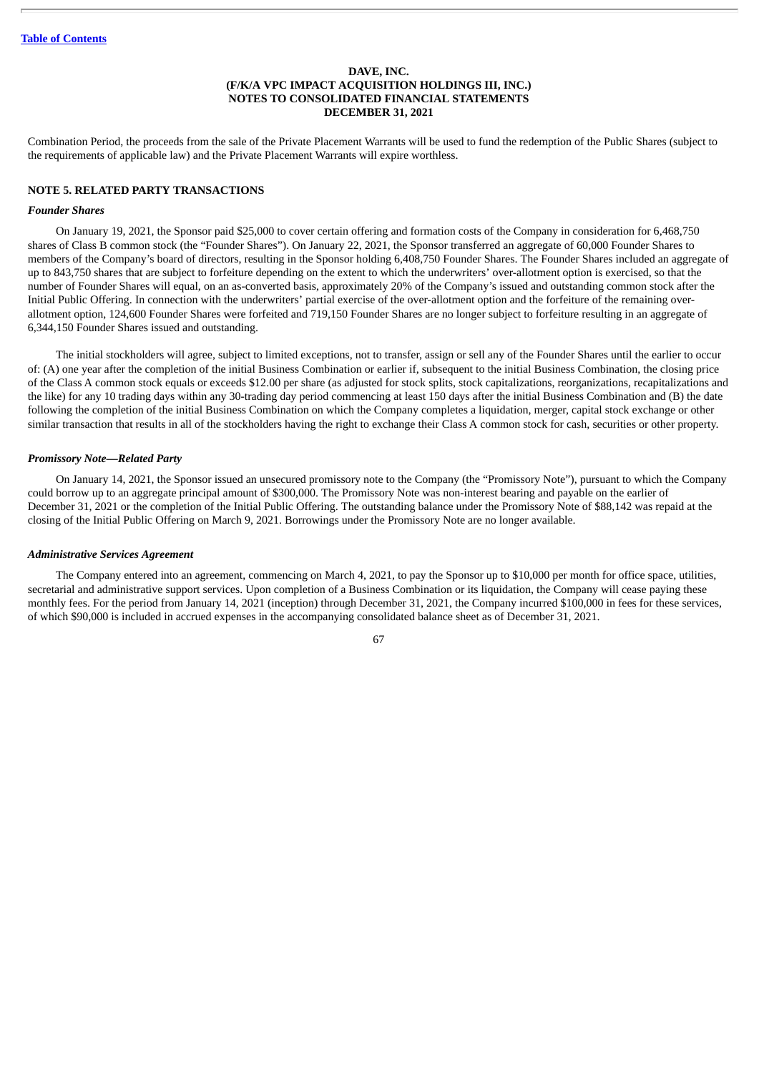Combination Period, the proceeds from the sale of the Private Placement Warrants will be used to fund the redemption of the Public Shares (subject to the requirements of applicable law) and the Private Placement Warrants will expire worthless.

# **NOTE 5. RELATED PARTY TRANSACTIONS**

### *Founder Shares*

On January 19, 2021, the Sponsor paid \$25,000 to cover certain offering and formation costs of the Company in consideration for 6,468,750 shares of Class B common stock (the "Founder Shares"). On January 22, 2021, the Sponsor transferred an aggregate of 60,000 Founder Shares to members of the Company's board of directors, resulting in the Sponsor holding 6,408,750 Founder Shares. The Founder Shares included an aggregate of up to 843,750 shares that are subject to forfeiture depending on the extent to which the underwriters' over-allotment option is exercised, so that the number of Founder Shares will equal, on an as-converted basis, approximately 20% of the Company's issued and outstanding common stock after the Initial Public Offering. In connection with the underwriters' partial exercise of the over-allotment option and the forfeiture of the remaining overallotment option, 124,600 Founder Shares were forfeited and 719,150 Founder Shares are no longer subject to forfeiture resulting in an aggregate of 6,344,150 Founder Shares issued and outstanding.

The initial stockholders will agree, subject to limited exceptions, not to transfer, assign or sell any of the Founder Shares until the earlier to occur of: (A) one year after the completion of the initial Business Combination or earlier if, subsequent to the initial Business Combination, the closing price of the Class A common stock equals or exceeds \$12.00 per share (as adjusted for stock splits, stock capitalizations, reorganizations, recapitalizations and the like) for any 10 trading days within any 30-trading day period commencing at least 150 days after the initial Business Combination and (B) the date following the completion of the initial Business Combination on which the Company completes a liquidation, merger, capital stock exchange or other similar transaction that results in all of the stockholders having the right to exchange their Class A common stock for cash, securities or other property.

### *Promissory Note—Related Party*

On January 14, 2021, the Sponsor issued an unsecured promissory note to the Company (the "Promissory Note"), pursuant to which the Company could borrow up to an aggregate principal amount of \$300,000. The Promissory Note was non-interest bearing and payable on the earlier of December 31, 2021 or the completion of the Initial Public Offering. The outstanding balance under the Promissory Note of \$88,142 was repaid at the closing of the Initial Public Offering on March 9, 2021. Borrowings under the Promissory Note are no longer available.

### *Administrative Services Agreement*

The Company entered into an agreement, commencing on March 4, 2021, to pay the Sponsor up to \$10,000 per month for office space, utilities, secretarial and administrative support services. Upon completion of a Business Combination or its liquidation, the Company will cease paying these monthly fees. For the period from January 14, 2021 (inception) through December 31, 2021, the Company incurred \$100,000 in fees for these services, of which \$90,000 is included in accrued expenses in the accompanying consolidated balance sheet as of December 31, 2021.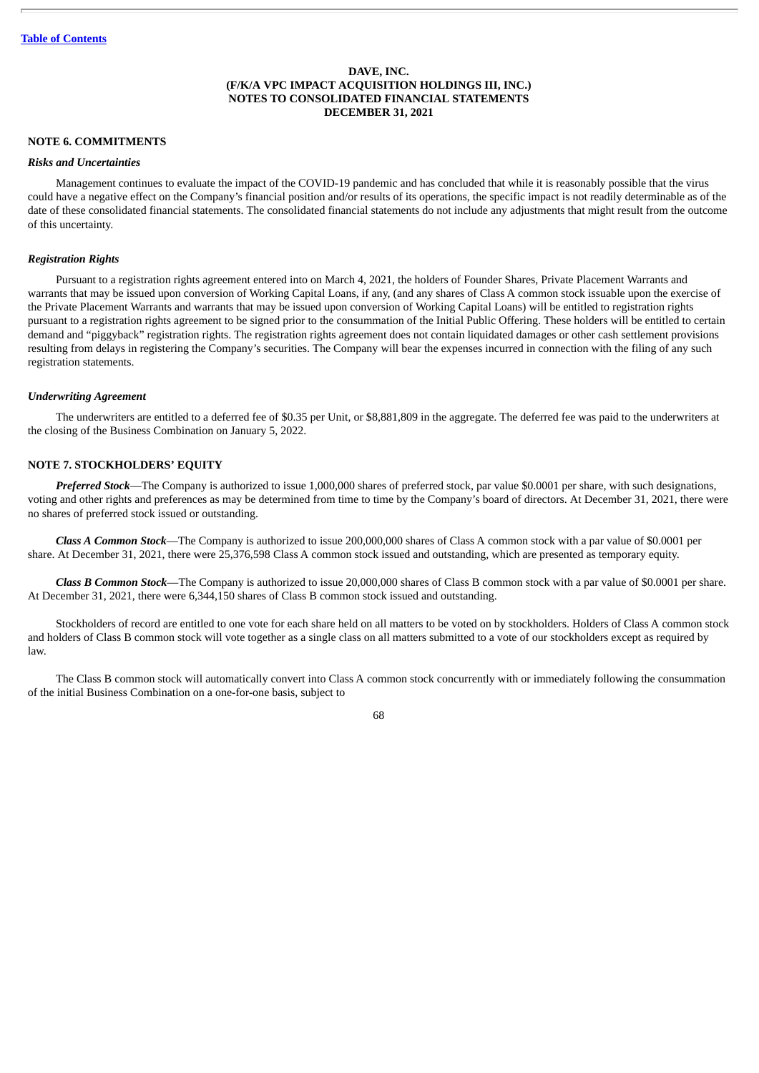### **NOTE 6. COMMITMENTS**

### *Risks and Uncertainties*

Management continues to evaluate the impact of the COVID-19 pandemic and has concluded that while it is reasonably possible that the virus could have a negative effect on the Company's financial position and/or results of its operations, the specific impact is not readily determinable as of the date of these consolidated financial statements. The consolidated financial statements do not include any adjustments that might result from the outcome of this uncertainty.

### *Registration Rights*

Pursuant to a registration rights agreement entered into on March 4, 2021, the holders of Founder Shares, Private Placement Warrants and warrants that may be issued upon conversion of Working Capital Loans, if any, (and any shares of Class A common stock issuable upon the exercise of the Private Placement Warrants and warrants that may be issued upon conversion of Working Capital Loans) will be entitled to registration rights pursuant to a registration rights agreement to be signed prior to the consummation of the Initial Public Offering. These holders will be entitled to certain demand and "piggyback" registration rights. The registration rights agreement does not contain liquidated damages or other cash settlement provisions resulting from delays in registering the Company's securities. The Company will bear the expenses incurred in connection with the filing of any such registration statements.

### *Underwriting Agreement*

The underwriters are entitled to a deferred fee of \$0.35 per Unit, or \$8,881,809 in the aggregate. The deferred fee was paid to the underwriters at the closing of the Business Combination on January 5, 2022.

### **NOTE 7. STOCKHOLDERS' EQUITY**

*Preferred Stock*—The Company is authorized to issue 1,000,000 shares of preferred stock, par value \$0.0001 per share, with such designations, voting and other rights and preferences as may be determined from time to time by the Company's board of directors. At December 31, 2021, there were no shares of preferred stock issued or outstanding.

*Class A Common Stock*—The Company is authorized to issue 200,000,000 shares of Class A common stock with a par value of \$0.0001 per share. At December 31, 2021, there were 25,376,598 Class A common stock issued and outstanding, which are presented as temporary equity.

*Class B Common Stock*—The Company is authorized to issue 20,000,000 shares of Class B common stock with a par value of \$0.0001 per share. At December 31, 2021, there were 6,344,150 shares of Class B common stock issued and outstanding.

Stockholders of record are entitled to one vote for each share held on all matters to be voted on by stockholders. Holders of Class A common stock and holders of Class B common stock will vote together as a single class on all matters submitted to a vote of our stockholders except as required by law.

The Class B common stock will automatically convert into Class A common stock concurrently with or immediately following the consummation of the initial Business Combination on a one-for-one basis, subject to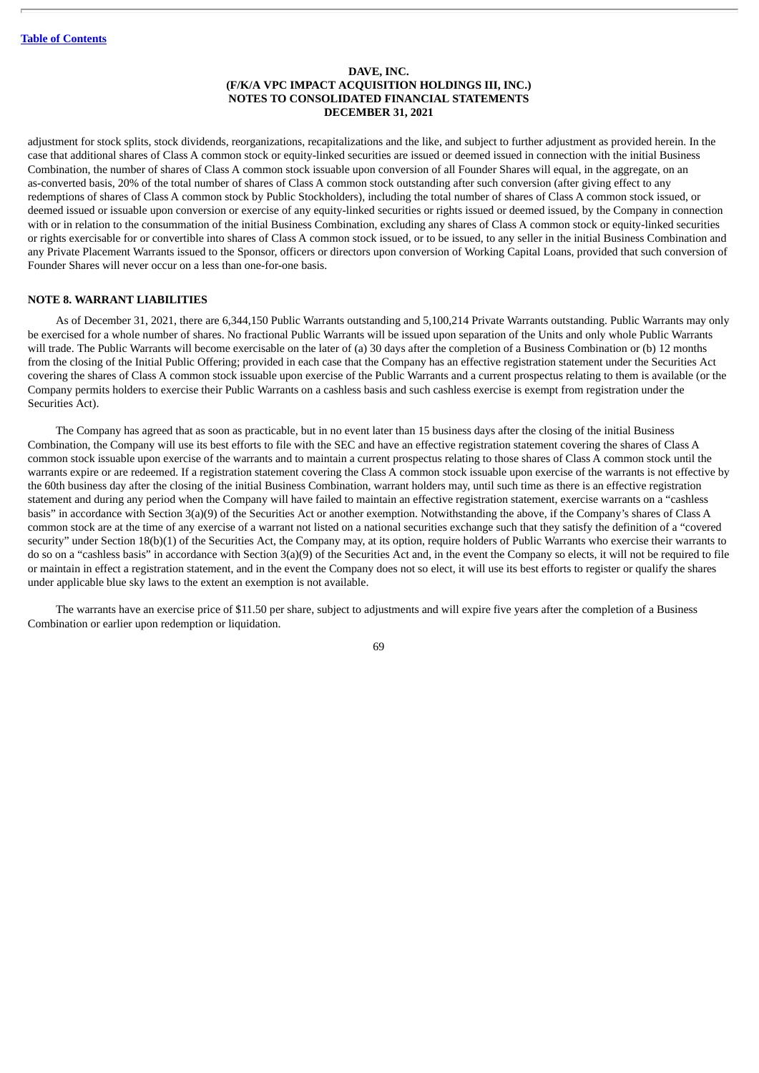adjustment for stock splits, stock dividends, reorganizations, recapitalizations and the like, and subject to further adjustment as provided herein. In the case that additional shares of Class A common stock or equity-linked securities are issued or deemed issued in connection with the initial Business Combination, the number of shares of Class A common stock issuable upon conversion of all Founder Shares will equal, in the aggregate, on an as-converted basis, 20% of the total number of shares of Class A common stock outstanding after such conversion (after giving effect to any redemptions of shares of Class A common stock by Public Stockholders), including the total number of shares of Class A common stock issued, or deemed issued or issuable upon conversion or exercise of any equity-linked securities or rights issued or deemed issued, by the Company in connection with or in relation to the consummation of the initial Business Combination, excluding any shares of Class A common stock or equity-linked securities or rights exercisable for or convertible into shares of Class A common stock issued, or to be issued, to any seller in the initial Business Combination and any Private Placement Warrants issued to the Sponsor, officers or directors upon conversion of Working Capital Loans, provided that such conversion of Founder Shares will never occur on a less than one-for-one basis.

### **NOTE 8. WARRANT LIABILITIES**

As of December 31, 2021, there are 6,344,150 Public Warrants outstanding and 5,100,214 Private Warrants outstanding. Public Warrants may only be exercised for a whole number of shares. No fractional Public Warrants will be issued upon separation of the Units and only whole Public Warrants will trade. The Public Warrants will become exercisable on the later of (a) 30 days after the completion of a Business Combination or (b) 12 months from the closing of the Initial Public Offering; provided in each case that the Company has an effective registration statement under the Securities Act covering the shares of Class A common stock issuable upon exercise of the Public Warrants and a current prospectus relating to them is available (or the Company permits holders to exercise their Public Warrants on a cashless basis and such cashless exercise is exempt from registration under the Securities Act).

The Company has agreed that as soon as practicable, but in no event later than 15 business days after the closing of the initial Business Combination, the Company will use its best efforts to file with the SEC and have an effective registration statement covering the shares of Class A common stock issuable upon exercise of the warrants and to maintain a current prospectus relating to those shares of Class A common stock until the warrants expire or are redeemed. If a registration statement covering the Class A common stock issuable upon exercise of the warrants is not effective by the 60th business day after the closing of the initial Business Combination, warrant holders may, until such time as there is an effective registration statement and during any period when the Company will have failed to maintain an effective registration statement, exercise warrants on a "cashless basis" in accordance with Section 3(a)(9) of the Securities Act or another exemption. Notwithstanding the above, if the Company's shares of Class A common stock are at the time of any exercise of a warrant not listed on a national securities exchange such that they satisfy the definition of a "covered security" under Section 18(b)(1) of the Securities Act, the Company may, at its option, require holders of Public Warrants who exercise their warrants to do so on a "cashless basis" in accordance with Section 3(a)(9) of the Securities Act and, in the event the Company so elects, it will not be required to file or maintain in effect a registration statement, and in the event the Company does not so elect, it will use its best efforts to register or qualify the shares under applicable blue sky laws to the extent an exemption is not available.

The warrants have an exercise price of \$11.50 per share, subject to adjustments and will expire five years after the completion of a Business Combination or earlier upon redemption or liquidation.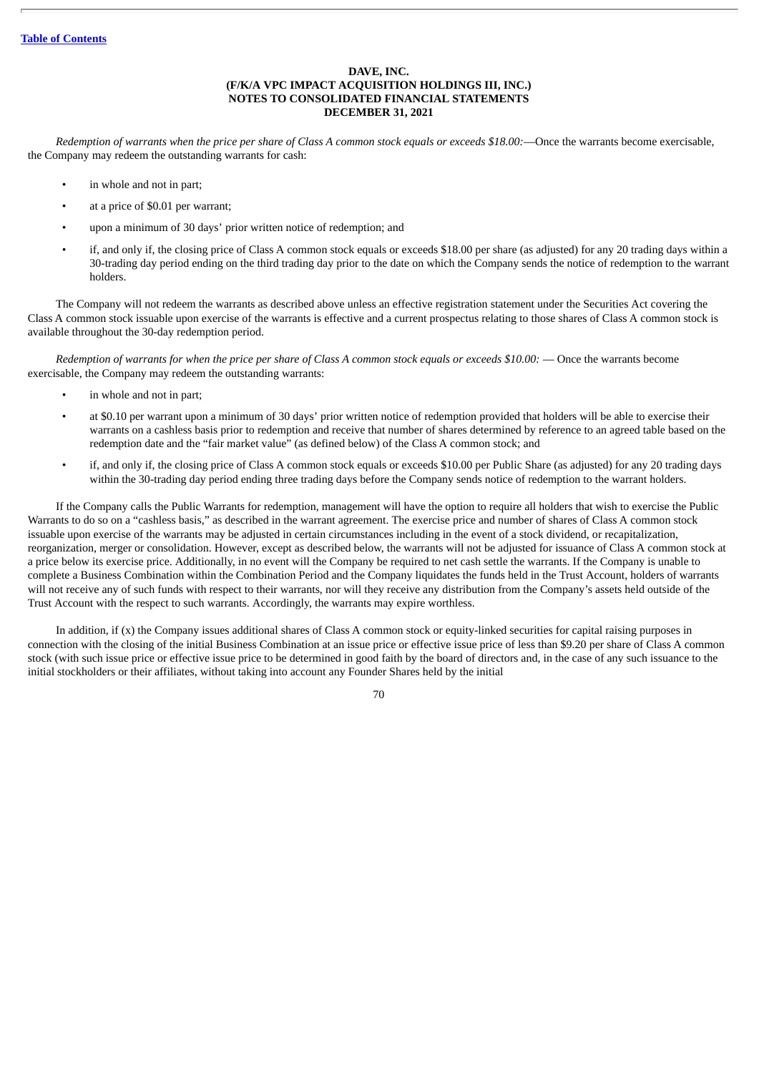Redemption of warrants when the price per share of Class A common stock equals or exceeds \$18.00:—Once the warrants become exercisable, the Company may redeem the outstanding warrants for cash:

- in whole and not in part;
- at a price of \$0.01 per warrant;
- upon a minimum of 30 days' prior written notice of redemption; and
- if, and only if, the closing price of Class A common stock equals or exceeds \$18.00 per share (as adjusted) for any 20 trading days within a 30-trading day period ending on the third trading day prior to the date on which the Company sends the notice of redemption to the warrant holders.

The Company will not redeem the warrants as described above unless an effective registration statement under the Securities Act covering the Class A common stock issuable upon exercise of the warrants is effective and a current prospectus relating to those shares of Class A common stock is available throughout the 30-day redemption period.

Redemption of warrants for when the price per share of Class A common stock equals or exceeds \$10.00: — Once the warrants become exercisable, the Company may redeem the outstanding warrants:

- in whole and not in part;
- at \$0.10 per warrant upon a minimum of 30 days' prior written notice of redemption provided that holders will be able to exercise their warrants on a cashless basis prior to redemption and receive that number of shares determined by reference to an agreed table based on the redemption date and the "fair market value" (as defined below) of the Class A common stock; and
- if, and only if, the closing price of Class A common stock equals or exceeds \$10.00 per Public Share (as adjusted) for any 20 trading days within the 30-trading day period ending three trading days before the Company sends notice of redemption to the warrant holders.

If the Company calls the Public Warrants for redemption, management will have the option to require all holders that wish to exercise the Public Warrants to do so on a "cashless basis," as described in the warrant agreement. The exercise price and number of shares of Class A common stock issuable upon exercise of the warrants may be adjusted in certain circumstances including in the event of a stock dividend, or recapitalization, reorganization, merger or consolidation. However, except as described below, the warrants will not be adjusted for issuance of Class A common stock at a price below its exercise price. Additionally, in no event will the Company be required to net cash settle the warrants. If the Company is unable to complete a Business Combination within the Combination Period and the Company liquidates the funds held in the Trust Account, holders of warrants will not receive any of such funds with respect to their warrants, nor will they receive any distribution from the Company's assets held outside of the Trust Account with the respect to such warrants. Accordingly, the warrants may expire worthless.

In addition, if (x) the Company issues additional shares of Class A common stock or equity-linked securities for capital raising purposes in connection with the closing of the initial Business Combination at an issue price or effective issue price of less than \$9.20 per share of Class A common stock (with such issue price or effective issue price to be determined in good faith by the board of directors and, in the case of any such issuance to the initial stockholders or their affiliates, without taking into account any Founder Shares held by the initial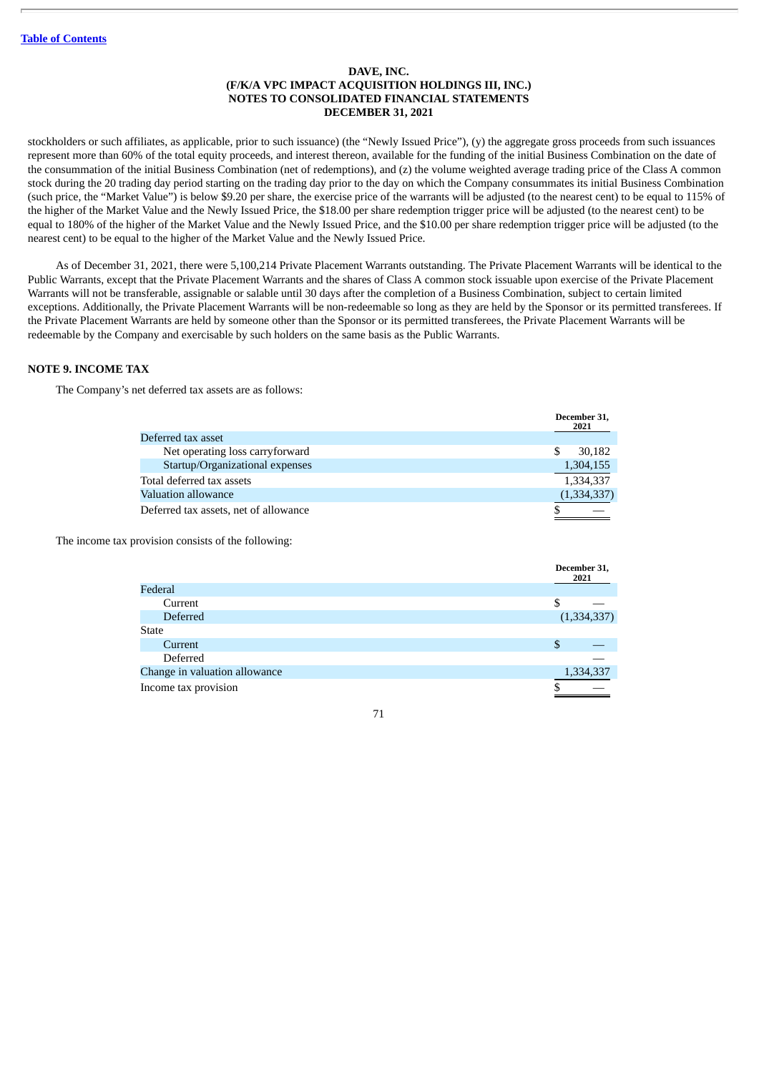stockholders or such affiliates, as applicable, prior to such issuance) (the "Newly Issued Price"), (y) the aggregate gross proceeds from such issuances represent more than 60% of the total equity proceeds, and interest thereon, available for the funding of the initial Business Combination on the date of the consummation of the initial Business Combination (net of redemptions), and (z) the volume weighted average trading price of the Class A common stock during the 20 trading day period starting on the trading day prior to the day on which the Company consummates its initial Business Combination (such price, the "Market Value") is below \$9.20 per share, the exercise price of the warrants will be adjusted (to the nearest cent) to be equal to 115% of the higher of the Market Value and the Newly Issued Price, the \$18.00 per share redemption trigger price will be adjusted (to the nearest cent) to be equal to 180% of the higher of the Market Value and the Newly Issued Price, and the \$10.00 per share redemption trigger price will be adjusted (to the nearest cent) to be equal to the higher of the Market Value and the Newly Issued Price.

As of December 31, 2021, there were 5,100,214 Private Placement Warrants outstanding. The Private Placement Warrants will be identical to the Public Warrants, except that the Private Placement Warrants and the shares of Class A common stock issuable upon exercise of the Private Placement Warrants will not be transferable, assignable or salable until 30 days after the completion of a Business Combination, subject to certain limited exceptions. Additionally, the Private Placement Warrants will be non-redeemable so long as they are held by the Sponsor or its permitted transferees. If the Private Placement Warrants are held by someone other than the Sponsor or its permitted transferees, the Private Placement Warrants will be redeemable by the Company and exercisable by such holders on the same basis as the Public Warrants.

# **NOTE 9. INCOME TAX**

The Company's net deferred tax assets are as follows:

|                                       | December 31,<br>2021 |
|---------------------------------------|----------------------|
| Deferred tax asset                    |                      |
| Net operating loss carryforward       | 30.182<br>S          |
| Startup/Organizational expenses       | 1,304,155            |
| Total deferred tax assets             | 1,334,337            |
| Valuation allowance                   | (1,334,337)          |
| Deferred tax assets, net of allowance |                      |

The income tax provision consists of the following:

|                               | December 31,<br>2021 |             |
|-------------------------------|----------------------|-------------|
| Federal                       |                      |             |
| Current                       | S                    |             |
| Deferred                      |                      | (1,334,337) |
| <b>State</b>                  |                      |             |
| Current                       | S                    |             |
| Deferred                      |                      |             |
| Change in valuation allowance |                      | 1,334,337   |
| Income tax provision          |                      |             |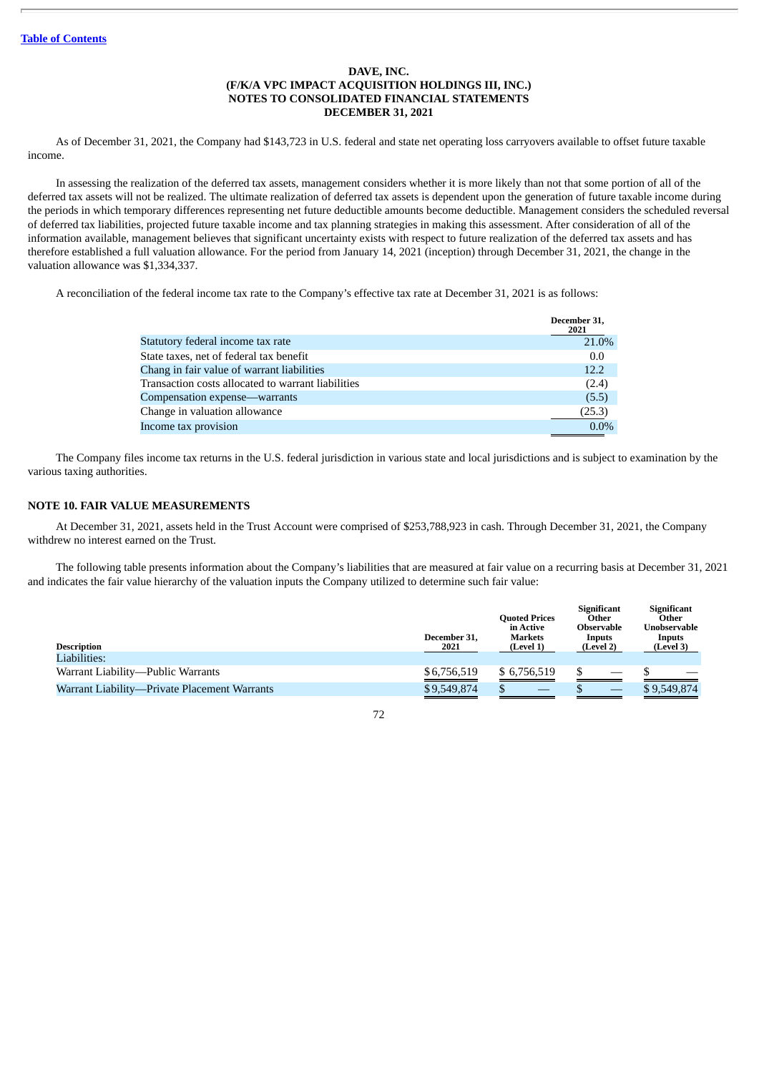As of December 31, 2021, the Company had \$143,723 in U.S. federal and state net operating loss carryovers available to offset future taxable income.

In assessing the realization of the deferred tax assets, management considers whether it is more likely than not that some portion of all of the deferred tax assets will not be realized. The ultimate realization of deferred tax assets is dependent upon the generation of future taxable income during the periods in which temporary differences representing net future deductible amounts become deductible. Management considers the scheduled reversal of deferred tax liabilities, projected future taxable income and tax planning strategies in making this assessment. After consideration of all of the information available, management believes that significant uncertainty exists with respect to future realization of the deferred tax assets and has therefore established a full valuation allowance. For the period from January 14, 2021 (inception) through December 31, 2021, the change in the valuation allowance was \$1,334,337.

A reconciliation of the federal income tax rate to the Company's effective tax rate at December 31, 2021 is as follows:

|                                                    | December 31.<br>2021 |
|----------------------------------------------------|----------------------|
| Statutory federal income tax rate                  | 21.0%                |
| State taxes, net of federal tax benefit            | 0.0                  |
| Chang in fair value of warrant liabilities         | 12.2                 |
| Transaction costs allocated to warrant liabilities | (2.4)                |
| Compensation expense—warrants                      | (5.5)                |
| Change in valuation allowance                      | (25.3)               |
| Income tax provision                               | $0.0\%$              |

The Company files income tax returns in the U.S. federal jurisdiction in various state and local jurisdictions and is subject to examination by the various taxing authorities.

# **NOTE 10. FAIR VALUE MEASUREMENTS**

At December 31, 2021, assets held in the Trust Account were comprised of \$253,788,923 in cash. Through December 31, 2021, the Company withdrew no interest earned on the Trust.

The following table presents information about the Company's liabilities that are measured at fair value on a recurring basis at December 31, 2021 and indicates the fair value hierarchy of the valuation inputs the Company utilized to determine such fair value:

| <b>Description</b>                           | December 31,<br>2021 | <b>Quoted Prices</b><br>in Active<br>Markets<br>(Level 1) | Significant<br>Other<br><b>Observable</b><br>Inputs<br>(Level 2) | <b>Significant</b><br>Other<br>Unobservable<br>Inputs<br>(Level 3) |
|----------------------------------------------|----------------------|-----------------------------------------------------------|------------------------------------------------------------------|--------------------------------------------------------------------|
| Liabilities:                                 |                      |                                                           |                                                                  |                                                                    |
| Warrant Liability—Public Warrants            | \$6,756,519          | \$6,756,519                                               | __                                                               |                                                                    |
| Warrant Liability—Private Placement Warrants | \$9,549,874          |                                                           |                                                                  | \$9,549,874                                                        |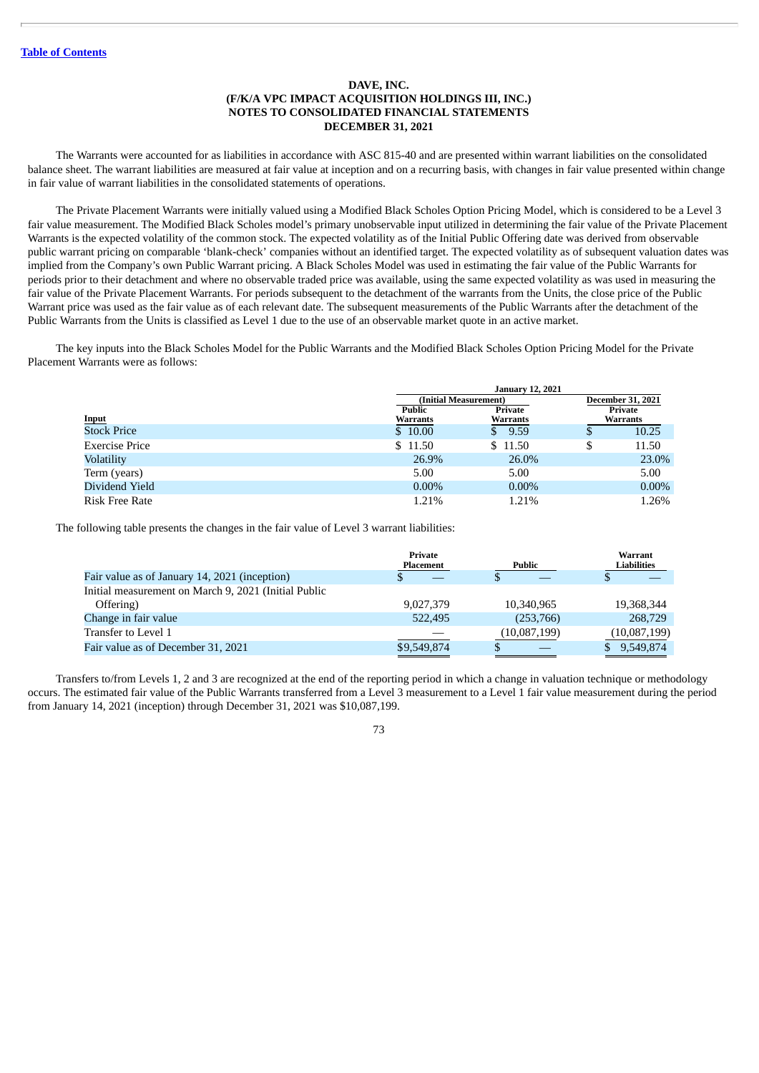The Warrants were accounted for as liabilities in accordance with ASC 815-40 and are presented within warrant liabilities on the consolidated balance sheet. The warrant liabilities are measured at fair value at inception and on a recurring basis, with changes in fair value presented within change in fair value of warrant liabilities in the consolidated statements of operations.

The Private Placement Warrants were initially valued using a Modified Black Scholes Option Pricing Model, which is considered to be a Level 3 fair value measurement. The Modified Black Scholes model's primary unobservable input utilized in determining the fair value of the Private Placement Warrants is the expected volatility of the common stock. The expected volatility as of the Initial Public Offering date was derived from observable public warrant pricing on comparable 'blank-check' companies without an identified target. The expected volatility as of subsequent valuation dates was implied from the Company's own Public Warrant pricing. A Black Scholes Model was used in estimating the fair value of the Public Warrants for periods prior to their detachment and where no observable traded price was available, using the same expected volatility as was used in measuring the fair value of the Private Placement Warrants. For periods subsequent to the detachment of the warrants from the Units, the close price of the Public Warrant price was used as the fair value as of each relevant date. The subsequent measurements of the Public Warrants after the detachment of the Public Warrants from the Units is classified as Level 1 due to the use of an observable market quote in an active market.

The key inputs into the Black Scholes Model for the Public Warrants and the Modified Black Scholes Option Pricing Model for the Private Placement Warrants were as follows:

|                       |                 | <b>January 12, 2021</b> |                            |          |  |  |
|-----------------------|-----------------|-------------------------|----------------------------|----------|--|--|
|                       |                 | (Initial Measurement)   |                            |          |  |  |
|                       | <b>Public</b>   | Private                 | Private<br><b>Warrants</b> |          |  |  |
| <b>Input</b>          | <b>Warrants</b> | <b>Warrants</b>         |                            |          |  |  |
| <b>Stock Price</b>    | \$10.00         | 9.59<br>S.              | Φ                          | 10.25    |  |  |
| <b>Exercise Price</b> | \$11.50         | \$11.50                 | \$                         | 11.50    |  |  |
| Volatility            | 26.9%           | 26.0%                   |                            | 23.0%    |  |  |
| Term (years)          | 5.00            | 5.00                    |                            | 5.00     |  |  |
| Dividend Yield        | $0.00\%$        | $0.00\%$                |                            | $0.00\%$ |  |  |
| <b>Risk Free Rate</b> | 1.21%           | 1.21%                   |                            | 1.26%    |  |  |

The following table presents the changes in the fair value of Level 3 warrant liabilities:

|                                                      | Private     |               | Warrant            |
|------------------------------------------------------|-------------|---------------|--------------------|
|                                                      | Placement   | <b>Public</b> | <b>Liabilities</b> |
| Fair value as of January 14, 2021 (inception)        |             |               |                    |
| Initial measurement on March 9, 2021 (Initial Public |             |               |                    |
| Offering)                                            | 9,027,379   | 10,340,965    | 19,368,344         |
| Change in fair value                                 | 522,495     | (253,766)     | 268,729            |
| Transfer to Level 1                                  |             | (10,087,199)  | (10,087,199)       |
| Fair value as of December 31, 2021                   | \$9,549,874 |               | 9,549,874          |

Transfers to/from Levels 1, 2 and 3 are recognized at the end of the reporting period in which a change in valuation technique or methodology occurs. The estimated fair value of the Public Warrants transferred from a Level 3 measurement to a Level 1 fair value measurement during the period from January 14, 2021 (inception) through December 31, 2021 was \$10,087,199.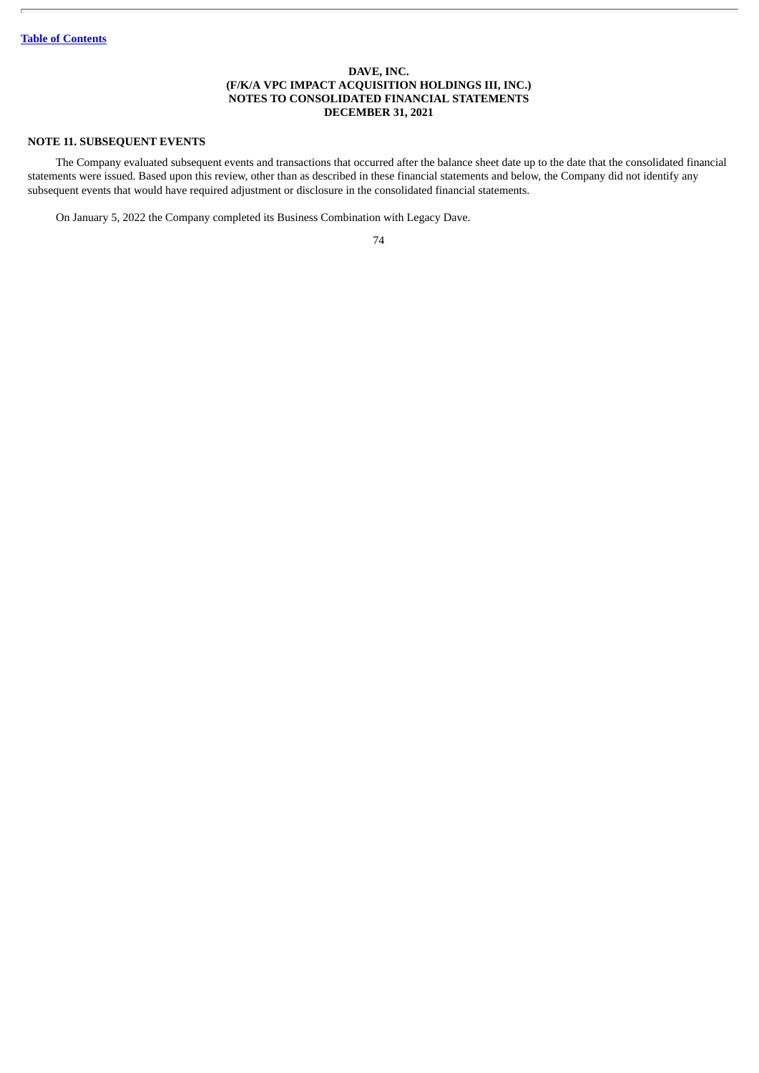# **NOTE 11. SUBSEQUENT EVENTS**

The Company evaluated subsequent events and transactions that occurred after the balance sheet date up to the date that the consolidated financial statements were issued. Based upon this review, other than as described in these financial statements and below, the Company did not identify any subsequent events that would have required adjustment or disclosure in the consolidated financial statements.

On January 5, 2022 the Company completed its Business Combination with Legacy Dave.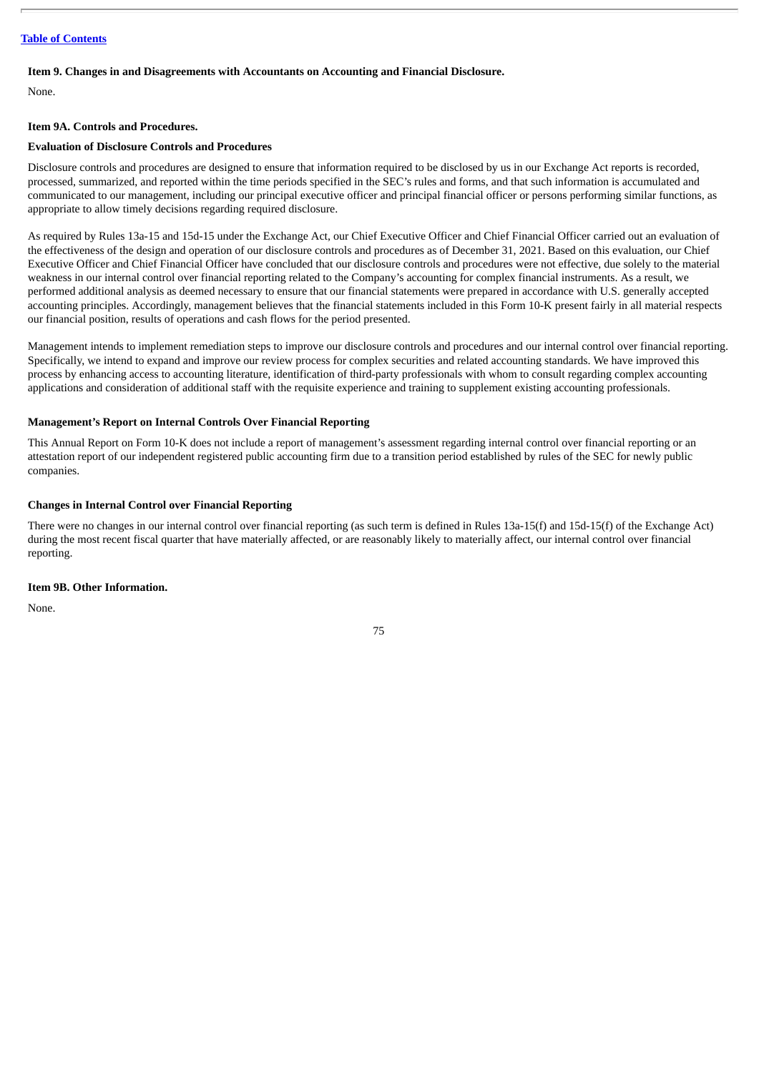# **Item 9. Changes in and Disagreements with Accountants on Accounting and Financial Disclosure.**

None.

## **Item 9A. Controls and Procedures.**

# **Evaluation of Disclosure Controls and Procedures**

Disclosure controls and procedures are designed to ensure that information required to be disclosed by us in our Exchange Act reports is recorded, processed, summarized, and reported within the time periods specified in the SEC's rules and forms, and that such information is accumulated and communicated to our management, including our principal executive officer and principal financial officer or persons performing similar functions, as appropriate to allow timely decisions regarding required disclosure.

As required by Rules 13a-15 and 15d-15 under the Exchange Act, our Chief Executive Officer and Chief Financial Officer carried out an evaluation of the effectiveness of the design and operation of our disclosure controls and procedures as of December 31, 2021. Based on this evaluation, our Chief Executive Officer and Chief Financial Officer have concluded that our disclosure controls and procedures were not effective, due solely to the material weakness in our internal control over financial reporting related to the Company's accounting for complex financial instruments. As a result, we performed additional analysis as deemed necessary to ensure that our financial statements were prepared in accordance with U.S. generally accepted accounting principles. Accordingly, management believes that the financial statements included in this Form 10-K present fairly in all material respects our financial position, results of operations and cash flows for the period presented.

Management intends to implement remediation steps to improve our disclosure controls and procedures and our internal control over financial reporting. Specifically, we intend to expand and improve our review process for complex securities and related accounting standards. We have improved this process by enhancing access to accounting literature, identification of third-party professionals with whom to consult regarding complex accounting applications and consideration of additional staff with the requisite experience and training to supplement existing accounting professionals.

## **Management's Report on Internal Controls Over Financial Reporting**

This Annual Report on Form 10-K does not include a report of management's assessment regarding internal control over financial reporting or an attestation report of our independent registered public accounting firm due to a transition period established by rules of the SEC for newly public companies.

# **Changes in Internal Control over Financial Reporting**

There were no changes in our internal control over financial reporting (as such term is defined in Rules 13a-15(f) and 15d-15(f) of the Exchange Act) during the most recent fiscal quarter that have materially affected, or are reasonably likely to materially affect, our internal control over financial reporting.

## **Item 9B. Other Information.**

None.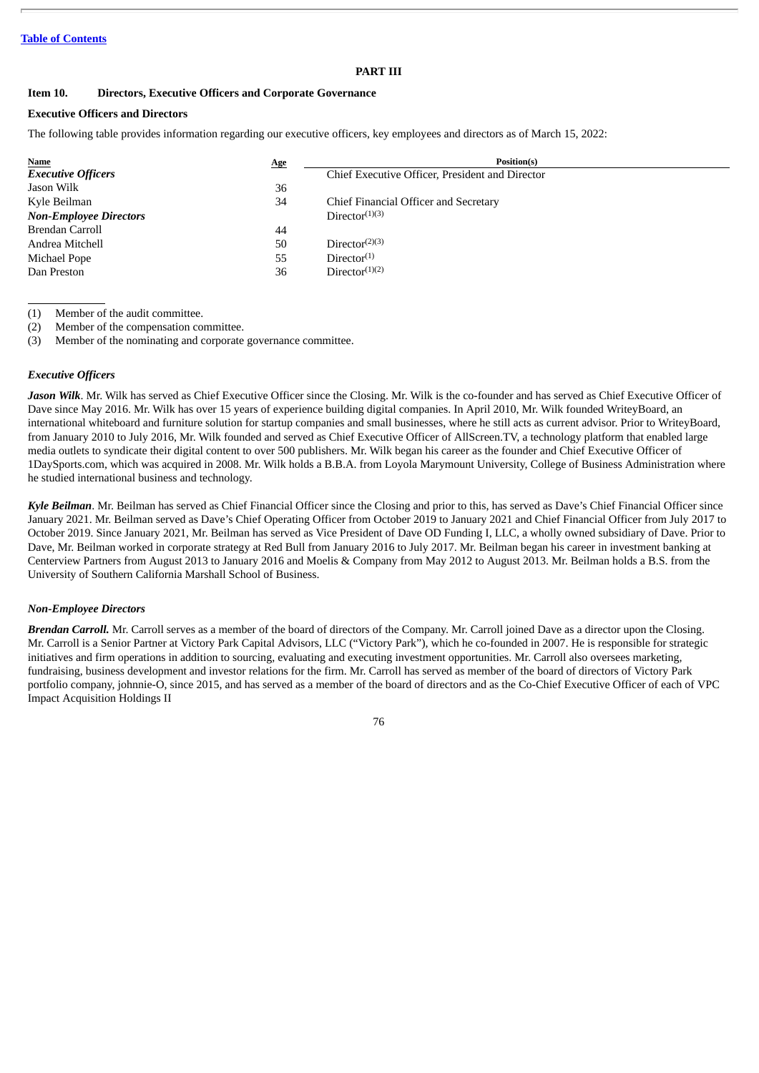## **PART III**

# **Item 10. Directors, Executive Officers and Corporate Governance**

## **Executive Officers and Directors**

The following table provides information regarding our executive officers, key employees and directors as of March 15, 2022:

| Name                          | <u>Age</u> | Position(s)                                     |
|-------------------------------|------------|-------------------------------------------------|
| <b>Executive Officers</b>     |            | Chief Executive Officer, President and Director |
| Jason Wilk                    | 36         |                                                 |
| Kyle Beilman                  | 34         | Chief Financial Officer and Secretary           |
| <b>Non-Employee Directors</b> |            | Director <sup>(1)(3)</sup>                      |
| Brendan Carroll               | 44         |                                                 |
| Andrea Mitchell               | 50         | Director <sup><math>(2)(3)</math></sup>         |
| Michael Pope                  | 55         | Director <sup>(1)</sup>                         |
| Dan Preston                   | 36         | Director $(1)(2)$                               |

(1) Member of the audit committee.

(2) Member of the compensation committee.

(3) Member of the nominating and corporate governance committee.

# *Executive Officers*

Jason Wilk. Mr. Wilk has served as Chief Executive Officer since the Closing. Mr. Wilk is the co-founder and has served as Chief Executive Officer of Dave since May 2016. Mr. Wilk has over 15 years of experience building digital companies. In April 2010, Mr. Wilk founded WriteyBoard, an international whiteboard and furniture solution for startup companies and small businesses, where he still acts as current advisor. Prior to WriteyBoard, from January 2010 to July 2016, Mr. Wilk founded and served as Chief Executive Officer of AllScreen.TV, a technology platform that enabled large media outlets to syndicate their digital content to over 500 publishers. Mr. Wilk began his career as the founder and Chief Executive Officer of 1DaySports.com, which was acquired in 2008. Mr. Wilk holds a B.B.A. from Loyola Marymount University, College of Business Administration where he studied international business and technology.

*Kyle Beilman*. Mr. Beilman has served as Chief Financial Officer since the Closing and prior to this, has served as Dave's Chief Financial Officer since January 2021. Mr. Beilman served as Dave's Chief Operating Officer from October 2019 to January 2021 and Chief Financial Officer from July 2017 to October 2019. Since January 2021, Mr. Beilman has served as Vice President of Dave OD Funding I, LLC, a wholly owned subsidiary of Dave. Prior to Dave, Mr. Beilman worked in corporate strategy at Red Bull from January 2016 to July 2017. Mr. Beilman began his career in investment banking at Centerview Partners from August 2013 to January 2016 and Moelis & Company from May 2012 to August 2013. Mr. Beilman holds a B.S. from the University of Southern California Marshall School of Business.

# *Non-Employee Directors*

*Brendan Carroll.* Mr. Carroll serves as a member of the board of directors of the Company. Mr. Carroll joined Dave as a director upon the Closing. Mr. Carroll is a Senior Partner at Victory Park Capital Advisors, LLC ("Victory Park"), which he co-founded in 2007. He is responsible for strategic initiatives and firm operations in addition to sourcing, evaluating and executing investment opportunities. Mr. Carroll also oversees marketing, fundraising, business development and investor relations for the firm. Mr. Carroll has served as member of the board of directors of Victory Park portfolio company, johnnie-O, since 2015, and has served as a member of the board of directors and as the Co-Chief Executive Officer of each of VPC Impact Acquisition Holdings II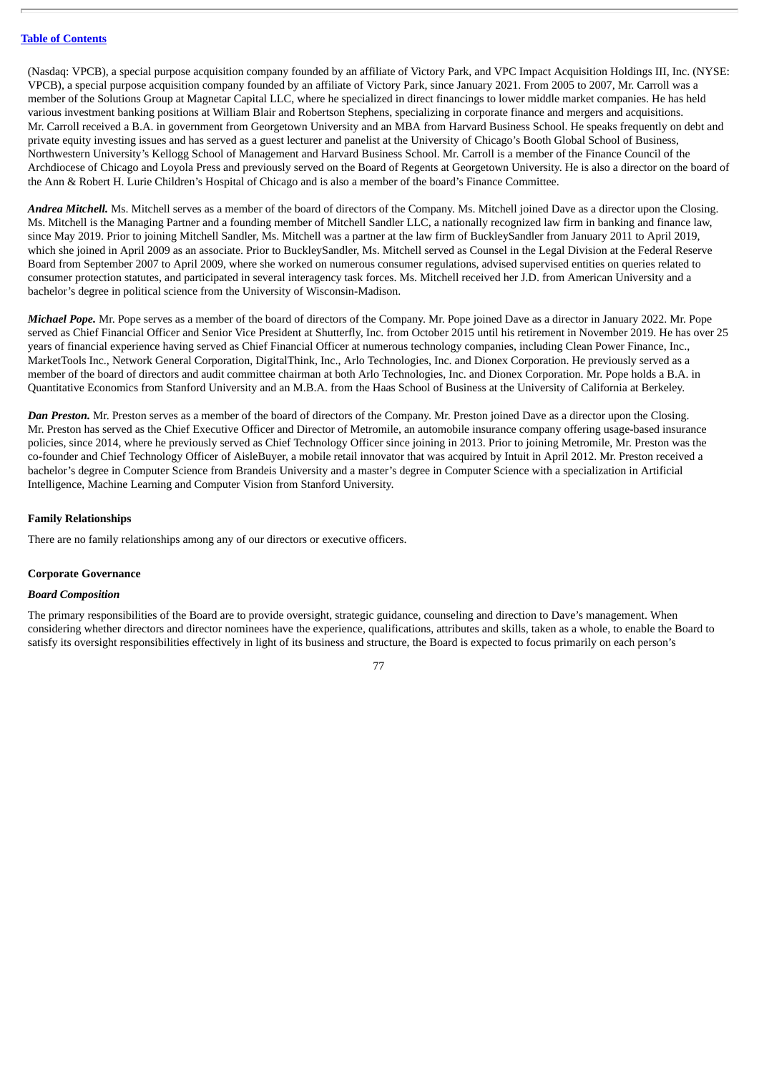(Nasdaq: VPCB), a special purpose acquisition company founded by an affiliate of Victory Park, and VPC Impact Acquisition Holdings III, Inc. (NYSE: VPCB), a special purpose acquisition company founded by an affiliate of Victory Park, since January 2021. From 2005 to 2007, Mr. Carroll was a member of the Solutions Group at Magnetar Capital LLC, where he specialized in direct financings to lower middle market companies. He has held various investment banking positions at William Blair and Robertson Stephens, specializing in corporate finance and mergers and acquisitions. Mr. Carroll received a B.A. in government from Georgetown University and an MBA from Harvard Business School. He speaks frequently on debt and private equity investing issues and has served as a guest lecturer and panelist at the University of Chicago's Booth Global School of Business, Northwestern University's Kellogg School of Management and Harvard Business School. Mr. Carroll is a member of the Finance Council of the Archdiocese of Chicago and Loyola Press and previously served on the Board of Regents at Georgetown University. He is also a director on the board of the Ann & Robert H. Lurie Children's Hospital of Chicago and is also a member of the board's Finance Committee.

*Andrea Mitchell.* Ms. Mitchell serves as a member of the board of directors of the Company. Ms. Mitchell joined Dave as a director upon the Closing. Ms. Mitchell is the Managing Partner and a founding member of Mitchell Sandler LLC, a nationally recognized law firm in banking and finance law, since May 2019. Prior to joining Mitchell Sandler, Ms. Mitchell was a partner at the law firm of BuckleySandler from January 2011 to April 2019, which she joined in April 2009 as an associate. Prior to BuckleySandler, Ms. Mitchell served as Counsel in the Legal Division at the Federal Reserve Board from September 2007 to April 2009, where she worked on numerous consumer regulations, advised supervised entities on queries related to consumer protection statutes, and participated in several interagency task forces. Ms. Mitchell received her J.D. from American University and a bachelor's degree in political science from the University of Wisconsin-Madison.

*Michael Pope.* Mr. Pope serves as a member of the board of directors of the Company. Mr. Pope joined Dave as a director in January 2022. Mr. Pope served as Chief Financial Officer and Senior Vice President at Shutterfly, Inc. from October 2015 until his retirement in November 2019. He has over 25 years of financial experience having served as Chief Financial Officer at numerous technology companies, including Clean Power Finance, Inc., MarketTools Inc., Network General Corporation, DigitalThink, Inc., Arlo Technologies, Inc. and Dionex Corporation. He previously served as a member of the board of directors and audit committee chairman at both Arlo Technologies, Inc. and Dionex Corporation. Mr. Pope holds a B.A. in Quantitative Economics from Stanford University and an M.B.A. from the Haas School of Business at the University of California at Berkeley.

*Dan Preston.* Mr. Preston serves as a member of the board of directors of the Company. Mr. Preston joined Dave as a director upon the Closing. Mr. Preston has served as the Chief Executive Officer and Director of Metromile, an automobile insurance company offering usage-based insurance policies, since 2014, where he previously served as Chief Technology Officer since joining in 2013. Prior to joining Metromile, Mr. Preston was the co-founder and Chief Technology Officer of AisleBuyer, a mobile retail innovator that was acquired by Intuit in April 2012. Mr. Preston received a bachelor's degree in Computer Science from Brandeis University and a master's degree in Computer Science with a specialization in Artificial Intelligence, Machine Learning and Computer Vision from Stanford University.

#### **Family Relationships**

There are no family relationships among any of our directors or executive officers.

#### **Corporate Governance**

#### *Board Composition*

The primary responsibilities of the Board are to provide oversight, strategic guidance, counseling and direction to Dave's management. When considering whether directors and director nominees have the experience, qualifications, attributes and skills, taken as a whole, to enable the Board to satisfy its oversight responsibilities effectively in light of its business and structure, the Board is expected to focus primarily on each person's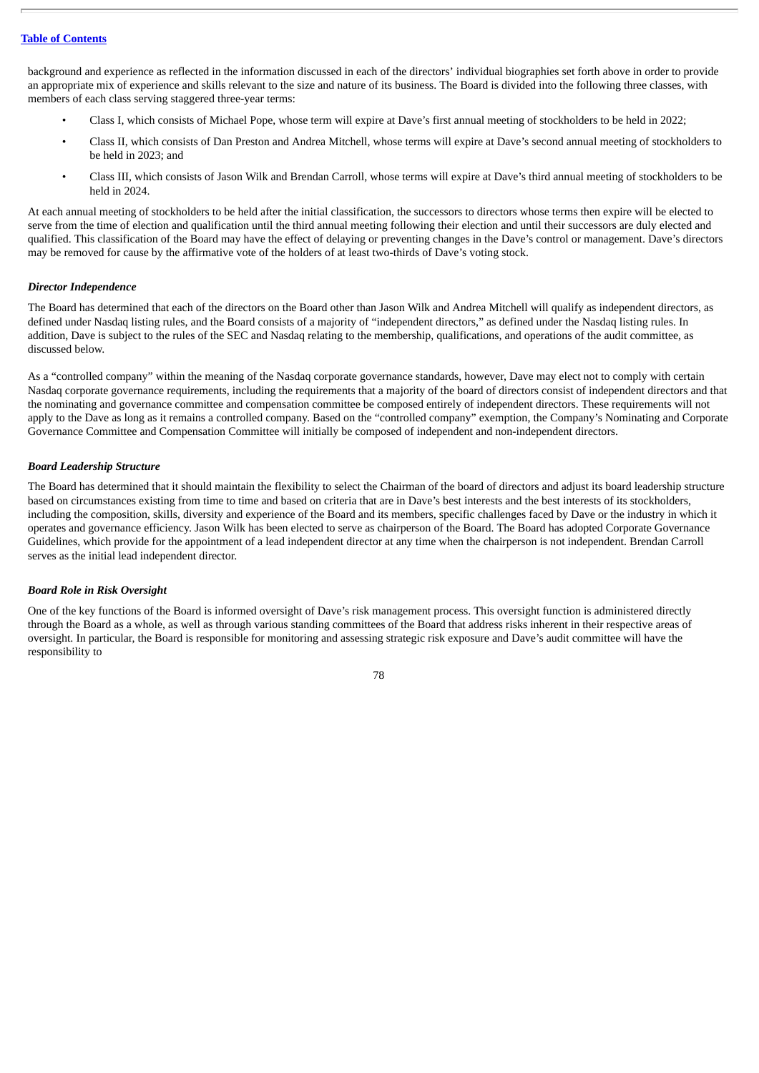background and experience as reflected in the information discussed in each of the directors' individual biographies set forth above in order to provide an appropriate mix of experience and skills relevant to the size and nature of its business. The Board is divided into the following three classes, with members of each class serving staggered three-year terms:

- Class I, which consists of Michael Pope, whose term will expire at Dave's first annual meeting of stockholders to be held in 2022;
- Class II, which consists of Dan Preston and Andrea Mitchell, whose terms will expire at Dave's second annual meeting of stockholders to be held in 2023; and
- Class III, which consists of Jason Wilk and Brendan Carroll, whose terms will expire at Dave's third annual meeting of stockholders to be held in 2024.

At each annual meeting of stockholders to be held after the initial classification, the successors to directors whose terms then expire will be elected to serve from the time of election and qualification until the third annual meeting following their election and until their successors are duly elected and qualified. This classification of the Board may have the effect of delaying or preventing changes in the Dave's control or management. Dave's directors may be removed for cause by the affirmative vote of the holders of at least two-thirds of Dave's voting stock.

# *Director Independence*

The Board has determined that each of the directors on the Board other than Jason Wilk and Andrea Mitchell will qualify as independent directors, as defined under Nasdaq listing rules, and the Board consists of a majority of "independent directors," as defined under the Nasdaq listing rules. In addition, Dave is subject to the rules of the SEC and Nasdaq relating to the membership, qualifications, and operations of the audit committee, as discussed below.

As a "controlled company" within the meaning of the Nasdaq corporate governance standards, however, Dave may elect not to comply with certain Nasdaq corporate governance requirements, including the requirements that a majority of the board of directors consist of independent directors and that the nominating and governance committee and compensation committee be composed entirely of independent directors. These requirements will not apply to the Dave as long as it remains a controlled company. Based on the "controlled company" exemption, the Company's Nominating and Corporate Governance Committee and Compensation Committee will initially be composed of independent and non-independent directors.

# *Board Leadership Structure*

The Board has determined that it should maintain the flexibility to select the Chairman of the board of directors and adjust its board leadership structure based on circumstances existing from time to time and based on criteria that are in Dave's best interests and the best interests of its stockholders, including the composition, skills, diversity and experience of the Board and its members, specific challenges faced by Dave or the industry in which it operates and governance efficiency. Jason Wilk has been elected to serve as chairperson of the Board. The Board has adopted Corporate Governance Guidelines, which provide for the appointment of a lead independent director at any time when the chairperson is not independent. Brendan Carroll serves as the initial lead independent director.

# *Board Role in Risk Oversight*

One of the key functions of the Board is informed oversight of Dave's risk management process. This oversight function is administered directly through the Board as a whole, as well as through various standing committees of the Board that address risks inherent in their respective areas of oversight. In particular, the Board is responsible for monitoring and assessing strategic risk exposure and Dave's audit committee will have the responsibility to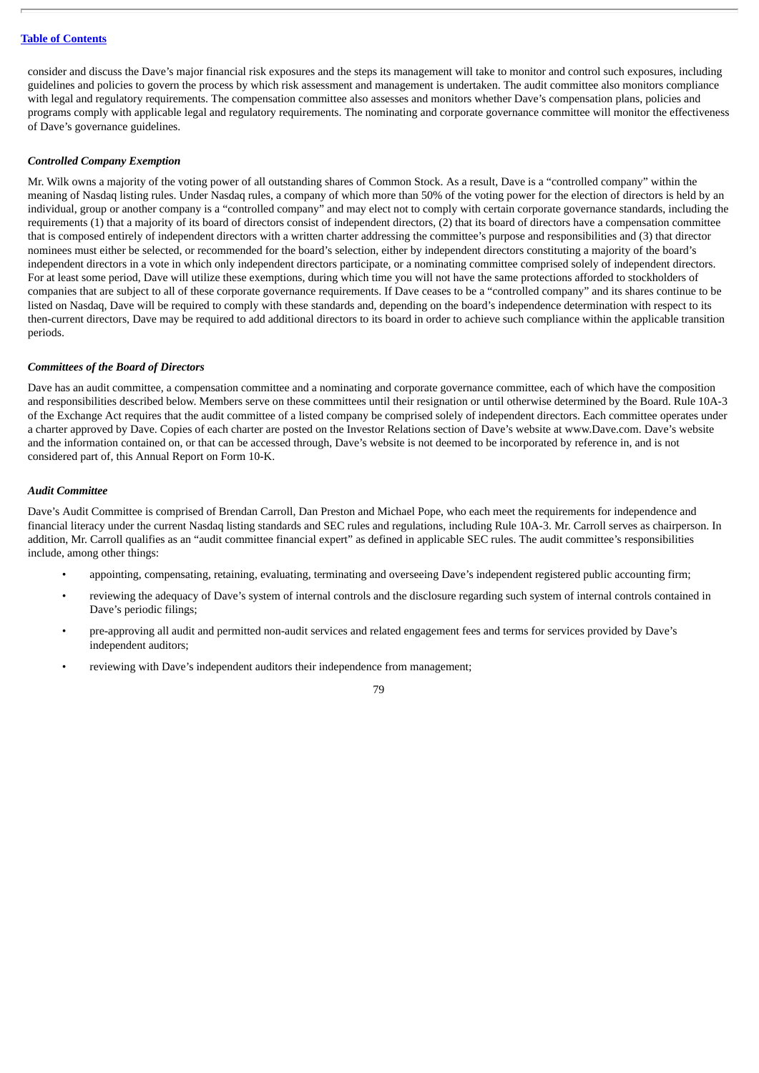consider and discuss the Dave's major financial risk exposures and the steps its management will take to monitor and control such exposures, including guidelines and policies to govern the process by which risk assessment and management is undertaken. The audit committee also monitors compliance with legal and regulatory requirements. The compensation committee also assesses and monitors whether Dave's compensation plans, policies and programs comply with applicable legal and regulatory requirements. The nominating and corporate governance committee will monitor the effectiveness of Dave's governance guidelines.

## *Controlled Company Exemption*

Mr. Wilk owns a majority of the voting power of all outstanding shares of Common Stock. As a result, Dave is a "controlled company" within the meaning of Nasdaq listing rules. Under Nasdaq rules, a company of which more than 50% of the voting power for the election of directors is held by an individual, group or another company is a "controlled company" and may elect not to comply with certain corporate governance standards, including the requirements (1) that a majority of its board of directors consist of independent directors, (2) that its board of directors have a compensation committee that is composed entirely of independent directors with a written charter addressing the committee's purpose and responsibilities and (3) that director nominees must either be selected, or recommended for the board's selection, either by independent directors constituting a majority of the board's independent directors in a vote in which only independent directors participate, or a nominating committee comprised solely of independent directors. For at least some period, Dave will utilize these exemptions, during which time you will not have the same protections afforded to stockholders of companies that are subject to all of these corporate governance requirements. If Dave ceases to be a "controlled company" and its shares continue to be listed on Nasdaq, Dave will be required to comply with these standards and, depending on the board's independence determination with respect to its then-current directors, Dave may be required to add additional directors to its board in order to achieve such compliance within the applicable transition periods.

## *Committees of the Board of Directors*

Dave has an audit committee, a compensation committee and a nominating and corporate governance committee, each of which have the composition and responsibilities described below. Members serve on these committees until their resignation or until otherwise determined by the Board. Rule 10A-3 of the Exchange Act requires that the audit committee of a listed company be comprised solely of independent directors. Each committee operates under a charter approved by Dave. Copies of each charter are posted on the Investor Relations section of Dave's website at www.Dave.com. Dave's website and the information contained on, or that can be accessed through, Dave's website is not deemed to be incorporated by reference in, and is not considered part of, this Annual Report on Form 10-K.

## *Audit Committee*

Dave's Audit Committee is comprised of Brendan Carroll, Dan Preston and Michael Pope, who each meet the requirements for independence and financial literacy under the current Nasdaq listing standards and SEC rules and regulations, including Rule 10A-3. Mr. Carroll serves as chairperson. In addition, Mr. Carroll qualifies as an "audit committee financial expert" as defined in applicable SEC rules. The audit committee's responsibilities include, among other things:

- appointing, compensating, retaining, evaluating, terminating and overseeing Dave's independent registered public accounting firm;
- reviewing the adequacy of Dave's system of internal controls and the disclosure regarding such system of internal controls contained in Dave's periodic filings;
- pre-approving all audit and permitted non-audit services and related engagement fees and terms for services provided by Dave's independent auditors;
- reviewing with Dave's independent auditors their independence from management;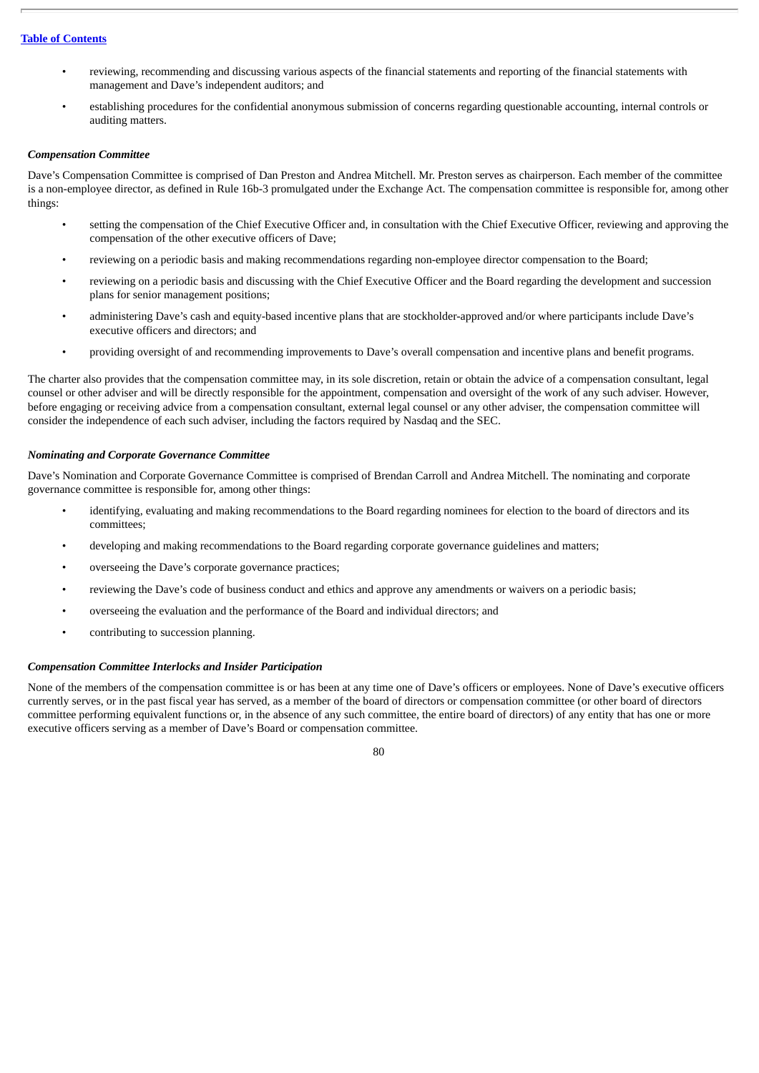- reviewing, recommending and discussing various aspects of the financial statements and reporting of the financial statements with management and Dave's independent auditors; and
- establishing procedures for the confidential anonymous submission of concerns regarding questionable accounting, internal controls or auditing matters.

## *Compensation Committee*

Dave's Compensation Committee is comprised of Dan Preston and Andrea Mitchell. Mr. Preston serves as chairperson. Each member of the committee is a non-employee director, as defined in Rule 16b-3 promulgated under the Exchange Act. The compensation committee is responsible for, among other things:

- setting the compensation of the Chief Executive Officer and, in consultation with the Chief Executive Officer, reviewing and approving the compensation of the other executive officers of Dave;
- reviewing on a periodic basis and making recommendations regarding non-employee director compensation to the Board;
- reviewing on a periodic basis and discussing with the Chief Executive Officer and the Board regarding the development and succession plans for senior management positions;
- administering Dave's cash and equity-based incentive plans that are stockholder-approved and/or where participants include Dave's executive officers and directors; and
- providing oversight of and recommending improvements to Dave's overall compensation and incentive plans and benefit programs.

The charter also provides that the compensation committee may, in its sole discretion, retain or obtain the advice of a compensation consultant, legal counsel or other adviser and will be directly responsible for the appointment, compensation and oversight of the work of any such adviser. However, before engaging or receiving advice from a compensation consultant, external legal counsel or any other adviser, the compensation committee will consider the independence of each such adviser, including the factors required by Nasdaq and the SEC.

## *Nominating and Corporate Governance Committee*

Dave's Nomination and Corporate Governance Committee is comprised of Brendan Carroll and Andrea Mitchell. The nominating and corporate governance committee is responsible for, among other things:

- identifying, evaluating and making recommendations to the Board regarding nominees for election to the board of directors and its committees;
- developing and making recommendations to the Board regarding corporate governance guidelines and matters;
- overseeing the Dave's corporate governance practices;
- reviewing the Dave's code of business conduct and ethics and approve any amendments or waivers on a periodic basis;
- overseeing the evaluation and the performance of the Board and individual directors; and
- contributing to succession planning.

#### *Compensation Committee Interlocks and Insider Participation*

None of the members of the compensation committee is or has been at any time one of Dave's officers or employees. None of Dave's executive officers currently serves, or in the past fiscal year has served, as a member of the board of directors or compensation committee (or other board of directors committee performing equivalent functions or, in the absence of any such committee, the entire board of directors) of any entity that has one or more executive officers serving as a member of Dave's Board or compensation committee.

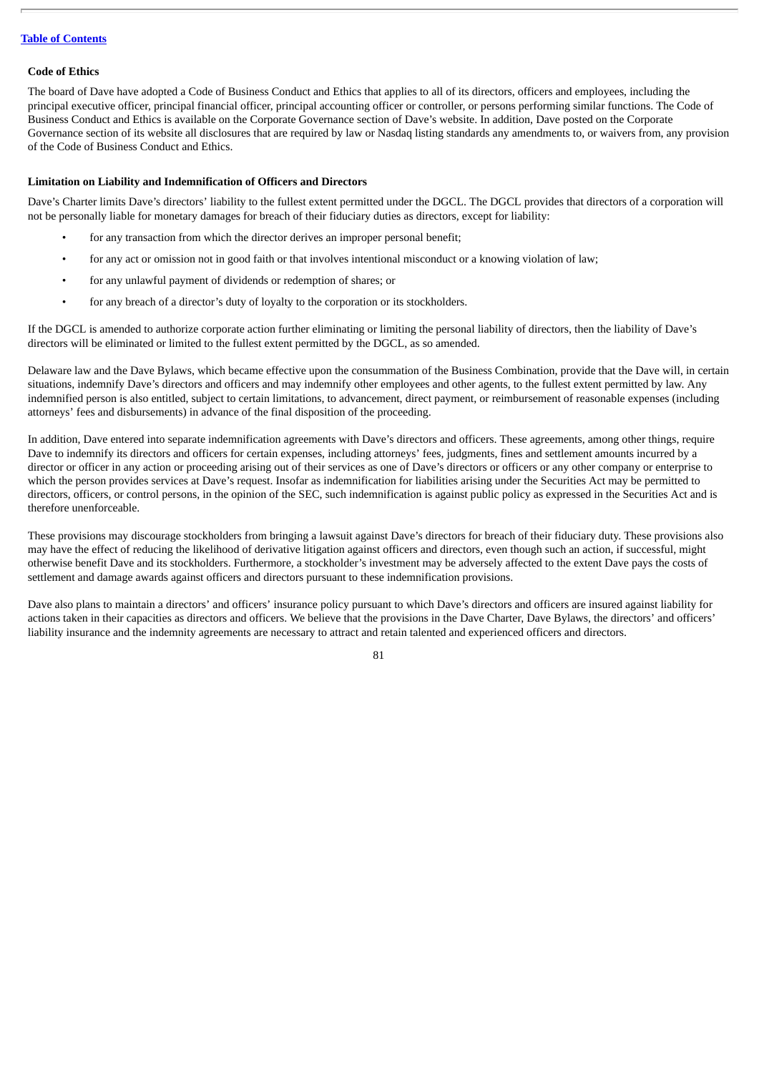### **Code of Ethics**

The board of Dave have adopted a Code of Business Conduct and Ethics that applies to all of its directors, officers and employees, including the principal executive officer, principal financial officer, principal accounting officer or controller, or persons performing similar functions. The Code of Business Conduct and Ethics is available on the Corporate Governance section of Dave's website. In addition, Dave posted on the Corporate Governance section of its website all disclosures that are required by law or Nasdaq listing standards any amendments to, or waivers from, any provision of the Code of Business Conduct and Ethics.

## **Limitation on Liability and Indemnification of Officers and Directors**

Dave's Charter limits Dave's directors' liability to the fullest extent permitted under the DGCL. The DGCL provides that directors of a corporation will not be personally liable for monetary damages for breach of their fiduciary duties as directors, except for liability:

- for any transaction from which the director derives an improper personal benefit:
- for any act or omission not in good faith or that involves intentional misconduct or a knowing violation of law;
- for any unlawful payment of dividends or redemption of shares; or
- for any breach of a director's duty of loyalty to the corporation or its stockholders.

If the DGCL is amended to authorize corporate action further eliminating or limiting the personal liability of directors, then the liability of Dave's directors will be eliminated or limited to the fullest extent permitted by the DGCL, as so amended.

Delaware law and the Dave Bylaws, which became effective upon the consummation of the Business Combination, provide that the Dave will, in certain situations, indemnify Dave's directors and officers and may indemnify other employees and other agents, to the fullest extent permitted by law. Any indemnified person is also entitled, subject to certain limitations, to advancement, direct payment, or reimbursement of reasonable expenses (including attorneys' fees and disbursements) in advance of the final disposition of the proceeding.

In addition, Dave entered into separate indemnification agreements with Dave's directors and officers. These agreements, among other things, require Dave to indemnify its directors and officers for certain expenses, including attorneys' fees, judgments, fines and settlement amounts incurred by a director or officer in any action or proceeding arising out of their services as one of Dave's directors or officers or any other company or enterprise to which the person provides services at Dave's request. Insofar as indemnification for liabilities arising under the Securities Act may be permitted to directors, officers, or control persons, in the opinion of the SEC, such indemnification is against public policy as expressed in the Securities Act and is therefore unenforceable.

These provisions may discourage stockholders from bringing a lawsuit against Dave's directors for breach of their fiduciary duty. These provisions also may have the effect of reducing the likelihood of derivative litigation against officers and directors, even though such an action, if successful, might otherwise benefit Dave and its stockholders. Furthermore, a stockholder's investment may be adversely affected to the extent Dave pays the costs of settlement and damage awards against officers and directors pursuant to these indemnification provisions.

Dave also plans to maintain a directors' and officers' insurance policy pursuant to which Dave's directors and officers are insured against liability for actions taken in their capacities as directors and officers. We believe that the provisions in the Dave Charter, Dave Bylaws, the directors' and officers' liability insurance and the indemnity agreements are necessary to attract and retain talented and experienced officers and directors.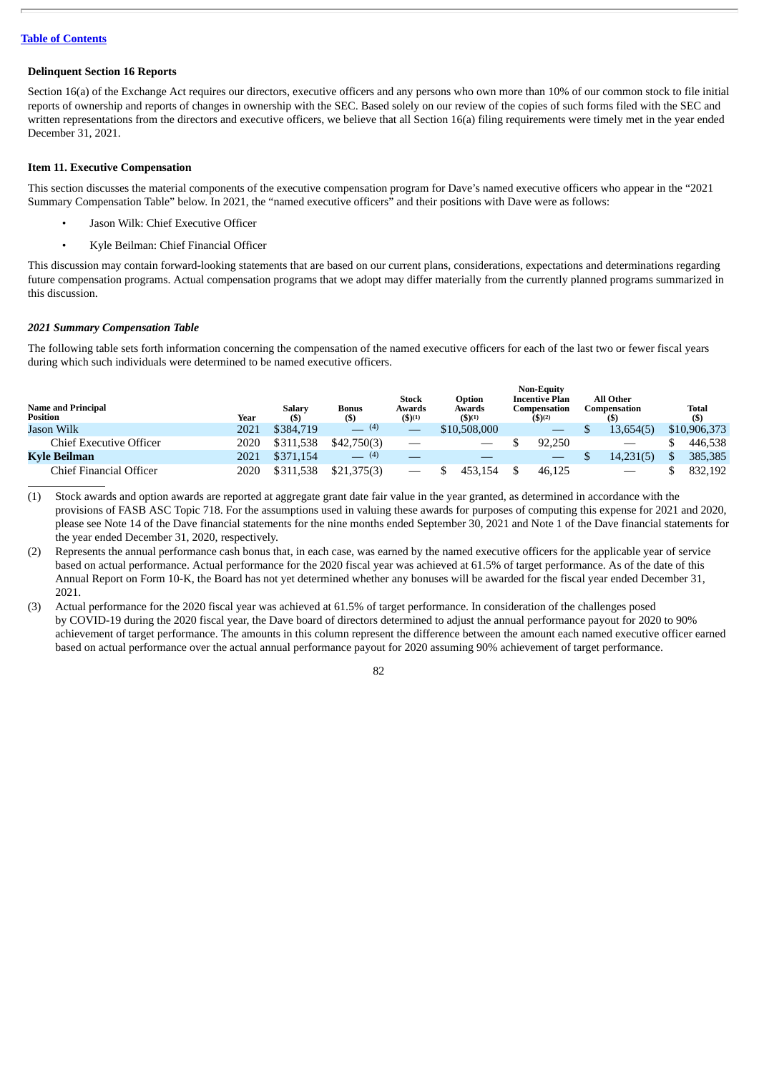## **Delinquent Section 16 Reports**

Section 16(a) of the Exchange Act requires our directors, executive officers and any persons who own more than 10% of our common stock to file initial reports of ownership and reports of changes in ownership with the SEC. Based solely on our review of the copies of such forms filed with the SEC and written representations from the directors and executive officers, we believe that all Section 16(a) filing requirements were timely met in the year ended December 31, 2021.

## **Item 11. Executive Compensation**

This section discusses the material components of the executive compensation program for Dave's named executive officers who appear in the "2021 Summary Compensation Table" below. In 2021, the "named executive officers" and their positions with Dave were as follows:

- Jason Wilk: Chief Executive Officer
- Kyle Beilman: Chief Financial Officer

This discussion may contain forward-looking statements that are based on our current plans, considerations, expectations and determinations regarding future compensation programs. Actual compensation programs that we adopt may differ materially from the currently planned programs summarized in this discussion.

#### *2021 Summary Compensation Table*

The following table sets forth information concerning the compensation of the named executive officers for each of the last two or fewer fiscal years during which such individuals were determined to be named executive officers.

| <b>Name and Principal</b><br>Position | Year | Salary<br>$($ \$) | Bonus<br>(S) | Stock<br>Awards<br>$($ \$ $)(1)$ | <b>Option</b><br>Awards<br>$($ \$ $)(1)$ | <b>Non-Equity</b><br><b>Incentive Plan</b><br>Compensation<br>$($ \$) <sup>(2)</sup> | <b>All Other</b><br>Compensation | Total<br>(\$) |
|---------------------------------------|------|-------------------|--------------|----------------------------------|------------------------------------------|--------------------------------------------------------------------------------------|----------------------------------|---------------|
| Jason Wilk                            | 2021 | \$384,719         | $- (4)$      |                                  | \$10,508,000                             | –                                                                                    | 13,654(5)                        | \$10,906,373  |
| Chief Executive Officer               | 2020 | \$311,538         | \$42,750(3)  |                                  |                                          | 92.250                                                                               |                                  | 446,538       |
| Kyle Beilman                          | 2021 | \$371.154         | $- (4)$      |                                  |                                          |                                                                                      | 14,231(5)                        | 385,385       |
| Chief Financial Officer               | 2020 | \$311,538         | \$21,375(3)  |                                  | 453.154                                  | 46.125                                                                               |                                  | 832.192       |

(1) Stock awards and option awards are reported at aggregate grant date fair value in the year granted, as determined in accordance with the provisions of FASB ASC Topic 718. For the assumptions used in valuing these awards for purposes of computing this expense for 2021 and 2020, please see Note 14 of the Dave financial statements for the nine months ended September 30, 2021 and Note 1 of the Dave financial statements for the year ended December 31, 2020, respectively.

(2) Represents the annual performance cash bonus that, in each case, was earned by the named executive officers for the applicable year of service based on actual performance. Actual performance for the 2020 fiscal year was achieved at 61.5% of target performance. As of the date of this Annual Report on Form 10-K, the Board has not yet determined whether any bonuses will be awarded for the fiscal year ended December 31, 2021.

(3) Actual performance for the 2020 fiscal year was achieved at 61.5% of target performance. In consideration of the challenges posed by COVID-19 during the 2020 fiscal year, the Dave board of directors determined to adjust the annual performance payout for 2020 to 90% achievement of target performance. The amounts in this column represent the difference between the amount each named executive officer earned based on actual performance over the actual annual performance payout for 2020 assuming 90% achievement of target performance.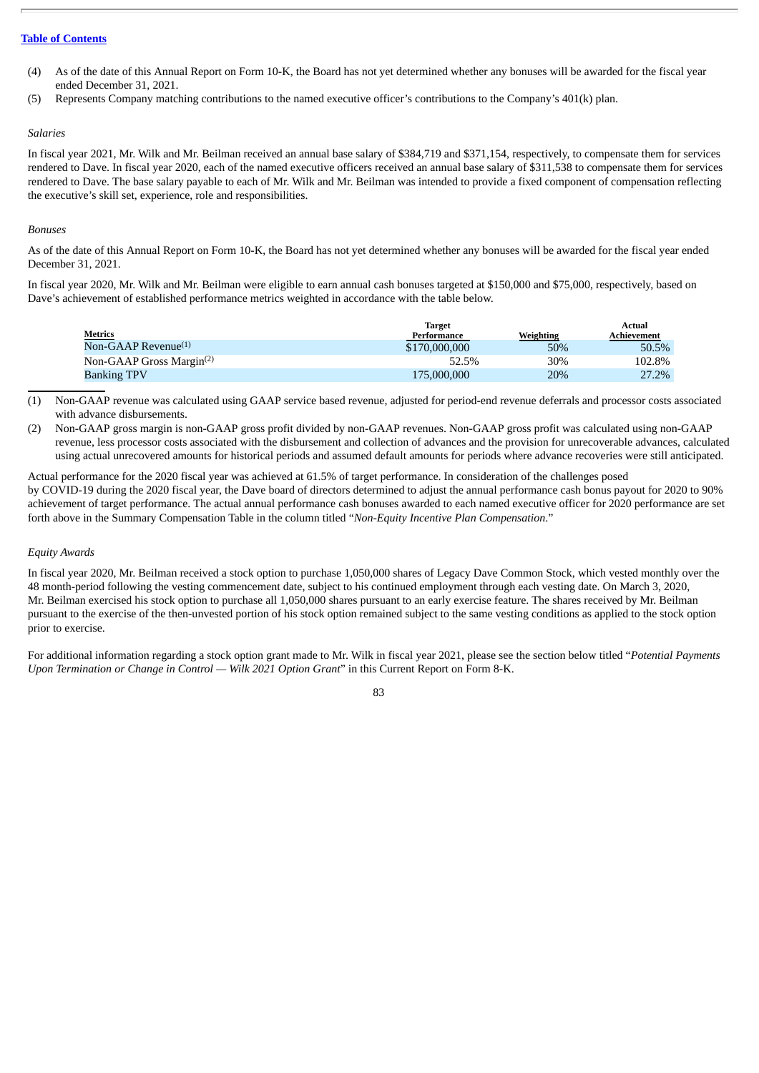- (4) As of the date of this Annual Report on Form 10-K, the Board has not yet determined whether any bonuses will be awarded for the fiscal year ended December 31, 2021.
- (5) Represents Company matching contributions to the named executive officer's contributions to the Company's 401(k) plan.

# *Salaries*

In fiscal year 2021, Mr. Wilk and Mr. Beilman received an annual base salary of \$384,719 and \$371,154, respectively, to compensate them for services rendered to Dave. In fiscal year 2020, each of the named executive officers received an annual base salary of \$311,538 to compensate them for services rendered to Dave. The base salary payable to each of Mr. Wilk and Mr. Beilman was intended to provide a fixed component of compensation reflecting the executive's skill set, experience, role and responsibilities.

## *Bonuses*

As of the date of this Annual Report on Form 10-K, the Board has not yet determined whether any bonuses will be awarded for the fiscal year ended December 31, 2021.

In fiscal year 2020, Mr. Wilk and Mr. Beilman were eligible to earn annual cash bonuses targeted at \$150,000 and \$75,000, respectively, based on Dave's achievement of established performance metrics weighted in accordance with the table below.

| <b>Metrics</b>                       | Target<br>Performance | Weighting | Actual<br>Achievement |
|--------------------------------------|-----------------------|-----------|-----------------------|
| Non-GAAP Revenue $^{(1)}$            | \$170,000,000         | 50%       | 50.5%                 |
| Non-GAAP Gross Margin <sup>(2)</sup> | 52.5%                 | 30%       | 102.8%                |
| <b>Banking TPV</b>                   | 175,000,000           | 20%       | 27.2%                 |

(1) Non-GAAP revenue was calculated using GAAP service based revenue, adjusted for period-end revenue deferrals and processor costs associated with advance disbursements.

(2) Non-GAAP gross margin is non-GAAP gross profit divided by non-GAAP revenues. Non-GAAP gross profit was calculated using non-GAAP revenue, less processor costs associated with the disbursement and collection of advances and the provision for unrecoverable advances, calculated using actual unrecovered amounts for historical periods and assumed default amounts for periods where advance recoveries were still anticipated.

Actual performance for the 2020 fiscal year was achieved at 61.5% of target performance. In consideration of the challenges posed by COVID-19 during the 2020 fiscal year, the Dave board of directors determined to adjust the annual performance cash bonus payout for 2020 to 90% achievement of target performance. The actual annual performance cash bonuses awarded to each named executive officer for 2020 performance are set forth above in the Summary Compensation Table in the column titled "*Non-Equity Incentive Plan Compensation*."

# *Equity Awards*

In fiscal year 2020, Mr. Beilman received a stock option to purchase 1,050,000 shares of Legacy Dave Common Stock, which vested monthly over the 48 month-period following the vesting commencement date, subject to his continued employment through each vesting date. On March 3, 2020, Mr. Beilman exercised his stock option to purchase all 1,050,000 shares pursuant to an early exercise feature. The shares received by Mr. Beilman pursuant to the exercise of the then-unvested portion of his stock option remained subject to the same vesting conditions as applied to the stock option prior to exercise.

For additional information regarding a stock option grant made to Mr. Wilk in fiscal year 2021, please see the section below titled "*Potential Payments Upon Termination or Change in Control — Wilk 2021 Option Grant*" in this Current Report on Form 8-K.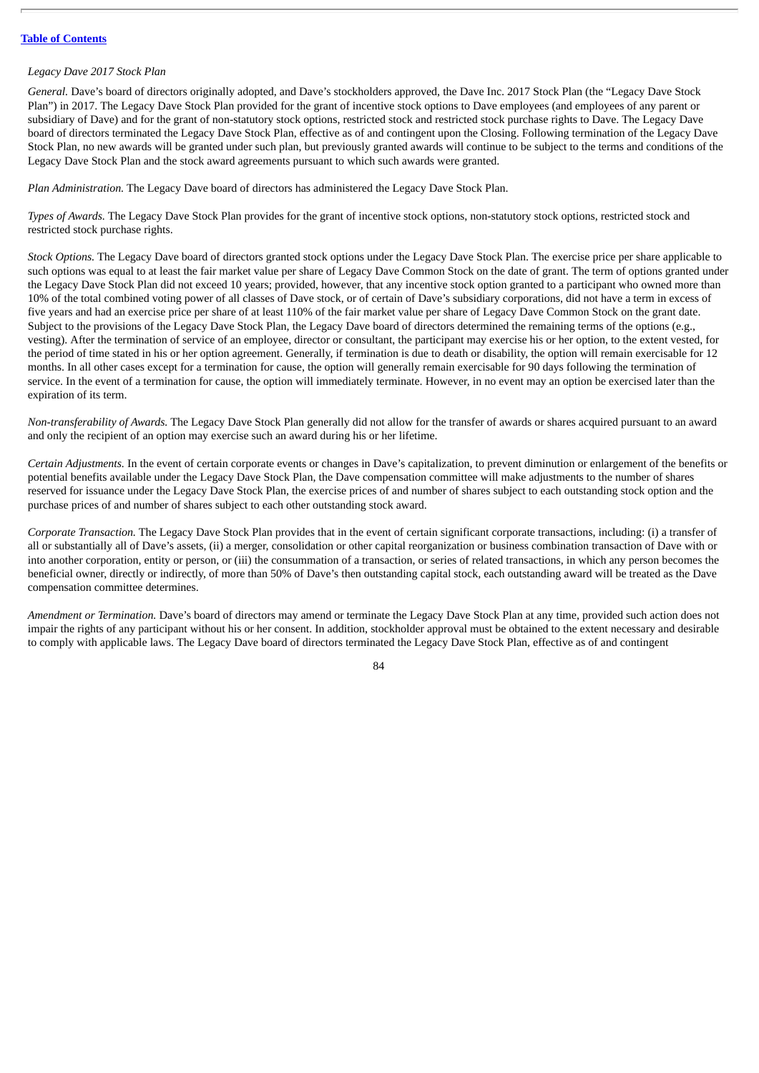## *Legacy Dave 2017 Stock Plan*

*General.* Dave's board of directors originally adopted, and Dave's stockholders approved, the Dave Inc. 2017 Stock Plan (the "Legacy Dave Stock Plan") in 2017. The Legacy Dave Stock Plan provided for the grant of incentive stock options to Dave employees (and employees of any parent or subsidiary of Dave) and for the grant of non-statutory stock options, restricted stock and restricted stock purchase rights to Dave. The Legacy Dave board of directors terminated the Legacy Dave Stock Plan, effective as of and contingent upon the Closing. Following termination of the Legacy Dave Stock Plan, no new awards will be granted under such plan, but previously granted awards will continue to be subject to the terms and conditions of the Legacy Dave Stock Plan and the stock award agreements pursuant to which such awards were granted.

*Plan Administration.* The Legacy Dave board of directors has administered the Legacy Dave Stock Plan.

*Types of Awards.* The Legacy Dave Stock Plan provides for the grant of incentive stock options, non-statutory stock options, restricted stock and restricted stock purchase rights.

*Stock Options.* The Legacy Dave board of directors granted stock options under the Legacy Dave Stock Plan. The exercise price per share applicable to such options was equal to at least the fair market value per share of Legacy Dave Common Stock on the date of grant. The term of options granted under the Legacy Dave Stock Plan did not exceed 10 years; provided, however, that any incentive stock option granted to a participant who owned more than 10% of the total combined voting power of all classes of Dave stock, or of certain of Dave's subsidiary corporations, did not have a term in excess of five years and had an exercise price per share of at least 110% of the fair market value per share of Legacy Dave Common Stock on the grant date. Subject to the provisions of the Legacy Dave Stock Plan, the Legacy Dave board of directors determined the remaining terms of the options (e.g., vesting). After the termination of service of an employee, director or consultant, the participant may exercise his or her option, to the extent vested, for the period of time stated in his or her option agreement. Generally, if termination is due to death or disability, the option will remain exercisable for 12 months. In all other cases except for a termination for cause, the option will generally remain exercisable for 90 days following the termination of service. In the event of a termination for cause, the option will immediately terminate. However, in no event may an option be exercised later than the expiration of its term.

*Non-transferability of Awards.* The Legacy Dave Stock Plan generally did not allow for the transfer of awards or shares acquired pursuant to an award and only the recipient of an option may exercise such an award during his or her lifetime.

*Certain Adjustments.* In the event of certain corporate events or changes in Dave's capitalization, to prevent diminution or enlargement of the benefits or potential benefits available under the Legacy Dave Stock Plan, the Dave compensation committee will make adjustments to the number of shares reserved for issuance under the Legacy Dave Stock Plan, the exercise prices of and number of shares subject to each outstanding stock option and the purchase prices of and number of shares subject to each other outstanding stock award.

*Corporate Transaction.* The Legacy Dave Stock Plan provides that in the event of certain significant corporate transactions, including: (i) a transfer of all or substantially all of Dave's assets, (ii) a merger, consolidation or other capital reorganization or business combination transaction of Dave with or into another corporation, entity or person, or (iii) the consummation of a transaction, or series of related transactions, in which any person becomes the beneficial owner, directly or indirectly, of more than 50% of Dave's then outstanding capital stock, each outstanding award will be treated as the Dave compensation committee determines.

*Amendment or Termination.* Dave's board of directors may amend or terminate the Legacy Dave Stock Plan at any time, provided such action does not impair the rights of any participant without his or her consent. In addition, stockholder approval must be obtained to the extent necessary and desirable to comply with applicable laws. The Legacy Dave board of directors terminated the Legacy Dave Stock Plan, effective as of and contingent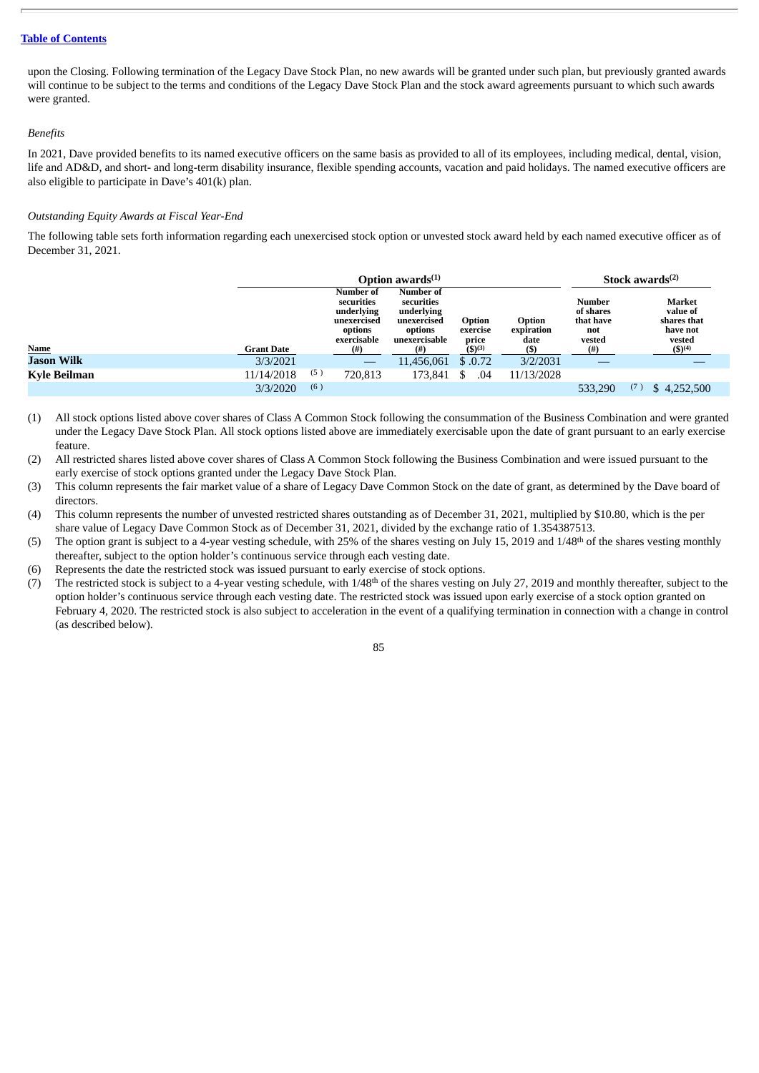upon the Closing. Following termination of the Legacy Dave Stock Plan, no new awards will be granted under such plan, but previously granted awards will continue to be subject to the terms and conditions of the Legacy Dave Stock Plan and the stock award agreements pursuant to which such awards were granted.

# *Benefits*

In 2021, Dave provided benefits to its named executive officers on the same basis as provided to all of its employees, including medical, dental, vision, life and AD&D, and short- and long-term disability insurance, flexible spending accounts, vacation and paid holidays. The named executive officers are also eligible to participate in Dave's 401(k) plan.

## *Outstanding Equity Awards at Fiscal Year-End*

The following table sets forth information regarding each unexercised stock option or unvested stock award held by each named executive officer as of December 31, 2021.

|                   |                   | Option awards <sup>(1)</sup>                                                           |                                                                                              |                                                       |                                     | Stock awards $(2)$                                               |                                                                                   |  |
|-------------------|-------------------|----------------------------------------------------------------------------------------|----------------------------------------------------------------------------------------------|-------------------------------------------------------|-------------------------------------|------------------------------------------------------------------|-----------------------------------------------------------------------------------|--|
| <b>Name</b>       | <b>Grant Date</b> | Number of<br>securities<br>underlying<br>unexercised<br>options<br>exercisable<br>(# ) | Number of<br>securities<br>underlying<br>unexercised<br>options<br>unexercisable<br>$^{(#)}$ | Option<br>exercise<br>price<br>$($ \$) <sup>(3)</sup> | Option<br>expiration<br>date<br>(S) | <b>Number</b><br>of shares<br>that have<br>not<br>vested<br>(# ) | Market<br>value of<br>shares that<br>have not<br>vested<br>$($ \$) <sup>(4)</sup> |  |
| <b>Jason Wilk</b> | 3/3/2021          | $\overline{\phantom{0}}$                                                               | 11,456,061                                                                                   | \$.0.72                                               | 3/2/2031                            |                                                                  |                                                                                   |  |
| Kyle Beilman      | 11/14/2018        | (5)<br>720.813                                                                         | 173.841                                                                                      | .04<br>-S                                             | 11/13/2028                          |                                                                  |                                                                                   |  |
|                   | 3/3/2020          | (6)                                                                                    |                                                                                              |                                                       |                                     | 533,290                                                          | \$4,252,500<br>(7)                                                                |  |

(1) All stock options listed above cover shares of Class A Common Stock following the consummation of the Business Combination and were granted under the Legacy Dave Stock Plan. All stock options listed above are immediately exercisable upon the date of grant pursuant to an early exercise feature.

- (2) All restricted shares listed above cover shares of Class A Common Stock following the Business Combination and were issued pursuant to the early exercise of stock options granted under the Legacy Dave Stock Plan.
- (3) This column represents the fair market value of a share of Legacy Dave Common Stock on the date of grant, as determined by the Dave board of directors.
- (4) This column represents the number of unvested restricted shares outstanding as of December 31, 2021, multiplied by \$10.80, which is the per share value of Legacy Dave Common Stock as of December 31, 2021, divided by the exchange ratio of 1.354387513.
- (5) The option grant is subject to a 4-year vesting schedule, with 25% of the shares vesting on July 15, 2019 and 1/48<sup>th</sup> of the shares vesting monthly thereafter, subject to the option holder's continuous service through each vesting date.
- (6) Represents the date the restricted stock was issued pursuant to early exercise of stock options.
- (7) The restricted stock is subject to a 4-year vesting schedule, with  $1/48<sup>th</sup>$  of the shares vesting on July 27, 2019 and monthly thereafter, subject to the option holder's continuous service through each vesting date. The restricted stock was issued upon early exercise of a stock option granted on February 4, 2020. The restricted stock is also subject to acceleration in the event of a qualifying termination in connection with a change in control (as described below).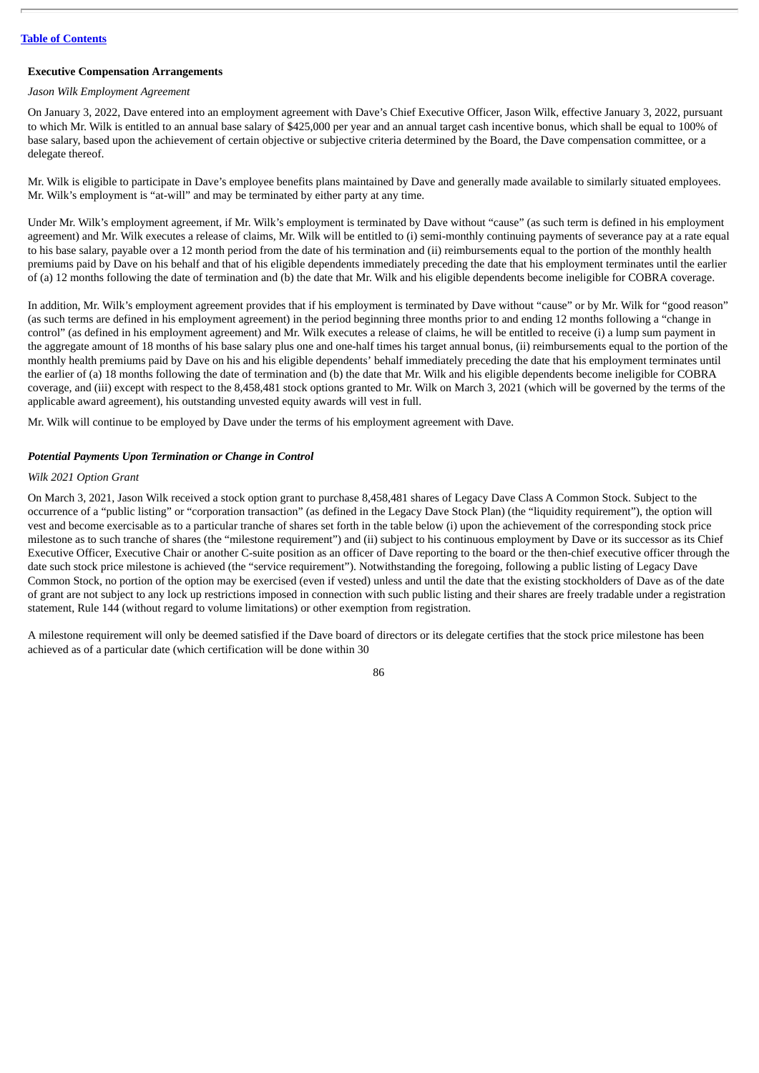#### **Executive Compensation Arrangements**

#### *Jason Wilk Employment Agreement*

On January 3, 2022, Dave entered into an employment agreement with Dave's Chief Executive Officer, Jason Wilk, effective January 3, 2022, pursuant to which Mr. Wilk is entitled to an annual base salary of \$425,000 per year and an annual target cash incentive bonus, which shall be equal to 100% of base salary, based upon the achievement of certain objective or subjective criteria determined by the Board, the Dave compensation committee, or a delegate thereof.

Mr. Wilk is eligible to participate in Dave's employee benefits plans maintained by Dave and generally made available to similarly situated employees. Mr. Wilk's employment is "at-will" and may be terminated by either party at any time.

Under Mr. Wilk's employment agreement, if Mr. Wilk's employment is terminated by Dave without "cause" (as such term is defined in his employment agreement) and Mr. Wilk executes a release of claims, Mr. Wilk will be entitled to (i) semi-monthly continuing payments of severance pay at a rate equal to his base salary, payable over a 12 month period from the date of his termination and (ii) reimbursements equal to the portion of the monthly health premiums paid by Dave on his behalf and that of his eligible dependents immediately preceding the date that his employment terminates until the earlier of (a) 12 months following the date of termination and (b) the date that Mr. Wilk and his eligible dependents become ineligible for COBRA coverage.

In addition, Mr. Wilk's employment agreement provides that if his employment is terminated by Dave without "cause" or by Mr. Wilk for "good reason" (as such terms are defined in his employment agreement) in the period beginning three months prior to and ending 12 months following a "change in control" (as defined in his employment agreement) and Mr. Wilk executes a release of claims, he will be entitled to receive (i) a lump sum payment in the aggregate amount of 18 months of his base salary plus one and one-half times his target annual bonus, (ii) reimbursements equal to the portion of the monthly health premiums paid by Dave on his and his eligible dependents' behalf immediately preceding the date that his employment terminates until the earlier of (a) 18 months following the date of termination and (b) the date that Mr. Wilk and his eligible dependents become ineligible for COBRA coverage, and (iii) except with respect to the 8,458,481 stock options granted to Mr. Wilk on March 3, 2021 (which will be governed by the terms of the applicable award agreement), his outstanding unvested equity awards will vest in full.

Mr. Wilk will continue to be employed by Dave under the terms of his employment agreement with Dave.

#### *Potential Payments Upon Termination or Change in Control*

#### *Wilk 2021 Option Grant*

On March 3, 2021, Jason Wilk received a stock option grant to purchase 8,458,481 shares of Legacy Dave Class A Common Stock. Subject to the occurrence of a "public listing" or "corporation transaction" (as defined in the Legacy Dave Stock Plan) (the "liquidity requirement"), the option will vest and become exercisable as to a particular tranche of shares set forth in the table below (i) upon the achievement of the corresponding stock price milestone as to such tranche of shares (the "milestone requirement") and (ii) subject to his continuous employment by Dave or its successor as its Chief Executive Officer, Executive Chair or another C-suite position as an officer of Dave reporting to the board or the then-chief executive officer through the date such stock price milestone is achieved (the "service requirement"). Notwithstanding the foregoing, following a public listing of Legacy Dave Common Stock, no portion of the option may be exercised (even if vested) unless and until the date that the existing stockholders of Dave as of the date of grant are not subject to any lock up restrictions imposed in connection with such public listing and their shares are freely tradable under a registration statement, Rule 144 (without regard to volume limitations) or other exemption from registration.

A milestone requirement will only be deemed satisfied if the Dave board of directors or its delegate certifies that the stock price milestone has been achieved as of a particular date (which certification will be done within 30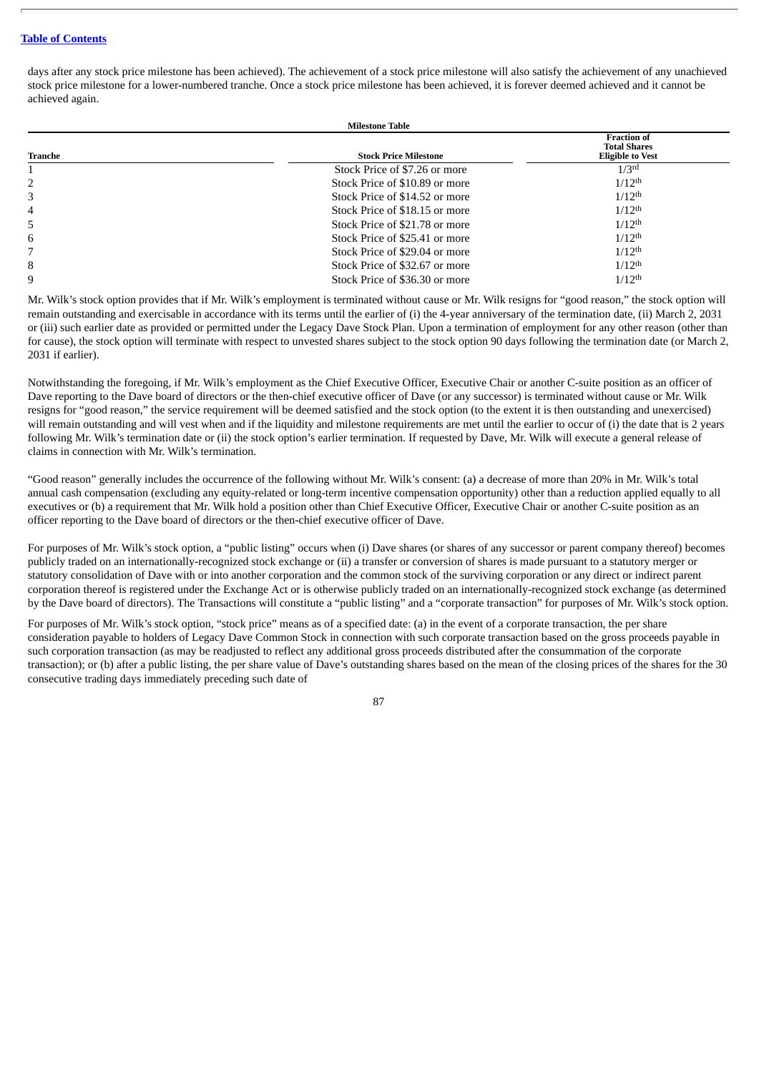days after any stock price milestone has been achieved). The achievement of a stock price milestone will also satisfy the achievement of any unachieved stock price milestone for a lower-numbered tranche. Once a stock price milestone has been achieved, it is forever deemed achieved and it cannot be achieved again.

| <b>Milestone Table</b> |                                |                                                                      |  |  |  |
|------------------------|--------------------------------|----------------------------------------------------------------------|--|--|--|
| Tranche                | <b>Stock Price Milestone</b>   | <b>Fraction of</b><br><b>Total Shares</b><br><b>Eligible to Vest</b> |  |  |  |
|                        | Stock Price of \$7.26 or more  | 1/3 <sup>rd</sup>                                                    |  |  |  |
| 2                      | Stock Price of \$10.89 or more | $1/12^{th}$                                                          |  |  |  |
| 3                      | Stock Price of \$14.52 or more | $1/12$ <sup>th</sup>                                                 |  |  |  |
| 4                      | Stock Price of \$18.15 or more | $1/12$ <sup>th</sup>                                                 |  |  |  |
| 5.                     | Stock Price of \$21.78 or more | $1/12^{th}$                                                          |  |  |  |
| 6                      | Stock Price of \$25.41 or more | $1/12^{th}$                                                          |  |  |  |
|                        | Stock Price of \$29.04 or more | $1/12^{th}$                                                          |  |  |  |
| 8                      | Stock Price of \$32.67 or more | $1/12^{th}$                                                          |  |  |  |
| 9                      | Stock Price of \$36.30 or more | $1/12$ <sup>th</sup>                                                 |  |  |  |

Mr. Wilk's stock option provides that if Mr. Wilk's employment is terminated without cause or Mr. Wilk resigns for "good reason," the stock option will remain outstanding and exercisable in accordance with its terms until the earlier of (i) the 4-year anniversary of the termination date, (ii) March 2, 2031 or (iii) such earlier date as provided or permitted under the Legacy Dave Stock Plan. Upon a termination of employment for any other reason (other than for cause), the stock option will terminate with respect to unvested shares subject to the stock option 90 days following the termination date (or March 2, 2031 if earlier).

Notwithstanding the foregoing, if Mr. Wilk's employment as the Chief Executive Officer, Executive Chair or another C-suite position as an officer of Dave reporting to the Dave board of directors or the then-chief executive officer of Dave (or any successor) is terminated without cause or Mr. Wilk resigns for "good reason," the service requirement will be deemed satisfied and the stock option (to the extent it is then outstanding and unexercised) will remain outstanding and will vest when and if the liquidity and milestone requirements are met until the earlier to occur of (i) the date that is 2 years following Mr. Wilk's termination date or (ii) the stock option's earlier termination. If requested by Dave, Mr. Wilk will execute a general release of claims in connection with Mr. Wilk's termination.

"Good reason" generally includes the occurrence of the following without Mr. Wilk's consent: (a) a decrease of more than 20% in Mr. Wilk's total annual cash compensation (excluding any equity-related or long-term incentive compensation opportunity) other than a reduction applied equally to all executives or (b) a requirement that Mr. Wilk hold a position other than Chief Executive Officer, Executive Chair or another C-suite position as an officer reporting to the Dave board of directors or the then-chief executive officer of Dave.

For purposes of Mr. Wilk's stock option, a "public listing" occurs when (i) Dave shares (or shares of any successor or parent company thereof) becomes publicly traded on an internationally-recognized stock exchange or (ii) a transfer or conversion of shares is made pursuant to a statutory merger or statutory consolidation of Dave with or into another corporation and the common stock of the surviving corporation or any direct or indirect parent corporation thereof is registered under the Exchange Act or is otherwise publicly traded on an internationally-recognized stock exchange (as determined by the Dave board of directors). The Transactions will constitute a "public listing" and a "corporate transaction" for purposes of Mr. Wilk's stock option.

For purposes of Mr. Wilk's stock option, "stock price" means as of a specified date: (a) in the event of a corporate transaction, the per share consideration payable to holders of Legacy Dave Common Stock in connection with such corporate transaction based on the gross proceeds payable in such corporation transaction (as may be readjusted to reflect any additional gross proceeds distributed after the consummation of the corporate transaction); or (b) after a public listing, the per share value of Dave's outstanding shares based on the mean of the closing prices of the shares for the 30 consecutive trading days immediately preceding such date of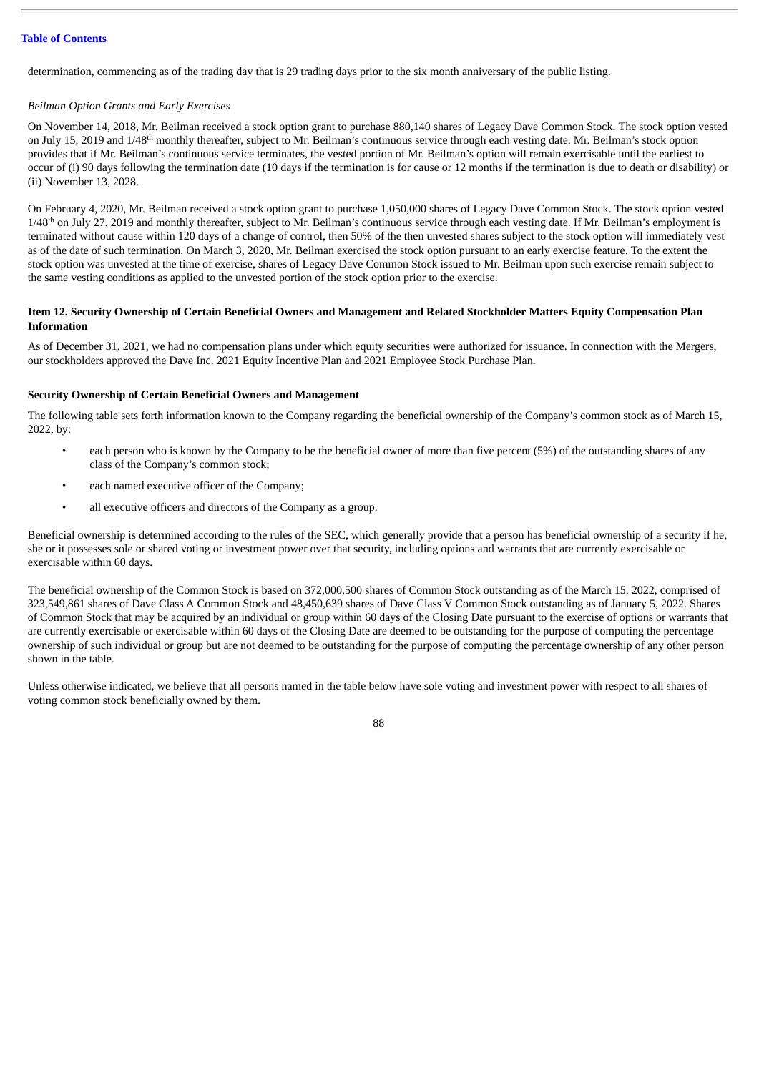determination, commencing as of the trading day that is 29 trading days prior to the six month anniversary of the public listing.

## *Beilman Option Grants and Early Exercises*

On November 14, 2018, Mr. Beilman received a stock option grant to purchase 880,140 shares of Legacy Dave Common Stock. The stock option vested on July 15, 2019 and 1/48<sup>th</sup> monthly thereafter, subject to Mr. Beilman's continuous service through each vesting date. Mr. Beilman's stock option provides that if Mr. Beilman's continuous service terminates, the vested portion of Mr. Beilman's option will remain exercisable until the earliest to occur of (i) 90 days following the termination date (10 days if the termination is for cause or 12 months if the termination is due to death or disability) or (ii) November 13, 2028.

On February 4, 2020, Mr. Beilman received a stock option grant to purchase 1,050,000 shares of Legacy Dave Common Stock. The stock option vested 1/48<sup>th</sup> on July 27, 2019 and monthly thereafter, subject to Mr. Beilman's continuous service through each vesting date. If Mr. Beilman's employment is terminated without cause within 120 days of a change of control, then 50% of the then unvested shares subject to the stock option will immediately vest as of the date of such termination. On March 3, 2020, Mr. Beilman exercised the stock option pursuant to an early exercise feature. To the extent the stock option was unvested at the time of exercise, shares of Legacy Dave Common Stock issued to Mr. Beilman upon such exercise remain subject to the same vesting conditions as applied to the unvested portion of the stock option prior to the exercise.

# Item 12. Security Ownership of Certain Beneficial Owners and Management and Related Stockholder Matters Equity Compensation Plan **Information**

As of December 31, 2021, we had no compensation plans under which equity securities were authorized for issuance. In connection with the Mergers, our stockholders approved the Dave Inc. 2021 Equity Incentive Plan and 2021 Employee Stock Purchase Plan.

## **Security Ownership of Certain Beneficial Owners and Management**

The following table sets forth information known to the Company regarding the beneficial ownership of the Company's common stock as of March 15, 2022, by:

- each person who is known by the Company to be the beneficial owner of more than five percent (5%) of the outstanding shares of any class of the Company's common stock;
- each named executive officer of the Company;
- all executive officers and directors of the Company as a group.

Beneficial ownership is determined according to the rules of the SEC, which generally provide that a person has beneficial ownership of a security if he, she or it possesses sole or shared voting or investment power over that security, including options and warrants that are currently exercisable or exercisable within 60 days.

The beneficial ownership of the Common Stock is based on 372,000,500 shares of Common Stock outstanding as of the March 15, 2022, comprised of 323,549,861 shares of Dave Class A Common Stock and 48,450,639 shares of Dave Class V Common Stock outstanding as of January 5, 2022. Shares of Common Stock that may be acquired by an individual or group within 60 days of the Closing Date pursuant to the exercise of options or warrants that are currently exercisable or exercisable within 60 days of the Closing Date are deemed to be outstanding for the purpose of computing the percentage ownership of such individual or group but are not deemed to be outstanding for the purpose of computing the percentage ownership of any other person shown in the table.

Unless otherwise indicated, we believe that all persons named in the table below have sole voting and investment power with respect to all shares of voting common stock beneficially owned by them.

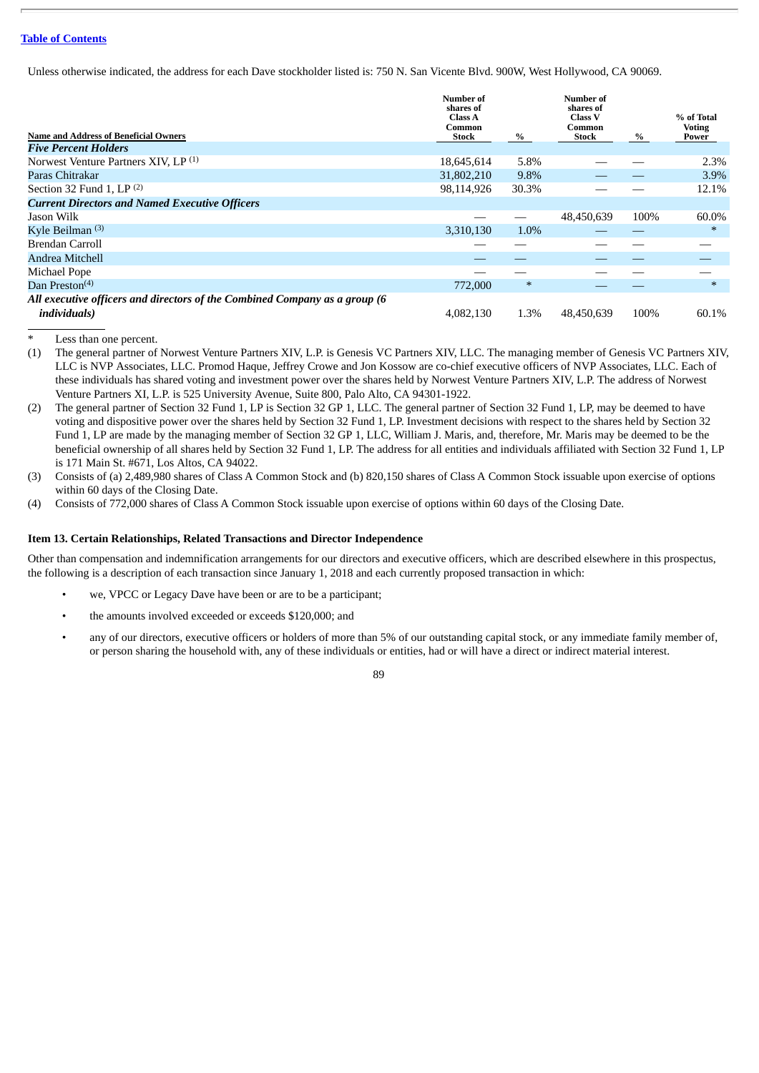Unless otherwise indicated, the address for each Dave stockholder listed is: 750 N. San Vicente Blvd. 900W, West Hollywood, CA 90069.

| <b>Name and Address of Beneficial Owners</b>                                                       | <b>Number of</b><br>shares of<br><b>Class A</b><br>Common<br>Stock | $\%$   | Number of<br>shares of<br><b>Class V</b><br>Common<br>Stock | $\%$ | % of Total<br>Voting<br>Power |
|----------------------------------------------------------------------------------------------------|--------------------------------------------------------------------|--------|-------------------------------------------------------------|------|-------------------------------|
| <b>Five Percent Holders</b>                                                                        |                                                                    |        |                                                             |      |                               |
| Norwest Venture Partners XIV, LP <sup>(1)</sup>                                                    | 18,645,614                                                         | 5.8%   |                                                             |      | 2.3%                          |
| Paras Chitrakar                                                                                    | 31,802,210                                                         | 9.8%   |                                                             |      | $3.9\%$                       |
| Section 32 Fund 1, LP $(2)$                                                                        | 98,114,926                                                         | 30.3%  |                                                             |      | 12.1%                         |
| <b>Current Directors and Named Executive Officers</b>                                              |                                                                    |        |                                                             |      |                               |
| Jason Wilk                                                                                         |                                                                    |        | 48,450,639                                                  | 100% | 60.0%                         |
| Kyle Beilman (3)                                                                                   | 3,310,130                                                          | 1.0%   |                                                             |      | ∗                             |
| <b>Brendan Carroll</b>                                                                             |                                                                    |        |                                                             |      |                               |
| Andrea Mitchell                                                                                    |                                                                    |        |                                                             |      |                               |
| Michael Pope                                                                                       |                                                                    |        |                                                             |      |                               |
| Dan Preston $(4)$                                                                                  | 772,000                                                            | $\ast$ |                                                             |      | $\ast$                        |
| All executive officers and directors of the Combined Company as a group (6<br><i>individuals</i> ) | 4,082,130                                                          | 1.3%   | 48,450,639                                                  | 100% | 60.1%                         |

Less than one percent.

- (1) The general partner of Norwest Venture Partners XIV, L.P. is Genesis VC Partners XIV, LLC. The managing member of Genesis VC Partners XIV, LLC is NVP Associates, LLC. Promod Haque, Jeffrey Crowe and Jon Kossow are co-chief executive officers of NVP Associates, LLC. Each of these individuals has shared voting and investment power over the shares held by Norwest Venture Partners XIV, L.P. The address of Norwest Venture Partners XI, L.P. is 525 University Avenue, Suite 800, Palo Alto, CA 94301-1922.
- (2) The general partner of Section 32 Fund 1, LP is Section 32 GP 1, LLC. The general partner of Section 32 Fund 1, LP, may be deemed to have voting and dispositive power over the shares held by Section 32 Fund 1, LP. Investment decisions with respect to the shares held by Section 32 Fund 1, LP are made by the managing member of Section 32 GP 1, LLC, William J. Maris, and, therefore, Mr. Maris may be deemed to be the beneficial ownership of all shares held by Section 32 Fund 1, LP. The address for all entities and individuals affiliated with Section 32 Fund 1, LP is 171 Main St. #671, Los Altos, CA 94022.
- (3) Consists of (a) 2,489,980 shares of Class A Common Stock and (b) 820,150 shares of Class A Common Stock issuable upon exercise of options within 60 days of the Closing Date.
- (4) Consists of 772,000 shares of Class A Common Stock issuable upon exercise of options within 60 days of the Closing Date.

## **Item 13. Certain Relationships, Related Transactions and Director Independence**

Other than compensation and indemnification arrangements for our directors and executive officers, which are described elsewhere in this prospectus, the following is a description of each transaction since January 1, 2018 and each currently proposed transaction in which:

- we, VPCC or Legacy Dave have been or are to be a participant;
- the amounts involved exceeded or exceeds \$120,000; and
- any of our directors, executive officers or holders of more than 5% of our outstanding capital stock, or any immediate family member of, or person sharing the household with, any of these individuals or entities, had or will have a direct or indirect material interest.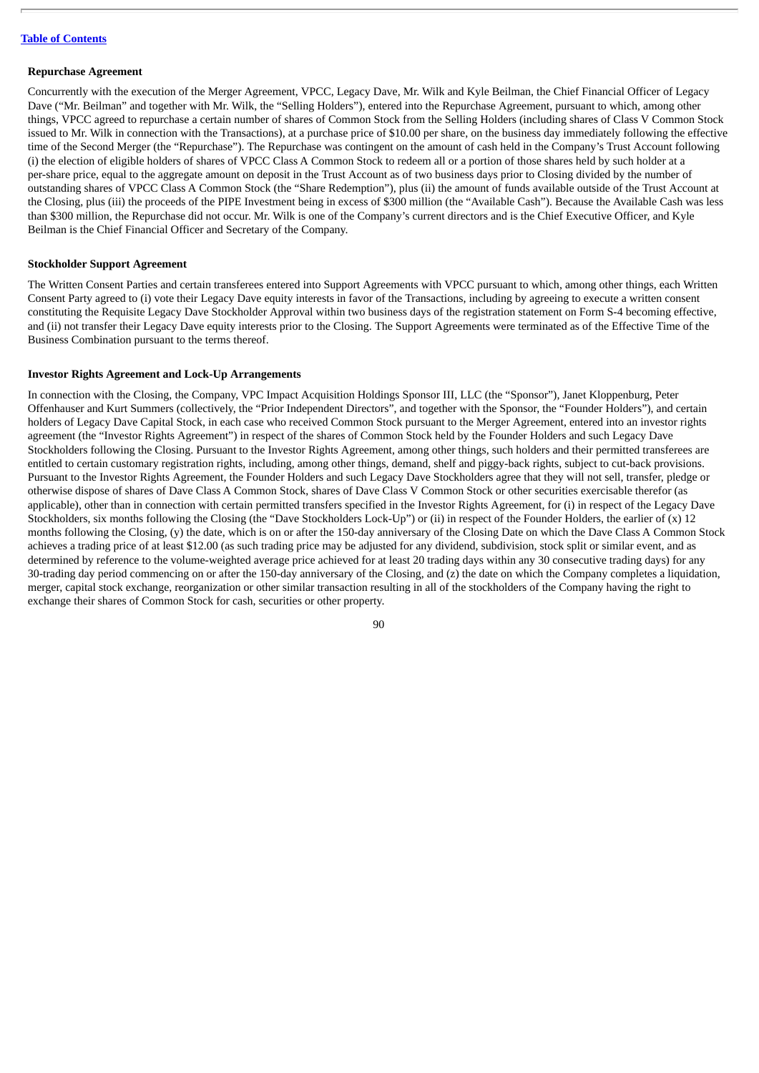#### **Repurchase Agreement**

Concurrently with the execution of the Merger Agreement, VPCC, Legacy Dave, Mr. Wilk and Kyle Beilman, the Chief Financial Officer of Legacy Dave ("Mr. Beilman" and together with Mr. Wilk, the "Selling Holders"), entered into the Repurchase Agreement, pursuant to which, among other things, VPCC agreed to repurchase a certain number of shares of Common Stock from the Selling Holders (including shares of Class V Common Stock issued to Mr. Wilk in connection with the Transactions), at a purchase price of \$10.00 per share, on the business day immediately following the effective time of the Second Merger (the "Repurchase"). The Repurchase was contingent on the amount of cash held in the Company's Trust Account following (i) the election of eligible holders of shares of VPCC Class A Common Stock to redeem all or a portion of those shares held by such holder at a per-share price, equal to the aggregate amount on deposit in the Trust Account as of two business days prior to Closing divided by the number of outstanding shares of VPCC Class A Common Stock (the "Share Redemption"), plus (ii) the amount of funds available outside of the Trust Account at the Closing, plus (iii) the proceeds of the PIPE Investment being in excess of \$300 million (the "Available Cash"). Because the Available Cash was less than \$300 million, the Repurchase did not occur. Mr. Wilk is one of the Company's current directors and is the Chief Executive Officer, and Kyle Beilman is the Chief Financial Officer and Secretary of the Company.

## **Stockholder Support Agreement**

The Written Consent Parties and certain transferees entered into Support Agreements with VPCC pursuant to which, among other things, each Written Consent Party agreed to (i) vote their Legacy Dave equity interests in favor of the Transactions, including by agreeing to execute a written consent constituting the Requisite Legacy Dave Stockholder Approval within two business days of the registration statement on Form S-4 becoming effective, and (ii) not transfer their Legacy Dave equity interests prior to the Closing. The Support Agreements were terminated as of the Effective Time of the Business Combination pursuant to the terms thereof.

#### **Investor Rights Agreement and Lock-Up Arrangements**

In connection with the Closing, the Company, VPC Impact Acquisition Holdings Sponsor III, LLC (the "Sponsor"), Janet Kloppenburg, Peter Offenhauser and Kurt Summers (collectively, the "Prior Independent Directors", and together with the Sponsor, the "Founder Holders"), and certain holders of Legacy Dave Capital Stock, in each case who received Common Stock pursuant to the Merger Agreement, entered into an investor rights agreement (the "Investor Rights Agreement") in respect of the shares of Common Stock held by the Founder Holders and such Legacy Dave Stockholders following the Closing. Pursuant to the Investor Rights Agreement, among other things, such holders and their permitted transferees are entitled to certain customary registration rights, including, among other things, demand, shelf and piggy-back rights, subject to cut-back provisions. Pursuant to the Investor Rights Agreement, the Founder Holders and such Legacy Dave Stockholders agree that they will not sell, transfer, pledge or otherwise dispose of shares of Dave Class A Common Stock, shares of Dave Class V Common Stock or other securities exercisable therefor (as applicable), other than in connection with certain permitted transfers specified in the Investor Rights Agreement, for (i) in respect of the Legacy Dave Stockholders, six months following the Closing (the "Dave Stockholders Lock-Up") or (ii) in respect of the Founder Holders, the earlier of (x) 12 months following the Closing, (y) the date, which is on or after the 150-day anniversary of the Closing Date on which the Dave Class A Common Stock achieves a trading price of at least \$12.00 (as such trading price may be adjusted for any dividend, subdivision, stock split or similar event, and as determined by reference to the volume-weighted average price achieved for at least 20 trading days within any 30 consecutive trading days) for any 30-trading day period commencing on or after the 150-day anniversary of the Closing, and (z) the date on which the Company completes a liquidation, merger, capital stock exchange, reorganization or other similar transaction resulting in all of the stockholders of the Company having the right to exchange their shares of Common Stock for cash, securities or other property.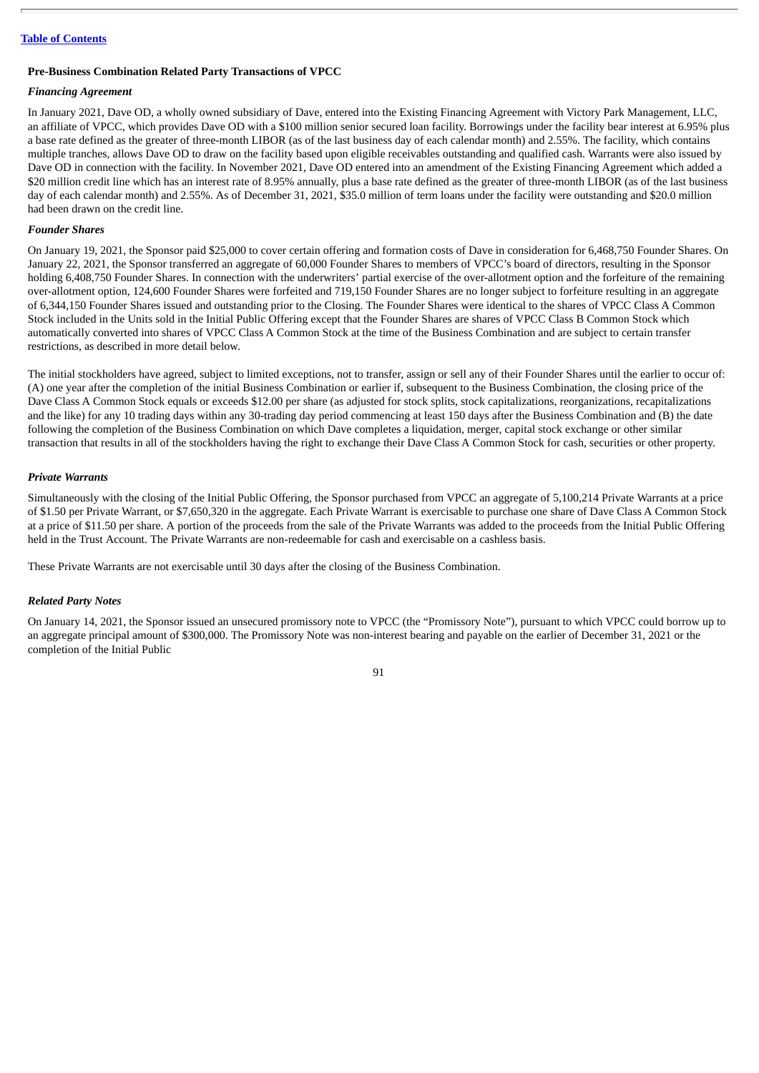## **Pre-Business Combination Related Party Transactions of VPCC**

### *Financing Agreement*

In January 2021, Dave OD, a wholly owned subsidiary of Dave, entered into the Existing Financing Agreement with Victory Park Management, LLC, an affiliate of VPCC, which provides Dave OD with a \$100 million senior secured loan facility. Borrowings under the facility bear interest at 6.95% plus a base rate defined as the greater of three-month LIBOR (as of the last business day of each calendar month) and 2.55%. The facility, which contains multiple tranches, allows Dave OD to draw on the facility based upon eligible receivables outstanding and qualified cash. Warrants were also issued by Dave OD in connection with the facility. In November 2021, Dave OD entered into an amendment of the Existing Financing Agreement which added a \$20 million credit line which has an interest rate of 8.95% annually, plus a base rate defined as the greater of three-month LIBOR (as of the last business day of each calendar month) and 2.55%. As of December 31, 2021, \$35.0 million of term loans under the facility were outstanding and \$20.0 million had been drawn on the credit line.

## *Founder Shares*

On January 19, 2021, the Sponsor paid \$25,000 to cover certain offering and formation costs of Dave in consideration for 6,468,750 Founder Shares. On January 22, 2021, the Sponsor transferred an aggregate of 60,000 Founder Shares to members of VPCC's board of directors, resulting in the Sponsor holding 6,408,750 Founder Shares. In connection with the underwriters' partial exercise of the over-allotment option and the forfeiture of the remaining over-allotment option, 124,600 Founder Shares were forfeited and 719,150 Founder Shares are no longer subject to forfeiture resulting in an aggregate of 6,344,150 Founder Shares issued and outstanding prior to the Closing. The Founder Shares were identical to the shares of VPCC Class A Common Stock included in the Units sold in the Initial Public Offering except that the Founder Shares are shares of VPCC Class B Common Stock which automatically converted into shares of VPCC Class A Common Stock at the time of the Business Combination and are subject to certain transfer restrictions, as described in more detail below.

The initial stockholders have agreed, subject to limited exceptions, not to transfer, assign or sell any of their Founder Shares until the earlier to occur of: (A) one year after the completion of the initial Business Combination or earlier if, subsequent to the Business Combination, the closing price of the Dave Class A Common Stock equals or exceeds \$12.00 per share (as adjusted for stock splits, stock capitalizations, reorganizations, recapitalizations and the like) for any 10 trading days within any 30-trading day period commencing at least 150 days after the Business Combination and (B) the date following the completion of the Business Combination on which Dave completes a liquidation, merger, capital stock exchange or other similar transaction that results in all of the stockholders having the right to exchange their Dave Class A Common Stock for cash, securities or other property.

## *Private Warrants*

Simultaneously with the closing of the Initial Public Offering, the Sponsor purchased from VPCC an aggregate of 5,100,214 Private Warrants at a price of \$1.50 per Private Warrant, or \$7,650,320 in the aggregate. Each Private Warrant is exercisable to purchase one share of Dave Class A Common Stock at a price of \$11.50 per share. A portion of the proceeds from the sale of the Private Warrants was added to the proceeds from the Initial Public Offering held in the Trust Account. The Private Warrants are non-redeemable for cash and exercisable on a cashless basis.

These Private Warrants are not exercisable until 30 days after the closing of the Business Combination.

# *Related Party Notes*

On January 14, 2021, the Sponsor issued an unsecured promissory note to VPCC (the "Promissory Note"), pursuant to which VPCC could borrow up to an aggregate principal amount of \$300,000. The Promissory Note was non-interest bearing and payable on the earlier of December 31, 2021 or the completion of the Initial Public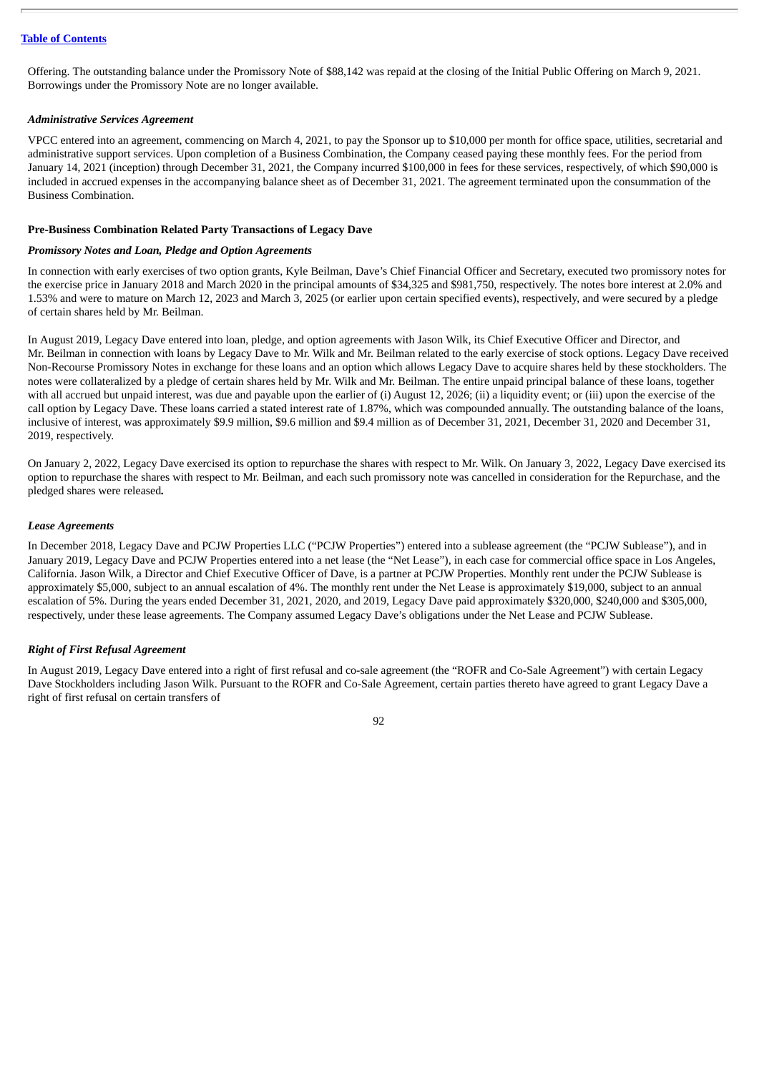Offering. The outstanding balance under the Promissory Note of \$88,142 was repaid at the closing of the Initial Public Offering on March 9, 2021. Borrowings under the Promissory Note are no longer available.

## *Administrative Services Agreement*

VPCC entered into an agreement, commencing on March 4, 2021, to pay the Sponsor up to \$10,000 per month for office space, utilities, secretarial and administrative support services. Upon completion of a Business Combination, the Company ceased paying these monthly fees. For the period from January 14, 2021 (inception) through December 31, 2021, the Company incurred \$100,000 in fees for these services, respectively, of which \$90,000 is included in accrued expenses in the accompanying balance sheet as of December 31, 2021. The agreement terminated upon the consummation of the Business Combination.

## **Pre-Business Combination Related Party Transactions of Legacy Dave**

### *Promissory Notes and Loan, Pledge and Option Agreements*

In connection with early exercises of two option grants, Kyle Beilman, Dave's Chief Financial Officer and Secretary, executed two promissory notes for the exercise price in January 2018 and March 2020 in the principal amounts of \$34,325 and \$981,750, respectively. The notes bore interest at 2.0% and 1.53% and were to mature on March 12, 2023 and March 3, 2025 (or earlier upon certain specified events), respectively, and were secured by a pledge of certain shares held by Mr. Beilman.

In August 2019, Legacy Dave entered into loan, pledge, and option agreements with Jason Wilk, its Chief Executive Officer and Director, and Mr. Beilman in connection with loans by Legacy Dave to Mr. Wilk and Mr. Beilman related to the early exercise of stock options. Legacy Dave received Non-Recourse Promissory Notes in exchange for these loans and an option which allows Legacy Dave to acquire shares held by these stockholders. The notes were collateralized by a pledge of certain shares held by Mr. Wilk and Mr. Beilman. The entire unpaid principal balance of these loans, together with all accrued but unpaid interest, was due and payable upon the earlier of (i) August 12, 2026; (ii) a liquidity event; or (iii) upon the exercise of the call option by Legacy Dave. These loans carried a stated interest rate of 1.87%, which was compounded annually. The outstanding balance of the loans, inclusive of interest, was approximately \$9.9 million, \$9.6 million and \$9.4 million as of December 31, 2021, December 31, 2020 and December 31, 2019, respectively.

On January 2, 2022, Legacy Dave exercised its option to repurchase the shares with respect to Mr. Wilk. On January 3, 2022, Legacy Dave exercised its option to repurchase the shares with respect to Mr. Beilman, and each such promissory note was cancelled in consideration for the Repurchase, and the pledged shares were released*.*

## *Lease Agreements*

In December 2018, Legacy Dave and PCJW Properties LLC ("PCJW Properties") entered into a sublease agreement (the "PCJW Sublease"), and in January 2019, Legacy Dave and PCJW Properties entered into a net lease (the "Net Lease"), in each case for commercial office space in Los Angeles, California. Jason Wilk, a Director and Chief Executive Officer of Dave, is a partner at PCJW Properties. Monthly rent under the PCJW Sublease is approximately \$5,000, subject to an annual escalation of 4%. The monthly rent under the Net Lease is approximately \$19,000, subject to an annual escalation of 5%. During the years ended December 31, 2021, 2020, and 2019, Legacy Dave paid approximately \$320,000, \$240,000 and \$305,000, respectively, under these lease agreements. The Company assumed Legacy Dave's obligations under the Net Lease and PCJW Sublease.

# *Right of First Refusal Agreement*

In August 2019, Legacy Dave entered into a right of first refusal and co-sale agreement (the "ROFR and Co-Sale Agreement") with certain Legacy Dave Stockholders including Jason Wilk. Pursuant to the ROFR and Co-Sale Agreement, certain parties thereto have agreed to grant Legacy Dave a right of first refusal on certain transfers of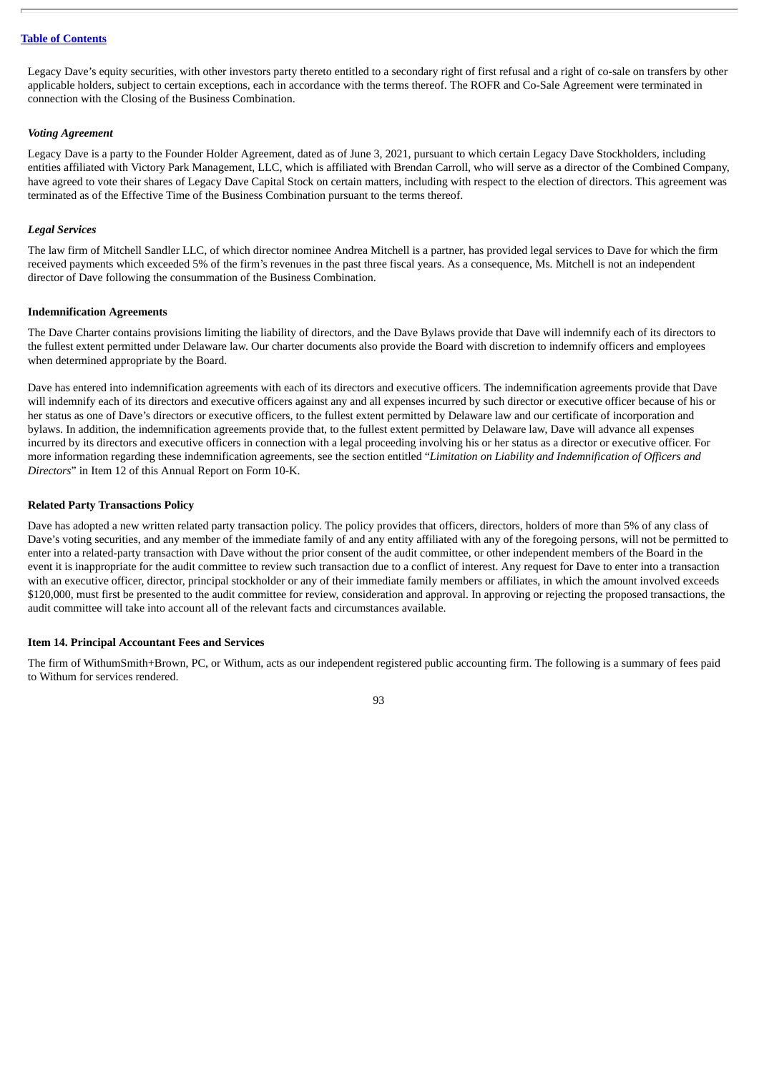Legacy Dave's equity securities, with other investors party thereto entitled to a secondary right of first refusal and a right of co-sale on transfers by other applicable holders, subject to certain exceptions, each in accordance with the terms thereof. The ROFR and Co-Sale Agreement were terminated in connection with the Closing of the Business Combination.

## *Voting Agreement*

Legacy Dave is a party to the Founder Holder Agreement, dated as of June 3, 2021, pursuant to which certain Legacy Dave Stockholders, including entities affiliated with Victory Park Management, LLC, which is affiliated with Brendan Carroll, who will serve as a director of the Combined Company, have agreed to vote their shares of Legacy Dave Capital Stock on certain matters, including with respect to the election of directors. This agreement was terminated as of the Effective Time of the Business Combination pursuant to the terms thereof.

## *Legal Services*

The law firm of Mitchell Sandler LLC, of which director nominee Andrea Mitchell is a partner, has provided legal services to Dave for which the firm received payments which exceeded 5% of the firm's revenues in the past three fiscal years. As a consequence, Ms. Mitchell is not an independent director of Dave following the consummation of the Business Combination.

#### **Indemnification Agreements**

The Dave Charter contains provisions limiting the liability of directors, and the Dave Bylaws provide that Dave will indemnify each of its directors to the fullest extent permitted under Delaware law. Our charter documents also provide the Board with discretion to indemnify officers and employees when determined appropriate by the Board.

Dave has entered into indemnification agreements with each of its directors and executive officers. The indemnification agreements provide that Dave will indemnify each of its directors and executive officers against any and all expenses incurred by such director or executive officer because of his or her status as one of Dave's directors or executive officers, to the fullest extent permitted by Delaware law and our certificate of incorporation and bylaws. In addition, the indemnification agreements provide that, to the fullest extent permitted by Delaware law, Dave will advance all expenses incurred by its directors and executive officers in connection with a legal proceeding involving his or her status as a director or executive officer. For more information regarding these indemnification agreements, see the section entitled "*Limitation on Liability and Indemnification of Officers and Directors*" in Item 12 of this Annual Report on Form 10-K.

## **Related Party Transactions Policy**

Dave has adopted a new written related party transaction policy. The policy provides that officers, directors, holders of more than 5% of any class of Dave's voting securities, and any member of the immediate family of and any entity affiliated with any of the foregoing persons, will not be permitted to enter into a related-party transaction with Dave without the prior consent of the audit committee, or other independent members of the Board in the event it is inappropriate for the audit committee to review such transaction due to a conflict of interest. Any request for Dave to enter into a transaction with an executive officer, director, principal stockholder or any of their immediate family members or affiliates, in which the amount involved exceeds \$120,000, must first be presented to the audit committee for review, consideration and approval. In approving or rejecting the proposed transactions, the audit committee will take into account all of the relevant facts and circumstances available.

#### **Item 14. Principal Accountant Fees and Services**

The firm of WithumSmith+Brown, PC, or Withum, acts as our independent registered public accounting firm. The following is a summary of fees paid to Withum for services rendered.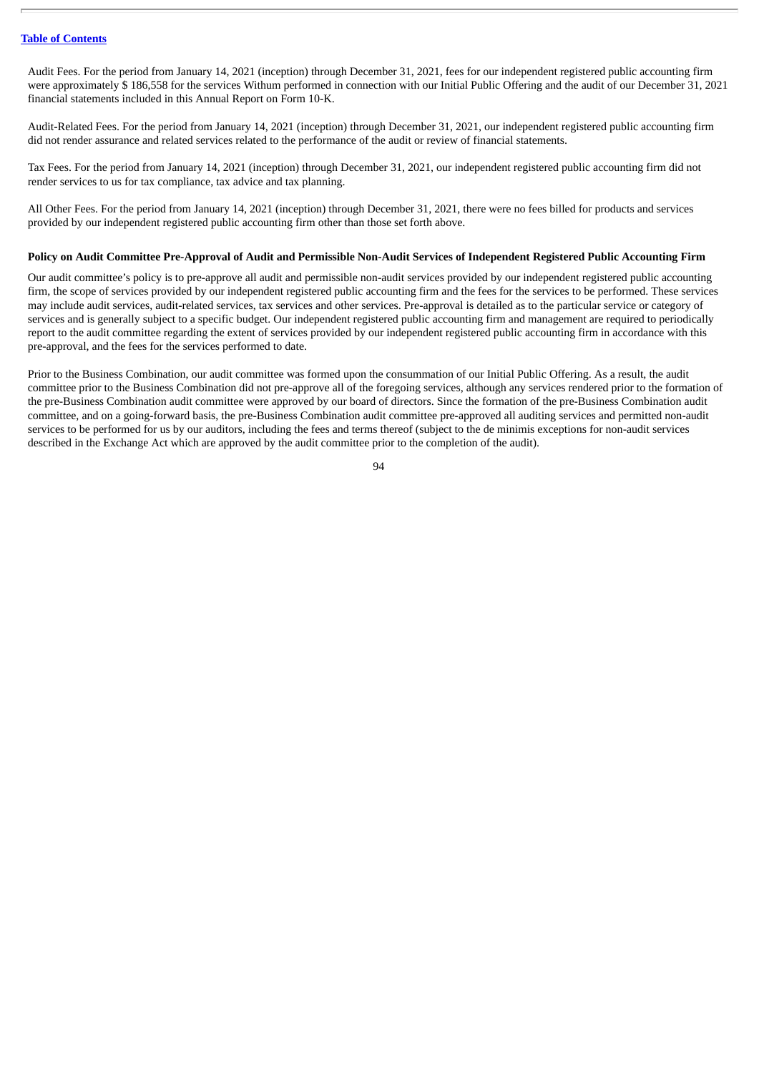Audit Fees. For the period from January 14, 2021 (inception) through December 31, 2021, fees for our independent registered public accounting firm were approximately \$ 186,558 for the services Withum performed in connection with our Initial Public Offering and the audit of our December 31, 2021 financial statements included in this Annual Report on Form 10-K.

Audit-Related Fees. For the period from January 14, 2021 (inception) through December 31, 2021, our independent registered public accounting firm did not render assurance and related services related to the performance of the audit or review of financial statements.

Tax Fees. For the period from January 14, 2021 (inception) through December 31, 2021, our independent registered public accounting firm did not render services to us for tax compliance, tax advice and tax planning.

All Other Fees. For the period from January 14, 2021 (inception) through December 31, 2021, there were no fees billed for products and services provided by our independent registered public accounting firm other than those set forth above.

## Policy on Audit Committee Pre-Approval of Audit and Permissible Non-Audit Services of Independent Registered Public Accounting Firm

Our audit committee's policy is to pre-approve all audit and permissible non-audit services provided by our independent registered public accounting firm, the scope of services provided by our independent registered public accounting firm and the fees for the services to be performed. These services may include audit services, audit-related services, tax services and other services. Pre-approval is detailed as to the particular service or category of services and is generally subject to a specific budget. Our independent registered public accounting firm and management are required to periodically report to the audit committee regarding the extent of services provided by our independent registered public accounting firm in accordance with this pre-approval, and the fees for the services performed to date.

Prior to the Business Combination, our audit committee was formed upon the consummation of our Initial Public Offering. As a result, the audit committee prior to the Business Combination did not pre-approve all of the foregoing services, although any services rendered prior to the formation of the pre-Business Combination audit committee were approved by our board of directors. Since the formation of the pre-Business Combination audit committee, and on a going-forward basis, the pre-Business Combination audit committee pre-approved all auditing services and permitted non-audit services to be performed for us by our auditors, including the fees and terms thereof (subject to the de minimis exceptions for non-audit services described in the Exchange Act which are approved by the audit committee prior to the completion of the audit).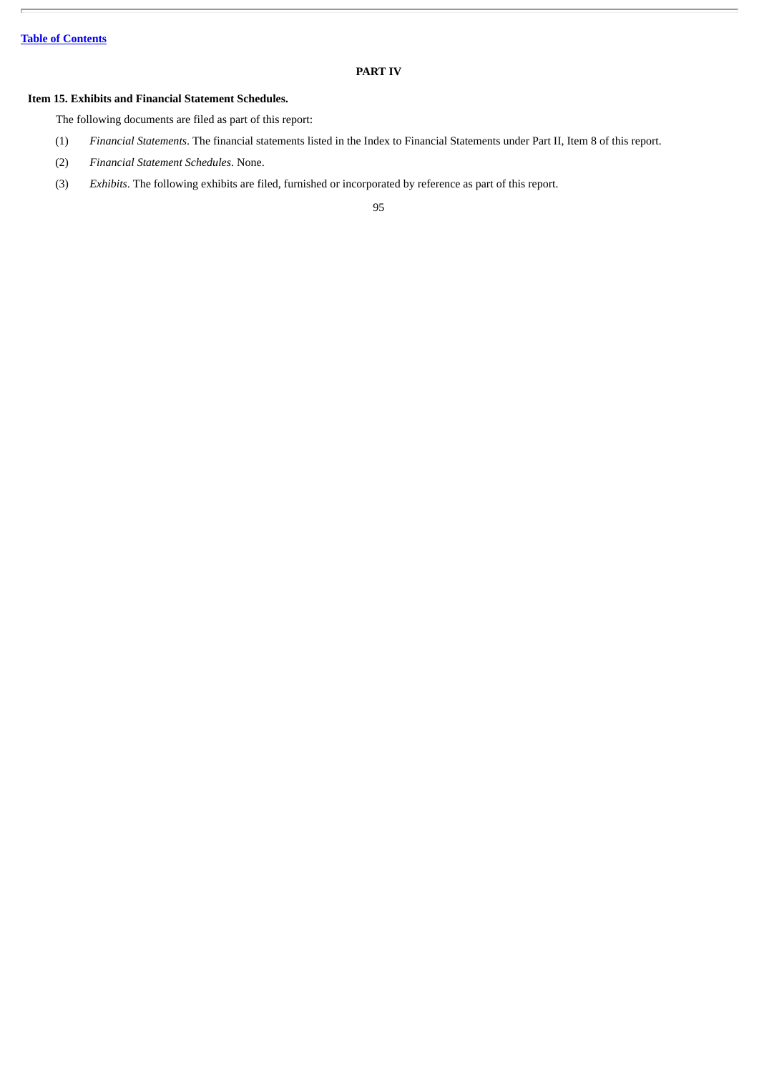# **PART IV**

# **Item 15. Exhibits and Financial Statement Schedules.**

The following documents are filed as part of this report:

- (1) *Financial Statements*. The financial statements listed in the Index to Financial Statements under Part II, Item 8 of this report.
- (2) *Financial Statement Schedules*. None.
- (3) *Exhibits*. The following exhibits are filed, furnished or incorporated by reference as part of this report.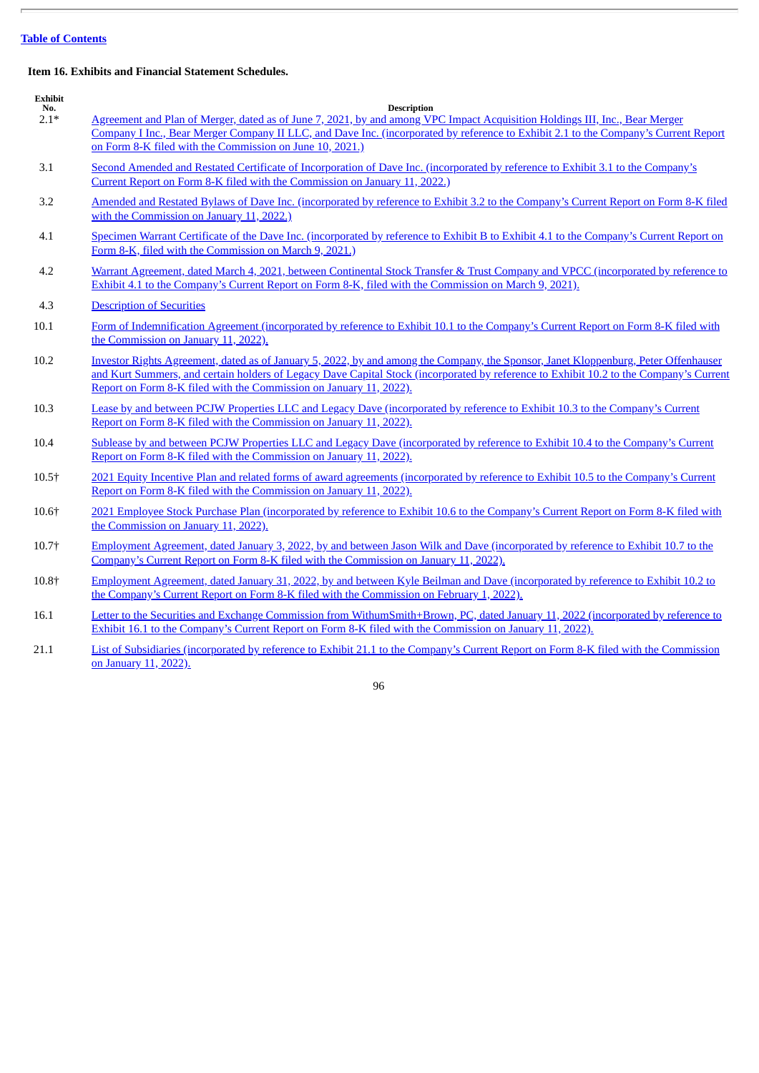F.

# **Item 16. Exhibits and Financial Statement Schedules.**

| <b>Exhibit</b><br>No.<br>$2.1*$ | <b>Description</b><br>Agreement and Plan of Merger, dated as of June 7, 2021, by and among VPC Impact Acquisition Holdings III, Inc., Bear Merger<br>Company I Inc., Bear Merger Company II LLC, and Dave Inc. (incorporated by reference to Exhibit 2.1 to the Company's Current Report<br>on Form 8-K filed with the Commission on June 10, 2021.) |  |  |
|---------------------------------|------------------------------------------------------------------------------------------------------------------------------------------------------------------------------------------------------------------------------------------------------------------------------------------------------------------------------------------------------|--|--|
| 3.1                             | Second Amended and Restated Certificate of Incorporation of Dave Inc. (incorporated by reference to Exhibit 3.1 to the Company's<br>Current Report on Form 8-K filed with the Commission on January 11, 2022.)                                                                                                                                       |  |  |
| 3.2                             | Amended and Restated Bylaws of Dave Inc. (incorporated by reference to Exhibit 3.2 to the Company's Current Report on Form 8-K filed<br>with the Commission on January 11, 2022.)                                                                                                                                                                    |  |  |
| 4.1                             | Specimen Warrant Certificate of the Dave Inc. (incorporated by reference to Exhibit B to Exhibit 4.1 to the Company's Current Report on<br>Form 8-K, filed with the Commission on March 9, 2021.)                                                                                                                                                    |  |  |
| 4.2                             | Warrant Agreement, dated March 4, 2021, between Continental Stock Transfer & Trust Company and VPCC (incorporated by reference to<br>Exhibit 4.1 to the Company's Current Report on Form 8-K, filed with the Commission on March 9, 2021).                                                                                                           |  |  |
| 4.3                             | <b>Description of Securities</b>                                                                                                                                                                                                                                                                                                                     |  |  |
| 10.1                            | Form of Indemnification Agreement (incorporated by reference to Exhibit 10.1 to the Company's Current Report on Form 8-K filed with<br>the Commission on January 11, 2022).                                                                                                                                                                          |  |  |
| 10.2                            | Investor Rights Agreement, dated as of January 5, 2022, by and among the Company, the Sponsor, Janet Kloppenburg, Peter Offenhauser<br>and Kurt Summers, and certain holders of Legacy Dave Capital Stock (incorporated by reference to Exhibit 10.2 to the Company's Current<br>Report on Form 8-K filed with the Commission on January 11, 2022).  |  |  |
| 10.3                            | Lease by and between PCJW Properties LLC and Legacy Dave (incorporated by reference to Exhibit 10.3 to the Company's Current<br>Report on Form 8-K filed with the Commission on January 11, 2022).                                                                                                                                                   |  |  |
| 10.4                            | Sublease by and between PCJW Properties LLC and Legacy Dave (incorporated by reference to Exhibit 10.4 to the Company's Current<br>Report on Form 8-K filed with the Commission on January 11, 2022).                                                                                                                                                |  |  |
| 10.5†                           | 2021 Equity Incentive Plan and related forms of award agreements (incorporated by reference to Exhibit 10.5 to the Company's Current<br>Report on Form 8-K filed with the Commission on January 11, 2022).                                                                                                                                           |  |  |
| 10.6†                           | 2021 Employee Stock Purchase Plan (incorporated by reference to Exhibit 10.6 to the Company's Current Report on Form 8-K filed with<br>the Commission on January 11, 2022).                                                                                                                                                                          |  |  |
| 10.7†                           | Employment Agreement, dated January 3, 2022, by and between Jason Wilk and Dave (incorporated by reference to Exhibit 10.7 to the<br>Company's Current Report on Form 8-K filed with the Commission on January 11, 2022).                                                                                                                            |  |  |
| 10.8+                           | Employment Agreement, dated January 31, 2022, by and between Kyle Beilman and Dave (incorporated by reference to Exhibit 10.2 to<br>the Company's Current Report on Form 8-K filed with the Commission on February 1, 2022).                                                                                                                         |  |  |
| 16.1                            | Letter to the Securities and Exchange Commission from WithumSmith+Brown, PC, dated January 11, 2022 (incorporated by reference to<br>Exhibit 16.1 to the Company's Current Report on Form 8-K filed with the Commission on January 11, 2022).                                                                                                        |  |  |

21.1 List of Subsidiaries [\(incorporated](http://www.sec.gov/Archives/edgar/data/1841408/000119312522006854/d253532dex211.htm) by reference to Exhibit 21.1 to the Company's Current Report on Form 8-K filed with the Commission on January 11, 2022).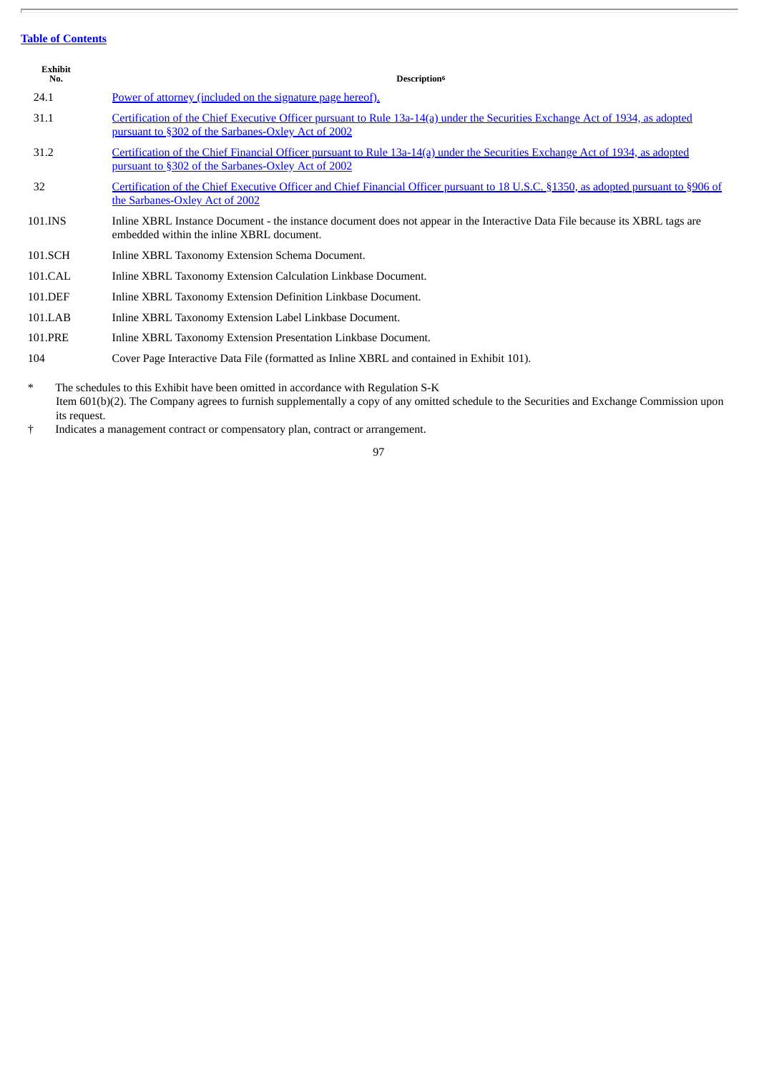| <b>Exhibit</b><br>No. | Description <sup>6</sup>                                                                                                                                                            |
|-----------------------|-------------------------------------------------------------------------------------------------------------------------------------------------------------------------------------|
| 24.1                  | Power of attorney (included on the signature page hereof).                                                                                                                          |
| 31.1                  | Certification of the Chief Executive Officer pursuant to Rule 13a-14(a) under the Securities Exchange Act of 1934, as adopted<br>pursuant to §302 of the Sarbanes-Oxley Act of 2002 |
| 31.2                  | Certification of the Chief Financial Officer pursuant to Rule 13a-14(a) under the Securities Exchange Act of 1934, as adopted<br>pursuant to §302 of the Sarbanes-Oxley Act of 2002 |
| 32                    | <u>Certification of the Chief Executive Officer and Chief Financial Officer pursuant to 18 U.S.C. §1350, as adopted pursuant to §906 of</u><br>the Sarbanes-Oxley Act of 2002       |
| 101.INS               | Inline XBRL Instance Document - the instance document does not appear in the Interactive Data File because its XBRL tags are<br>embedded within the inline XBRL document.           |
| 101.SCH               | Inline XBRL Taxonomy Extension Schema Document.                                                                                                                                     |
| 101.CAL               | Inline XBRL Taxonomy Extension Calculation Linkbase Document.                                                                                                                       |
| 101.DEF               | Inline XBRL Taxonomy Extension Definition Linkbase Document.                                                                                                                        |
| 101.LAB               | Inline XBRL Taxonomy Extension Label Linkbase Document.                                                                                                                             |
| 101.PRE               | Inline XBRL Taxonomy Extension Presentation Linkbase Document.                                                                                                                      |
| 104                   | Cover Page Interactive Data File (formatted as Inline XBRL and contained in Exhibit 101).                                                                                           |

\* The schedules to this Exhibit have been omitted in accordance with Regulation S-K Item 601(b)(2). The Company agrees to furnish supplementally a copy of any omitted schedule to the Securities and Exchange Commission upon its request.

† Indicates a management contract or compensatory plan, contract or arrangement.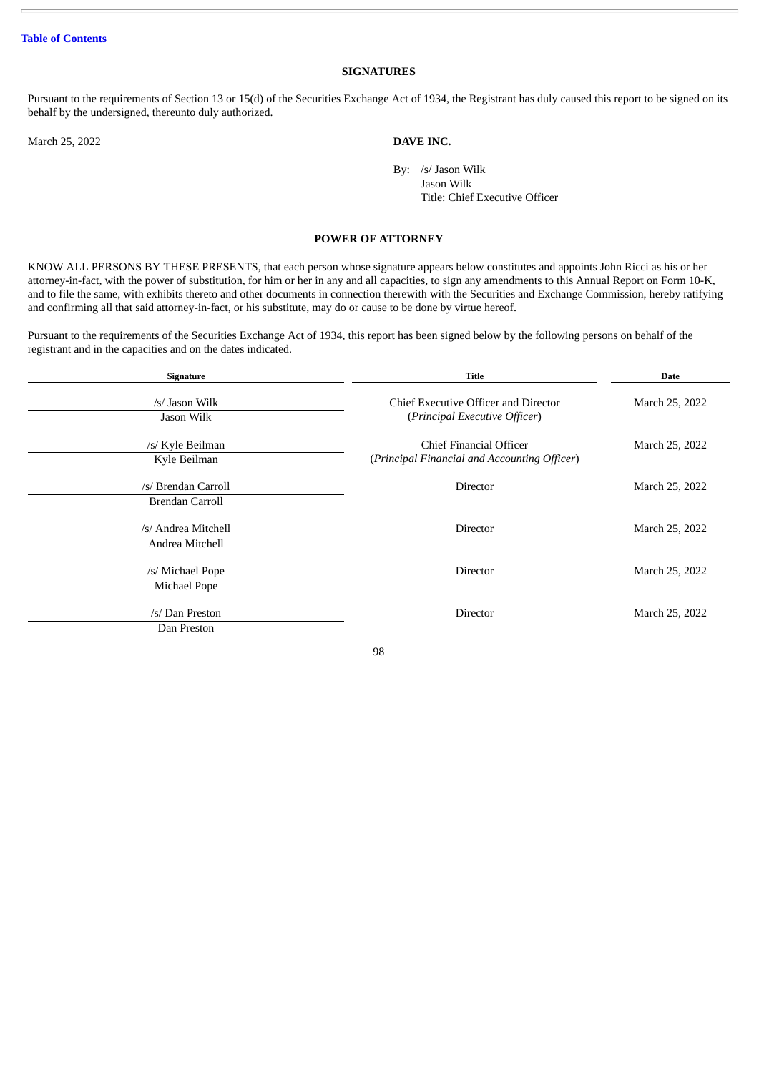### **SIGNATURES**

<span id="page-99-0"></span>Pursuant to the requirements of Section 13 or 15(d) of the Securities Exchange Act of 1934, the Registrant has duly caused this report to be signed on its behalf by the undersigned, thereunto duly authorized.

March 25, 2022 **DAVE INC.**

By: /s/ Jason Wilk

Jason Wilk Title: Chief Executive Officer

**POWER OF ATTORNEY**

KNOW ALL PERSONS BY THESE PRESENTS, that each person whose signature appears below constitutes and appoints John Ricci as his or her attorney-in-fact, with the power of substitution, for him or her in any and all capacities, to sign any amendments to this Annual Report on Form 10-K, and to file the same, with exhibits thereto and other documents in connection therewith with the Securities and Exchange Commission, hereby ratifying and confirming all that said attorney-in-fact, or his substitute, may do or cause to be done by virtue hereof.

Pursuant to the requirements of the Securities Exchange Act of 1934, this report has been signed below by the following persons on behalf of the registrant and in the capacities and on the dates indicated.

| Signature                              | <b>Title</b>                                                            | <b>Date</b>    |
|----------------------------------------|-------------------------------------------------------------------------|----------------|
| /s/ Jason Wilk<br>Jason Wilk           | Chief Executive Officer and Director<br>(Principal Executive Officer)   | March 25, 2022 |
| /s/ Kyle Beilman<br>Kyle Beilman       | Chief Financial Officer<br>(Principal Financial and Accounting Officer) | March 25, 2022 |
| /s/ Brendan Carroll<br>Brendan Carroll | Director                                                                | March 25, 2022 |
| /s/ Andrea Mitchell<br>Andrea Mitchell | Director                                                                | March 25, 2022 |
| /s/ Michael Pope<br>Michael Pope       | Director                                                                | March 25, 2022 |
| /s/ Dan Preston<br>Dan Preston         | Director                                                                | March 25, 2022 |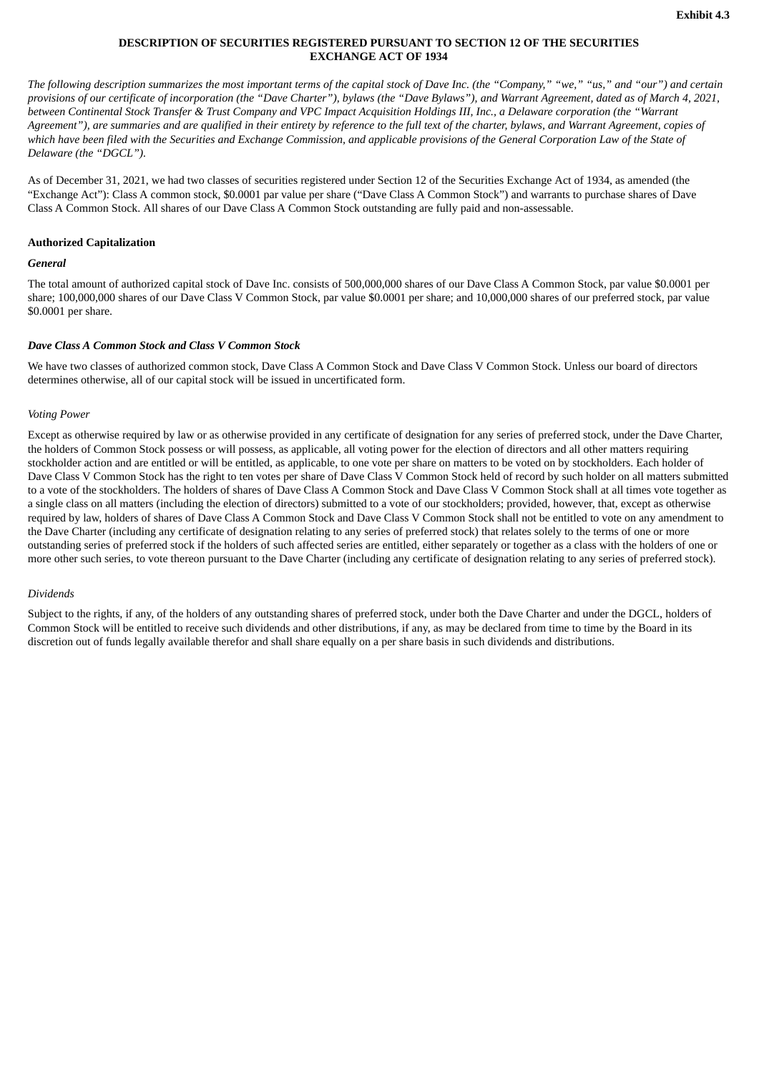# **DESCRIPTION OF SECURITIES REGISTERED PURSUANT TO SECTION 12 OF THE SECURITIES EXCHANGE ACT OF 1934**

<span id="page-100-0"></span>The following description summarizes the most important terms of the capital stock of Dave Inc. (the "Company," "we," "us," and "our") and certain provisions of our certificate of incorporation (the "Dave Charter"), bylaws (the "Dave Bylaws"), and Warrant Agreement, dated as of March 4, 2021, between Continental Stock Transfer & Trust Company and VPC Impact Acquisition Holdings III, Inc., a Delaware corporation (the "Warrant Agreement"), are summaries and are qualified in their entirety by reference to the full text of the charter, bylaws, and Warrant Agreement, copies of which have been filed with the Securities and Exchange Commission, and applicable provisions of the General Corporation Law of the State of *Delaware (the "DGCL").*

As of December 31, 2021, we had two classes of securities registered under Section 12 of the Securities Exchange Act of 1934, as amended (the "Exchange Act"): Class A common stock, \$0.0001 par value per share ("Dave Class A Common Stock") and warrants to purchase shares of Dave Class A Common Stock. All shares of our Dave Class A Common Stock outstanding are fully paid and non-assessable.

## **Authorized Capitalization**

## *General*

The total amount of authorized capital stock of Dave Inc. consists of 500,000,000 shares of our Dave Class A Common Stock, par value \$0.0001 per share; 100,000,000 shares of our Dave Class V Common Stock, par value \$0.0001 per share; and 10,000,000 shares of our preferred stock, par value \$0.0001 per share.

## *Dave Class A Common Stock and Class V Common Stock*

We have two classes of authorized common stock, Dave Class A Common Stock and Dave Class V Common Stock. Unless our board of directors determines otherwise, all of our capital stock will be issued in uncertificated form.

#### *Voting Power*

Except as otherwise required by law or as otherwise provided in any certificate of designation for any series of preferred stock, under the Dave Charter, the holders of Common Stock possess or will possess, as applicable, all voting power for the election of directors and all other matters requiring stockholder action and are entitled or will be entitled, as applicable, to one vote per share on matters to be voted on by stockholders. Each holder of Dave Class V Common Stock has the right to ten votes per share of Dave Class V Common Stock held of record by such holder on all matters submitted to a vote of the stockholders. The holders of shares of Dave Class A Common Stock and Dave Class V Common Stock shall at all times vote together as a single class on all matters (including the election of directors) submitted to a vote of our stockholders; provided, however, that, except as otherwise required by law, holders of shares of Dave Class A Common Stock and Dave Class V Common Stock shall not be entitled to vote on any amendment to the Dave Charter (including any certificate of designation relating to any series of preferred stock) that relates solely to the terms of one or more outstanding series of preferred stock if the holders of such affected series are entitled, either separately or together as a class with the holders of one or more other such series, to vote thereon pursuant to the Dave Charter (including any certificate of designation relating to any series of preferred stock).

#### *Dividends*

Subject to the rights, if any, of the holders of any outstanding shares of preferred stock, under both the Dave Charter and under the DGCL, holders of Common Stock will be entitled to receive such dividends and other distributions, if any, as may be declared from time to time by the Board in its discretion out of funds legally available therefor and shall share equally on a per share basis in such dividends and distributions.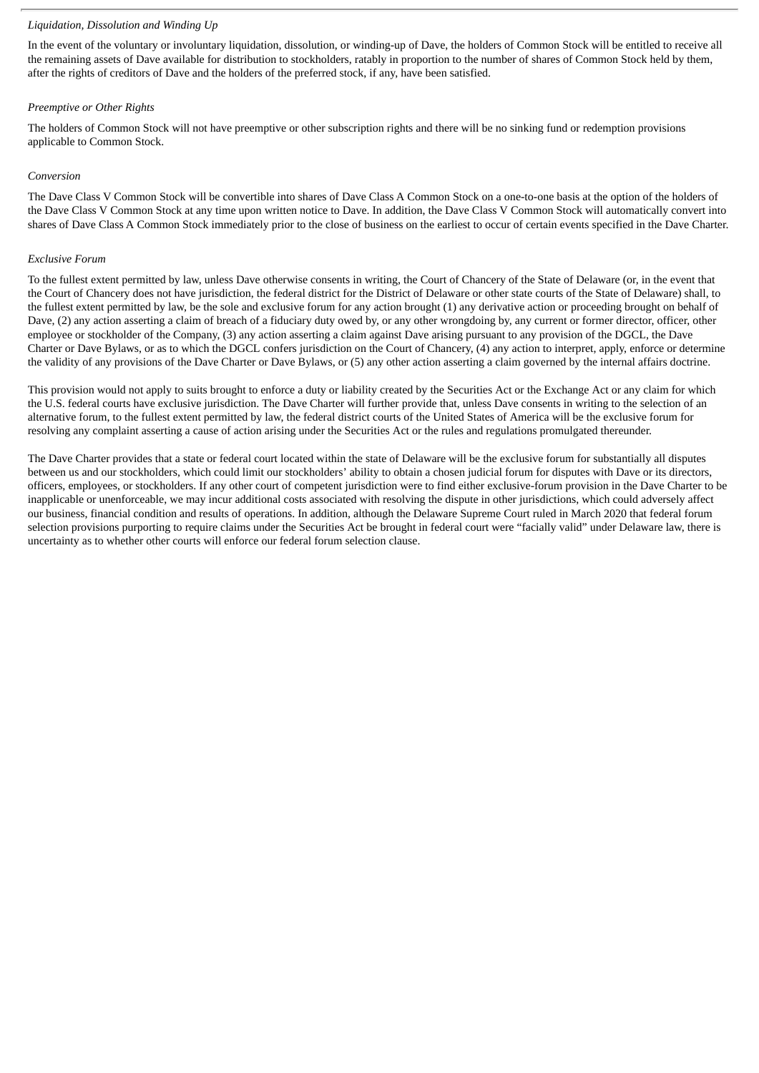# *Liquidation, Dissolution and Winding Up*

In the event of the voluntary or involuntary liquidation, dissolution, or winding-up of Dave, the holders of Common Stock will be entitled to receive all the remaining assets of Dave available for distribution to stockholders, ratably in proportion to the number of shares of Common Stock held by them, after the rights of creditors of Dave and the holders of the preferred stock, if any, have been satisfied.

# *Preemptive or Other Rights*

The holders of Common Stock will not have preemptive or other subscription rights and there will be no sinking fund or redemption provisions applicable to Common Stock.

# *Conversion*

The Dave Class V Common Stock will be convertible into shares of Dave Class A Common Stock on a one-to-one basis at the option of the holders of the Dave Class V Common Stock at any time upon written notice to Dave. In addition, the Dave Class V Common Stock will automatically convert into shares of Dave Class A Common Stock immediately prior to the close of business on the earliest to occur of certain events specified in the Dave Charter.

# *Exclusive Forum*

To the fullest extent permitted by law, unless Dave otherwise consents in writing, the Court of Chancery of the State of Delaware (or, in the event that the Court of Chancery does not have jurisdiction, the federal district for the District of Delaware or other state courts of the State of Delaware) shall, to the fullest extent permitted by law, be the sole and exclusive forum for any action brought (1) any derivative action or proceeding brought on behalf of Dave, (2) any action asserting a claim of breach of a fiduciary duty owed by, or any other wrongdoing by, any current or former director, officer, other employee or stockholder of the Company, (3) any action asserting a claim against Dave arising pursuant to any provision of the DGCL, the Dave Charter or Dave Bylaws, or as to which the DGCL confers jurisdiction on the Court of Chancery, (4) any action to interpret, apply, enforce or determine the validity of any provisions of the Dave Charter or Dave Bylaws, or (5) any other action asserting a claim governed by the internal affairs doctrine.

This provision would not apply to suits brought to enforce a duty or liability created by the Securities Act or the Exchange Act or any claim for which the U.S. federal courts have exclusive jurisdiction. The Dave Charter will further provide that, unless Dave consents in writing to the selection of an alternative forum, to the fullest extent permitted by law, the federal district courts of the United States of America will be the exclusive forum for resolving any complaint asserting a cause of action arising under the Securities Act or the rules and regulations promulgated thereunder.

The Dave Charter provides that a state or federal court located within the state of Delaware will be the exclusive forum for substantially all disputes between us and our stockholders, which could limit our stockholders' ability to obtain a chosen judicial forum for disputes with Dave or its directors, officers, employees, or stockholders. If any other court of competent jurisdiction were to find either exclusive-forum provision in the Dave Charter to be inapplicable or unenforceable, we may incur additional costs associated with resolving the dispute in other jurisdictions, which could adversely affect our business, financial condition and results of operations. In addition, although the Delaware Supreme Court ruled in March 2020 that federal forum selection provisions purporting to require claims under the Securities Act be brought in federal court were "facially valid" under Delaware law, there is uncertainty as to whether other courts will enforce our federal forum selection clause.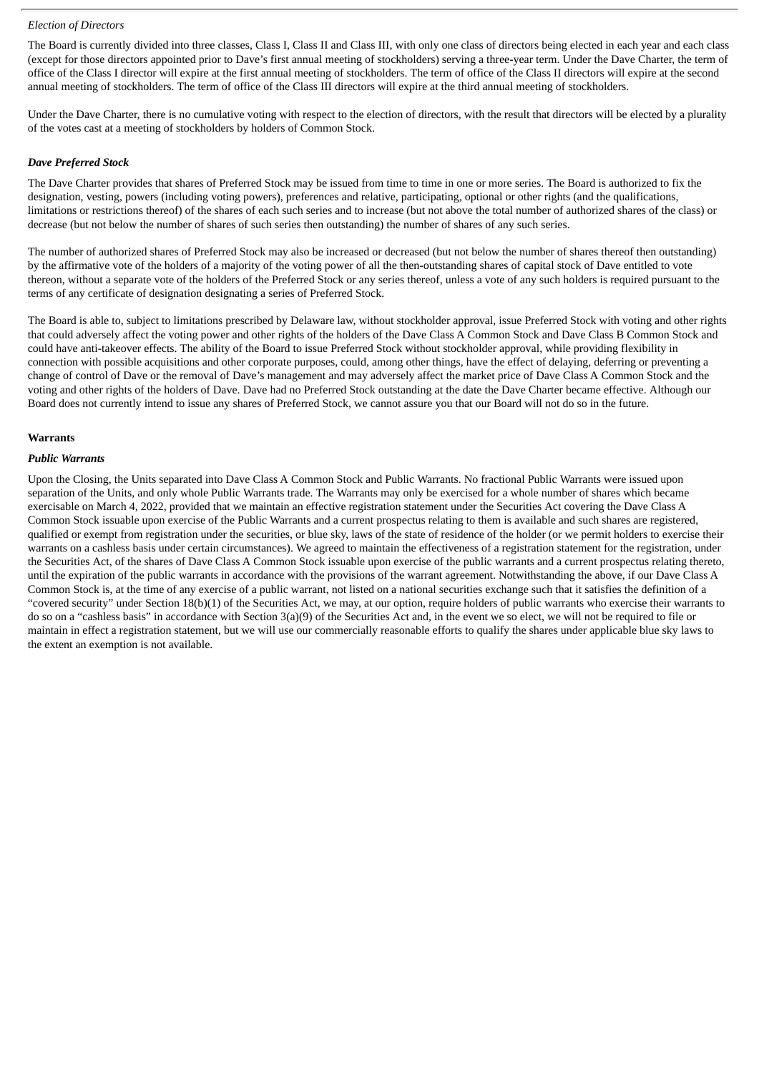# *Election of Directors*

The Board is currently divided into three classes, Class I, Class II and Class III, with only one class of directors being elected in each year and each class (except for those directors appointed prior to Dave's first annual meeting of stockholders) serving a three-year term. Under the Dave Charter, the term of office of the Class I director will expire at the first annual meeting of stockholders. The term of office of the Class II directors will expire at the second annual meeting of stockholders. The term of office of the Class III directors will expire at the third annual meeting of stockholders.

Under the Dave Charter, there is no cumulative voting with respect to the election of directors, with the result that directors will be elected by a plurality of the votes cast at a meeting of stockholders by holders of Common Stock.

## *Dave Preferred Stock*

The Dave Charter provides that shares of Preferred Stock may be issued from time to time in one or more series. The Board is authorized to fix the designation, vesting, powers (including voting powers), preferences and relative, participating, optional or other rights (and the qualifications, limitations or restrictions thereof) of the shares of each such series and to increase (but not above the total number of authorized shares of the class) or decrease (but not below the number of shares of such series then outstanding) the number of shares of any such series.

The number of authorized shares of Preferred Stock may also be increased or decreased (but not below the number of shares thereof then outstanding) by the affirmative vote of the holders of a majority of the voting power of all the then-outstanding shares of capital stock of Dave entitled to vote thereon, without a separate vote of the holders of the Preferred Stock or any series thereof, unless a vote of any such holders is required pursuant to the terms of any certificate of designation designating a series of Preferred Stock.

The Board is able to, subject to limitations prescribed by Delaware law, without stockholder approval, issue Preferred Stock with voting and other rights that could adversely affect the voting power and other rights of the holders of the Dave Class A Common Stock and Dave Class B Common Stock and could have anti-takeover effects. The ability of the Board to issue Preferred Stock without stockholder approval, while providing flexibility in connection with possible acquisitions and other corporate purposes, could, among other things, have the effect of delaying, deferring or preventing a change of control of Dave or the removal of Dave's management and may adversely affect the market price of Dave Class A Common Stock and the voting and other rights of the holders of Dave. Dave had no Preferred Stock outstanding at the date the Dave Charter became effective. Although our Board does not currently intend to issue any shares of Preferred Stock, we cannot assure you that our Board will not do so in the future.

# **Warrants**

## *Public Warrants*

Upon the Closing, the Units separated into Dave Class A Common Stock and Public Warrants. No fractional Public Warrants were issued upon separation of the Units, and only whole Public Warrants trade. The Warrants may only be exercised for a whole number of shares which became exercisable on March 4, 2022, provided that we maintain an effective registration statement under the Securities Act covering the Dave Class A Common Stock issuable upon exercise of the Public Warrants and a current prospectus relating to them is available and such shares are registered, qualified or exempt from registration under the securities, or blue sky, laws of the state of residence of the holder (or we permit holders to exercise their warrants on a cashless basis under certain circumstances). We agreed to maintain the effectiveness of a registration statement for the registration, under the Securities Act, of the shares of Dave Class A Common Stock issuable upon exercise of the public warrants and a current prospectus relating thereto, until the expiration of the public warrants in accordance with the provisions of the warrant agreement. Notwithstanding the above, if our Dave Class A Common Stock is, at the time of any exercise of a public warrant, not listed on a national securities exchange such that it satisfies the definition of a "covered security" under Section 18(b)(1) of the Securities Act, we may, at our option, require holders of public warrants who exercise their warrants to do so on a "cashless basis" in accordance with Section 3(a)(9) of the Securities Act and, in the event we so elect, we will not be required to file or maintain in effect a registration statement, but we will use our commercially reasonable efforts to qualify the shares under applicable blue sky laws to the extent an exemption is not available.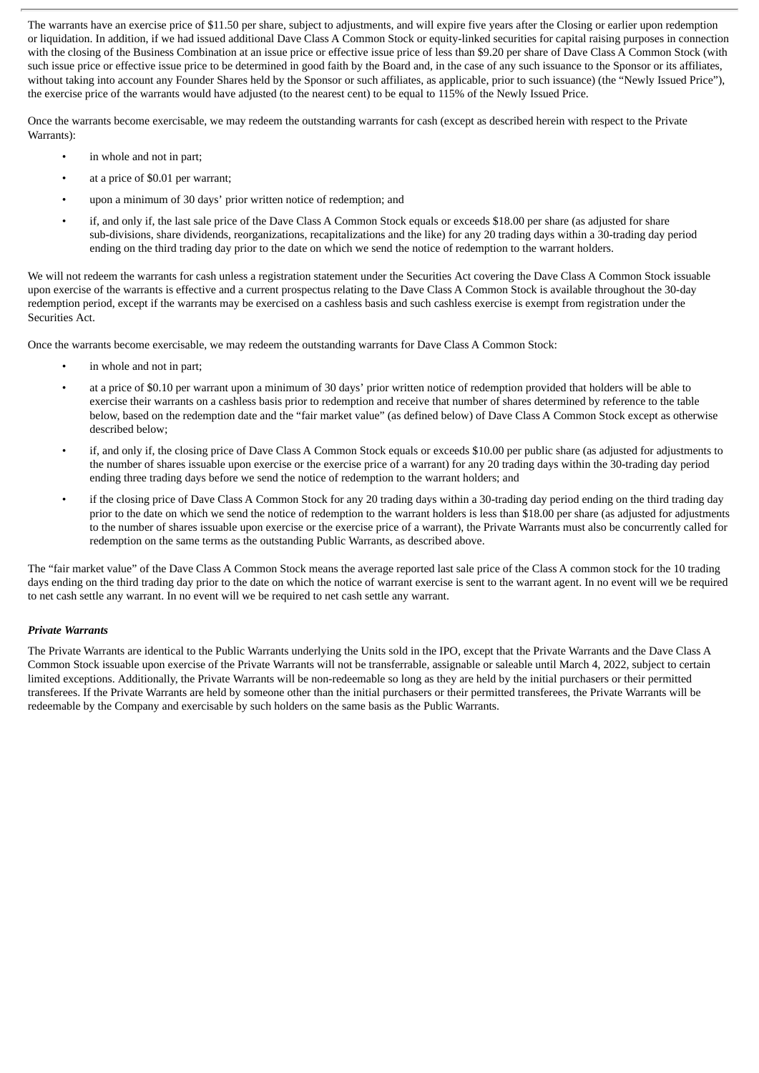The warrants have an exercise price of \$11.50 per share, subject to adjustments, and will expire five years after the Closing or earlier upon redemption or liquidation. In addition, if we had issued additional Dave Class A Common Stock or equity-linked securities for capital raising purposes in connection with the closing of the Business Combination at an issue price or effective issue price of less than \$9.20 per share of Dave Class A Common Stock (with such issue price or effective issue price to be determined in good faith by the Board and, in the case of any such issuance to the Sponsor or its affiliates, without taking into account any Founder Shares held by the Sponsor or such affiliates, as applicable, prior to such issuance) (the "Newly Issued Price"), the exercise price of the warrants would have adjusted (to the nearest cent) to be equal to 115% of the Newly Issued Price.

Once the warrants become exercisable, we may redeem the outstanding warrants for cash (except as described herein with respect to the Private Warrants):

- in whole and not in part;
- at a price of \$0.01 per warrant;
- upon a minimum of 30 days' prior written notice of redemption; and
- if, and only if, the last sale price of the Dave Class A Common Stock equals or exceeds \$18.00 per share (as adjusted for share sub-divisions, share dividends, reorganizations, recapitalizations and the like) for any 20 trading days within a 30-trading day period ending on the third trading day prior to the date on which we send the notice of redemption to the warrant holders.

We will not redeem the warrants for cash unless a registration statement under the Securities Act covering the Dave Class A Common Stock issuable upon exercise of the warrants is effective and a current prospectus relating to the Dave Class A Common Stock is available throughout the 30-day redemption period, except if the warrants may be exercised on a cashless basis and such cashless exercise is exempt from registration under the Securities Act.

Once the warrants become exercisable, we may redeem the outstanding warrants for Dave Class A Common Stock:

- in whole and not in part;
- at a price of \$0.10 per warrant upon a minimum of 30 days' prior written notice of redemption provided that holders will be able to exercise their warrants on a cashless basis prior to redemption and receive that number of shares determined by reference to the table below, based on the redemption date and the "fair market value" (as defined below) of Dave Class A Common Stock except as otherwise described below;
- if, and only if, the closing price of Dave Class A Common Stock equals or exceeds \$10.00 per public share (as adjusted for adjustments to the number of shares issuable upon exercise or the exercise price of a warrant) for any 20 trading days within the 30-trading day period ending three trading days before we send the notice of redemption to the warrant holders; and
- if the closing price of Dave Class A Common Stock for any 20 trading days within a 30-trading day period ending on the third trading day prior to the date on which we send the notice of redemption to the warrant holders is less than \$18.00 per share (as adjusted for adjustments to the number of shares issuable upon exercise or the exercise price of a warrant), the Private Warrants must also be concurrently called for redemption on the same terms as the outstanding Public Warrants, as described above.

The "fair market value" of the Dave Class A Common Stock means the average reported last sale price of the Class A common stock for the 10 trading days ending on the third trading day prior to the date on which the notice of warrant exercise is sent to the warrant agent. In no event will we be required to net cash settle any warrant. In no event will we be required to net cash settle any warrant.

# *Private Warrants*

The Private Warrants are identical to the Public Warrants underlying the Units sold in the IPO, except that the Private Warrants and the Dave Class A Common Stock issuable upon exercise of the Private Warrants will not be transferrable, assignable or saleable until March 4, 2022, subject to certain limited exceptions. Additionally, the Private Warrants will be non-redeemable so long as they are held by the initial purchasers or their permitted transferees. If the Private Warrants are held by someone other than the initial purchasers or their permitted transferees, the Private Warrants will be redeemable by the Company and exercisable by such holders on the same basis as the Public Warrants.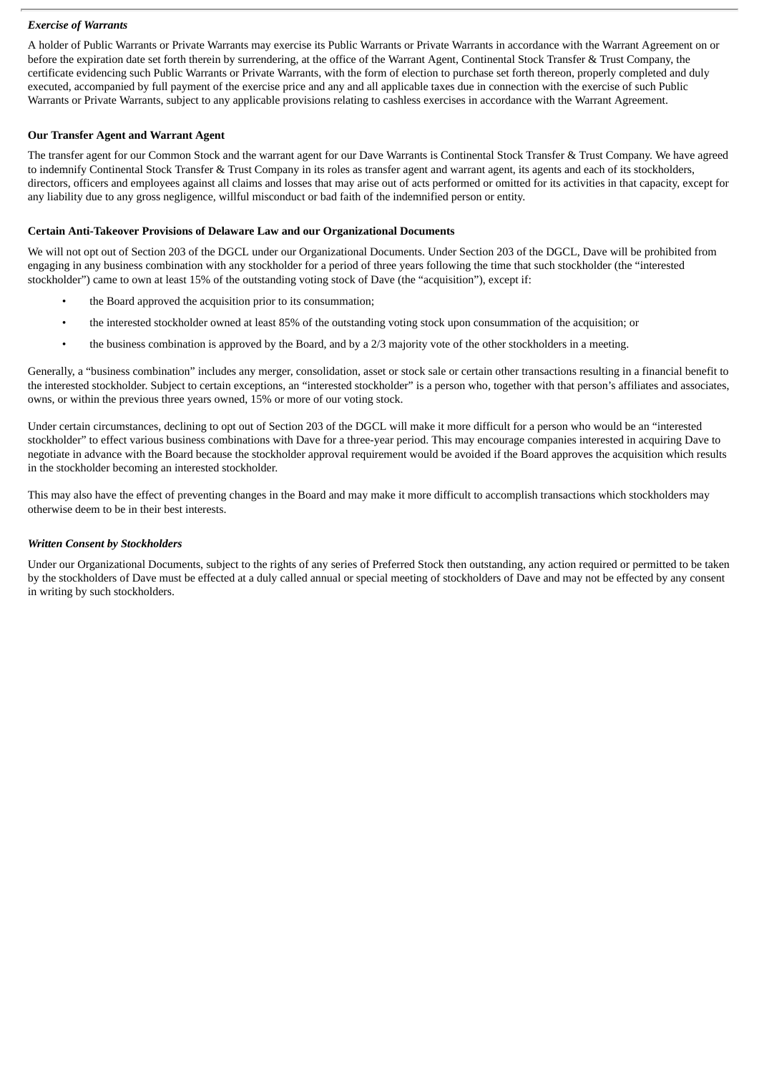# *Exercise of Warrants*

A holder of Public Warrants or Private Warrants may exercise its Public Warrants or Private Warrants in accordance with the Warrant Agreement on or before the expiration date set forth therein by surrendering, at the office of the Warrant Agent, Continental Stock Transfer & Trust Company, the certificate evidencing such Public Warrants or Private Warrants, with the form of election to purchase set forth thereon, properly completed and duly executed, accompanied by full payment of the exercise price and any and all applicable taxes due in connection with the exercise of such Public Warrants or Private Warrants, subject to any applicable provisions relating to cashless exercises in accordance with the Warrant Agreement.

## **Our Transfer Agent and Warrant Agent**

The transfer agent for our Common Stock and the warrant agent for our Dave Warrants is Continental Stock Transfer & Trust Company. We have agreed to indemnify Continental Stock Transfer & Trust Company in its roles as transfer agent and warrant agent, its agents and each of its stockholders, directors, officers and employees against all claims and losses that may arise out of acts performed or omitted for its activities in that capacity, except for any liability due to any gross negligence, willful misconduct or bad faith of the indemnified person or entity.

## **Certain Anti-Takeover Provisions of Delaware Law and our Organizational Documents**

We will not opt out of Section 203 of the DGCL under our Organizational Documents. Under Section 203 of the DGCL, Dave will be prohibited from engaging in any business combination with any stockholder for a period of three years following the time that such stockholder (the "interested stockholder") came to own at least 15% of the outstanding voting stock of Dave (the "acquisition"), except if:

- the Board approved the acquisition prior to its consummation;
- the interested stockholder owned at least 85% of the outstanding voting stock upon consummation of the acquisition; or
- the business combination is approved by the Board, and by a 2/3 majority vote of the other stockholders in a meeting.

Generally, a "business combination" includes any merger, consolidation, asset or stock sale or certain other transactions resulting in a financial benefit to the interested stockholder. Subject to certain exceptions, an "interested stockholder" is a person who, together with that person's affiliates and associates, owns, or within the previous three years owned, 15% or more of our voting stock.

Under certain circumstances, declining to opt out of Section 203 of the DGCL will make it more difficult for a person who would be an "interested stockholder" to effect various business combinations with Dave for a three-year period. This may encourage companies interested in acquiring Dave to negotiate in advance with the Board because the stockholder approval requirement would be avoided if the Board approves the acquisition which results in the stockholder becoming an interested stockholder.

This may also have the effect of preventing changes in the Board and may make it more difficult to accomplish transactions which stockholders may otherwise deem to be in their best interests.

# *Written Consent by Stockholders*

Under our Organizational Documents, subject to the rights of any series of Preferred Stock then outstanding, any action required or permitted to be taken by the stockholders of Dave must be effected at a duly called annual or special meeting of stockholders of Dave and may not be effected by any consent in writing by such stockholders.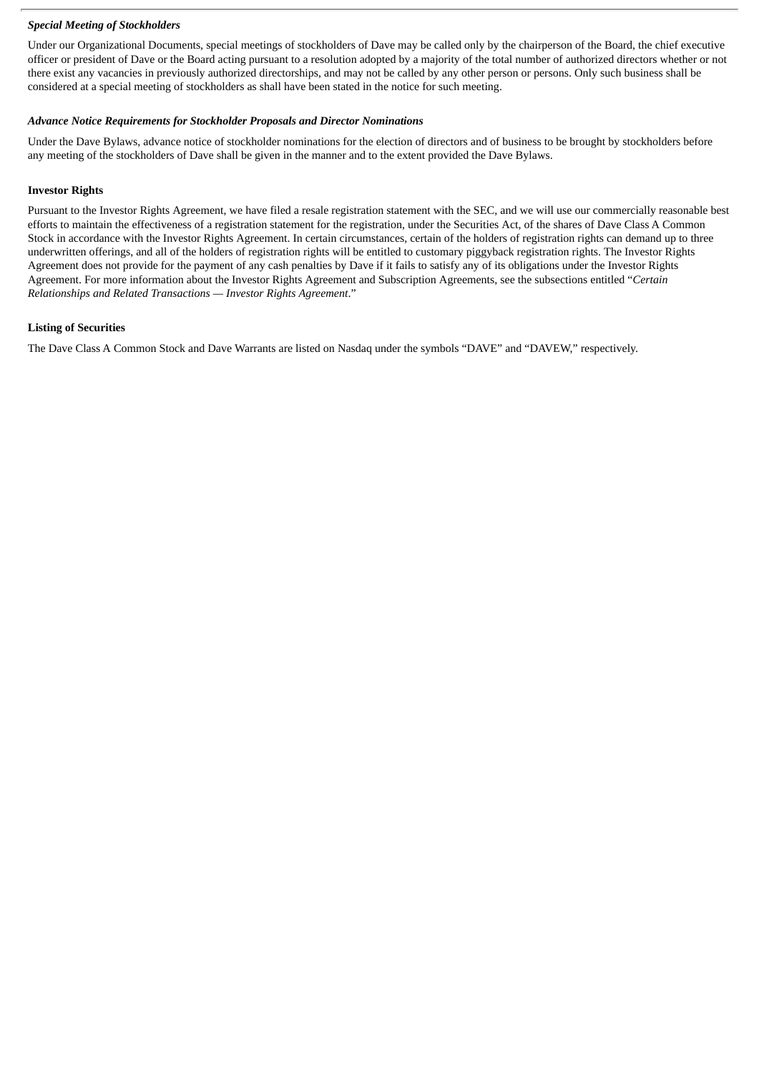# *Special Meeting of Stockholders*

Under our Organizational Documents, special meetings of stockholders of Dave may be called only by the chairperson of the Board, the chief executive officer or president of Dave or the Board acting pursuant to a resolution adopted by a majority of the total number of authorized directors whether or not there exist any vacancies in previously authorized directorships, and may not be called by any other person or persons. Only such business shall be considered at a special meeting of stockholders as shall have been stated in the notice for such meeting.

## *Advance Notice Requirements for Stockholder Proposals and Director Nominations*

Under the Dave Bylaws, advance notice of stockholder nominations for the election of directors and of business to be brought by stockholders before any meeting of the stockholders of Dave shall be given in the manner and to the extent provided the Dave Bylaws.

# **Investor Rights**

Pursuant to the Investor Rights Agreement, we have filed a resale registration statement with the SEC, and we will use our commercially reasonable best efforts to maintain the effectiveness of a registration statement for the registration, under the Securities Act, of the shares of Dave Class A Common Stock in accordance with the Investor Rights Agreement. In certain circumstances, certain of the holders of registration rights can demand up to three underwritten offerings, and all of the holders of registration rights will be entitled to customary piggyback registration rights. The Investor Rights Agreement does not provide for the payment of any cash penalties by Dave if it fails to satisfy any of its obligations under the Investor Rights Agreement. For more information about the Investor Rights Agreement and Subscription Agreements, see the subsections entitled "*Certain Relationships and Related Transactions — Investor Rights Agreement*."

## **Listing of Securities**

The Dave Class A Common Stock and Dave Warrants are listed on Nasdaq under the symbols "DAVE" and "DAVEW," respectively.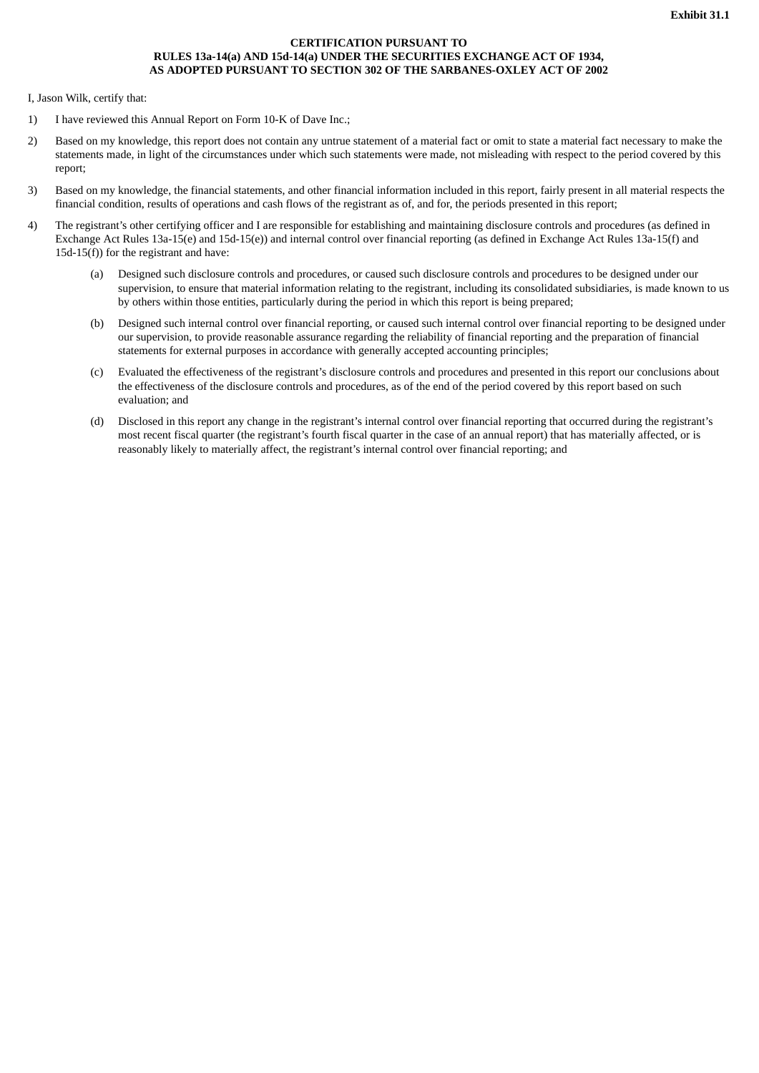# **CERTIFICATION PURSUANT TO RULES 13a-14(a) AND 15d-14(a) UNDER THE SECURITIES EXCHANGE ACT OF 1934, AS ADOPTED PURSUANT TO SECTION 302 OF THE SARBANES-OXLEY ACT OF 2002**

<span id="page-106-0"></span>I, Jason Wilk, certify that:

- 1) I have reviewed this Annual Report on Form 10-K of Dave Inc.;
- 2) Based on my knowledge, this report does not contain any untrue statement of a material fact or omit to state a material fact necessary to make the statements made, in light of the circumstances under which such statements were made, not misleading with respect to the period covered by this report;
- 3) Based on my knowledge, the financial statements, and other financial information included in this report, fairly present in all material respects the financial condition, results of operations and cash flows of the registrant as of, and for, the periods presented in this report;
- 4) The registrant's other certifying officer and I are responsible for establishing and maintaining disclosure controls and procedures (as defined in Exchange Act Rules 13a-15(e) and 15d-15(e)) and internal control over financial reporting (as defined in Exchange Act Rules 13a-15(f) and 15d-15 $(f)$ ) for the registrant and have:
	- (a) Designed such disclosure controls and procedures, or caused such disclosure controls and procedures to be designed under our supervision, to ensure that material information relating to the registrant, including its consolidated subsidiaries, is made known to us by others within those entities, particularly during the period in which this report is being prepared;
	- (b) Designed such internal control over financial reporting, or caused such internal control over financial reporting to be designed under our supervision, to provide reasonable assurance regarding the reliability of financial reporting and the preparation of financial statements for external purposes in accordance with generally accepted accounting principles;
	- (c) Evaluated the effectiveness of the registrant's disclosure controls and procedures and presented in this report our conclusions about the effectiveness of the disclosure controls and procedures, as of the end of the period covered by this report based on such evaluation; and
	- (d) Disclosed in this report any change in the registrant's internal control over financial reporting that occurred during the registrant's most recent fiscal quarter (the registrant's fourth fiscal quarter in the case of an annual report) that has materially affected, or is reasonably likely to materially affect, the registrant's internal control over financial reporting; and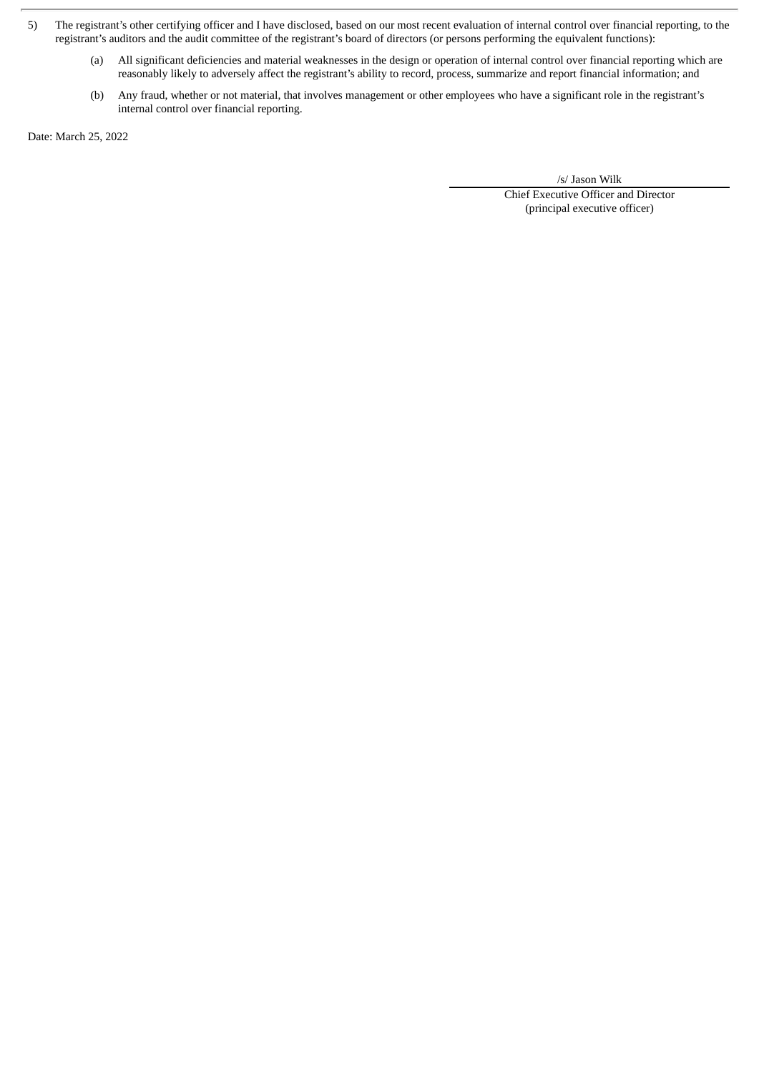- 5) The registrant's other certifying officer and I have disclosed, based on our most recent evaluation of internal control over financial reporting, to the registrant's auditors and the audit committee of the registrant's board of directors (or persons performing the equivalent functions):
	- (a) All significant deficiencies and material weaknesses in the design or operation of internal control over financial reporting which are reasonably likely to adversely affect the registrant's ability to record, process, summarize and report financial information; and
	- (b) Any fraud, whether or not material, that involves management or other employees who have a significant role in the registrant's internal control over financial reporting.

Date: March 25, 2022

/s/ Jason Wilk Chief Executive Officer and Director (principal executive officer)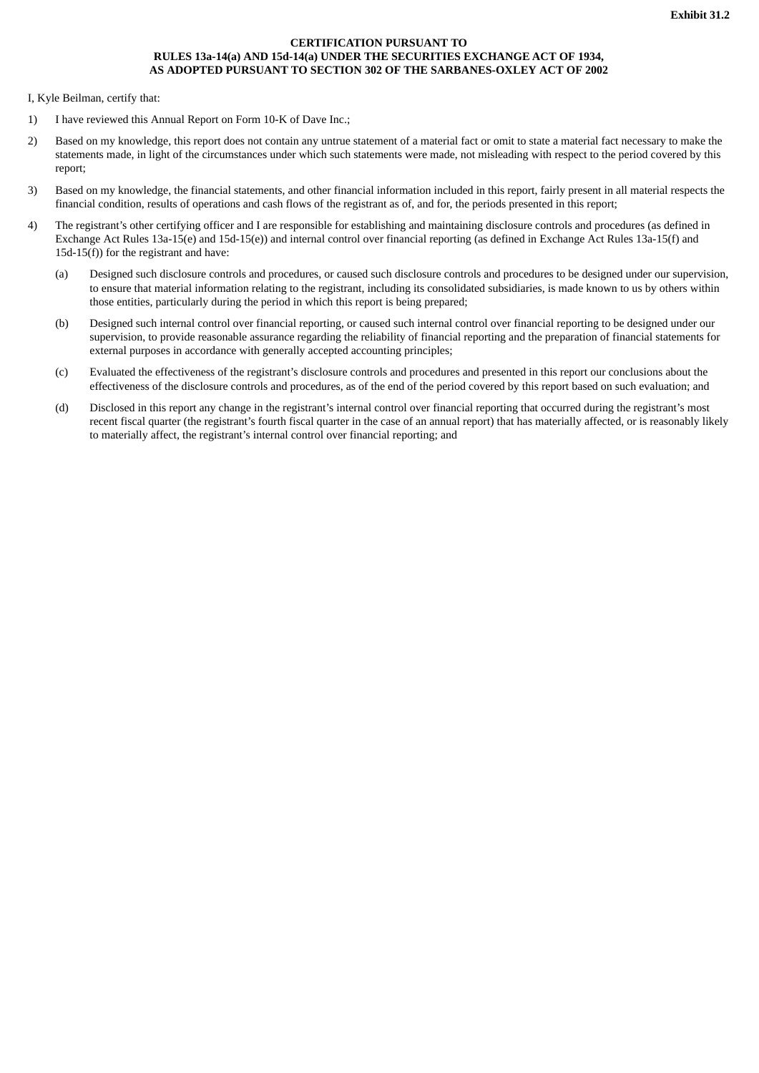## **CERTIFICATION PURSUANT TO RULES 13a-14(a) AND 15d-14(a) UNDER THE SECURITIES EXCHANGE ACT OF 1934, AS ADOPTED PURSUANT TO SECTION 302 OF THE SARBANES-OXLEY ACT OF 2002**

I, Kyle Beilman, certify that:

- 1) I have reviewed this Annual Report on Form 10-K of Dave Inc.;
- 2) Based on my knowledge, this report does not contain any untrue statement of a material fact or omit to state a material fact necessary to make the statements made, in light of the circumstances under which such statements were made, not misleading with respect to the period covered by this report;
- 3) Based on my knowledge, the financial statements, and other financial information included in this report, fairly present in all material respects the financial condition, results of operations and cash flows of the registrant as of, and for, the periods presented in this report;
- 4) The registrant's other certifying officer and I are responsible for establishing and maintaining disclosure controls and procedures (as defined in Exchange Act Rules 13a-15(e) and 15d-15(e)) and internal control over financial reporting (as defined in Exchange Act Rules 13a-15(f) and 15d-15 $(f)$ ) for the registrant and have:
	- (a) Designed such disclosure controls and procedures, or caused such disclosure controls and procedures to be designed under our supervision, to ensure that material information relating to the registrant, including its consolidated subsidiaries, is made known to us by others within those entities, particularly during the period in which this report is being prepared;
	- (b) Designed such internal control over financial reporting, or caused such internal control over financial reporting to be designed under our supervision, to provide reasonable assurance regarding the reliability of financial reporting and the preparation of financial statements for external purposes in accordance with generally accepted accounting principles;
	- (c) Evaluated the effectiveness of the registrant's disclosure controls and procedures and presented in this report our conclusions about the effectiveness of the disclosure controls and procedures, as of the end of the period covered by this report based on such evaluation; and
	- (d) Disclosed in this report any change in the registrant's internal control over financial reporting that occurred during the registrant's most recent fiscal quarter (the registrant's fourth fiscal quarter in the case of an annual report) that has materially affected, or is reasonably likely to materially affect, the registrant's internal control over financial reporting; and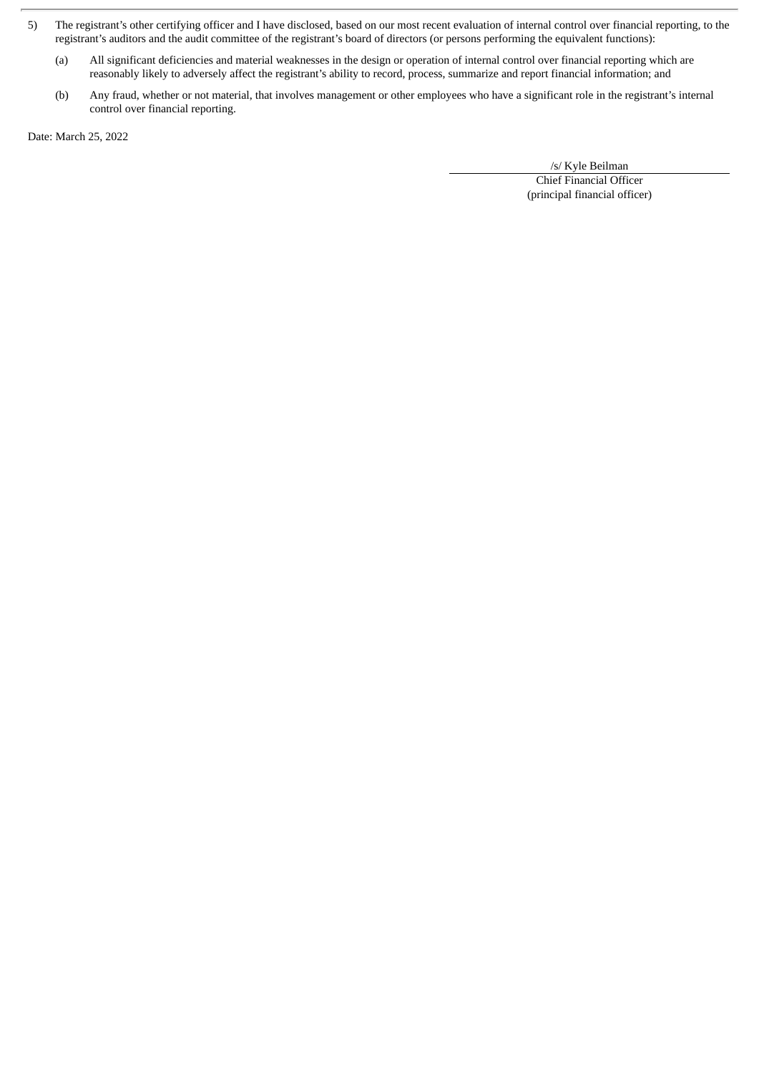- 5) The registrant's other certifying officer and I have disclosed, based on our most recent evaluation of internal control over financial reporting, to the registrant's auditors and the audit committee of the registrant's board of directors (or persons performing the equivalent functions):
	- (a) All significant deficiencies and material weaknesses in the design or operation of internal control over financial reporting which are reasonably likely to adversely affect the registrant's ability to record, process, summarize and report financial information; and
	- (b) Any fraud, whether or not material, that involves management or other employees who have a significant role in the registrant's internal control over financial reporting.

Date: March 25, 2022

/s/ Kyle Beilman

Chief Financial Officer (principal financial officer)